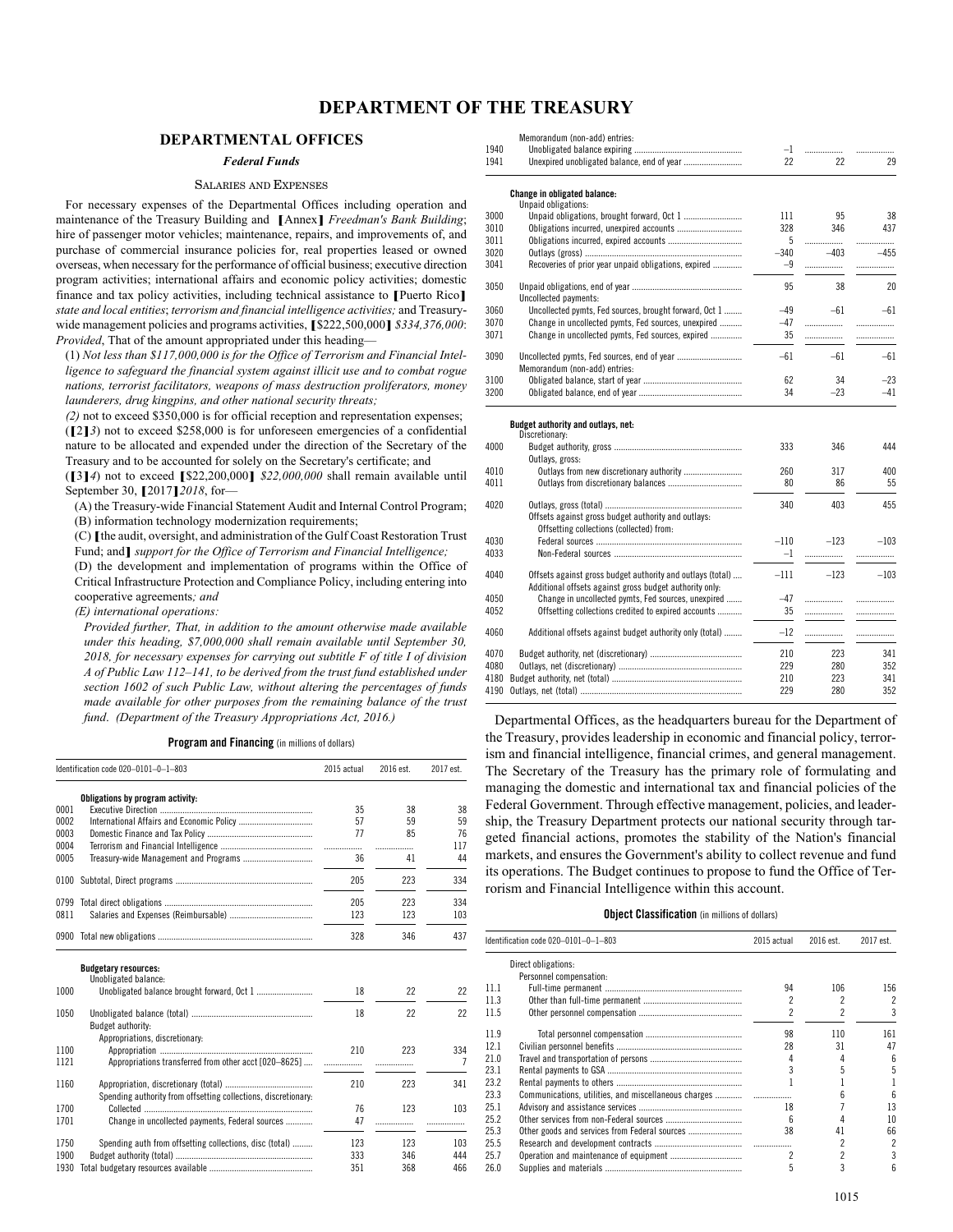# **DEPARTMENT OF THE TREASURY**

## **DEPARTMENTAL OFFICES**

## *Federal Funds*

## SALARIES AND EXPENSES

For necessary expenses of the Departmental Offices including operation and maintenance of the Treasury Building and **[**Annex**]** *Freedman's Bank Building*; hire of passenger motor vehicles; maintenance, repairs, and improvements of, and purchase of commercial insurance policies for, real properties leased or owned overseas, when necessary for the performance of official business; executive direction program activities; international affairs and economic policy activities; domestic finance and tax policy activities, including technical assistance to **[**Puerto Rico**]** *state and local entities*; *terrorism and financial intelligence activities;* and Treasurywide management policies and programs activities, **[**\$222,500,000**]** *\$334,376,000*: *Provided*, That of the amount appropriated under this heading—

(1) *Not less than \$117,000,000 is for the Office of Terrorism and Financial Intelligence to safeguard the financial system against illicit use and to combat rogue nations, terrorist facilitators, weapons of mass destruction proliferators, money launderers, drug kingpins, and other national security threats;*

*(2)* not to exceed \$350,000 is for official reception and representation expenses; (**[**2**]***3*) not to exceed \$258,000 is for unforeseen emergencies of a confidential nature to be allocated and expended under the direction of the Secretary of the Treasury and to be accounted for solely on the Secretary's certificate; and

(**[**3**]***4*) not to exceed **[**\$22,200,000**]** *\$22,000,000* shall remain available until September 30, **[**2017**]***2018*, for—

(A) the Treasury-wide Financial Statement Audit and Internal Control Program; (B) information technology modernization requirements;

(C) **[**the audit, oversight, and administration of the Gulf Coast Restoration Trust Fund; and**]** *support for the Office of Terrorism and Financial Intelligence;*

(D) the development and implementation of programs within the Office of Critical Infrastructure Protection and Compliance Policy, including entering into cooperative agreements*; and*

*(E) international operations:*

*Provided further, That, in addition to the amount otherwise made available under this heading, \$7,000,000 shall remain available until September 30, 2018, for necessary expenses for carrying out subtitle F of title I of division A of Public Law 112–141, to be derived from the trust fund established under section 1602 of such Public Law, without altering the percentages of funds made available for other purposes from the remaining balance of the trust fund*. *(Department of the Treasury Appropriations Act, 2016.)*

#### **Program and Financing** (in millions of dollars)

|      | Identification code 020-0101-0-1-803                           | 2015 actual | 2016 est. | 2017 est. |
|------|----------------------------------------------------------------|-------------|-----------|-----------|
|      | Obligations by program activity:                               |             |           |           |
| 0001 |                                                                | 35          | 38        | 38        |
| 0002 |                                                                | 57          | 59        | 59        |
| 0003 |                                                                | 77          | 85        | 76        |
| 0004 |                                                                | .           | .         | 117       |
| 0005 |                                                                | 36          | 41        | 44        |
| 0100 |                                                                | 205         | 223       | 334       |
| 0799 |                                                                | 205         | 223       | 334       |
| 0811 |                                                                | 123         | 123       | 103       |
| 0900 |                                                                | 328         | 346       | 437       |
|      | <b>Budgetary resources:</b>                                    |             |           |           |
|      | Unobligated balance:                                           |             |           |           |
| 1000 |                                                                | 18          | 22        | 22        |
| 1050 |                                                                | 18          | 22        | 22        |
|      | Budget authority:                                              |             |           |           |
|      | Appropriations, discretionary:                                 |             |           |           |
| 1100 |                                                                | 210         | 223       | 334       |
| 1121 | Appropriations transferred from other acct [020-8625]          | .           | .         | 7         |
| 1160 |                                                                | 210         | 223       | 341       |
|      | Spending authority from offsetting collections, discretionary: |             |           |           |
| 1700 |                                                                | 76          | 123       | 103       |
| 1701 | Change in uncollected payments, Federal sources                | 47          | .         | .         |
| 1750 | Spending auth from offsetting collections, disc (total)        | 123         | 123       | 103       |
| 1900 |                                                                | 333         | 346       | 444       |
| 1930 |                                                                | 351         | 368       | 466       |

|      | 1112 1132.199131                                           |        |        |        |
|------|------------------------------------------------------------|--------|--------|--------|
|      | Memorandum (non-add) entries:                              |        |        |        |
| 1940 |                                                            | $-1$   | .      |        |
| 1941 |                                                            | 22     | 22     | 29     |
|      | Change in obligated balance:                               |        |        |        |
|      | Unpaid obligations:                                        |        |        |        |
| 3000 |                                                            | 111    | 95     | 38     |
| 3010 |                                                            | 328    | 346    | 437    |
| 3011 |                                                            | 5      | .      | .      |
| 3020 |                                                            | $-340$ | $-403$ | $-455$ |
| 3041 | Recoveries of prior year unpaid obligations, expired       | $-9$   | .      | .      |
| 3050 |                                                            | 95     | 38     | 20     |
|      | Uncollected payments:                                      |        |        |        |
| 3060 | Uncollected pymts, Fed sources, brought forward, Oct 1     | $-49$  | $-61$  | $-61$  |
| 3070 | Change in uncollected pymts, Fed sources, unexpired        | $-47$  | .      | .      |
| 3071 | Change in uncollected pymts, Fed sources, expired          | 35     | .      |        |
| 3090 |                                                            | $-61$  | $-61$  | $-61$  |
|      | Memorandum (non-add) entries:                              |        |        |        |
| 3100 |                                                            | 62     | 34     | $-23$  |
| 3200 |                                                            | 34     | $-23$  | $-41$  |
|      | Budget authority and outlays, net:                         |        |        |        |
|      | Discretionary:                                             |        |        |        |
| 4000 |                                                            | 333    | 346    | 444    |
|      | Outlays, gross:                                            |        |        |        |
| 4010 | Outlays from new discretionary authority                   | 260    | 317    | 400    |
| 4011 |                                                            | 80     | 86     | 55     |
| 4020 |                                                            | 340    | 403    | 455    |
|      | Offsets against gross budget authority and outlays:        |        |        |        |
|      | Offsetting collections (collected) from:                   |        |        |        |
| 4030 |                                                            | $-110$ | $-123$ | $-103$ |
| 4033 |                                                            | $-1$   | .      | .      |
| 4040 | Offsets against gross budget authority and outlays (total) | $-111$ | $-123$ | $-103$ |
|      | Additional offsets against gross budget authority only:    |        |        |        |
| 4050 | Change in uncollected pymts, Fed sources, unexpired        | $-47$  |        |        |
|      |                                                            |        | .      |        |
| 4052 | Offsetting collections credited to expired accounts        | 35     | .      |        |
| 4060 | Additional offsets against budget authority only (total)   | $-12$  | .      | .      |
| 4070 |                                                            | 210    | 223    | 341    |
| 4080 |                                                            | 229    | 280    | 352    |

4180 Budget authority, net (total) .......................................................... 210 223 341 4190 Outlays, net (total). Departmental Offices, as the headquarters bureau for the Department of the Treasury, provides leadership in economic and financial policy, terrorism and financial intelligence, financial crimes, and general management. The Secretary of the Treasury has the primary role of formulating and managing the domestic and international tax and financial policies of the Federal Government. Through effective management, policies, and leadership, the Treasury Department protects our national security through tar-

geted financial actions, promotes the stability of the Nation's financial markets, and ensures the Government's ability to collect revenue and fund its operations. The Budget continues to propose to fund the Office of Terrorism and Financial Intelligence within this account.

## **Object Classification** (in millions of dollars)

|      | Identification code 020-0101-0-1-803          | 2015 actual | 2016 est. | 2017 est. |
|------|-----------------------------------------------|-------------|-----------|-----------|
|      | Direct obligations:                           |             |           |           |
|      | Personnel compensation:                       |             |           |           |
| 111  |                                               | 94          | 106       | 156       |
| 11.3 |                                               |             |           | 2         |
| 11.5 |                                               | 2           | 2         | 3         |
| 11.9 |                                               | 98          | 110       | 161       |
| 12.1 |                                               | 28          | 31        | 47        |
| 210  |                                               |             |           | հ         |
| 231  |                                               |             |           | 5         |
| 23.2 |                                               |             |           |           |
| 23.3 |                                               |             |           | հ         |
| 25.1 |                                               | 18          |           | 13        |
| 25.2 |                                               |             |           | 10        |
| 25.3 | Other goods and services from Federal sources | 38          | 41        | 66        |
| 25.5 |                                               |             |           | 2         |
| 25.7 |                                               |             |           | 3         |
| 26.0 |                                               | 5           | 3         | հ         |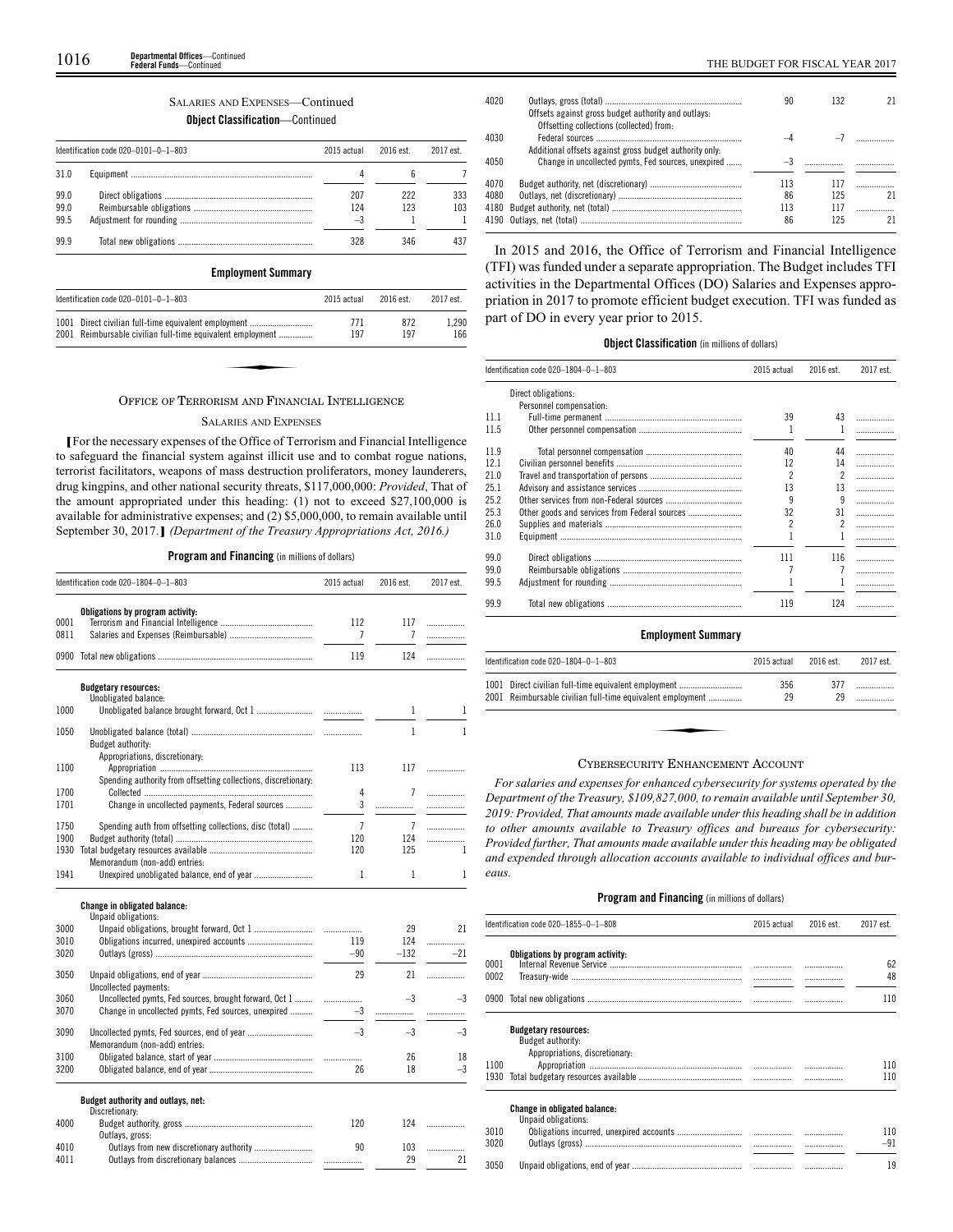## SALARIES AND EXPENSES—Continued **Object Classification**—Continued

|                      | Identification code $020-0101-0-1-803$ | 2015 actual        | 2016 est.  | 2017 est.  |
|----------------------|----------------------------------------|--------------------|------------|------------|
| 31.0                 |                                        |                    |            |            |
| 99.0<br>99.0<br>99.5 |                                        | 207<br>124<br>$-3$ | 222<br>123 | 333<br>103 |
| 999                  |                                        | 328                | 346        | 437        |

## **Employment Summary**

| 2015 actual                                                | $2016$ est.                                          | 2017 est.    |
|------------------------------------------------------------|------------------------------------------------------|--------------|
| 771<br>197                                                 | 872<br>197                                           | 1.290<br>166 |
|                                                            |                                                      |              |
|                                                            |                                                      |              |
| 2001 Reimbursable civilian full-time equivalent employment | 1001 Direct civilian full-time equivalent employment |              |

#### OFFICE OF TERRORISM AND FINANCIAL INTELLIGENCE

#### SALARIES AND EXPENSES

**[**For the necessary expenses of the Office of Terrorism and Financial Intelligence to safeguard the financial system against illicit use and to combat rogue nations, terrorist facilitators, weapons of mass destruction proliferators, money launderers, drug kingpins, and other national security threats, \$117,000,000: *Provided*, That of the amount appropriated under this heading: (1) not to exceed \$27,100,000 is available for administrative expenses; and (2) \$5,000,000, to remain available until September 30, 2017.**]** *(Department of the Treasury Appropriations Act, 2016.)*

## **Program and Financing** (in millions of dollars)

|              | Identification code 020-1804-0-1-803                                                             | 2015 actual           | 2016 est.             | 2017 est. |
|--------------|--------------------------------------------------------------------------------------------------|-----------------------|-----------------------|-----------|
| 0001<br>0811 | Obligations by program activity:                                                                 | 112<br>7              | 117<br>7              | .<br>.    |
|              |                                                                                                  | 119                   | 124                   | .         |
|              | <b>Budgetary resources:</b><br>Unobligated balance:                                              |                       |                       |           |
| 1000         |                                                                                                  |                       | 1                     | 1         |
| 1050         | Budget authority:                                                                                |                       | 1                     | 1         |
| 1100         | Appropriations, discretionary:<br>Spending authority from offsetting collections, discretionary: | 113                   | 117                   | .         |
| 1700         |                                                                                                  | 4                     | $\overline{7}$        | .         |
| 1701         | Change in uncollected payments, Federal sources                                                  | 3                     | .                     | .         |
| 1750<br>1900 | Spending auth from offsetting collections, disc (total)                                          | $\overline{7}$<br>120 | $\overline{7}$<br>124 |           |
| 1930         |                                                                                                  | 120                   | 125                   | .<br>1    |
|              | Memorandum (non-add) entries:                                                                    |                       |                       |           |
| 1941         | Unexpired unobligated balance, end of year                                                       | 1                     | 1                     | 1         |
|              | <b>Change in obligated balance:</b><br>Unpaid obligations:                                       |                       |                       |           |
| 3000         |                                                                                                  |                       | 29                    | 21        |
| 3010         | Obligations incurred, unexpired accounts                                                         | 119                   | 124                   | .         |
| 3020         |                                                                                                  | $-90$                 | $-132$                | $-21$     |
| 3050         | Uncollected payments:                                                                            | 29                    | 21                    | .         |
| 3060         | Uncollected pymts, Fed sources, brought forward, Oct 1                                           | .                     | $-3$                  | $-3$      |
| 3070         | Change in uncollected pymts, Fed sources, unexpired                                              | $-3$                  | .                     | .         |
| 3090         | Memorandum (non-add) entries:                                                                    | $-3$                  | $-3$                  | $-3$      |
| 3100         |                                                                                                  |                       | 26                    | 18        |
| 3200         |                                                                                                  | 26                    | 18                    | $-3$      |
|              | Budget authority and outlays, net:                                                               |                       |                       |           |
| 4000         | Discretionary:                                                                                   | 120                   | 124                   | .         |
| 4010<br>4011 | Outlays, gross:<br>Outlays from new discretionary authority                                      | 90                    | 103<br>29             | .<br>21   |

| 4020 |                                                         | 90  | 132 |    |
|------|---------------------------------------------------------|-----|-----|----|
|      | Offsets against gross budget authority and outlays:     |     |     |    |
|      | Offsetting collections (collected) from:                |     |     |    |
| 4030 |                                                         |     |     |    |
|      | Additional offsets against gross budget authority only. |     |     |    |
| 4050 | Change in uncollected pymts, Fed sources, unexpired     |     |     |    |
|      |                                                         |     |     |    |
| 4070 |                                                         | 113 | 117 |    |
| 4080 |                                                         | 86  | 125 | 21 |
| 4180 |                                                         | 113 | 117 |    |
|      |                                                         | 86  | 125 | 21 |
|      |                                                         |     |     |    |

In 2015 and 2016, the Office of Terrorism and Financial Intelligence (TFI) was funded under a separate appropriation. The Budget includes TFI activities in the Departmental Offices (DO) Salaries and Expenses appropriation in 2017 to promote efficient budget execution. TFI was funded as part of DO in every year prior to 2015.

## **Object Classification** (in millions of dollars)

|      | Identification code 020-1804-0-1-803 | 2015 actual | 2016 est. | 2017 est. |
|------|--------------------------------------|-------------|-----------|-----------|
|      | Direct obligations:                  |             |           |           |
|      | Personnel compensation:              |             |           |           |
| 11.1 |                                      | 39          | 43        | .         |
| 11.5 |                                      |             |           | .         |
| 11.9 |                                      | 40          | 44        | .         |
| 12.1 |                                      | 12          | 14        | .         |
| 21.0 |                                      | 2           | 2         | .         |
| 25.1 |                                      | 13          | 13        | .         |
| 25.2 |                                      | 9           | 9         | .         |
| 25.3 |                                      | 32          | 31        | .         |
| 26.0 |                                      | 2           |           |           |
|      |                                      |             |           | .         |
| 31.0 |                                      |             |           | .         |
| 99.0 |                                      | 111         | 116       | .         |
| 99.0 |                                      |             |           | .         |
| 99.5 |                                      |             |           |           |
| 99.9 |                                      | 119         | 124       | .         |

## **Employment Summary**

| Identification code 020-1804-0-1-803                                                                               | 2015 actual | 2016 est. | 2017 est. |
|--------------------------------------------------------------------------------------------------------------------|-------------|-----------|-----------|
| 1001 Direct civilian full-time equivalent employment<br>2001 Reimbursable civilian full-time equivalent employment | 356<br>29   | 377<br>29 | .         |
|                                                                                                                    |             |           |           |
| $\sim$ $\sim$ $\sim$ $\sim$ $\sim$ $\sim$                                                                          |             |           |           |

#### CYBERSECURITY ENHANCEMENT ACCOUNT

*For salaries and expenses for enhanced cybersecurity for systems operated by the Department of the Treasury, \$109,827,000, to remain available until September 30, 2019: Provided, That amounts made available under this heading shall be in addition to other amounts available to Treasury offices and bureaus for cybersecurity: Provided further, That amounts made available under this heading may be obligated and expended through allocation accounts available to individual offices and bureaus.*

|      | Identification code 020-1855-0-1-808                       | 2015 actual | 2016 est. | 2017 est. |
|------|------------------------------------------------------------|-------------|-----------|-----------|
|      | Obligations by program activity:                           |             |           |           |
| 0001 |                                                            |             |           | 62        |
| 0002 |                                                            |             |           | 48        |
|      |                                                            |             |           | 110       |
|      | <b>Budgetary resources:</b>                                |             |           |           |
|      | Budget authority:                                          |             |           |           |
|      | Appropriations, discretionary:                             |             |           |           |
| 1100 |                                                            |             |           | 110       |
| 1930 |                                                            |             |           | 110       |
|      | <b>Change in obligated balance:</b><br>Unpaid obligations: |             |           |           |
| 3010 |                                                            |             |           | 110       |
| 3020 |                                                            |             |           | -91       |
| 3050 |                                                            |             |           | 19        |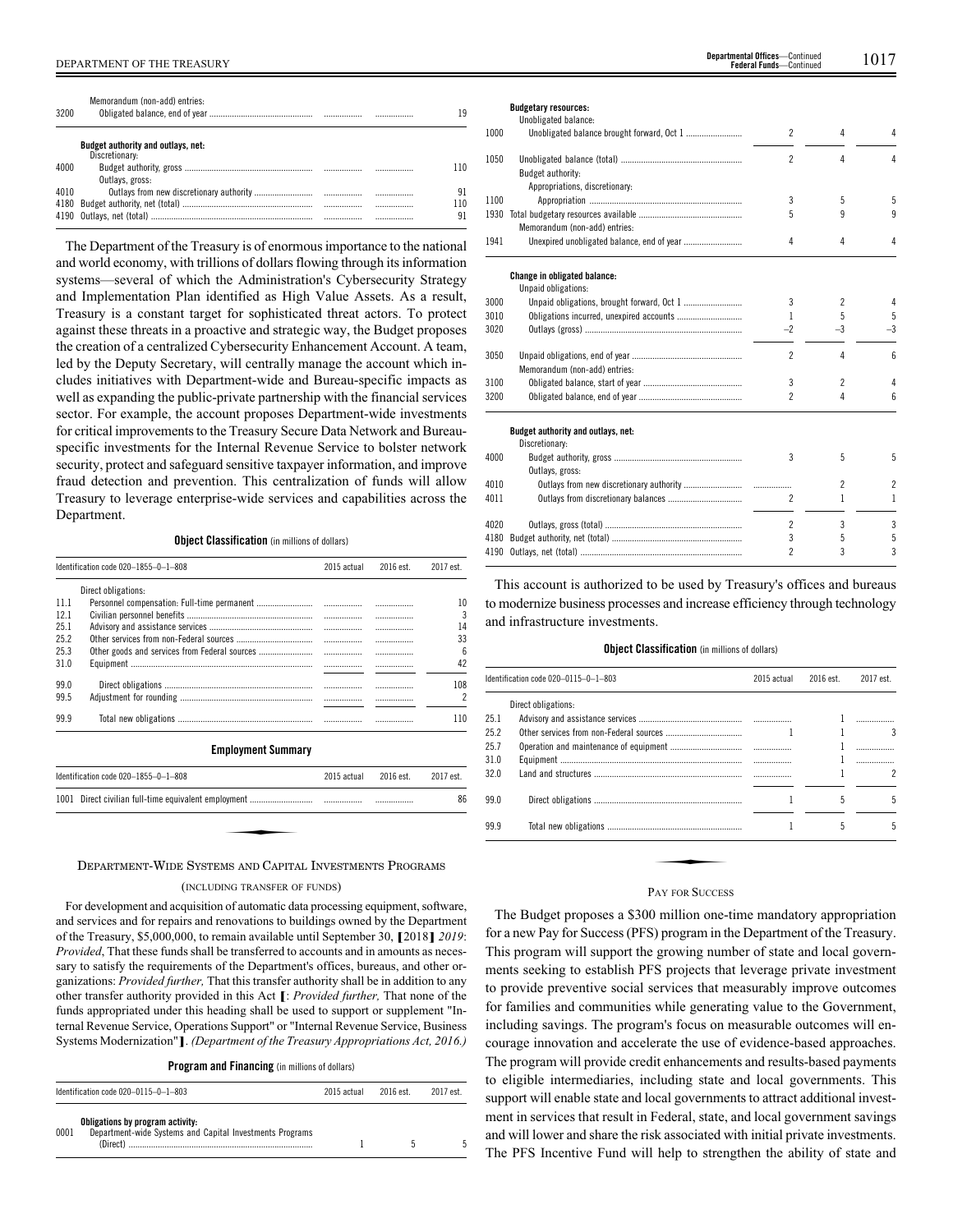| 3200 | Memorandum (non-add) entries:                               |          | 19        |
|------|-------------------------------------------------------------|----------|-----------|
|      | <b>Budget authority and outlays, net:</b><br>Discretionary: |          |           |
| 4000 | Outlays, gross:                                             |          | 110       |
| 4010 |                                                             |          | 91        |
| 4180 |                                                             | <br><br> | 110<br>91 |

The Department of the Treasury is of enormous importance to the national and world economy, with trillions of dollars flowing through its information systems—several of which the Administration's Cybersecurity Strategy and Implementation Plan identified as High Value Assets. As a result, Treasury is a constant target for sophisticated threat actors. To protect against these threats in a proactive and strategic way, the Budget proposes the creation of a centralized Cybersecurity Enhancement Account. A team, led by the Deputy Secretary, will centrally manage the account which includes initiatives with Department-wide and Bureau-specific impacts as well as expanding the public-private partnership with the financial services sector. For example, the account proposes Department-wide investments for critical improvements to the Treasury Secure Data Network and Bureauspecific investments for the Internal Revenue Service to bolster network security, protect and safeguard sensitive taxpayer information, and improve fraud detection and prevention. This centralization of funds will allow Treasury to leverage enterprise-wide services and capabilities across the Department.

#### **Object Classification** (in millions of dollars)

|      | Identification code 020-1855-0-1-808          | 2015 actual | 2016 est. | 2017 est. |
|------|-----------------------------------------------|-------------|-----------|-----------|
|      | Direct obligations:                           |             |           |           |
| 11.1 |                                               |             | .         | 10        |
| 12.1 |                                               | .           | .         | 3         |
| 25.1 |                                               |             | .         | 14        |
| 25.2 |                                               |             | .         | 33        |
| 25.3 | Other goods and services from Federal sources |             | .         | 6         |
| 31.0 |                                               | .           | .         | 42        |
| 99.0 |                                               |             | .         | 108       |
| 99.5 |                                               |             | .         | 2         |
| 99.9 |                                               |             |           | 110       |
|      | <b>Employment Summary</b>                     |             |           |           |
|      | Identification code 020-1855-0-1-808          | 2015 actual | 2016 est. | 2017 est. |
|      |                                               |             |           | 86        |
|      |                                               |             |           |           |

#### DEPARTMENT-WIDE SYSTEMS AND CAPITAL INVESTMENTS PROGRAMS

## (INCLUDING TRANSFER OF FUNDS)

For development and acquisition of automatic data processing equipment, software, and services and for repairs and renovations to buildings owned by the Department of the Treasury, \$5,000,000, to remain available until September 30, **[**2018**]** *2019*: *Provided*, That these funds shall be transferred to accounts and in amounts as necessary to satisfy the requirements of the Department's offices, bureaus, and other organizations: *Provided further,* That this transfer authority shall be in addition to any other transfer authority provided in this Act **[**: *Provided further,* That none of the funds appropriated under this heading shall be used to support or supplement "Internal Revenue Service, Operations Support" or "Internal Revenue Service, Business Systems Modernization"**]**. *(Department of the Treasury Appropriations Act, 2016.)*

**Program and Financing** (in millions of dollars)

| Identification code 020-0115-0-1-803 |                                                                                                          | 2015 actual | 2016 est. | 2017 est. |
|--------------------------------------|----------------------------------------------------------------------------------------------------------|-------------|-----------|-----------|
| 0001                                 | Obligations by program activity:<br>Department-wide Systems and Capital Investments Programs<br>(Direct) |             |           |           |

## **Budgetary resources:**

|      | Unobligated balance:                       |                          |                |                |
|------|--------------------------------------------|--------------------------|----------------|----------------|
| 1000 |                                            | 2                        | 4              | 4              |
| 1050 |                                            | $\overline{c}$           | 4              | 4              |
|      | Budget authority:                          |                          |                |                |
|      | Appropriations, discretionary:             |                          |                |                |
| 1100 |                                            | 3                        | 5              | 5              |
| 1930 |                                            | 5                        | q              | 9              |
|      | Memorandum (non-add) entries:              |                          |                |                |
| 1941 |                                            | 4                        | 4              | 4              |
|      | Change in obligated balance:               |                          |                |                |
|      | Unpaid obligations:                        |                          |                |                |
| 3000 | Unpaid obligations, brought forward, Oct 1 | 3                        | 2              | 4              |
| 3010 |                                            | 1                        | 5              | 5              |
| 3020 |                                            | $-2$                     | $-3$           | $-3$           |
| 3050 |                                            | $\overline{c}$           | 4              | 6              |
|      | Memorandum (non-add) entries:              |                          |                |                |
| 3100 |                                            | 3                        | $\overline{c}$ | 4              |
| 3200 |                                            | $\overline{c}$           | 4              | 6              |
|      | Budget authority and outlays, net:         |                          |                |                |
|      | Discretionary:                             |                          |                |                |
| 4000 |                                            | 3                        | 5              | 5              |
|      | Outlays, gross:                            |                          |                |                |
| 4010 |                                            |                          | $\overline{c}$ | $\overline{c}$ |
| 4011 |                                            | $\overline{c}$           | 1              | 1              |
| 4020 |                                            | $\overline{\phantom{a}}$ | 3              | 3              |
| 4180 |                                            | 3                        | 5              | 5              |
| 4190 |                                            | 2                        | 3              | 3              |
|      |                                            |                          |                |                |

This account is authorized to be used by Treasury's offices and bureaus to modernize business processes and increase efficiency through technology and infrastructure investments.

#### **Object Classification** (in millions of dollars)

|      | Identification code 020-0115-0-1-803 | 2015 actual | 2016 est. | 2017 est. |
|------|--------------------------------------|-------------|-----------|-----------|
|      | Direct obligations:                  |             |           |           |
| 25.1 |                                      |             |           |           |
| 25.2 |                                      |             |           | 3         |
| 25.7 |                                      |             |           |           |
| 31.0 |                                      |             |           | .         |
| 32.0 |                                      |             |           | 2         |
|      |                                      |             |           |           |
| 99.0 |                                      |             | 5         | 5         |
| 99.9 |                                      |             | 5         | 5         |
|      |                                      |             |           |           |
|      | <b>PAV EOP SHOCESS</b>               |             |           |           |

## PAY FOR SUCCESS

The Budget proposes a \$300 million one-time mandatory appropriation for a new Pay for Success (PFS) program in the Department of the Treasury. This program will support the growing number of state and local governments seeking to establish PFS projects that leverage private investment to provide preventive social services that measurably improve outcomes for families and communities while generating value to the Government, including savings. The program's focus on measurable outcomes will encourage innovation and accelerate the use of evidence-based approaches. The program will provide credit enhancements and results-based payments to eligible intermediaries, including state and local governments. This support will enable state and local governments to attract additional investment in services that result in Federal, state, and local government savings and will lower and share the risk associated with initial private investments. The PFS Incentive Fund will help to strengthen the ability of state and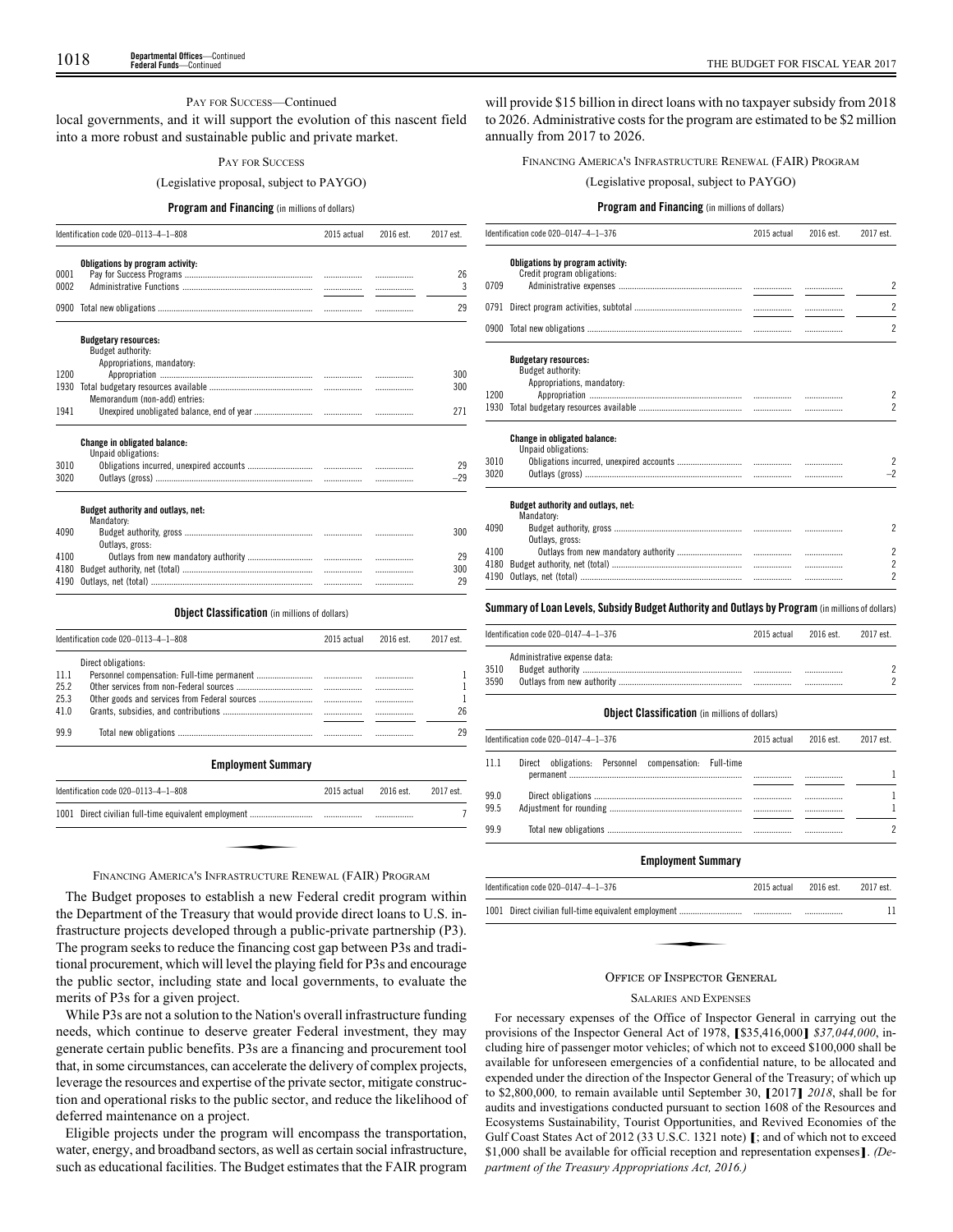## PAY FOR SUCCESS—Continued

local governments, and it will support the evolution of this nascent field into a more robust and sustainable public and private market.

#### PAY FOR SUCCESS

#### (Legislative proposal, subject to PAYGO)

#### **Program and Financing** (in millions of dollars)

|      | Identification code 020-0113-4-1-808                       | 2015 actual | 2016 est. | 2017 est. |
|------|------------------------------------------------------------|-------------|-----------|-----------|
|      | Obligations by program activity:                           |             |           |           |
| 0001 |                                                            |             |           | 26        |
| 0002 |                                                            |             |           | 3         |
|      |                                                            |             | .         | 29        |
|      | <b>Budgetary resources:</b><br>Budget authority:           |             |           |           |
|      | Appropriations, mandatory:                                 |             |           |           |
| 1200 |                                                            |             |           | 300       |
| 1930 |                                                            |             |           | 300       |
|      | Memorandum (non-add) entries:                              |             |           |           |
| 1941 |                                                            |             |           | 271       |
|      | <b>Change in obligated balance:</b><br>Unpaid obligations: |             |           |           |
| 3010 |                                                            |             |           | 29        |
| 3020 |                                                            |             |           | $-29$     |
|      | Budget authority and outlays, net:<br>Mandatory:           |             |           |           |
| 4090 |                                                            |             | .         | 300       |
|      | Outlays, gross:                                            |             |           |           |
| 4100 |                                                            |             |           | 29        |
| 4180 |                                                            |             |           | 300       |
| 4190 |                                                            |             | .         | 29        |

#### **Object Classification** (in millions of dollars)

|      | Identification code 020-0113-4-1-808      |             | 2016 est.  | 2017 est.  |
|------|-------------------------------------------|-------------|------------|------------|
|      | Direct obligations:                       |             |            |            |
| 11.1 |                                           |             |            |            |
| 25.2 |                                           |             |            |            |
| 25.3 |                                           | .           |            |            |
| 41.0 |                                           |             |            | 26         |
| 99.9 |                                           |             |            | 29         |
|      | <b>Employment Summary</b>                 |             |            |            |
|      | $I$ dentification code $020-0113-4-1-808$ | 2015 actual | $2016$ est | $2017$ est |

| Identification code 020-0113-4-1-808                      | 2015 actual | 2016 est. | 2017 est. |
|-----------------------------------------------------------|-------------|-----------|-----------|
|                                                           |             |           |           |
|                                                           |             |           |           |
| FINANCING AMERICA'S INFRASTRUCTURE RENEWAL (FAIR) PROGRAM |             |           |           |

The Budget proposes to establish a new Federal credit program within the Department of the Treasury that would provide direct loans to U.S. infrastructure projects developed through a public-private partnership (P3). The program seeks to reduce the financing cost gap between P3s and traditional procurement, which will level the playing field for P3s and encourage the public sector, including state and local governments, to evaluate the merits of P3s for a given project.

While P3s are not a solution to the Nation's overall infrastructure funding needs, which continue to deserve greater Federal investment, they may generate certain public benefits. P3s are a financing and procurement tool that, in some circumstances, can accelerate the delivery of complex projects, leverage the resources and expertise of the private sector, mitigate construction and operational risks to the public sector, and reduce the likelihood of deferred maintenance on a project.

Eligible projects under the program will encompass the transportation, water, energy, and broadband sectors, as well as certain social infrastructure, such as educational facilities. The Budget estimates that the FAIR program

will provide \$15 billion in direct loans with no taxpayer subsidy from 2018 to 2026. Administrative costs for the program are estimated to be \$2 million annually from 2017 to 2026.

## FINANCING AMERICA'S INFRASTRUCTURE RENEWAL (FAIR) PROGRAM

(Legislative proposal, subject to PAYGO)

## **Program and Financing** (in millions of dollars)

|                                                  | 2015 actual                                                                                                                                                                                                                                             | 2016 est. | 2017 est.                                                                                        |
|--------------------------------------------------|---------------------------------------------------------------------------------------------------------------------------------------------------------------------------------------------------------------------------------------------------------|-----------|--------------------------------------------------------------------------------------------------|
| Obligations by program activity:                 |                                                                                                                                                                                                                                                         |           |                                                                                                  |
|                                                  |                                                                                                                                                                                                                                                         |           |                                                                                                  |
|                                                  |                                                                                                                                                                                                                                                         |           | 2                                                                                                |
|                                                  |                                                                                                                                                                                                                                                         |           | $\overline{2}$                                                                                   |
|                                                  |                                                                                                                                                                                                                                                         |           | $\overline{2}$                                                                                   |
|                                                  |                                                                                                                                                                                                                                                         |           |                                                                                                  |
|                                                  |                                                                                                                                                                                                                                                         |           |                                                                                                  |
|                                                  |                                                                                                                                                                                                                                                         |           |                                                                                                  |
|                                                  |                                                                                                                                                                                                                                                         |           | $\overline{c}$                                                                                   |
|                                                  |                                                                                                                                                                                                                                                         |           | $\overline{2}$                                                                                   |
| <b>Change in obligated balance:</b>              |                                                                                                                                                                                                                                                         |           |                                                                                                  |
|                                                  |                                                                                                                                                                                                                                                         |           | $\overline{2}$                                                                                   |
|                                                  |                                                                                                                                                                                                                                                         |           | $-2$                                                                                             |
|                                                  |                                                                                                                                                                                                                                                         |           |                                                                                                  |
| Budget authority and outlays, net:<br>Mandatory: |                                                                                                                                                                                                                                                         |           |                                                                                                  |
|                                                  |                                                                                                                                                                                                                                                         |           | $\overline{2}$                                                                                   |
|                                                  |                                                                                                                                                                                                                                                         |           | $\overline{2}$                                                                                   |
|                                                  |                                                                                                                                                                                                                                                         |           | $\overline{2}$                                                                                   |
|                                                  |                                                                                                                                                                                                                                                         |           | $\overline{2}$                                                                                   |
|                                                  |                                                                                                                                                                                                                                                         |           |                                                                                                  |
|                                                  |                                                                                                                                                                                                                                                         |           |                                                                                                  |
|                                                  | 2015 actual                                                                                                                                                                                                                                             | 2016 est. | 2017 est.                                                                                        |
|                                                  | Identification code 020-0147-4-1-376<br>Credit program obligations:<br>0791<br><b>Budgetary resources:</b><br>Budget authority:<br>Appropriations, mandatory:<br>Unpaid obligations:<br>Outlays, gross:<br>4190<br>Identification code 020-0147-4-1-376 |           | Summary of Loan Levels, Subsidy Budget Authority and Outlays by Program (in millions of dollars) |

|              | Identification code 020-0147-4-1-376 | 2015 actual | 2016 est. | 2017 est. |
|--------------|--------------------------------------|-------------|-----------|-----------|
| 3510<br>3590 | Administrative expense data:         |             | <br>      |           |

#### **Object Classification** (in millions of dollars)

|              | Identification code 020-0147-4-1-376                  | 2015 actual | 2016 est. | 2017 est. |
|--------------|-------------------------------------------------------|-------------|-----------|-----------|
| 11 1         | Direct obligations: Personnel compensation: Full-time |             |           |           |
| 99.0<br>99.5 |                                                       |             | <br>      |           |
| 99.9         |                                                       |             |           |           |

## **Employment Summary**

| Identification code 020-0147-4-1-376 | 2015 actual 2016 est. | 2017 est. |
|--------------------------------------|-----------------------|-----------|
|                                      |                       | 11        |
|                                      |                       |           |
| $\sim$ $\sim$ $\sim$ $\sim$          |                       |           |

#### OFFICE OF INSPECTOR GENERAL

#### SALARIES AND EXPENSES

For necessary expenses of the Office of Inspector General in carrying out the provisions of the Inspector General Act of 1978, **[**\$35,416,000**]** *\$37,044,000*, including hire of passenger motor vehicles; of which not to exceed \$100,000 shall be available for unforeseen emergencies of a confidential nature, to be allocated and expended under the direction of the Inspector General of the Treasury; of which up to \$2,800,000*,* to remain available until September 30, **[**2017**]** *2018*, shall be for audits and investigations conducted pursuant to section 1608 of the Resources and Ecosystems Sustainability, Tourist Opportunities, and Revived Economies of the Gulf Coast States Act of 2012 (33 U.S.C. 1321 note) **[**; and of which not to exceed \$1,000 shall be available for official reception and representation expenses**]**. *(Department of the Treasury Appropriations Act, 2016.)*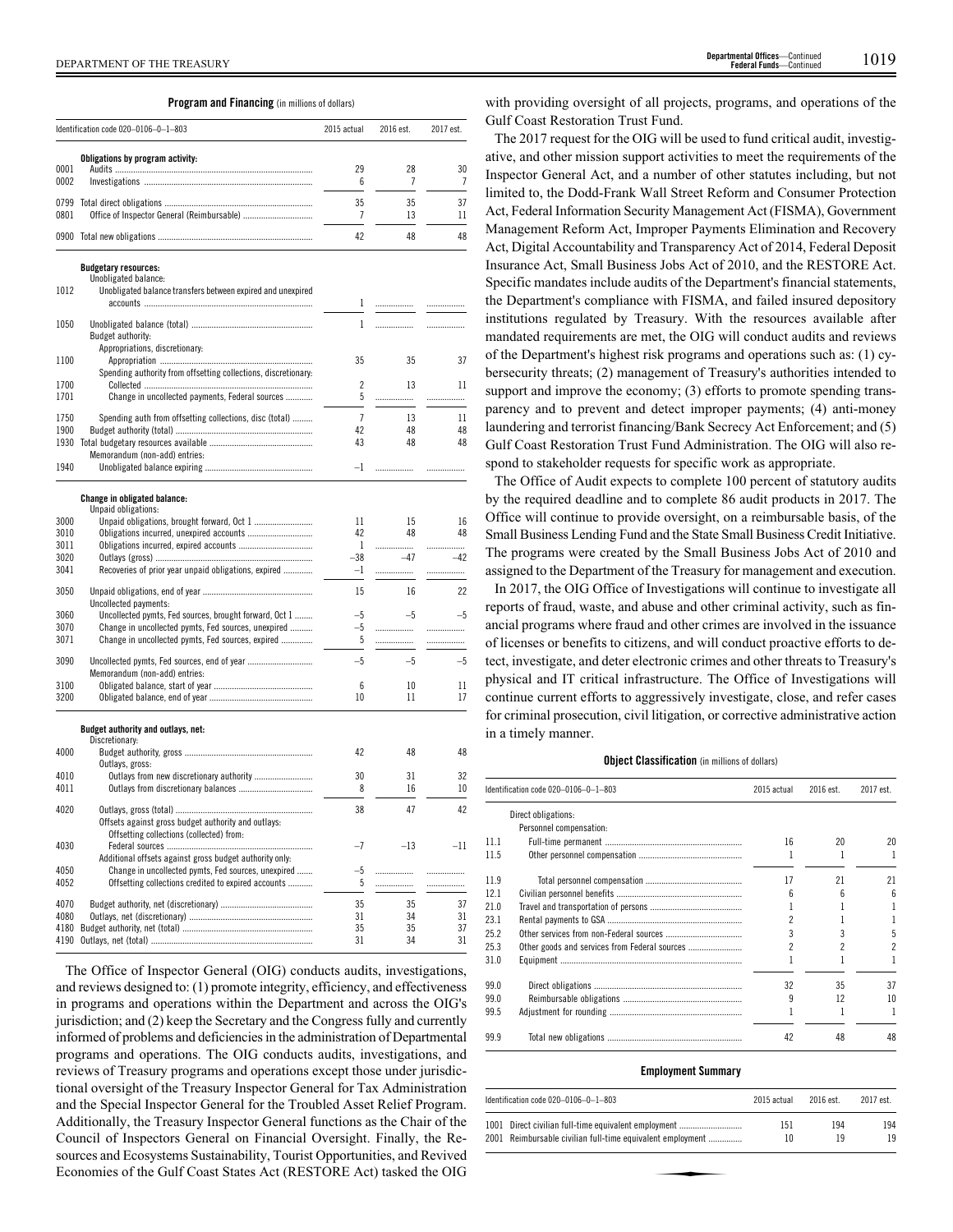## **Program and Financing** (in millions of dollars)

|              | Identification code 020-0106-0-1-803                                                                          | 2015 actual    | 2016 est. | 2017 est. |
|--------------|---------------------------------------------------------------------------------------------------------------|----------------|-----------|-----------|
|              | Obligations by program activity:                                                                              |                |           |           |
| 0001<br>0002 |                                                                                                               | 29<br>6        | 28<br>7   | 30<br>7   |
| 0799         |                                                                                                               | 35             | 35        | 37        |
| 0801         |                                                                                                               | 7              | 13        | 11        |
|              |                                                                                                               | 42             | 48        | 48        |
|              | <b>Budgetary resources:</b>                                                                                   |                |           |           |
| 1012         | Unobligated balance:<br>Unobligated balance transfers between expired and unexpired                           |                |           |           |
|              |                                                                                                               | 1              |           |           |
| 1050         |                                                                                                               | 1              | .         |           |
|              | Budget authority:                                                                                             |                |           |           |
|              | Appropriations, discretionary:                                                                                | 35             | 35        | 37        |
| 1100         | Spending authority from offsetting collections, discretionary:                                                |                |           |           |
| 1700         |                                                                                                               | 2              | 13        | 11        |
| 1701         | Change in uncollected payments, Federal sources                                                               | 5              | .         | .         |
| 1750         | Spending auth from offsetting collections, disc (total)                                                       | $\overline{7}$ | 13        | 11        |
| 1900         |                                                                                                               | 42             | 48        | 48        |
| 1930         |                                                                                                               | 43             | 48        | 48        |
|              | Memorandum (non-add) entries:                                                                                 | $-1$           |           |           |
| 1940         |                                                                                                               |                | .         |           |
|              | Change in obligated balance:                                                                                  |                |           |           |
| 3000         | Unpaid obligations:<br>Unpaid obligations, brought forward, Oct 1                                             | 11             | 15        | 16        |
| 3010         |                                                                                                               | 42             | 48        | 48        |
| 3011         |                                                                                                               | 1              | .         | .         |
| 3020<br>3041 |                                                                                                               | -38            | $-47$     | $-42$     |
|              | Recoveries of prior year unpaid obligations, expired                                                          | $-1$           | .         | .         |
| 3050         |                                                                                                               | 15             | 16        | 22        |
|              | Uncollected payments:                                                                                         |                |           | $-5$      |
| 3060<br>3070 | Uncollected pymts, Fed sources, brought forward, Oct 1<br>Change in uncollected pymts, Fed sources, unexpired | -5<br>$-5$     | $-5$<br>. | .         |
| 3071         | Change in uncollected pymts, Fed sources, expired                                                             | 5              | .         | .         |
|              |                                                                                                               | $-5$           |           |           |
| 3090         | Memorandum (non-add) entries:                                                                                 |                | $-5$      | $-5$      |
| 3100         |                                                                                                               | 6              | 10        | 11        |
| 3200         |                                                                                                               | 10             | 11        | 17        |
|              | Budget authority and outlays, net:                                                                            |                |           |           |
|              | Discretionary:                                                                                                |                |           |           |
| 4000         | Outlays, gross:                                                                                               | 42             | 48        | 48        |
| 4010         | Outlays from new discretionary authority                                                                      | 30             | 31        | 32        |
| 4011         |                                                                                                               | 8              | 16        | 10        |
| 4020         |                                                                                                               | 38             | 47        | 42        |
|              | Offsets against gross budget authority and outlays:                                                           |                |           |           |
| 4030         | Offsetting collections (collected) from:                                                                      | $-7$           | $-13$     | $-11$     |
|              | Additional offsets against gross budget authority only:                                                       |                |           |           |
| 4050         | Change in uncollected pymts, Fed sources, unexpired                                                           | $-5$           | .         | .         |
| 4052         | Offsetting collections credited to expired accounts                                                           | 5              | .         | .         |
| 4070         |                                                                                                               | 35             | 35        | 37        |
| 4080         |                                                                                                               | 31             | 34        | 31        |
| 4180         |                                                                                                               | 35             | 35        | 37        |
| 4190         |                                                                                                               | 31             | 34        | 31        |

The Office of Inspector General (OIG) conducts audits, investigations, and reviews designed to: (1) promote integrity, efficiency, and effectiveness in programs and operations within the Department and across the OIG's jurisdiction; and (2) keep the Secretary and the Congress fully and currently informed of problems and deficiencies in the administration of Departmental programs and operations. The OIG conducts audits, investigations, and reviews of Treasury programs and operations except those under jurisdictional oversight of the Treasury Inspector General for Tax Administration and the Special Inspector General for the Troubled Asset Relief Program. Additionally, the Treasury Inspector General functions as the Chair of the Council of Inspectors General on Financial Oversight. Finally, the Resources and Ecosystems Sustainability, Tourist Opportunities, and Revived Economies of the Gulf Coast States Act (RESTORE Act) tasked the OIG

with providing oversight of all projects, programs, and operations of the Gulf Coast Restoration Trust Fund.

The 2017 request for the OIG will be used to fund critical audit, investigative, and other mission support activities to meet the requirements of the Inspector General Act, and a number of other statutes including, but not limited to, the Dodd-Frank Wall Street Reform and Consumer Protection Act, Federal Information Security Management Act (FISMA), Government Management Reform Act, Improper Payments Elimination and Recovery Act, Digital Accountability and Transparency Act of 2014, Federal Deposit Insurance Act, Small Business Jobs Act of 2010, and the RESTORE Act. Specific mandates include audits of the Department's financial statements, the Department's compliance with FISMA, and failed insured depository institutions regulated by Treasury. With the resources available after mandated requirements are met, the OIG will conduct audits and reviews of the Department's highest risk programs and operations such as: (1) cybersecurity threats; (2) management of Treasury's authorities intended to support and improve the economy; (3) efforts to promote spending transparency and to prevent and detect improper payments; (4) anti-money laundering and terrorist financing/Bank Secrecy Act Enforcement; and (5) Gulf Coast Restoration Trust Fund Administration. The OIG will also respond to stakeholder requests for specific work as appropriate.

The Office of Audit expects to complete 100 percent of statutory audits by the required deadline and to complete 86 audit products in 2017. The Office will continue to provide oversight, on a reimbursable basis, of the Small Business Lending Fund and the State Small Business Credit Initiative. The programs were created by the Small Business Jobs Act of 2010 and assigned to the Department of the Treasury for management and execution.

In 2017, the OIG Office of Investigations will continue to investigate all reports of fraud, waste, and abuse and other criminal activity, such as financial programs where fraud and other crimes are involved in the issuance of licenses or benefits to citizens, and will conduct proactive efforts to detect, investigate, and deter electronic crimes and other threats to Treasury's physical and IT critical infrastructure. The Office of Investigations will continue current efforts to aggressively investigate, close, and refer cases for criminal prosecution, civil litigation, or corrective administrative action in a timely manner.

## **Object Classification** (in millions of dollars)

|      | ldentification code 020–0106–0–1–803 | 2015 actual | 2016 est. | 2017 est. |
|------|--------------------------------------|-------------|-----------|-----------|
|      | Direct obligations:                  |             |           |           |
|      | Personnel compensation:              |             |           |           |
| 11.1 |                                      | 16          | 20        | 20        |
| 11.5 |                                      |             |           | 1         |
| 11.9 |                                      | 17          | 21        | 21        |
| 12.1 |                                      | ĥ           | հ         | 6         |
| 21.0 |                                      |             |           | 1         |
| 23.1 |                                      |             |           |           |
| 25.2 |                                      |             |           | 5         |
| 25.3 |                                      |             |           | 2         |
| 31.0 |                                      |             |           |           |
| 99.0 |                                      | 32          | 35        | 37        |
| 99.0 |                                      | 9           | 12        | 10        |
| 99.5 |                                      |             |           | 1         |
| 99.9 |                                      | 42          | 48        | 48        |

## **Employment Summary**

| Identification code 020-0106-0-1-803                       | 2015 actual | 2016 est. | 2017 est. |
|------------------------------------------------------------|-------------|-----------|-----------|
| 1001 Direct civilian full-time equivalent employment       | 151         | 194       | 194       |
| 2001 Reimbursable civilian full-time equivalent employment | 10          | 19        | 19        |
|                                                            |             |           |           |
|                                                            |             |           |           |
|                                                            |             |           |           |
|                                                            |             |           |           |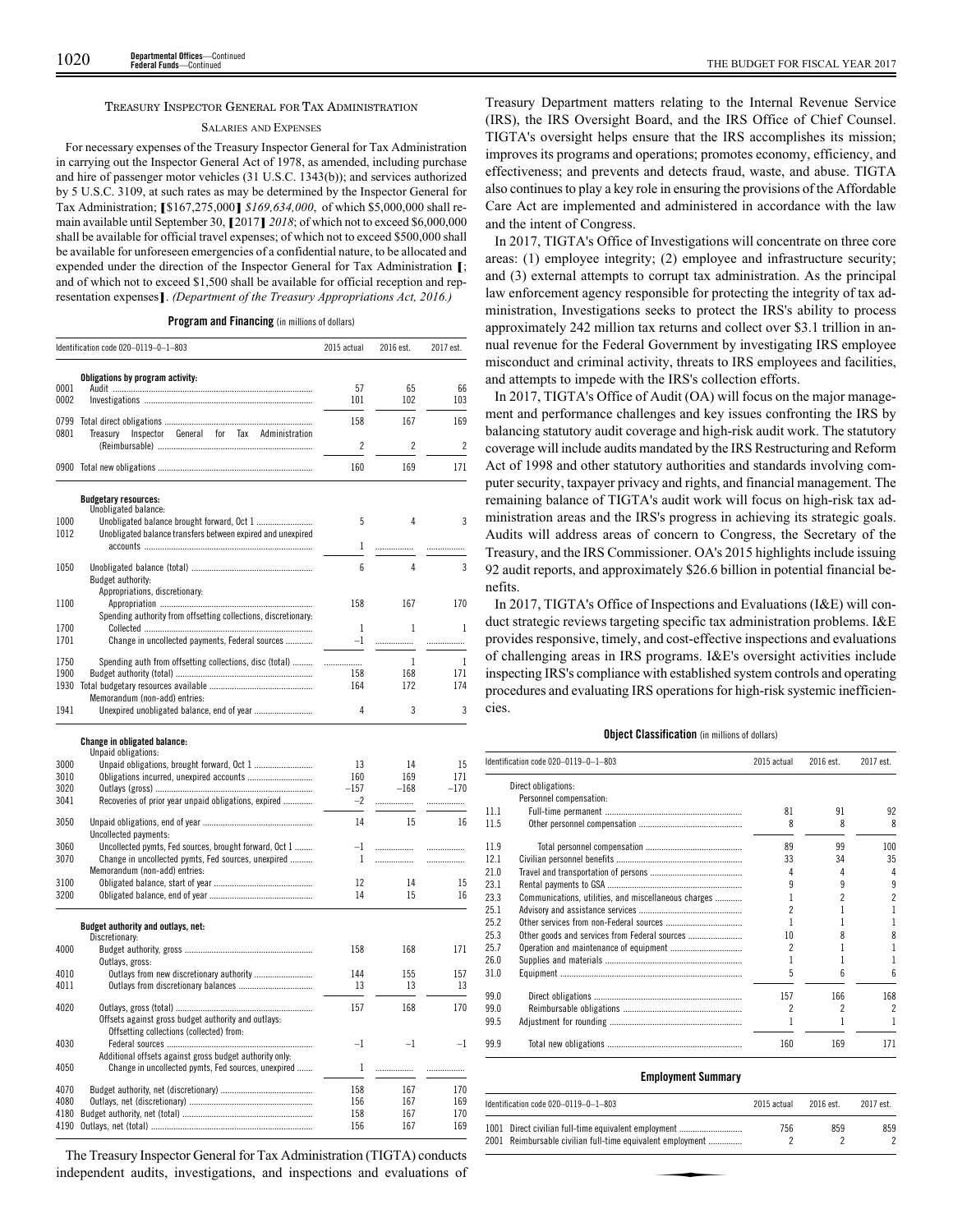#### TREASURY INSPECTOR GENERAL FOR TAX ADMINISTRATION

#### SALARIES AND EXPENSES

For necessary expenses of the Treasury Inspector General for Tax Administration in carrying out the Inspector General Act of 1978, as amended, including purchase and hire of passenger motor vehicles (31 U.S.C. 1343(b)); and services authorized by 5 U.S.C. 3109, at such rates as may be determined by the Inspector General for Tax Administration; **[**\$167,275,000**]** *\$169,634,000*, of which \$5,000,000 shall remain available until September 30, **[**2017**]** *2018*; of which not to exceed \$6,000,000 shall be available for official travel expenses; of which not to exceed \$500,000 shall be available for unforeseen emergencies of a confidential nature, to be allocated and expended under the direction of the Inspector General for Tax Administration **[**; and of which not to exceed \$1,500 shall be available for official reception and representation expenses**]**. *(Department of the Treasury Appropriations Act, 2016.)*

| Program and Financing (in millions of dollars) |  |  |  |  |  |  |  |
|------------------------------------------------|--|--|--|--|--|--|--|
|------------------------------------------------|--|--|--|--|--|--|--|

|              | Identification code 020-0119-0-1-803                           | 2015 actual  | 2016 est.  | 2017 est.  |
|--------------|----------------------------------------------------------------|--------------|------------|------------|
|              | Obligations by program activity:                               |              |            |            |
| 0001         |                                                                | 57           | 65         | 66         |
| 0002         |                                                                | 101          | 102        | 103        |
| 0799         |                                                                | 158          | 167        | 169        |
| 0801         | Inspector General for Tax Administration<br>Treasury           |              |            |            |
|              |                                                                | 2            | 2          | 2          |
|              |                                                                | 160          | 169        | 171        |
|              | <b>Budgetary resources:</b>                                    |              |            |            |
|              | Unobligated balance:                                           |              |            |            |
| 1000         |                                                                | 5            | 4          | 3          |
| 1012         | Unobligated balance transfers between expired and unexpired    |              |            |            |
|              |                                                                | $\mathbf{1}$ | .          | .          |
| 1050         |                                                                | 6            | 4          | 3          |
|              | Budget authority:                                              |              |            |            |
|              | Appropriations, discretionary:                                 |              |            |            |
| 1100         | Spending authority from offsetting collections, discretionary: | 158          | 167        | 170        |
| 1700         |                                                                | $\mathbf{1}$ | 1          | 1          |
| 1701         | Change in uncollected payments, Federal sources                | $-1$         | .          | .          |
|              |                                                                |              |            |            |
| 1750         | Spending auth from offsetting collections, disc (total)        | .            | 1          | 1          |
| 1900<br>1930 |                                                                | 158<br>164   | 168<br>172 | 171<br>174 |
|              | Memorandum (non-add) entries:                                  |              |            |            |
| 1941         |                                                                | 4            | 3          | 3          |
|              | <b>Change in obligated balance:</b>                            |              |            |            |
|              | Unpaid obligations:                                            |              |            |            |
| 3000         |                                                                | 13           | 14         | 15         |
| 3010         |                                                                | 160          | 169        | 171        |
| 3020         |                                                                | $-157$       | $-168$     | $-170$     |
| 3041         | Recoveries of prior year unpaid obligations, expired           | $-2$         | .          | .          |
| 3050         |                                                                | 14           | 15         | 16         |
|              | Uncollected payments:                                          |              |            |            |
| 3060         | Uncollected pymts, Fed sources, brought forward, Oct 1         | $-1$         | .          | .          |
| 3070         | Change in uncollected pymts, Fed sources, unexpired            | 1            |            | .          |
|              | Memorandum (non-add) entries:                                  |              |            |            |
| 3100<br>3200 |                                                                | 12<br>14     | 14<br>15   | 15<br>16   |
|              |                                                                |              |            |            |
|              | Budget authority and outlays, net:                             |              |            |            |
|              | Discretionary:                                                 |              |            |            |
| 4000         | Outlays, gross:                                                | 158          | 168        | 171        |
| 4010         |                                                                | 144          | 155        | 157        |
| 4011         |                                                                | 13           | 13         | 13         |
|              |                                                                |              |            |            |
| 4020         |                                                                | 157          | 168        | 170        |
|              | Offsets against gross budget authority and outlays:            |              |            |            |
| 4030         | Offsetting collections (collected) from:                       | $-1$         | $-1$       | $^{-1}$    |
|              | Additional offsets against gross budget authority only:        |              |            |            |
| 4050         | Change in uncollected pymts, Fed sources, unexpired            | $\mathbf{1}$ | .          | .          |
|              |                                                                |              |            |            |
| 4070         |                                                                | 158          | 167        | 170        |
| 4080<br>4180 |                                                                | 156<br>158   | 167<br>167 | 169<br>170 |
| 4190         |                                                                | 156          | 167        | 169        |
|              |                                                                |              |            |            |

The Treasury Inspector General for Tax Administration (TIGTA) conducts independent audits, investigations, and inspections and evaluations of Treasury Department matters relating to the Internal Revenue Service (IRS), the IRS Oversight Board, and the IRS Office of Chief Counsel. TIGTA's oversight helps ensure that the IRS accomplishes its mission; improves its programs and operations; promotes economy, efficiency, and effectiveness; and prevents and detects fraud, waste, and abuse. TIGTA also continues to play a key role in ensuring the provisions of the Affordable Care Act are implemented and administered in accordance with the law and the intent of Congress.

In 2017, TIGTA's Office of Investigations will concentrate on three core areas: (1) employee integrity; (2) employee and infrastructure security; and (3) external attempts to corrupt tax administration. As the principal law enforcement agency responsible for protecting the integrity of tax administration, Investigations seeks to protect the IRS's ability to process approximately 242 million tax returns and collect over \$3.1 trillion in annual revenue for the Federal Government by investigating IRS employee misconduct and criminal activity, threats to IRS employees and facilities, and attempts to impede with the IRS's collection efforts.

In 2017, TIGTA's Office of Audit (OA) will focus on the major management and performance challenges and key issues confronting the IRS by balancing statutory audit coverage and high-risk audit work. The statutory coverage will include audits mandated by the IRS Restructuring and Reform Act of 1998 and other statutory authorities and standards involving computer security, taxpayer privacy and rights, and financial management. The remaining balance of TIGTA's audit work will focus on high-risk tax administration areas and the IRS's progress in achieving its strategic goals. Audits will address areas of concern to Congress, the Secretary of the Treasury, and the IRS Commissioner. OA's 2015 highlights include issuing 92 audit reports, and approximately \$26.6 billion in potential financial benefits.

In 2017, TIGTA's Office of Inspections and Evaluations (I&E) will conduct strategic reviews targeting specific tax administration problems. I&E provides responsive, timely, and cost-effective inspections and evaluations of challenging areas in IRS programs. I&E's oversight activities include inspecting IRS's compliance with established system controls and operating procedures and evaluating IRS operations for high-risk systemic inefficiencies.

#### **Object Classification** (in millions of dollars)

|      | Identification code 020-0119-0-1-803                 | 2015 actual | 2016 est. | 2017 est.                |
|------|------------------------------------------------------|-------------|-----------|--------------------------|
|      | Direct obligations:                                  |             |           |                          |
|      | Personnel compensation:                              |             |           |                          |
| 11.1 |                                                      | 81          | 91        | 92                       |
| 11.5 |                                                      | 8           | 8         | 8                        |
| 11.9 |                                                      | 89          | 99        | 100                      |
| 12.1 |                                                      | 33          | 34        | 35                       |
| 21.0 |                                                      | 4           |           | 4                        |
| 23.1 |                                                      |             |           | 9                        |
| 23.3 | Communications, utilities, and miscellaneous charges |             |           | 2                        |
| 25.1 |                                                      |             |           |                          |
| 25.2 |                                                      |             |           |                          |
| 25.3 |                                                      | 10          |           | 8                        |
| 25.7 |                                                      |             |           |                          |
| 26.0 |                                                      |             |           |                          |
| 31.0 |                                                      | 5           |           | 6                        |
| 99.0 |                                                      | 157         | 166       | 168                      |
| 99.0 |                                                      | 2           | 2         | $\overline{\phantom{a}}$ |
| 99.5 |                                                      |             |           |                          |
| 99.9 |                                                      | 160         | 169       | 171                      |

#### **Employment Summary**

|      | Identification code $020-0119-0-1-803$                     | 2015 actual | $2016$ est. | 2017 est. |
|------|------------------------------------------------------------|-------------|-------------|-----------|
| 1001 | Direct civilian full-time equivalent employment            | 756         | 859         | 859       |
|      | 2001 Reimbursable civilian full-time equivalent employment |             |             |           |
|      |                                                            |             |             |           |
|      |                                                            |             |             |           |
|      |                                                            |             |             |           |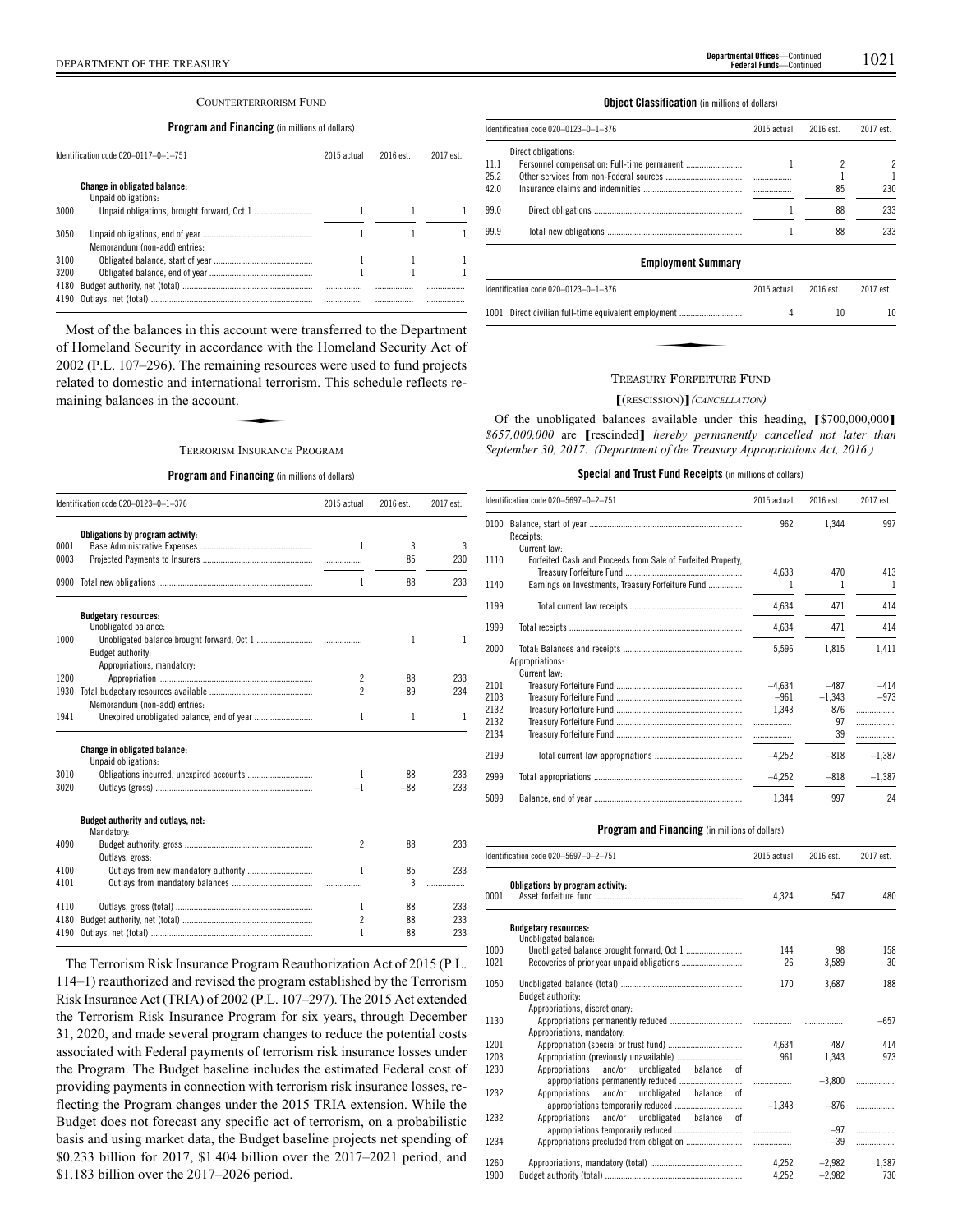#### COUNTERTERRORISM FUND

## **Program and Financing** (in millions of dollars)

|              | Identification code 020-0117-0-1-751                | 2015 actual | $2016$ est | 2017 est |
|--------------|-----------------------------------------------------|-------------|------------|----------|
|              | Change in obligated balance:<br>Unpaid obligations: |             |            |          |
| 3000         |                                                     |             |            |          |
| 3050         | Memorandum (non-add) entries:                       |             |            |          |
| 3100         |                                                     |             |            |          |
| 3200         |                                                     |             |            |          |
| 4180<br>4190 |                                                     |             | <br>.      | <br>     |

Most of the balances in this account were transferred to the Department of Homeland Security in accordance with the Homeland Security Act of 2002 (P.L. 107–296). The remaining resources were used to fund projects related to domestic and international terrorism. This schedule reflects remaining balances in the account. naining resoure<br>aational terrori<br>nnt.<br>sm Insupance P

## TERRORISM INSURANCE PROGRAM

#### **Program and Financing** (in millions of dollars)

|      | Identification code 020-0123-0-1-376                       | 2015 actual              | 2016 est. | 2017 est. |
|------|------------------------------------------------------------|--------------------------|-----------|-----------|
|      | Obligations by program activity:                           |                          |           |           |
| 0001 |                                                            | 1                        | 3         | 3         |
| 0003 |                                                            |                          | 85        | 230       |
|      |                                                            | 1                        | 88        | 233       |
|      | <b>Budgetary resources:</b><br>Unobligated balance:        |                          |           |           |
| 1000 | Budget authority:<br>Appropriations, mandatory:            |                          | 1         | 1         |
| 1200 |                                                            | $\overline{c}$           | 88        | 233       |
| 1930 |                                                            | $\overline{\phantom{a}}$ | 89        | 234       |
|      | Memorandum (non-add) entries:                              |                          |           |           |
| 1941 | Unexpired unobligated balance, end of year                 | 1                        | 1         | 1         |
| 3010 | <b>Change in obligated balance:</b><br>Unpaid obligations: | 1                        | 88        | 233       |
| 3020 |                                                            | $-1$                     | $-88$     | $-233$    |
|      | Budget authority and outlays, net:<br>Mandatory:           |                          |           |           |
| 4090 | Outlays, gross:                                            | $\overline{\phantom{a}}$ | 88        | 233       |
| 4100 |                                                            | 1                        | 85        | 233       |
| 4101 |                                                            |                          | 3         | .         |
| 4110 |                                                            | 1                        | 88        | 233       |
| 4180 |                                                            | $\overline{c}$           | 88        | 233       |
| 4190 |                                                            | 1                        | 88        | 233       |

The Terrorism Risk Insurance Program Reauthorization Act of 2015 (P.L. 114–1) reauthorized and revised the program established by the Terrorism Risk Insurance Act (TRIA) of 2002 (P.L. 107–297). The 2015 Act extended the Terrorism Risk Insurance Program for six years, through December 31, 2020, and made several program changes to reduce the potential costs associated with Federal payments of terrorism risk insurance losses under the Program. The Budget baseline includes the estimated Federal cost of providing payments in connection with terrorism risk insurance losses, reflecting the Program changes under the 2015 TRIA extension. While the Budget does not forecast any specific act of terrorism, on a probabilistic basis and using market data, the Budget baseline projects net spending of \$0.233 billion for 2017, \$1.404 billion over the 2017–2021 period, and \$1.183 billion over the 2017–2026 period.

#### **Object Classification** (in millions of dollars)

|                      | ldentification code 020–0123–0–1–376 | 2015 actual | 2016 est. | 2017 est. |
|----------------------|--------------------------------------|-------------|-----------|-----------|
| 11.1<br>25.2<br>42.0 | Direct obligations:                  |             | 85        | 2<br>230  |
| 99.0                 |                                      |             | 88        | 233       |
| 99.9                 |                                      |             | 88        | 233       |
|                      |                                      |             |           |           |

## **Employment Summary**

| Identification code 020-0123-0-1-376                 | 2015 actual | 2016 est. | 2017 est.        |
|------------------------------------------------------|-------------|-----------|------------------|
| 1001 Direct civilian full-time equivalent employment |             | 10        | 10 <sup>10</sup> |
|                                                      |             |           |                  |
|                                                      |             |           |                  |

## TREASURY FORFEITURE FUND

#### **[**(RESCISSION)**]***(CANCELLATION)*

Of the unobligated balances available under this heading, **[**\$700,000,000**]** *\$657,000,000* are **[**rescinded**]** *hereby permanently cancelled not later than September 30, 2017*. *(Department of the Treasury Appropriations Act, 2016.)*

**Special and Trust Fund Receipts** (in millions of dollars)

|      | Identification code 020-5697-0-2-751                         | 2015 actual | 2016 est. | 2017 est. |
|------|--------------------------------------------------------------|-------------|-----------|-----------|
| 0100 | Receipts:                                                    | 962         | 1.344     | 997       |
|      | Current law:                                                 |             |           |           |
| 1110 | Forfeited Cash and Proceeds from Sale of Forfeited Property, |             |           |           |
|      |                                                              | 4,633       | 470       | 413       |
| 1140 | Earnings on Investments, Treasury Forfeiture Fund            | 1           | 1         | -1        |
| 1199 |                                                              | 4,634       | 471       | 414       |
| 1999 |                                                              | 4,634       | 471       | 414       |
| 2000 | Appropriations:                                              | 5,596       | 1,815     | 1,411     |
|      | Current law:                                                 |             |           |           |
| 2101 |                                                              | $-4.634$    | $-487$    | $-414$    |
| 2103 |                                                              | $-961$      | $-1.343$  | $-973$    |
| 2132 |                                                              | 1,343       | 876       | .         |
| 2132 |                                                              |             | 97        | .         |
| 2134 |                                                              |             | 39        | .         |
| 2199 |                                                              | $-4,252$    | $-818$    | $-1.387$  |
| 2999 |                                                              | $-4,252$    | $-818$    | $-1,387$  |
| 5099 |                                                              | 1.344       | 997       | 24        |

| 2017 est.         |
|-------------------|
| 480<br>547        |
|                   |
|                   |
| 98<br>158         |
| 30<br>3,589       |
| 188<br>3,687      |
|                   |
|                   |
| $-657$            |
|                   |
| 414<br>487        |
| 973<br>1,343      |
|                   |
| $-3.800$<br>.     |
|                   |
| $-876$<br>.       |
|                   |
| $-97$<br>.        |
| $-39$<br>.        |
| 1,387<br>$-2,982$ |
| $-2,982$<br>730   |
| 2016 est.         |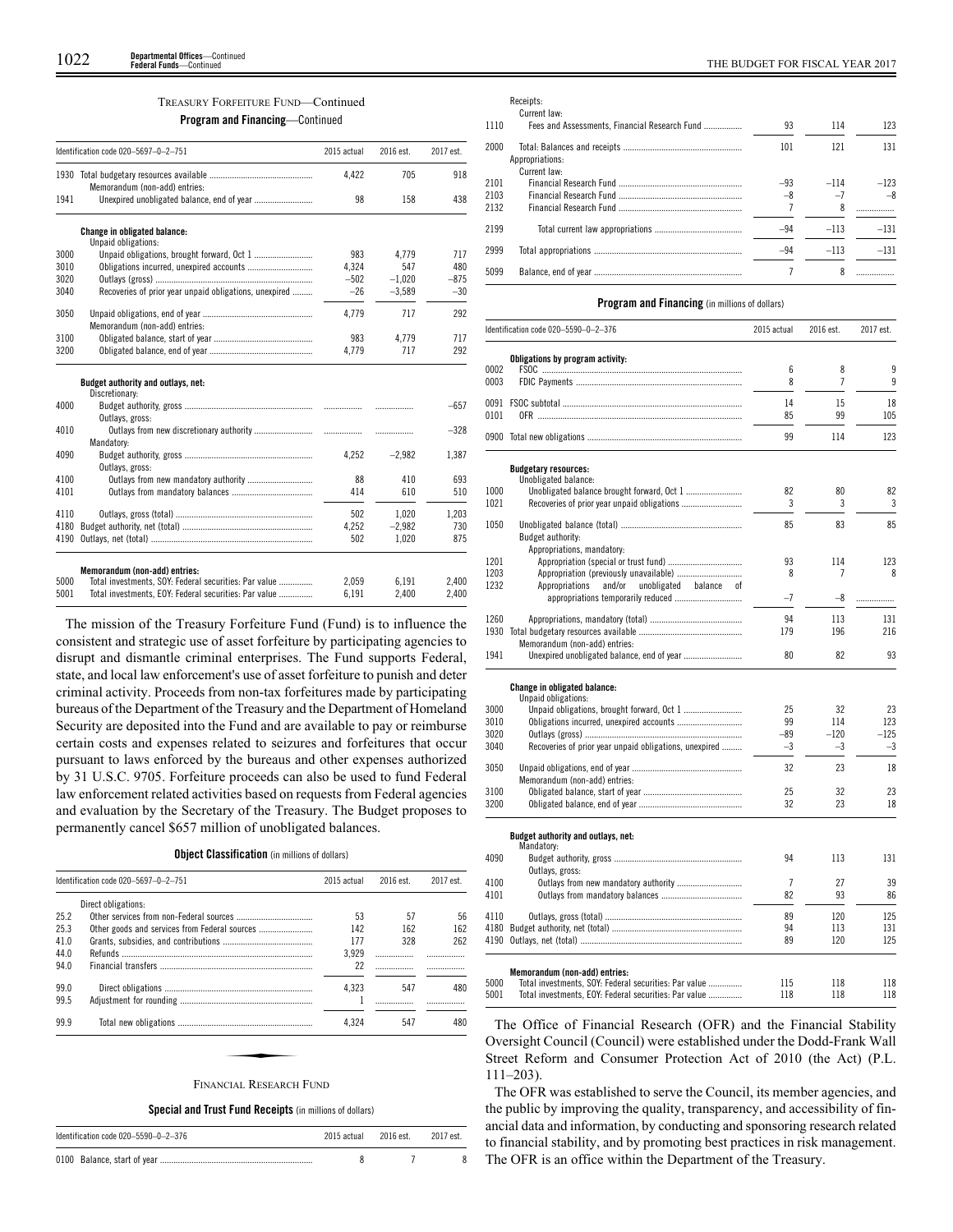#### TREASURY FORFEITURE FUND—Continued

**Program and Financing**—Continued

|                                                              | Identification code 020-5697-0-2-751                                                   | 2015 actual | 2016 est. | 2017 est.                                                      |
|--------------------------------------------------------------|----------------------------------------------------------------------------------------|-------------|-----------|----------------------------------------------------------------|
| 1930                                                         | Memorandum (non-add) entries:                                                          | 4.422       | 705       | 918                                                            |
| 1941                                                         |                                                                                        | 98          | 158       | 438                                                            |
|                                                              | Change in obligated balance:                                                           |             |           |                                                                |
|                                                              | Unpaid obligations:                                                                    |             |           |                                                                |
| 3000                                                         |                                                                                        | 983         | 4,779     | 717                                                            |
| 3010                                                         |                                                                                        | 4,324       | 547       | 480                                                            |
| 3020                                                         |                                                                                        | $-502$      | $-1.020$  | $-875$                                                         |
| 3040                                                         | Recoveries of prior year unpaid obligations, unexpired                                 | $-26$       | $-3.589$  | $-30$                                                          |
| 3050                                                         | Memorandum (non-add) entries:                                                          | 4,779       | 717       | 292                                                            |
| 3100                                                         |                                                                                        | 983         | 4,779     | 717                                                            |
| 3200                                                         |                                                                                        | 4.779       | 717       | 292                                                            |
|                                                              |                                                                                        |             |           |                                                                |
|                                                              | Budget authority and outlays, net:                                                     |             |           |                                                                |
|                                                              | Discretionary:                                                                         |             | .         |                                                                |
|                                                              | Outlays, gross:                                                                        |             |           |                                                                |
|                                                              |                                                                                        |             | .         |                                                                |
|                                                              | Mandatory:                                                                             |             |           |                                                                |
|                                                              |                                                                                        | 4.252       | $-2.982$  |                                                                |
|                                                              | Outlays, gross:                                                                        |             |           |                                                                |
|                                                              | Outlays from new mandatory authority                                                   | 88          | 410       |                                                                |
|                                                              |                                                                                        | 414         | 610       |                                                                |
|                                                              |                                                                                        | 502         | 1,020     |                                                                |
|                                                              |                                                                                        | 4,252       | $-2,982$  |                                                                |
| 4000<br>4010<br>4090<br>4100<br>4101<br>4110<br>4180<br>4190 |                                                                                        | 502         | 1,020     | $-657$<br>$-328$<br>1,387<br>693<br>510<br>1,203<br>730<br>875 |
|                                                              |                                                                                        |             |           |                                                                |
| 5000                                                         | Memorandum (non-add) entries:<br>Total investments, SOY: Federal securities: Par value | 2.059       | 6.191     | 2,400                                                          |

The mission of the Treasury Forfeiture Fund (Fund) is to influence the consistent and strategic use of asset forfeiture by participating agencies to disrupt and dismantle criminal enterprises. The Fund supports Federal, state, and local law enforcement's use of asset forfeiture to punish and deter criminal activity. Proceeds from non-tax forfeitures made by participating bureaus of the Department of the Treasury and the Department of Homeland Security are deposited into the Fund and are available to pay or reimburse certain costs and expenses related to seizures and forfeitures that occur pursuant to laws enforced by the bureaus and other expenses authorized by 31 U.S.C. 9705. Forfeiture proceeds can also be used to fund Federal law enforcement related activities based on requests from Federal agencies and evaluation by the Secretary of the Treasury. The Budget proposes to permanently cancel \$657 million of unobligated balances.

|  | <b>Object Classification</b> (in millions of dollars) |  |  |  |  |
|--|-------------------------------------------------------|--|--|--|--|
|--|-------------------------------------------------------|--|--|--|--|

|      | Identification code 020-5697-0-2-751 | 2015 actual | 2016 est. | 2017 est. |
|------|--------------------------------------|-------------|-----------|-----------|
|      | Direct obligations:                  |             |           |           |
| 25.2 |                                      | 53          | 57        | 56        |
| 25.3 |                                      | 142         | 162       | 162       |
| 41.0 |                                      | 177         | 328       | 262       |
| 44.0 |                                      | 3.929       |           |           |
| 94.0 |                                      | 22          |           |           |
| 99.0 |                                      | 4.323       | 547       | 480       |
| 99.5 |                                      |             |           |           |
| 99.9 |                                      | 4.324       | 547       | 480       |
|      |                                      |             |           |           |
|      |                                      |             |           |           |
|      | <b>FINANCIAL RESEARCH FUND</b>       |             |           |           |

**Special and Trust Fund Receipts** (in millions of dollars)

| Identification code 020-5590-0-2-376 | 2015 actual | 2016 est. | 2017 est. |
|--------------------------------------|-------------|-----------|-----------|
|                                      |             |           |           |

Receipts: Current law:

| 1110 | Fees and Assessments, Financial Research Fund | 93    | 114    | 123    |
|------|-----------------------------------------------|-------|--------|--------|
| 2000 |                                               | 101   | 121    | 131    |
|      | Appropriations:                               |       |        |        |
|      | Current law:                                  |       |        |        |
| 2101 |                                               | $-93$ | $-114$ | $-123$ |
| 2103 |                                               | $-8$  | $-7$   | $-8$   |
| 2132 |                                               |       | 8      |        |
| 2199 |                                               | $-94$ | $-113$ | $-131$ |
| 2999 |                                               | $-94$ | $-113$ | $-131$ |
| 5099 |                                               |       |        |        |

#### **Program and Financing** (in millions of dollars)

|      | Identification code 020-5590-0-2-376                     | 2015 actual    | 2016 est. | 2017 est. |
|------|----------------------------------------------------------|----------------|-----------|-----------|
|      | Obligations by program activity:                         |                |           |           |
| 0002 |                                                          | 6              | 8         | 9         |
| 0003 |                                                          | 8              | 7         | 9         |
| 0091 |                                                          | 14             | 15        | 18        |
| 0101 |                                                          | 85             | 99        | 105       |
|      |                                                          | 99             | 114       | 123       |
|      | <b>Budgetary resources:</b>                              |                |           |           |
|      | Unobligated balance:                                     |                |           |           |
| 1000 |                                                          | 82             | 80        | 82        |
| 1021 |                                                          | 3              | 3         | 3         |
| 1050 |                                                          | 85             | 83        | 85        |
|      | Budget authority:                                        |                |           |           |
|      | Appropriations, mandatory:                               |                |           |           |
| 1201 |                                                          | 93             | 114       | 123       |
| 1203 |                                                          | 8              | 7         | 8         |
| 1232 | Appropriations<br>and/or<br>unobligated<br>balance<br>οf | $-7$           |           |           |
|      |                                                          |                | -8        | .         |
| 1260 |                                                          | 94             | 113       | 131       |
| 1930 |                                                          | 179            | 196       | 216       |
|      | Memorandum (non-add) entries:                            |                |           |           |
| 1941 |                                                          | 80             | 82        | 93        |
|      | Change in obligated balance:                             |                |           |           |
|      | Unpaid obligations:                                      |                |           |           |
| 3000 |                                                          | 25             | 32        | 23        |
| 3010 | Obligations incurred, unexpired accounts                 | 99             | 114       | 123       |
| 3020 |                                                          | $-89$          | $-120$    | $-125$    |
| 3040 | Recoveries of prior year unpaid obligations, unexpired   | $-3$           | $-3$      | $-3$      |
| 3050 |                                                          | 32             | 23        | 18        |
|      | Memorandum (non-add) entries:                            |                |           |           |
| 3100 |                                                          | 25             | 32        | 23        |
| 3200 |                                                          | 32             | 23        | 18        |
|      |                                                          |                |           |           |
|      | Budget authority and outlays, net:                       |                |           |           |
| 4090 | Mandatory:                                               | 94             | 113       | 131       |
|      | Outlays, gross:                                          |                |           |           |
| 4100 | Outlays from new mandatory authority                     | $\overline{7}$ | 27        | 39        |
| 4101 |                                                          | 82             | 93        | 86        |
|      |                                                          |                |           |           |
| 4110 |                                                          | 89             | 120       | 125       |
| 4180 |                                                          | 94             | 113       | 131       |
| 4190 |                                                          | 89             | 120       | 125       |
|      | Memorandum (non-add) entries:                            |                |           |           |
| 5000 | Total investments, SOY: Federal securities: Par value    | 115            | 118       | 118       |
| 5001 | Total investments, EOY: Federal securities: Par value    | 118            | 118       | 118       |

The Office of Financial Research (OFR) and the Financial Stability Oversight Council (Council) were established under the Dodd-Frank Wall Street Reform and Consumer Protection Act of 2010 (the Act) (P.L. 111–203).

The OFR was established to serve the Council, its member agencies, and the public by improving the quality, transparency, and accessibility of financial data and information, by conducting and sponsoring research related to financial stability, and by promoting best practices in risk management. The OFR is an office within the Department of the Treasury.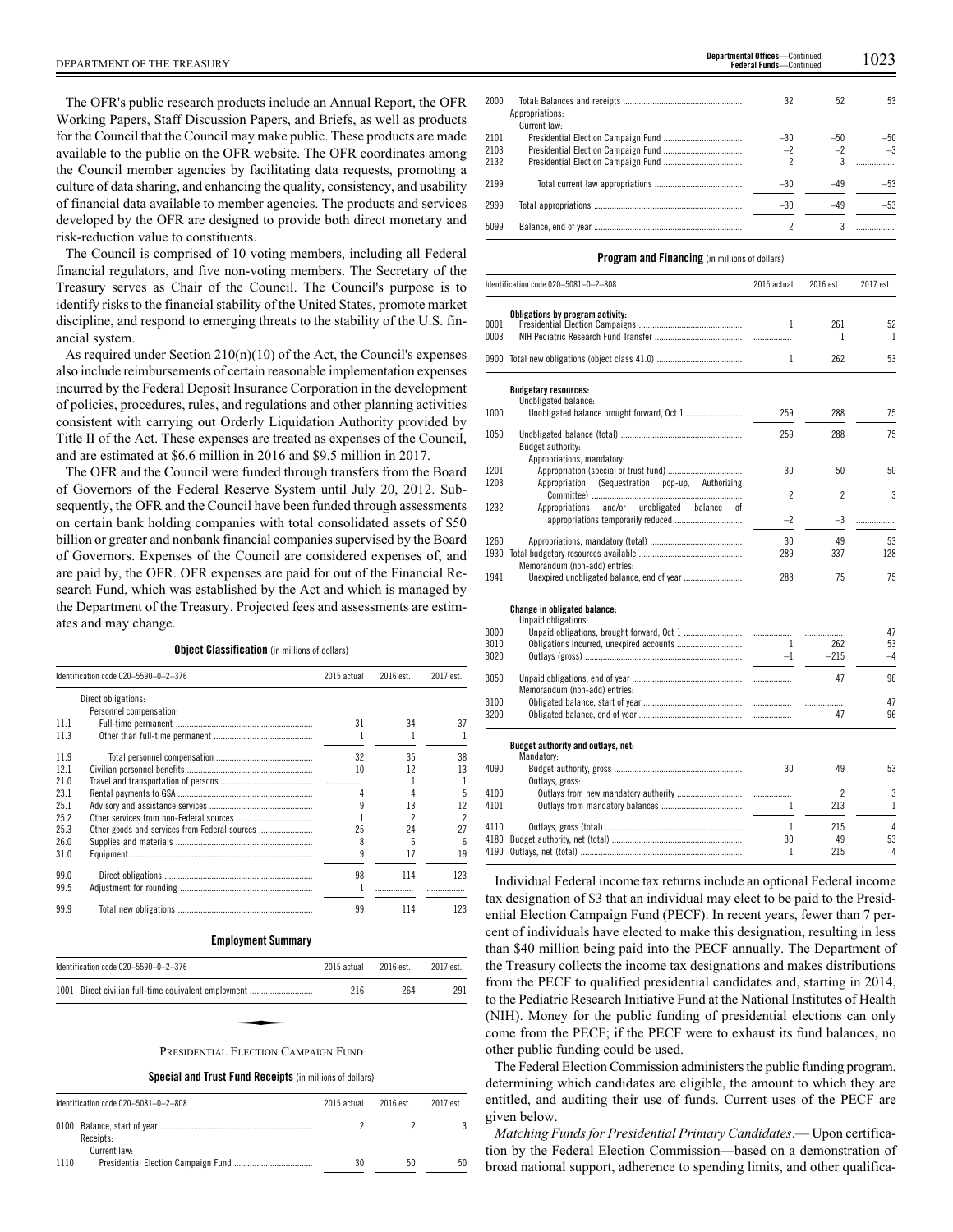The OFR's public research products include an Annual Report, the OFR Working Papers, Staff Discussion Papers, and Briefs, as well as products for the Council that the Council may make public. These products are made available to the public on the OFR website. The OFR coordinates among the Council member agencies by facilitating data requests, promoting a culture of data sharing, and enhancing the quality, consistency, and usability of financial data available to member agencies. The products and services developed by the OFR are designed to provide both direct monetary and risk-reduction value to constituents.

The Council is comprised of 10 voting members, including all Federal financial regulators, and five non-voting members. The Secretary of the Treasury serves as Chair of the Council. The Council's purpose is to identify risks to the financial stability of the United States, promote market discipline, and respond to emerging threats to the stability of the U.S. financial system.

As required under Section 210(n)(10) of the Act, the Council's expenses also include reimbursements of certain reasonable implementation expenses incurred by the Federal Deposit Insurance Corporation in the development of policies, procedures, rules, and regulations and other planning activities consistent with carrying out Orderly Liquidation Authority provided by Title II of the Act. These expenses are treated as expenses of the Council, and are estimated at \$6.6 million in 2016 and \$9.5 million in 2017.

The OFR and the Council were funded through transfers from the Board of Governors of the Federal Reserve System until July 20, 2012. Subsequently, the OFR and the Council have been funded through assessments on certain bank holding companies with total consolidated assets of \$50 billion or greater and nonbank financial companies supervised by the Board of Governors. Expenses of the Council are considered expenses of, and are paid by, the OFR. OFR expenses are paid for out of the Financial Research Fund, which was established by the Act and which is managed by the Department of the Treasury. Projected fees and assessments are estimates and may change.

**Object Classification** (in millions of dollars)

|      | Identification code 020-5590-0-2-376 | 2015 actual | 2016 est. | 2017 est. |
|------|--------------------------------------|-------------|-----------|-----------|
|      | Direct obligations:                  |             |           |           |
|      | Personnel compensation:              |             |           |           |
| 11.1 |                                      | 31          | 34        | 37        |
| 11.3 |                                      |             |           |           |
| 119  |                                      | 32          | 35        | 38        |
| 121  |                                      | 10          | 12        | 13        |
| 21.0 |                                      |             |           |           |
| 231  |                                      |             |           | 5         |
| 25.1 |                                      |             | 13        | 12        |
| 25.2 |                                      |             | 2         | 2         |
| 25.3 |                                      | 25          | 24        | 27        |
| 26.0 |                                      | 8           | 6         | 6         |
| 31.0 |                                      |             | 17        | 19        |
| 99 O |                                      | 98          | 114       | 123       |
| 99.5 |                                      |             |           |           |
| 99.9 |                                      | 99          | 114       | 123       |

#### **Employment Summary**

| Identification code 020-5590-0-2-376                 | 2015 actual | $2016$ est. | 2017 est. |
|------------------------------------------------------|-------------|-------------|-----------|
| 1001 Direct civilian full-time equivalent employment | 216         | 264         | 291       |
|                                                      |             |             |           |
| PRESIDENTIAL ELECTION CAMPAIGN FUND                  |             |             |           |

## **Special and Trust Fund Receipts** (in millions of dollars)

| Identification code 020-5081-0-2-808 | 2015 actual | 2016 est. | 2017 est. |
|--------------------------------------|-------------|-----------|-----------|
| Receipts:                            |             |           |           |
| Current law:<br>1110                 | 30          | 50        | 50        |

| 2000 |                 | 32    | 52    | 53    |
|------|-----------------|-------|-------|-------|
|      | Appropriations: |       |       |       |
|      | Current law:    |       |       |       |
| 2101 |                 | $-30$ | $-50$ | $-50$ |
| 2103 |                 | $-2$  | $-2$  | $-3$  |
| 2132 |                 | 2     | 3     |       |
|      |                 |       |       |       |
| 2199 |                 | $-30$ |       | -53   |
| 2999 |                 | -30   |       |       |
|      |                 |       |       |       |

**Federal Funds**—Continued

## **Program and Financing** (in millions of dollars)

5099 Balance, end of year

|              | Identification code 020-5081-0-2-808                       | 2015 actual    | 2016 est.      | 2017 est.      |
|--------------|------------------------------------------------------------|----------------|----------------|----------------|
| 0001<br>0003 | Obligations by program activity:                           | 1              | 261<br>1       | 52<br>1        |
|              |                                                            | $\mathbf{1}$   | 262            | 53             |
|              | <b>Budgetary resources:</b><br>Unobligated balance:        |                |                |                |
| 1000         |                                                            | 259            | 288            | 75             |
| 1050         | Budget authority:                                          | 259            | 288            | 75             |
| 1201         | Appropriations, mandatory:                                 | 30             | 50             | 50             |
| 1203         | Appropriation (Sequestration<br>pop-up, Authorizing        |                |                |                |
|              |                                                            | $\mathfrak{p}$ | $\overline{c}$ | 3              |
| 1232         | and/or<br>unobligated<br>Appropriations<br>balance<br>οf   | $-2$           | -3             | .              |
| 1260         |                                                            | 30             | 49             | 53             |
| 1930         |                                                            | 289            | 337            | 128            |
| 1941         | Memorandum (non-add) entries:                              | 288            | 75             | 75             |
|              | <b>Change in obligated balance:</b><br>Unpaid obligations: |                |                |                |
| 3000         |                                                            |                | .              | 47             |
| 3010         |                                                            | 1              | 262            | 53             |
| 3020         |                                                            | $-1$           | $-215$         | $-4$           |
| 3050         | Memorandum (non-add) entries:                              |                | 47             | 96             |
| 3100         |                                                            |                | .              | 47             |
| 3200         |                                                            |                | 47             | 96             |
|              | Budget authority and outlays, net:<br>Mandatory:           |                |                |                |
| 4090         | Outlays, gross:                                            | 30             | 49             | 53             |
| 4100         |                                                            |                | 2              | 3              |
| 4101         |                                                            | 1              | 213            | 1              |
| 4110         |                                                            | 1              | 215            | $\overline{4}$ |
| 4180         |                                                            | 30             | 49             | 53             |
| 4190         |                                                            | 1              | 215            | 4              |

Individual Federal income tax returns include an optional Federal income tax designation of \$3 that an individual may elect to be paid to the Presidential Election Campaign Fund (PECF). In recent years, fewer than 7 percent of individuals have elected to make this designation, resulting in less than \$40 million being paid into the PECF annually. The Department of the Treasury collects the income tax designations and makes distributions from the PECF to qualified presidential candidates and, starting in 2014, to the Pediatric Research Initiative Fund at the National Institutes of Health (NIH). Money for the public funding of presidential elections can only come from the PECF; if the PECF were to exhaust its fund balances, no other public funding could be used.

The Federal Election Commission administers the public funding program, determining which candidates are eligible, the amount to which they are entitled, and auditing their use of funds. Current uses of the PECF are given below.

*Matching Funds for Presidential Primary Candidates*.— Upon certification by the Federal Election Commission—based on a demonstration of broad national support, adherence to spending limits, and other qualifica-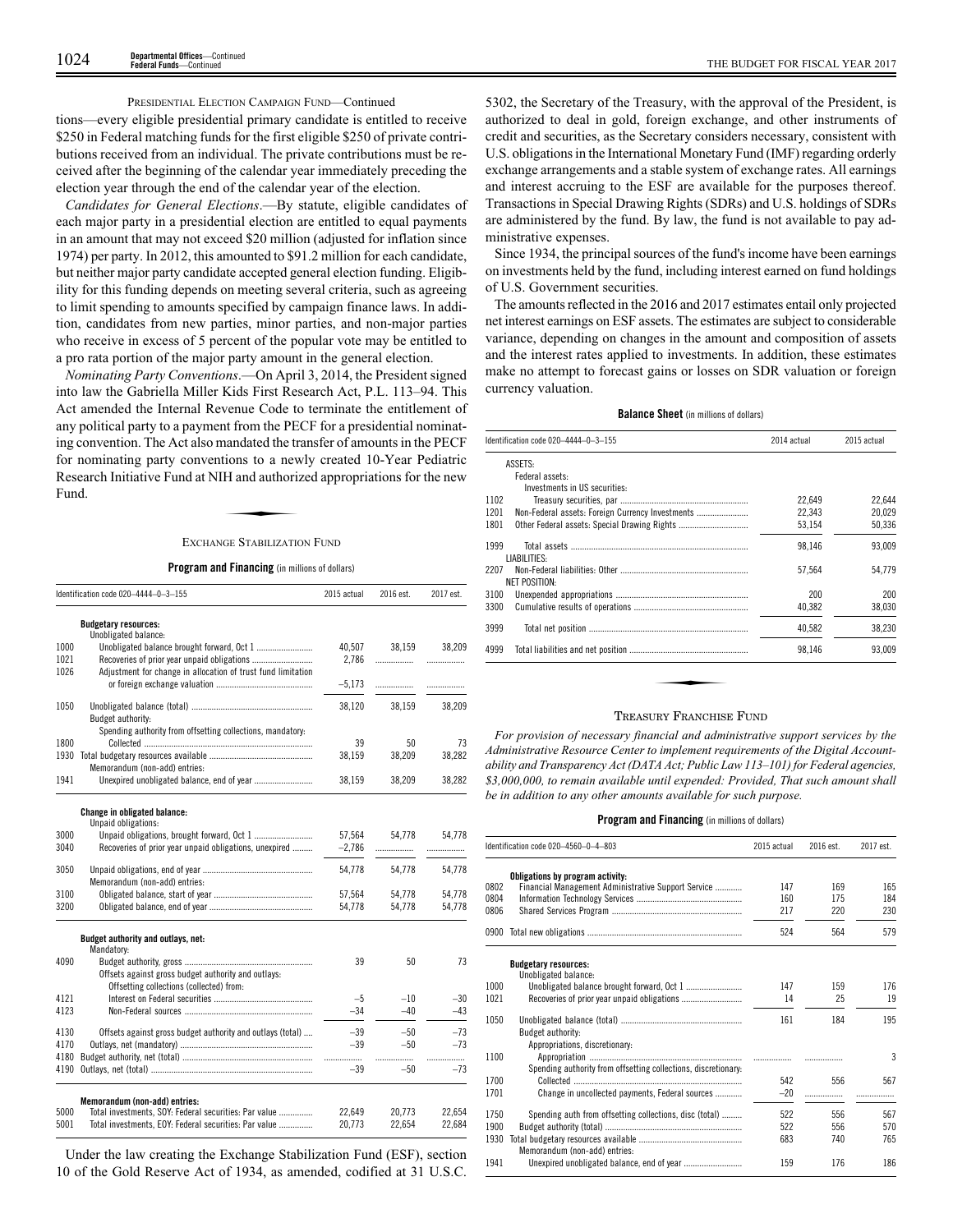## PRESIDENTIAL ELECTION CAMPAIGN FUND—Continued

tions—every eligible presidential primary candidate is entitled to receive \$250 in Federal matching funds for the first eligible \$250 of private contributions received from an individual. The private contributions must be received after the beginning of the calendar year immediately preceding the election year through the end of the calendar year of the election.

*Candidates for General Elections*.—By statute, eligible candidates of each major party in a presidential election are entitled to equal payments in an amount that may not exceed \$20 million (adjusted for inflation since 1974) per party. In 2012, this amounted to \$91.2 million for each candidate, but neither major party candidate accepted general election funding. Eligibility for this funding depends on meeting several criteria, such as agreeing to limit spending to amounts specified by campaign finance laws. In addition, candidates from new parties, minor parties, and non-major parties who receive in excess of 5 percent of the popular vote may be entitled to a pro rata portion of the major party amount in the general election.

*Nominating Party Conventions*.—On April 3, 2014, the President signed into law the Gabriella Miller Kids First Research Act, P.L. 113–94. This Act amended the Internal Revenue Code to terminate the entitlement of any political party to a payment from the PECF for a presidential nominating convention. The Act also mandated the transfer of amounts in the PECF for nominating party conventions to a newly created 10-Year Pediatric Research Initiative Fund at NIH and authorized appropriations for the new Fund. randated the division<br>H and authorized<br>GE STABILIZATION

#### EXCHANGE STABILIZATION FUND

## **Program and Financing** (in millions of dollars)

|      | Identification code 020-4444-0-3-155                         | 2015 actual | 2016 est. | 2017 est. |
|------|--------------------------------------------------------------|-------------|-----------|-----------|
|      | <b>Budgetary resources:</b><br>Unobligated balance:          |             |           |           |
| 1000 |                                                              | 40,507      | 38,159    | 38,209    |
| 1021 | Recoveries of prior year unpaid obligations                  | 2,786       | .         | .         |
| 1026 | Adjustment for change in allocation of trust fund limitation |             |           |           |
|      |                                                              | $-5,173$    | .         | .         |
| 1050 |                                                              | 38,120      | 38,159    | 38,209    |
|      | Budget authority:                                            |             |           |           |
|      | Spending authority from offsetting collections, mandatory:   |             |           |           |
| 1800 |                                                              | 39          | 50        | 73        |
| 1930 |                                                              | 38,159      | 38,209    | 38,282    |
|      | Memorandum (non-add) entries:                                |             |           |           |
| 1941 |                                                              | 38,159      | 38,209    | 38,282    |
|      | Change in obligated balance:<br>Unpaid obligations:          |             |           |           |
| 3000 |                                                              | 57,564      | 54,778    | 54,778    |
| 3040 | Recoveries of prior year unpaid obligations, unexpired       | $-2,786$    |           |           |
|      |                                                              |             |           |           |
| 3050 |                                                              | 54,778      | 54,778    | 54,778    |
|      | Memorandum (non-add) entries:                                |             |           |           |
| 3100 |                                                              | 57,564      | 54,778    | 54,778    |
| 3200 |                                                              | 54,778      | 54,778    | 54,778    |
|      | Budget authority and outlays, net:<br>Mandatory:             |             |           |           |
| 4090 |                                                              | 39          | 50        | 73        |
|      | Offsets against gross budget authority and outlays:          |             |           |           |
|      | Offsetting collections (collected) from:                     |             |           |           |
| 4121 |                                                              | $-5$        | $-10$     | $-30$     |
| 4123 |                                                              | $-34$       | $-40$     | $-43$     |
|      |                                                              |             |           |           |
| 4130 | Offsets against gross budget authority and outlays (total)   | $-39$       | $-50$     | $-73$     |
| 4170 |                                                              | $-39$       | $-50$     | $-73$     |
| 4180 |                                                              |             | .         | .         |
| 4190 |                                                              | $-39$       | $-50$     | $-73$     |
|      | Memorandum (non-add) entries:                                |             |           |           |
| 5000 | Total investments, SOY: Federal securities: Par value        | 22.649      | 20.773    | 22,654    |
| 5001 | Total investments, EOY: Federal securities: Par value        | 20.773      | 22.654    | 22,684    |

Under the law creating the Exchange Stabilization Fund (ESF), section 10 of the Gold Reserve Act of 1934, as amended, codified at 31 U.S.C.

5302, the Secretary of the Treasury, with the approval of the President, is authorized to deal in gold, foreign exchange, and other instruments of credit and securities, as the Secretary considers necessary, consistent with U.S. obligations in the International Monetary Fund (IMF) regarding orderly exchange arrangements and a stable system of exchange rates. All earnings and interest accruing to the ESF are available for the purposes thereof. Transactions in Special Drawing Rights (SDRs) and U.S. holdings of SDRs are administered by the fund. By law, the fund is not available to pay administrative expenses.

Since 1934, the principal sources of the fund's income have been earnings on investments held by the fund, including interest earned on fund holdings of U.S. Government securities.

The amounts reflected in the 2016 and 2017 estimates entail only projected net interest earnings on ESF assets. The estimates are subject to considerable variance, depending on changes in the amount and composition of assets and the interest rates applied to investments. In addition, these estimates make no attempt to forecast gains or losses on SDR valuation or foreign currency valuation.

#### **Balance Sheet** (in millions of dollars)

| ASSETS:<br>Federal assets:<br>Investments in US securities:<br>1102<br>1201<br>Non-Federal assets: Foreign Currency Investments<br>1801 | 22.649<br>22.343 | 22.644 |
|-----------------------------------------------------------------------------------------------------------------------------------------|------------------|--------|
|                                                                                                                                         |                  |        |
|                                                                                                                                         |                  |        |
|                                                                                                                                         |                  |        |
|                                                                                                                                         |                  |        |
|                                                                                                                                         |                  | 20.029 |
|                                                                                                                                         | 53,154           | 50,336 |
| 1999<br>LIABILITIES:                                                                                                                    | 98,146           | 93,009 |
| 2207                                                                                                                                    | 57.564           | 54,779 |
| <b>NET POSITION:</b>                                                                                                                    |                  |        |
| 3100                                                                                                                                    | 200              | 200    |
| 3300                                                                                                                                    | 40,382           | 38,030 |
| 3999                                                                                                                                    | 40.582           | 38,230 |
| 4999                                                                                                                                    | 98,146           | 93,009 |

#### TREASURY FRANCHISE FUND

*For provision of necessary financial and administrative support services by the Administrative Resource Center to implement requirements of the Digital Accountability and Transparency Act (DATA Act; Public Law 113–101) for Federal agencies, \$3,000,000, to remain available until expended: Provided, That such amount shall be in addition to any other amounts available for such purpose.*

| 2015 actual | 2016 est.                                | 2017 est.                |
|-------------|------------------------------------------|--------------------------|
|             |                                          |                          |
|             |                                          | 165                      |
|             |                                          | 184                      |
|             |                                          | 230                      |
| 524         | 564                                      | 579                      |
|             |                                          |                          |
| 147         | 159                                      | 176                      |
| 14          | 25                                       | 19                       |
| 161         | 184                                      | 195                      |
|             |                                          |                          |
|             |                                          | 3                        |
|             |                                          |                          |
|             |                                          | 567                      |
|             |                                          |                          |
|             |                                          |                          |
| 522         | 556                                      | 567                      |
| 522         | 556                                      | 570                      |
|             | 740                                      | 765                      |
|             |                                          |                          |
| 159         | 176                                      | 186                      |
|             | 147<br>160<br>217<br>542<br>$-20$<br>683 | 169<br>175<br>220<br>556 |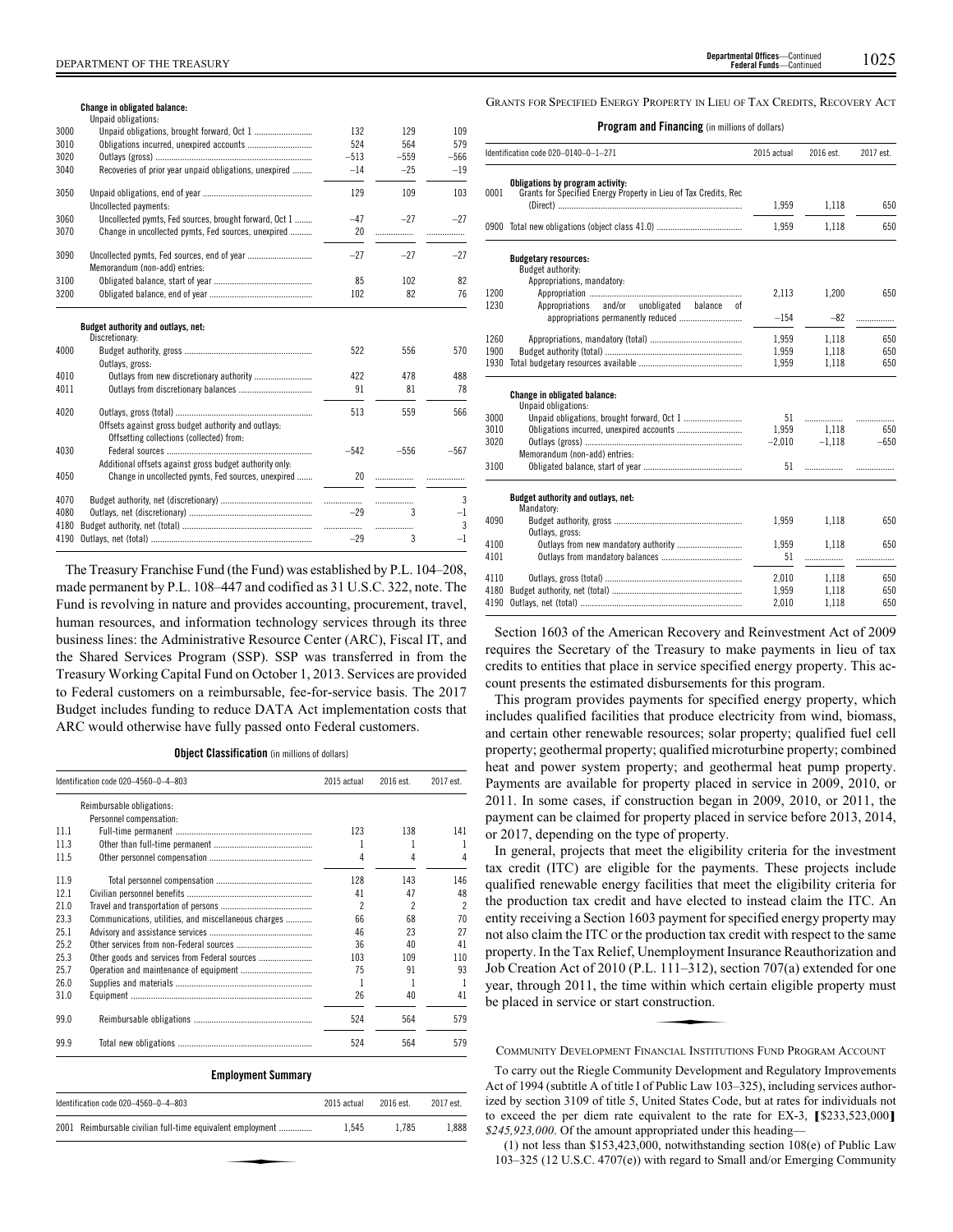#### **Change in obligated balance:**

|      | Unpaid obligations:                                                                             |        |        |        |
|------|-------------------------------------------------------------------------------------------------|--------|--------|--------|
| 3000 |                                                                                                 | 132    | 129    | 109    |
| 3010 |                                                                                                 | 524    | 564    | 579    |
| 3020 |                                                                                                 | $-513$ | $-559$ | $-566$ |
| 3040 | Recoveries of prior year unpaid obligations, unexpired                                          | $-14$  | $-25$  | $-19$  |
| 3050 |                                                                                                 | 129    | 109    | 103    |
|      | Uncollected payments:                                                                           |        |        |        |
| 3060 | Uncollected pymts, Fed sources, brought forward, Oct 1                                          | $-47$  | $-27$  | $-27$  |
| 3070 | Change in uncollected pymts, Fed sources, unexpired                                             | 20     | .      |        |
| 3090 | Memorandum (non-add) entries:                                                                   | $-27$  | $-27$  | $-27$  |
| 3100 |                                                                                                 | 85     | 102    | 82     |
| 3200 |                                                                                                 | 102    | 82     | 76     |
| 4000 | Budget authority and outlays, net:<br>Discretionary:<br>Outlays, gross:                         | 522    | 556    | 570    |
| 4010 | Outlays from new discretionary authority                                                        | 422    | 478    | 488    |
| 4011 |                                                                                                 | 91     | 81     | 78     |
| 4020 | Offsets against gross budget authority and outlays:<br>Offsetting collections (collected) from: | 513    | 559    | 566    |
| 4030 | Additional offsets against gross budget authority only:                                         | $-542$ | $-556$ | $-567$ |
| 4050 | Change in uncollected pymts, Fed sources, unexpired                                             | 20     | .      |        |
| 4070 |                                                                                                 |        |        | 3      |
| 4080 |                                                                                                 | $-29$  | 3      | $-1$   |
| 4180 |                                                                                                 |        | .      | 3      |
| 4190 |                                                                                                 | $-29$  | 3      | $-1$   |

The Treasury Franchise Fund (the Fund) was established by P.L. 104–208, made permanent by P.L. 108–447 and codified as 31 U.S.C. 322, note. The Fund is revolving in nature and provides accounting, procurement, travel, human resources, and information technology services through its three business lines: the Administrative Resource Center (ARC), Fiscal IT, and the Shared Services Program (SSP). SSP was transferred in from the Treasury Working Capital Fund on October 1, 2013. Services are provided to Federal customers on a reimbursable, fee-for-service basis. The 2017 Budget includes funding to reduce DATA Act implementation costs that ARC would otherwise have fully passed onto Federal customers.

**Object Classification** (in millions of dollars)

|      | Identification code 020-4560-0-4-803                 | 2015 actual | 2016 est.                | 2017 est.                |
|------|------------------------------------------------------|-------------|--------------------------|--------------------------|
|      | Reimbursable obligations:                            |             |                          |                          |
|      | Personnel compensation:                              |             |                          |                          |
| 111  |                                                      | 123         | 138                      | 141                      |
| 11.3 |                                                      | 1           | 1                        |                          |
| 11.5 |                                                      | 4           | 4                        | 4                        |
| 11.9 |                                                      | 128         | 143                      | 146                      |
| 121  |                                                      | 41          | 47                       | 48                       |
| 21.0 |                                                      | 2           | $\overline{\phantom{a}}$ | $\overline{\phantom{a}}$ |
| 23.3 | Communications, utilities, and miscellaneous charges | 66          | 68                       | 70                       |
| 25.1 |                                                      | 46          | 23                       | 27                       |
| 25.2 |                                                      | 36          | 40                       | 41                       |
| 25.3 |                                                      | 103         | 109                      | 110                      |
| 25.7 |                                                      | 75          | 91                       | 93                       |
| 26.0 |                                                      | 1           | 1                        |                          |
| 31.0 |                                                      | 26          | 40                       | 41                       |
| 99.0 |                                                      | 524         | 564                      | 579                      |
| 99.9 |                                                      | 524         | 564                      | 579                      |

| Identification code 020-4560-0-4-803                       | 2015 actual | 2016 est. | 2017 est. |
|------------------------------------------------------------|-------------|-----------|-----------|
| 2001 Reimbursable civilian full-time equivalent employment | 1.545       | 1.785     | 1.888     |
|                                                            |             |           |           |
|                                                            |             |           |           |

GRANTS FOR SPECIFIED ENERGY PROPERTY IN LIEU OF TAX CREDITS, RECOVERY ACT

#### **Program and Financing** (in millions of dollars)

|              | Identification code 020-0140-0-1-271                                                                 | 2015 actual | 2016 est. | 2017 est. |
|--------------|------------------------------------------------------------------------------------------------------|-------------|-----------|-----------|
| 0001         | Obligations by program activity:<br>Grants for Specified Energy Property in Lieu of Tax Credits, Rec |             |           |           |
|              |                                                                                                      | 1,959       | 1,118     | 650       |
|              | 0900 Total new obligations (object class 41.0)                                                       | 1,959       | 1,118     | 650       |
|              | <b>Budgetary resources:</b>                                                                          |             |           |           |
|              | Budget authority:                                                                                    |             |           |           |
|              | Appropriations, mandatory:                                                                           |             |           |           |
| 1200<br>1230 |                                                                                                      | 2,113       | 1.200     | 650       |
|              | and/or<br>unobligated<br>Appropriations<br>balance<br>0Ť                                             | $-154$      |           |           |
|              |                                                                                                      |             | $-82$     | .         |
| 1260         |                                                                                                      | 1,959       | 1,118     | 650       |
| 1900         |                                                                                                      | 1,959       | 1,118     | 650       |
| 1930         |                                                                                                      | 1,959       | 1,118     | 650       |
|              | <b>Change in obligated balance:</b>                                                                  |             |           |           |
|              | Unpaid obligations:                                                                                  |             |           |           |
| 3000         | Unpaid obligations, brought forward, Oct 1                                                           | 51          |           | .         |
| 3010         | Obligations incurred, unexpired accounts                                                             | 1.959       | 1.118     | 650       |
| 3020         |                                                                                                      | $-2.010$    | $-1.118$  | $-650$    |
|              | Memorandum (non-add) entries:                                                                        |             |           |           |
| 3100         |                                                                                                      | 51          |           |           |
|              | Budget authority and outlays, net:                                                                   |             |           |           |
|              | Mandatory:                                                                                           |             |           |           |
| 4090         |                                                                                                      | 1.959       | 1,118     | 650       |
|              | Outlays, gross:                                                                                      |             |           |           |
| 4100         |                                                                                                      | 1,959       | 1.118     | 650       |
| 4101         |                                                                                                      | 51          | .         | .         |
| 4110         |                                                                                                      | 2,010       | 1,118     | 650       |
| 4180         |                                                                                                      | 1,959       | 1,118     | 650       |
| 4190         |                                                                                                      | 2,010       | 1,118     | 650       |
|              |                                                                                                      |             |           |           |

Section 1603 of the American Recovery and Reinvestment Act of 2009 requires the Secretary of the Treasury to make payments in lieu of tax credits to entities that place in service specified energy property. This account presents the estimated disbursements for this program.

This program provides payments for specified energy property, which includes qualified facilities that produce electricity from wind, biomass, and certain other renewable resources; solar property; qualified fuel cell property; geothermal property; qualified microturbine property; combined heat and power system property; and geothermal heat pump property. Payments are available for property placed in service in 2009, 2010, or 2011. In some cases, if construction began in 2009, 2010, or 2011, the payment can be claimed for property placed in service before 2013, 2014, or 2017, depending on the type of property.

In general, projects that meet the eligibility criteria for the investment tax credit (ITC) are eligible for the payments. These projects include qualified renewable energy facilities that meet the eligibility criteria for the production tax credit and have elected to instead claim the ITC. An entity receiving a Section 1603 payment for specified energy property may not also claim the ITC or the production tax credit with respect to the same property. In the Tax Relief, Unemployment Insurance Reauthorization and Job Creation Act of 2010 (P.L. 111–312), section 707(a) extended for one<br>Job Creation Act of 2010 (P.L. 111–312), section 707(a) extended for one<br>year, through 2011, the time within which certain eligible property must<br>be year, through 2011, the time within which certain eligible property must be placed in service or start construction.

COMMUNITY DEVELOPMENT FINANCIAL INSTITUTIONS FUND PROGRAM ACCOUNT

To carry out the Riegle Community Development and Regulatory Improvements Act of 1994 (subtitle A of title I of Public Law 103–325), including services authorized by section 3109 of title 5, United States Code, but at rates for individuals not to exceed the per diem rate equivalent to the rate for EX-3, **[**\$233,523,000**]** *\$245,923,000*. Of the amount appropriated under this heading—

(1) not less than \$153,423,000, notwithstanding section 108(e) of Public Law 103–325 (12 U.S.C. 4707(e)) with regard to Small and/or Emerging Community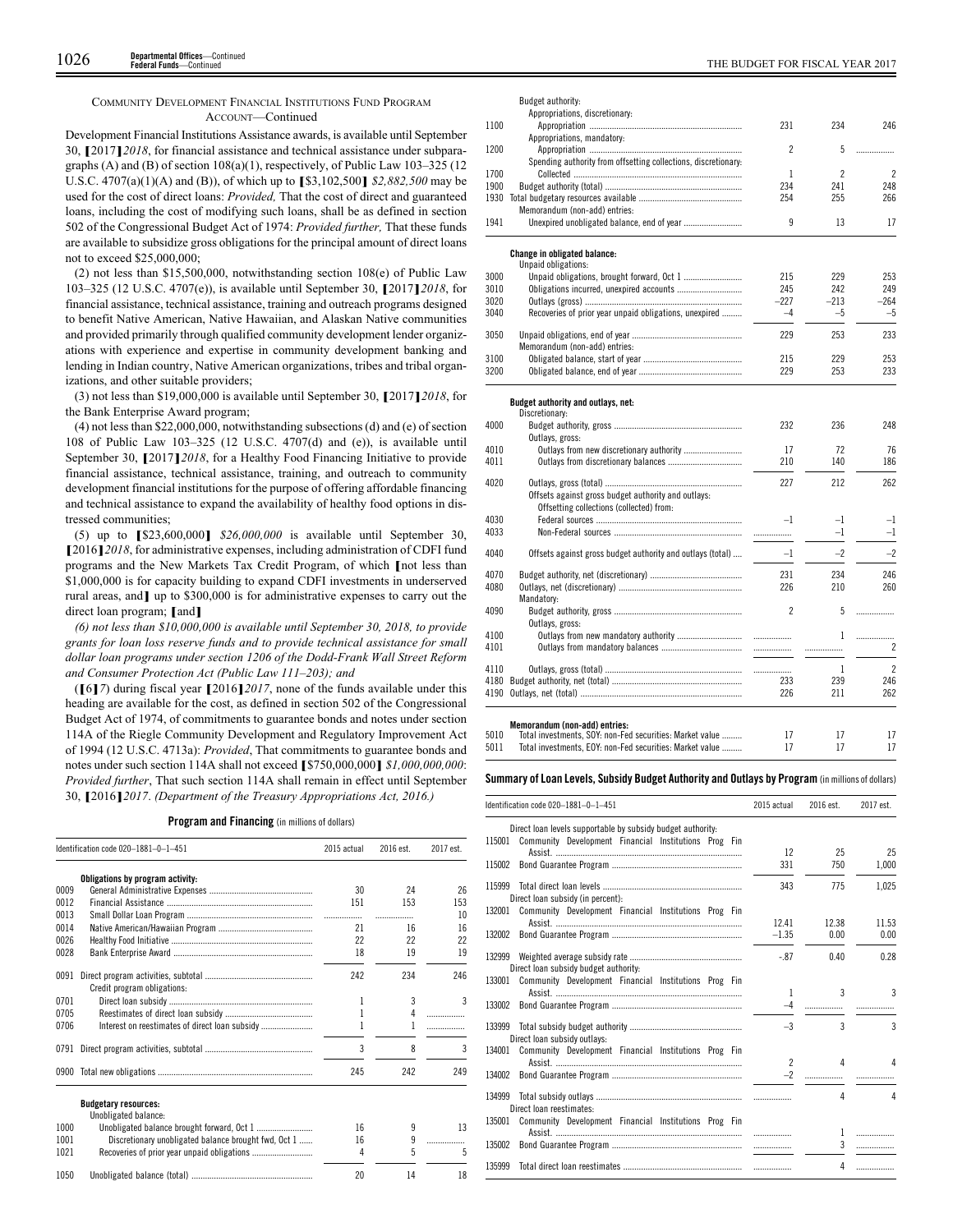## COMMUNITY DEVELOPMENT FINANCIAL INSTITUTIONS FUND PROGRAM ACCOUNT—Continued

Development Financial Institutions Assistance awards, is available until September 30, **[**2017**]***2018*, for financial assistance and technical assistance under subparagraphs (A) and (B) of section 108(a)(1), respectively, of Public Law 103–325 (12 U.S.C. 4707(a)(1)(A) and (B)), of which up to **[**\$3,102,500**]** *\$2,882,500* may be used for the cost of direct loans: *Provided,* That the cost of direct and guaranteed loans, including the cost of modifying such loans, shall be as defined in section 502 of the Congressional Budget Act of 1974: *Provided further,* That these funds are available to subsidize gross obligations for the principal amount of direct loans not to exceed \$25,000,000;

(2) not less than \$15,500,000, notwithstanding section 108(e) of Public Law 103–325 (12 U.S.C. 4707(e)), is available until September 30, **[**2017**]***2018*, for financial assistance, technical assistance, training and outreach programs designed to benefit Native American, Native Hawaiian, and Alaskan Native communities and provided primarily through qualified community development lender organizations with experience and expertise in community development banking and lending in Indian country, Native American organizations, tribes and tribal organizations, and other suitable providers;

(3) not less than \$19,000,000 is available until September 30, **[**2017**]***2018*, for the Bank Enterprise Award program;

(4) not less than \$22,000,000, notwithstanding subsections (d) and (e) of section 108 of Public Law 103–325 (12 U.S.C. 4707(d) and (e)), is available until September 30, **[**2017**]***2018*, for a Healthy Food Financing Initiative to provide financial assistance, technical assistance, training, and outreach to community development financial institutions for the purpose of offering affordable financing and technical assistance to expand the availability of healthy food options in distressed communities;

(5) up to **[**\$23,600,000**]** *\$26,000,000* is available until September 30, **[**2016**]***2018*, for administrative expenses, including administration of CDFI fund programs and the New Markets Tax Credit Program, of which **[**not less than \$1,000,000 is for capacity building to expand CDFI investments in underserved rural areas, and**]** up to \$300,000 is for administrative expenses to carry out the direct loan program; **[**and**]**

*(6) not less than \$10,000,000 is available until September 30, 2018, to provide grants for loan loss reserve funds and to provide technical assistance for small dollar loan programs under section 1206 of the Dodd-Frank Wall Street Reform and Consumer Protection Act (Public Law 111–203); and*

(**[**6**]***7*) during fiscal year **[**2016**]***2017*, none of the funds available under this heading are available for the cost, as defined in section 502 of the Congressional Budget Act of 1974, of commitments to guarantee bonds and notes under section 114A of the Riegle Community Development and Regulatory Improvement Act of 1994 (12 U.S.C. 4713a): *Provided*, That commitments to guarantee bonds and notes under such section 114A shall not exceed **[**\$750,000,000**]** *\$1,000,000,000*: *Provided further*, That such section 114A shall remain in effect until September 30, **[**2016**]***2017*. *(Department of the Treasury Appropriations Act, 2016.)*

## **Program and Financing** (in millions of dollars)

|      | Identification code 020-1881-0-1-451                 | 2015 actual | 2016 est. | 2017 est. |
|------|------------------------------------------------------|-------------|-----------|-----------|
|      | Obligations by program activity:                     |             |           |           |
| 0009 |                                                      | 30          | 24        | 26        |
| 0012 |                                                      | 151         | 153       | 153       |
| 0013 |                                                      | .           | .         | 10        |
| 0014 |                                                      | 21          | 16        | 16        |
| 0026 |                                                      | 22          | 22        | 22        |
| 0028 |                                                      | 18          | 19        | 19        |
| 0091 | Credit program obligations:                          | 242         | 234       | 246       |
| 0701 |                                                      | 1           | 3         | 3         |
| 0705 |                                                      | 1           | 4         |           |
| 0706 |                                                      |             |           | .         |
| 0791 |                                                      | 3           | 8         | 3         |
| 0900 |                                                      | 245         | 242       | 249       |
|      | <b>Budgetary resources:</b><br>Unobligated balance:  |             |           |           |
| 1000 |                                                      | 16          | 9         | 13        |
| 1001 | Discretionary unobligated balance brought fwd, Oct 1 | 16          | 9         | .         |
| 1021 |                                                      | 4           | 5         | 5         |
| 1050 |                                                      | 20          | 14        | 18        |

|      | uugut uutnomty.                                                                                 |                |                |                          |
|------|-------------------------------------------------------------------------------------------------|----------------|----------------|--------------------------|
|      | Appropriations, discretionary:                                                                  |                |                |                          |
| 1100 |                                                                                                 | 231            | 234            | 246                      |
|      | Appropriations, mandatory:                                                                      |                |                |                          |
| 1200 |                                                                                                 | 2              | 5              | .                        |
|      | Spending authority from offsetting collections, discretionary:                                  |                |                |                          |
| 1700 |                                                                                                 | 1              | $\overline{c}$ | $\overline{\mathcal{L}}$ |
| 1900 |                                                                                                 | 234            | 241            | 248                      |
| 1930 |                                                                                                 | 254            | 255            | 266                      |
|      | Memorandum (non-add) entries:                                                                   |                |                |                          |
| 1941 |                                                                                                 | 9              | 13             | 17                       |
|      | <b>Change in obligated balance:</b>                                                             |                |                |                          |
|      | Unpaid obligations:                                                                             |                |                |                          |
| 3000 |                                                                                                 | 215            | 229            | 253                      |
| 3010 | Obligations incurred, unexpired accounts                                                        | 245            | 242            | 249                      |
| 3020 |                                                                                                 | $-227$         | $-213$         | $-264$                   |
| 3040 | Recoveries of prior year unpaid obligations, unexpired                                          | $-4$           | $-5$           | $-5$                     |
| 3050 |                                                                                                 | 229            | 253            | 233                      |
|      | Memorandum (non-add) entries:                                                                   |                |                |                          |
| 3100 |                                                                                                 | 215            | 229            | 253                      |
| 3200 |                                                                                                 | 229            | 253            | 233                      |
|      | Budget authority and outlays, net:                                                              |                |                |                          |
|      | Discretionary:                                                                                  |                |                |                          |
| 4000 |                                                                                                 | 232            | 236            | 248                      |
|      | Outlays, gross:                                                                                 |                |                |                          |
| 4010 | Outlays from new discretionary authority                                                        | 17             | 72             | 76                       |
| 4011 |                                                                                                 | 210            | 140            | 186                      |
| 4020 |                                                                                                 | 227            | 212            | 262                      |
|      | Offsets against gross budget authority and outlays:<br>Offsetting collections (collected) from: |                |                |                          |
| 4030 |                                                                                                 | $-1$           | $-1$           | -1                       |
| 4033 |                                                                                                 |                | $-1$           | $-1$                     |
|      |                                                                                                 |                |                |                          |
| 4040 | Offsets against gross budget authority and outlays (total)                                      | $-1$           | $-2$           | $-2$                     |
| 4070 |                                                                                                 | 231            | 234            | 246                      |
| 4080 |                                                                                                 | 226            | 210            | 260                      |
|      | Mandatory:                                                                                      |                |                |                          |
| 4090 |                                                                                                 | $\overline{c}$ | 5              | .                        |
|      | Outlays, gross:                                                                                 |                |                |                          |
| 4100 |                                                                                                 |                | 1              | .                        |
| 4101 |                                                                                                 |                | .              | $\overline{c}$           |
|      |                                                                                                 |                |                |                          |
| 4110 |                                                                                                 |                | 1              | $\overline{2}$           |
| 4180 |                                                                                                 | 233            | 239            | 246                      |
| 4190 |                                                                                                 | 226            | 211            | 262                      |
|      | Memorandum (non-add) entries:                                                                   |                |                |                          |
| 5010 | Total investments, SOY: non-Fed securities: Market value                                        | 17             | 17             | 17                       |

Budget authority:

| 5010 | Total investments, SOY: non-Fed securities: Market value |  |  |
|------|----------------------------------------------------------|--|--|
| 5011 | Total investments. EOY: non-Fed securities: Market value |  |  |

#### **Summary ofLoan Levels, Subsidy Budget Authority and Outlays by Program** (inmillionsof dollars)

|        | Identification code 020-1881-0-1-451                        | 2015 actual    | 2016 est.    | 2017 est. |
|--------|-------------------------------------------------------------|----------------|--------------|-----------|
|        | Direct loan levels supportable by subsidy budget authority. |                |              |           |
| 115001 | Community Development Financial Institutions Prog Fin       |                |              |           |
|        |                                                             | 12             | 25           | 25        |
| 115002 |                                                             | 331            | 750          | 1,000     |
| 115999 | Direct loan subsidy (in percent):                           | 343            | 775          | 1.025     |
| 132001 | Community Development Financial Institutions Prog Fin       |                |              |           |
|        |                                                             | 12.41          | 12.38        | 11.53     |
| 132002 |                                                             | $-1.35$        | 0.00         | 0.00      |
| 132999 | Direct loan subsidy budget authority:                       | $-.87$         | 0.40         | 0.28      |
| 133001 | Community Development Financial Institutions Prog Fin       |                |              |           |
|        |                                                             | 1              | $\mathbf{3}$ | 3         |
| 133002 |                                                             |                | .            |           |
| 133999 | Direct loan subsidy outlays:                                | $-3$           | 3            | 3         |
| 134001 | Community Development Financial Institutions Prog Fin       |                |              |           |
|        |                                                             | $\overline{2}$ | Δ            | Δ         |
| 134002 |                                                             | $-2$           | .            |           |
| 134999 |                                                             |                | 4            | Δ         |
|        | Direct loan reestimates:                                    |                |              |           |
| 135001 | Community Development Financial Institutions Prog Fin       |                | 1            |           |
| 135002 |                                                             | .              | 3            | .         |
|        |                                                             |                |              |           |
| 135999 |                                                             |                | 4            | .         |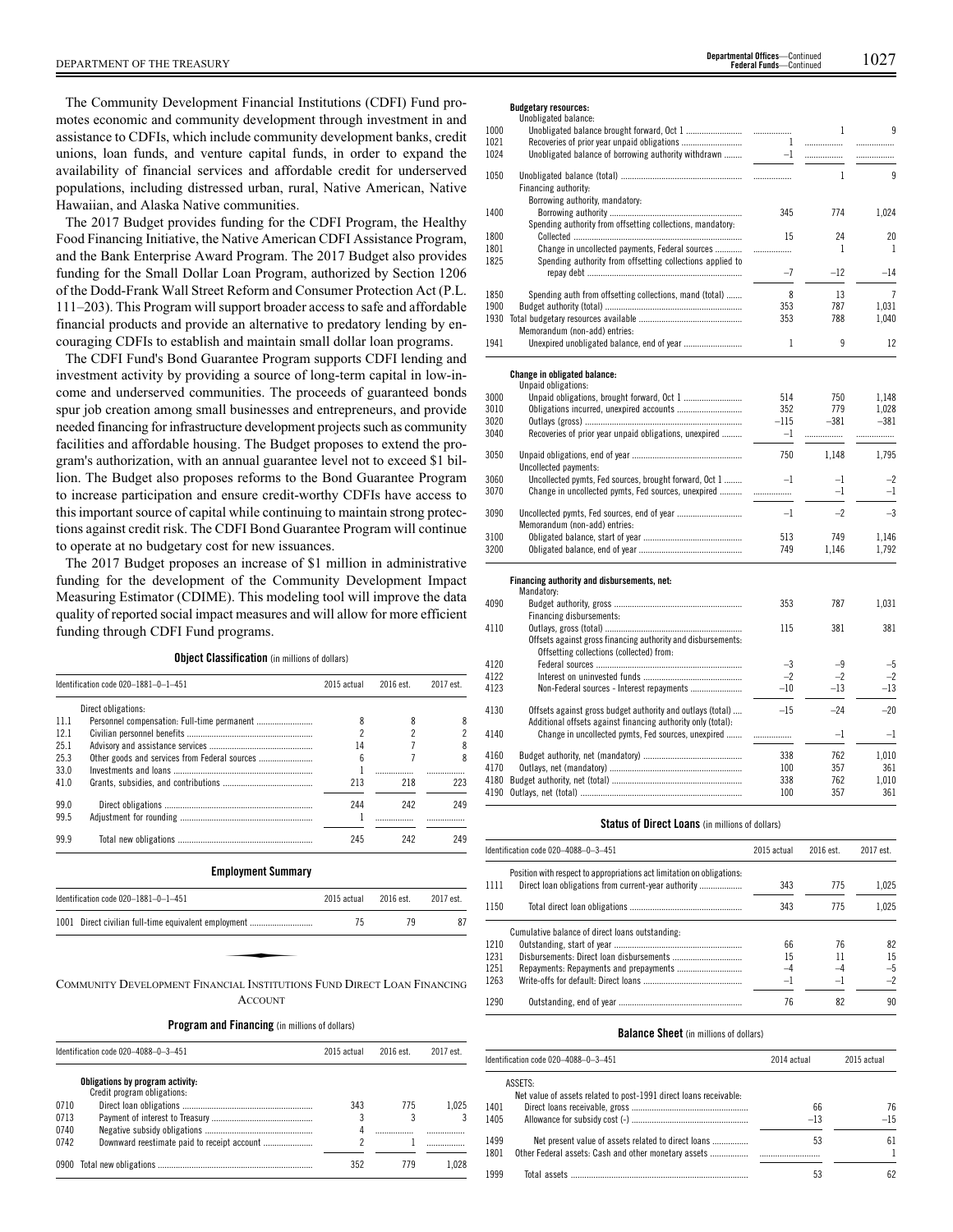The Community Development Financial Institutions (CDFI) Fund promotes economic and community development through investment in and assistance to CDFIs, which include community development banks, credit unions, loan funds, and venture capital funds, in order to expand the availability of financial services and affordable credit for underserved populations, including distressed urban, rural, Native American, Native Hawaiian, and Alaska Native communities.

The 2017 Budget provides funding for the CDFI Program, the Healthy Food Financing Initiative, the Native American CDFI Assistance Program, and the Bank Enterprise Award Program. The 2017 Budget also provides funding for the Small Dollar Loan Program, authorized by Section 1206 of the Dodd-Frank Wall Street Reform and Consumer Protection Act (P.L. 111–203). This Program will support broader access to safe and affordable financial products and provide an alternative to predatory lending by encouraging CDFIs to establish and maintain small dollar loan programs.

The CDFI Fund's Bond Guarantee Program supports CDFI lending and investment activity by providing a source of long-term capital in low-income and underserved communities. The proceeds of guaranteed bonds spur job creation among small businesses and entrepreneurs, and provide needed financing for infrastructure development projects such as community facilities and affordable housing. The Budget proposes to extend the program's authorization, with an annual guarantee level not to exceed \$1 billion. The Budget also proposes reforms to the Bond Guarantee Program to increase participation and ensure credit-worthy CDFIs have access to this important source of capital while continuing to maintain strong protections against credit risk. The CDFI Bond Guarantee Program will continue to operate at no budgetary cost for new issuances.

The 2017 Budget proposes an increase of \$1 million in administrative funding for the development of the Community Development Impact Measuring Estimator (CDIME). This modeling tool will improve the data quality of reported social impact measures and will allow for more efficient funding through CDFI Fund programs.

**Object Classification** (in millions of dollars)

|      | Identification code 020-1881-0-1-451                                    | 2015 actual    | 2016 est. | 2017 est. |
|------|-------------------------------------------------------------------------|----------------|-----------|-----------|
|      | Direct obligations:                                                     |                |           |           |
| 11.1 |                                                                         | 8              | 8         | 8         |
| 12.1 |                                                                         | $\mathfrak{p}$ | 2         | 2         |
| 25.1 |                                                                         | 14             |           | 8         |
| 25.3 |                                                                         | 6              |           | 8         |
| 33.0 |                                                                         |                |           |           |
| 41.0 |                                                                         | 213            | 218       | 223       |
| 99.0 |                                                                         | 244            | 242       | 249       |
| 99.5 |                                                                         |                | .         |           |
| 99.9 |                                                                         | 245            | 242       | 249       |
|      | <b>Employment Summary</b>                                               |                |           |           |
|      | Identification code 020-1881-0-1-451                                    | 2015 actual    | 2016 est. | 2017 est. |
|      | 1001 Direct civilian full-time equivalent employment                    | 75             | 79        | 87        |
|      | COMMUNITY DEVELOPMENT FINANCIAL INSTITUTIONS FUND DIRECT LOAN FINANCING |                |           |           |

COMMUNITY DEVELOPMENT FINANCIAL INSTITUTIONS FUND DIRECT LOAN FINANCING **ACCOUNT** 

# **Program and Financing** (in millions of dollars) Identification code 020–4088–0–3–451 2015 actual 2016 est. 2017 est.

|      |                                                                 | LVIV GULGUI | .   |       |
|------|-----------------------------------------------------------------|-------------|-----|-------|
|      | Obligations by program activity:<br>Credit program obligations: |             |     |       |
| 0710 |                                                                 | 343         | 775 | 1.025 |
| 0713 |                                                                 |             |     |       |
| 0740 |                                                                 |             |     |       |
| 0742 |                                                                 |             |     |       |
|      |                                                                 | 352         | 779 | 1.028 |

#### **Budgetary resources:**

|      | Unobligated balance:                                       |                |              |                |
|------|------------------------------------------------------------|----------------|--------------|----------------|
| 1000 |                                                            |                | $\mathbf{1}$ | 9              |
| 1021 |                                                            | $\overline{1}$ |              | .              |
| 1024 | Unobligated balance of borrowing authority withdrawn       |                |              |                |
| 1050 | Financing authority:                                       |                | $\mathbf{1}$ | 9              |
|      | Borrowing authority, mandatory:                            |                |              |                |
| 1400 |                                                            | 345            | 774          | 1,024          |
|      | Spending authority from offsetting collections, mandatory: |                |              |                |
| 1800 |                                                            | 15             | 24           | 20             |
| 1801 | Change in uncollected payments, Federal sources            | .              | $\mathbf{1}$ | $\mathbf{1}$   |
| 1825 | Spending authority from offsetting collections applied to  |                |              |                |
|      |                                                            | $-7$           | $-12$        | $-14$          |
| 1850 | Spending auth from offsetting collections, mand (total)    | 8              | 13           | $\overline{7}$ |
| 1900 |                                                            | 353            | 787          | 1.031          |
| 1930 |                                                            | 353            | 788          | 1,040          |
|      | Memorandum (non-add) entries:                              |                |              |                |
| 1941 |                                                            | 1              | 9            | 12             |
|      | Change in obligated balance:                               |                |              |                |
|      | Unpaid obligations:                                        |                |              |                |
| 3000 |                                                            | 514            | 750          | 1,148          |
| 3010 |                                                            | 352            | 779          | 1,028          |
| 3020 |                                                            | $-115$         | $-381$       | $-381$         |
| 3040 | Recoveries of prior year unpaid obligations, unexpired     | $-1$           |              | .              |
| 3050 |                                                            | 750            | 1.148        | 1.795          |
|      | Uncollected payments:                                      |                |              |                |
| 3060 | Uncollected pymts, Fed sources, brought forward, Oct 1     | $-1$           | $-1$         | $-2$           |
| 3070 | Change in uncollected pymts, Fed sources, unexpired        |                | $-1$         | $-1$           |

| ט ו ט | Unango in anconcetta pyinto, i ca sources, ancophoa |      |       |       |
|-------|-----------------------------------------------------|------|-------|-------|
| 3090  |                                                     | $-1$ | $-2$  | $-3$  |
| 3100  | Memorandum (non-add) entries:                       | 513  | 749   | 1.146 |
| 3200  |                                                     | 749  | 1 146 | 1.792 |
|       |                                                     |      |       |       |

#### **Financing authority and disbursements, net:**

|      | FINANCING AUGULITY AND UISBUISCHICHTS. HET:<br>Mandatory:                                                                  |       |       |       |
|------|----------------------------------------------------------------------------------------------------------------------------|-------|-------|-------|
| 4090 |                                                                                                                            | 353   | 787   | 1.031 |
|      | Financing disbursements:                                                                                                   |       |       |       |
| 4110 |                                                                                                                            | 115   | 381   | 381   |
|      | Offsets against gross financing authority and disbursements:                                                               |       |       |       |
|      | Offsetting collections (collected) from:                                                                                   |       |       |       |
| 4120 |                                                                                                                            | $-3$  | -9    | $-5$  |
| 4122 |                                                                                                                            | $-2$  | $-2$  | $-2$  |
| 4123 |                                                                                                                            | $-10$ | $-13$ | $-13$ |
| 4130 | Offsets against gross budget authority and outlays (total)<br>Additional offsets against financing authority only (total): | $-15$ | $-24$ | $-20$ |
| 4140 | Change in uncollected pymts, Fed sources, unexpired                                                                        |       | $-1$  | $-1$  |
| 4160 |                                                                                                                            | 338   | 762   | 1.010 |
| 4170 |                                                                                                                            | 100   | 357   | 361   |
| 4180 |                                                                                                                            | 338   | 762   | 1.010 |
| 4190 |                                                                                                                            | 100   | 357   | 361   |

#### **Status of Direct Loans** (in millions of dollars)

|      | Identification code 020-4088-0-3-451                                   | 2015 actual | 2016 est. | 2017 est. |
|------|------------------------------------------------------------------------|-------------|-----------|-----------|
| 1111 | Position with respect to appropriations act limitation on obligations. | 343         | 775       | 1.025     |
| 1150 |                                                                        | 343         | 775       | 1.025     |
|      | Cumulative balance of direct loans outstanding:                        |             |           |           |
| 1210 |                                                                        | 66          | 76        | 82        |
| 1231 |                                                                        | 15          | 11        | 15        |
| 1251 |                                                                        | $-4$        | $-4$      | $-5$      |
| 1263 |                                                                        | $-1$        | $-1$      | $-2$      |
| 1290 |                                                                        | 76          | 82        | 90        |

#### **Balance Sheet** (in millions of dollars)

|              | Identification code 020-4088-0-3-451                                         | 2014 actual | 2015 actual |
|--------------|------------------------------------------------------------------------------|-------------|-------------|
|              | ASSETS:<br>Net value of assets related to post-1991 direct loans receivable. |             |             |
| 1401<br>1405 |                                                                              | 66<br>$-13$ | 76<br>$-15$ |
| 1499<br>1801 | Net present value of assets related to direct loans                          | 53          | 61          |
| 1999         | Total assets                                                                 | 53          | 62          |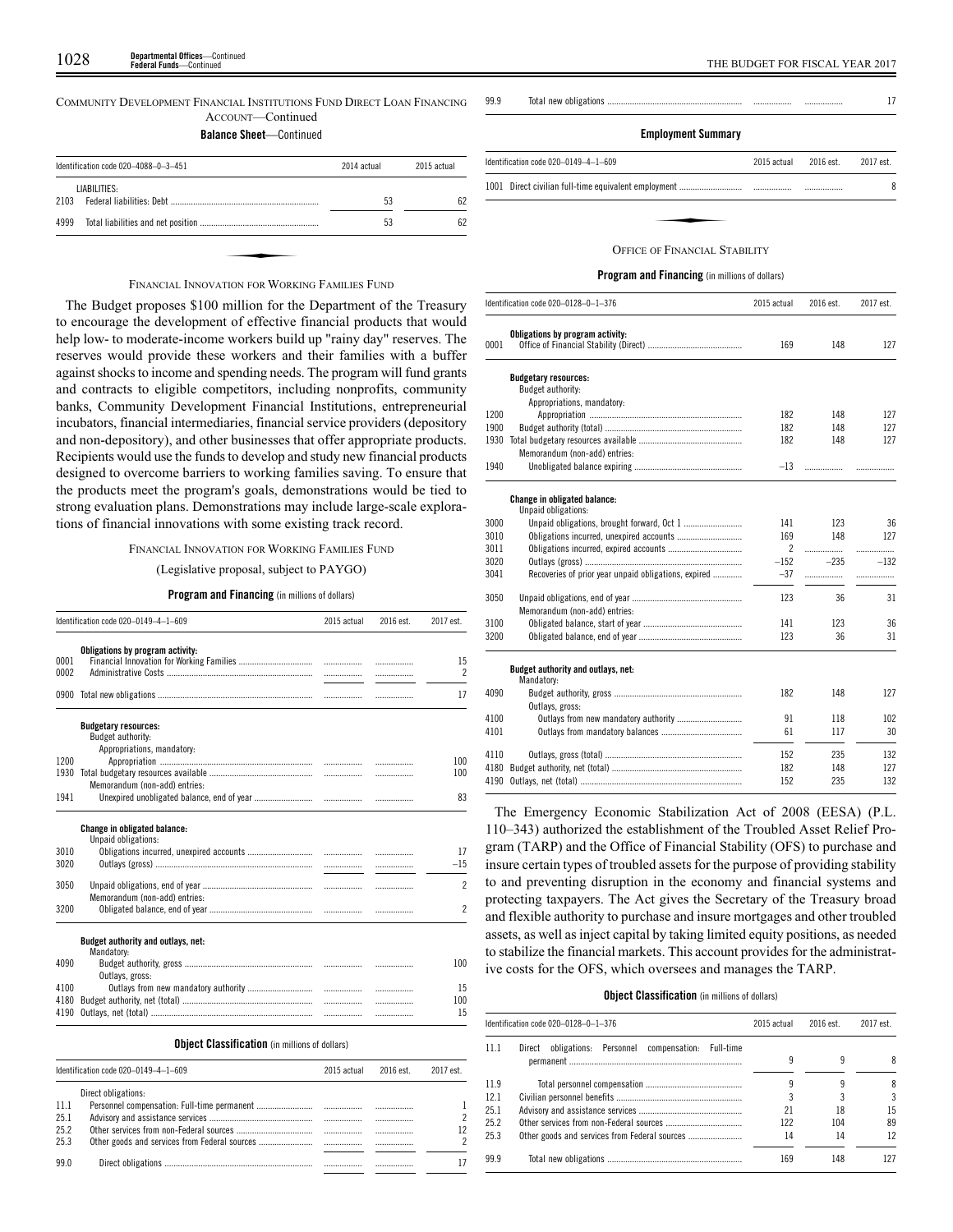COMMUNITY DEVELOPMENT FINANCIAL INSTITUTIONS FUND DIRECT LOAN FINANCING ACCOUNT—Continued

**Balance Sheet**—Continued

|      | Identification code 020-4088-0-3-451           | 2014 actual | 2015 actual |
|------|------------------------------------------------|-------------|-------------|
|      | LIABILITIES:                                   |             |             |
| 2103 |                                                | 53          | 62          |
| 4999 |                                                | 53          | 62          |
|      |                                                |             |             |
|      |                                                |             |             |
|      | FINANCIAL INNOVATION FOR WORKING FAMILIES FUND |             |             |

The Budget proposes \$100 million for the Department of the Treasury to encourage the development of effective financial products that would help low- to moderate-income workers build up "rainy day" reserves. The reserves would provide these workers and their families with a buffer against shocks to income and spending needs. The program will fund grants and contracts to eligible competitors, including nonprofits, community banks, Community Development Financial Institutions, entrepreneurial incubators, financial intermediaries, financial service providers (depository and non-depository), and other businesses that offer appropriate products. Recipients would use the funds to develop and study new financial products designed to overcome barriers to working families saving. To ensure that the products meet the program's goals, demonstrations would be tied to strong evaluation plans. Demonstrations may include large-scale explorations of financial innovations with some existing track record.

#### FINANCIAL INNOVATION FOR WORKING FAMILIES FUND

#### (Legislative proposal, subject to PAYGO)

#### **Program and Financing** (in millions of dollars)

|      | Identification code 020-0149-4-1-609                       | 2015 actual | 2016 est. | 2017 est.                |
|------|------------------------------------------------------------|-------------|-----------|--------------------------|
|      | Obligations by program activity:                           |             |           |                          |
| 0001 |                                                            |             | .         | 15                       |
| 0002 |                                                            |             | .         | $\overline{\phantom{a}}$ |
|      |                                                            |             | .         | 17                       |
|      | <b>Budgetary resources:</b><br>Budget authority:           |             |           |                          |
| 1200 | Appropriations, mandatory:                                 |             |           | 100                      |
| 1930 |                                                            |             |           | 100                      |
|      | Memorandum (non-add) entries:                              |             |           |                          |
| 1941 |                                                            |             |           | 83                       |
|      | <b>Change in obligated balance:</b><br>Unpaid obligations: |             |           |                          |
| 3010 |                                                            |             |           | 17                       |
| 3020 |                                                            |             |           | $-15$                    |
| 3050 | Memorandum (non-add) entries:                              |             | .         | $\overline{\phantom{a}}$ |
| 3200 |                                                            |             |           | $\overline{2}$           |
|      | Budget authority and outlays, net:<br>Mandatory:           |             |           |                          |
| 4090 |                                                            |             |           | 100                      |
|      | Outlays, gross:                                            |             |           |                          |
| 4100 |                                                            |             |           | 15                       |
| 4180 |                                                            |             | .         | 100                      |
|      |                                                            |             | .         | 15                       |

|      | Identification code $020-0149-4-1-609$ | 2015 actual | 2016 est. | 2017 est. |
|------|----------------------------------------|-------------|-----------|-----------|
|      | Direct obligations:                    |             |           |           |
| 11.1 |                                        |             |           |           |
| 25.1 |                                        |             |           |           |
| 25.2 |                                        |             |           |           |
| 25.3 |                                        |             |           |           |
| 99.0 |                                        |             | .         |           |

| 99.9 |  |  |
|------|--|--|
|      |  |  |

## **Employment Summary**

| Identification code 020-0149-4-1-609 | 2015 actual | 2016 est. | 2017 est. |
|--------------------------------------|-------------|-----------|-----------|
|                                      |             |           | 8         |
|                                      |             |           |           |
| <b>OFFICE OF FINANCIAL STARILITY</b> |             |           |           |

#### OFFICE OF FINANCIAL STABILITY

#### **Program and Financing** (in millions of dollars)

|      | Identification code 020-0128-0-1-376                 | 2015 actual    | 2016 est. | 2017 est. |
|------|------------------------------------------------------|----------------|-----------|-----------|
| 0001 | Obligations by program activity:                     | 169            | 148       | 127       |
|      |                                                      |                |           |           |
|      | <b>Budgetary resources:</b>                          |                |           |           |
|      | Budget authority:                                    |                |           |           |
|      | Appropriations, mandatory:                           |                |           |           |
| 1200 |                                                      | 182            | 148       | 127       |
| 1900 |                                                      | 182            | 148       | 127       |
| 1930 |                                                      | 182            | 148       | 127       |
|      | Memorandum (non-add) entries:                        |                |           |           |
| 1940 |                                                      | $-13$          | .         |           |
|      | Change in obligated balance:<br>Unpaid obligations:  |                |           |           |
| 3000 |                                                      | 141            | 123       | 36        |
| 3010 | Obligations incurred, unexpired accounts             | 169            | 148       | 127       |
| 3011 |                                                      | $\overline{2}$ |           | .         |
| 3020 |                                                      | $-152$         | $-235$    | $-132$    |
| 3041 | Recoveries of prior year unpaid obligations, expired | $-37$          |           | .         |
| 3050 |                                                      | 123            | 36        | 31        |
|      | Memorandum (non-add) entries:                        |                |           |           |
| 3100 |                                                      | 141            | 123       | 36        |
| 3200 |                                                      | 123            | 36        | 31        |
|      | Budget authority and outlays, net:<br>Mandatory:     |                |           |           |
| 4090 |                                                      | 182            | 148       | 127       |
|      | Outlays, gross:                                      |                |           |           |
| 4100 |                                                      | 91             | 118       | 102       |
| 4101 |                                                      | 61             | 117       | 30        |
|      |                                                      |                |           |           |
| 4110 |                                                      | 152            | 235       | 132       |
| 4180 |                                                      | 182            | 148       | 127       |
| 4190 |                                                      | 152            | 235       | 132       |

The Emergency Economic Stabilization Act of 2008 (EESA) (P.L. 110–343) authorized the establishment of the Troubled Asset Relief Program (TARP) and the Office of Financial Stability (OFS) to purchase and insure certain types of troubled assets for the purpose of providing stability to and preventing disruption in the economy and financial systems and protecting taxpayers. The Act gives the Secretary of the Treasury broad and flexible authority to purchase and insure mortgages and other troubled assets, as well as inject capital by taking limited equity positions, as needed to stabilize the financial markets. This account provides for the administrative costs for the OFS, which oversees and manages the TARP.

#### **Object Classification** (in millions of dollars)

|      | Identification code 020-0128-0-1-376                     | 2015 actual | 2016 est. | 2017 est. |
|------|----------------------------------------------------------|-------------|-----------|-----------|
| 11.1 | obligations: Personnel compensation: Full-time<br>Direct |             | 9         | 8         |
| 11.9 |                                                          |             |           | 8         |
| 12.1 |                                                          |             |           | 3         |
| 25.1 |                                                          | 21          | 18        | 15        |
| 25.2 |                                                          | 122         | 104       | 89        |
| 25.3 |                                                          | 14          | 14        | 12        |
| 99.9 |                                                          | 169         | 148       |           |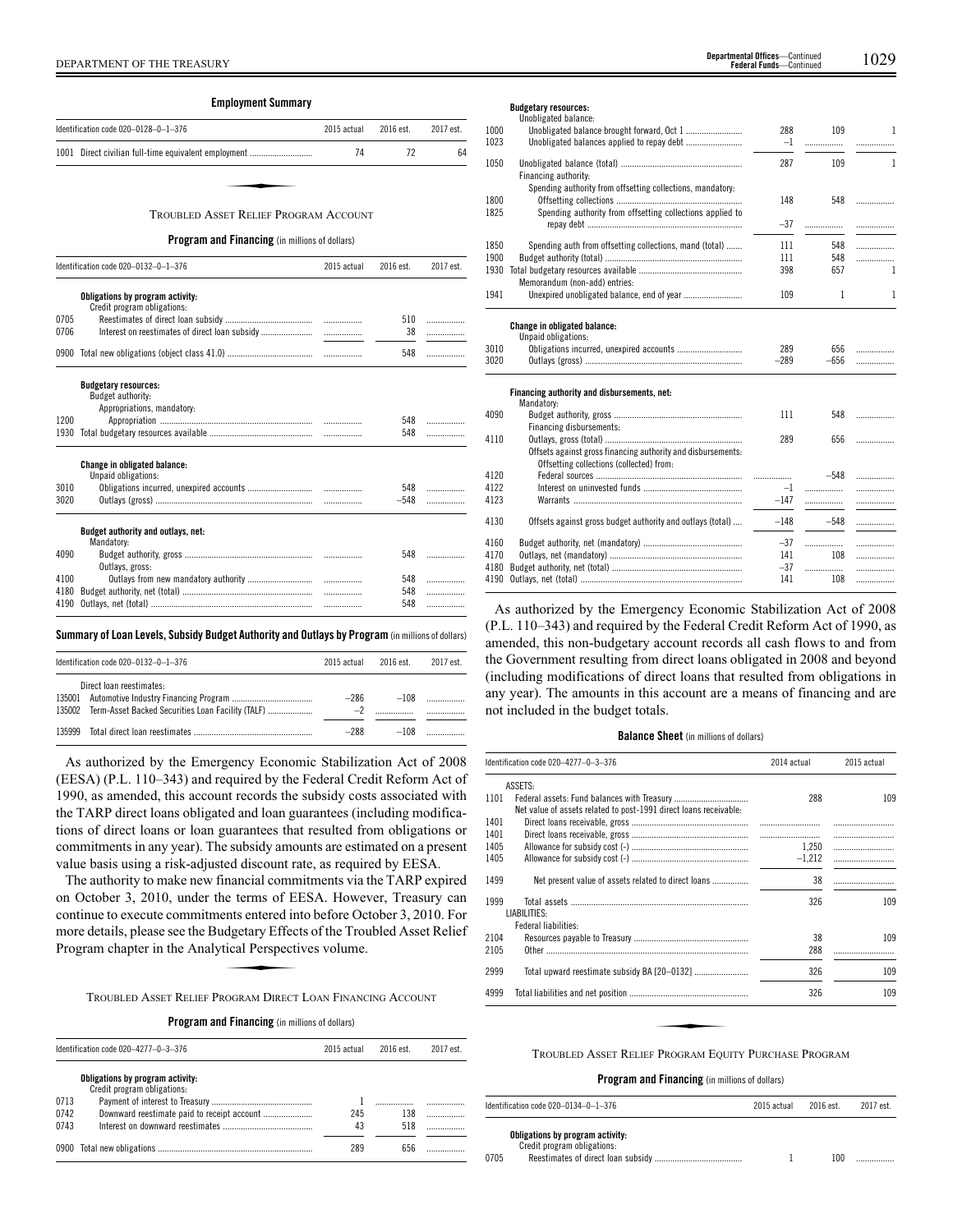|              | <b>Employment Summary</b>                             |             |               |           |
|--------------|-------------------------------------------------------|-------------|---------------|-----------|
|              | Identification code 020-0128-0-1-376                  | 2015 actual | 2016 est.     | 2017 est. |
|              | 1001 Direct civilian full-time equivalent employment  | 74          | 72            | 64        |
|              |                                                       |             |               |           |
|              | <b>TROUBLED ASSET RELIEF PROGRAM ACCOUNT</b>          |             |               |           |
|              | <b>Program and Financing</b> (in millions of dollars) |             |               |           |
|              | Identification code 020-0132-0-1-376                  | 2015 actual | 2016 est.     | 2017 est. |
|              | Obligations by program activity:                      |             |               |           |
|              | Credit program obligations:                           |             |               |           |
| 0705         |                                                       | .           | 510           | .         |
| 0706         |                                                       | .           | 38            | .         |
| 0900         |                                                       |             | 548           | .         |
|              | <b>Budgetary resources:</b>                           |             |               |           |
|              | Budget authority:                                     |             |               |           |
|              | Appropriations, mandatory:                            |             |               |           |
| 1200         |                                                       | .           | 548           | .         |
| 1930         |                                                       | .           | 548           | .         |
|              | Change in obligated balance:                          |             |               |           |
|              | Unpaid obligations:                                   |             |               |           |
| 3010<br>3020 |                                                       |             | 548<br>$-548$ | .         |
|              |                                                       |             |               | .         |
|              | Budget authority and outlays, net:<br>Mandatory:      |             |               |           |
| 4090         | Outlays, gross:                                       |             | 548           | .         |
| 4100         |                                                       | .           | 548           | .         |
| 4180         |                                                       | .           | 548           | .         |
|              |                                                       | .           | 548           | .         |

**Summary ofLoan Levels, Subsidy Budget Authority and Outlays by Program** (inmillionsof dollars)

|        | Identification code 020-0132-0-1-376                                                 | 2015 actual | 2016 est | 2017 est. |
|--------|--------------------------------------------------------------------------------------|-------------|----------|-----------|
|        | Direct loan reestimates:<br>135002 Term-Asset Backed Securities Loan Facility (TALF) | -286        | $-108$   |           |
| 135999 |                                                                                      | $-288$      | $-108$   |           |

As authorized by the Emergency Economic Stabilization Act of 2008 (EESA) (P.L. 110–343) and required by the Federal Credit Reform Act of 1990, as amended, this account records the subsidy costs associated with the TARP direct loans obligated and loan guarantees (including modifications of direct loans or loan guarantees that resulted from obligations or commitments in any year). The subsidy amounts are estimated on a present value basis using a risk-adjusted discount rate, as required by EESA.

The authority to make new financial commitments via the TARP expired on October 3, 2010, under the terms of EESA. However, Treasury can continue to execute commitments entered into before October 3, 2010. For more details, please see the Budgetary Effects of the Troubled Asset Relief Program chapter in the Analytical Perspectives volume. e cerns of En<br>ents entered in<br>dgetary Effect<br>tical Perspecti<br>ROGRAM DIRECT

TROUBLED ASSET RELIEF PROGRAM DIRECT LOAN FINANCING ACCOUNT

#### **Program and Financing** (in millions of dollars)

| Identification code 020-4277-0-3-376 |                                                                 | 2015 actual<br>2016 est. |     | 2017 est. |  |
|--------------------------------------|-----------------------------------------------------------------|--------------------------|-----|-----------|--|
| 0713<br>0742                         | Obligations by program activity:<br>Credit program obligations: | 245                      | 138 |           |  |
| 0743                                 |                                                                 | 43                       | 518 |           |  |
|                                      |                                                                 | 289                      |     |           |  |

| <b>Budgetary resources:</b> |
|-----------------------------|
| .                           |

|      | Unobligated balance:                                         |        |              |              |
|------|--------------------------------------------------------------|--------|--------------|--------------|
| 1000 |                                                              | 288    | 109          | 1            |
| 1023 |                                                              | $-1$   | .            | .            |
| 1050 |                                                              | 287    | 109          | $\mathbf{1}$ |
|      | Financing authority:                                         |        |              |              |
|      | Spending authority from offsetting collections, mandatory:   |        |              |              |
| 1800 |                                                              | 148    | 548          | .            |
| 1825 | Spending authority from offsetting collections applied to    |        |              |              |
|      |                                                              | $-37$  |              | .            |
| 1850 | Spending auth from offsetting collections, mand (total)      | 111    | 548          | .            |
| 1900 |                                                              | 111    | 548          | .            |
| 1930 |                                                              | 398    | 657          | $\mathbf{1}$ |
|      | Memorandum (non-add) entries:                                |        |              |              |
| 1941 | Unexpired unobligated balance, end of year                   | 109    | $\mathbf{1}$ | 1            |
|      |                                                              |        |              |              |
|      | Change in obligated balance:                                 |        |              |              |
|      | Unpaid obligations:                                          |        |              |              |
| 3010 |                                                              | 289    | 656          | .            |
| 3020 |                                                              | $-289$ | $-656$       | .            |
|      |                                                              |        |              |              |
|      | Financing authority and disbursements, net:                  |        |              |              |
|      | Mandatory:                                                   |        |              |              |
| 4090 |                                                              | 111    | 548          | .            |
|      | Financing disbursements:                                     |        |              |              |
| 4110 |                                                              | 289    | 656          | .            |
|      | Offsets against gross financing authority and disbursements: |        |              |              |
|      | Offsetting collections (collected) from:                     |        |              |              |
| 4120 |                                                              |        | $-548$       | .            |
| 4122 |                                                              | $-1$   |              | .            |
| 4123 |                                                              | $-147$ | .            |              |
| 4130 | Offsets against gross budget authority and outlays (total)   | $-148$ | $-548$       | .            |
| 4160 |                                                              | $-37$  |              | .            |
| 4170 |                                                              | 141    | 108          | .            |
| 4180 |                                                              | $-37$  | .            | .            |
| 4190 |                                                              | 141    | 108          |              |
|      |                                                              |        |              |              |

As authorized by the Emergency Economic Stabilization Act of 2008 (P.L. 110–343) and required by the Federal Credit Reform Act of 1990, as amended, this non-budgetary account records all cash flows to and from the Government resulting from direct loans obligated in 2008 and beyond (including modifications of direct loans that resulted from obligations in any year). The amounts in this account are a means of financing and are not included in the budget totals.

#### **Balance Sheet** (in millions of dollars)

|      | Identification code 020-4277-0-3-376<br>2014 actual               |          | 2015 actual |
|------|-------------------------------------------------------------------|----------|-------------|
|      | ASSETS:                                                           |          |             |
| 1101 |                                                                   | 288      | 109         |
|      | Net value of assets related to post-1991 direct loans receivable: |          |             |
| 1401 |                                                                   |          |             |
| 1401 |                                                                   |          |             |
| 1405 |                                                                   | 1,250    |             |
| 1405 |                                                                   | $-1,212$ |             |
| 1499 | Net present value of assets related to direct loans               | 38       |             |
| 1999 |                                                                   | 326      | 109         |
|      | LIABILITIES:                                                      |          |             |
|      | Federal liabilities:                                              |          |             |
| 2104 |                                                                   | 38       | 109         |
| 2105 |                                                                   | 288      |             |
| 2999 |                                                                   | 326      | 109         |
| 4999 |                                                                   | 326      | 109         |
|      |                                                                   |          |             |
|      |                                                                   |          |             |
|      | TROUBLED ASSET RELIEF PROGRAM EQUITY PURCHASE PROGRAM             |          |             |

| Identification code $020-0134-0-1-376$                          | 2015 actual | 2016 est. | 2017 est. |
|-----------------------------------------------------------------|-------------|-----------|-----------|
| Obligations by program activity:<br>Credit program obligations: |             |           |           |
| 0705                                                            |             | 100       | .         |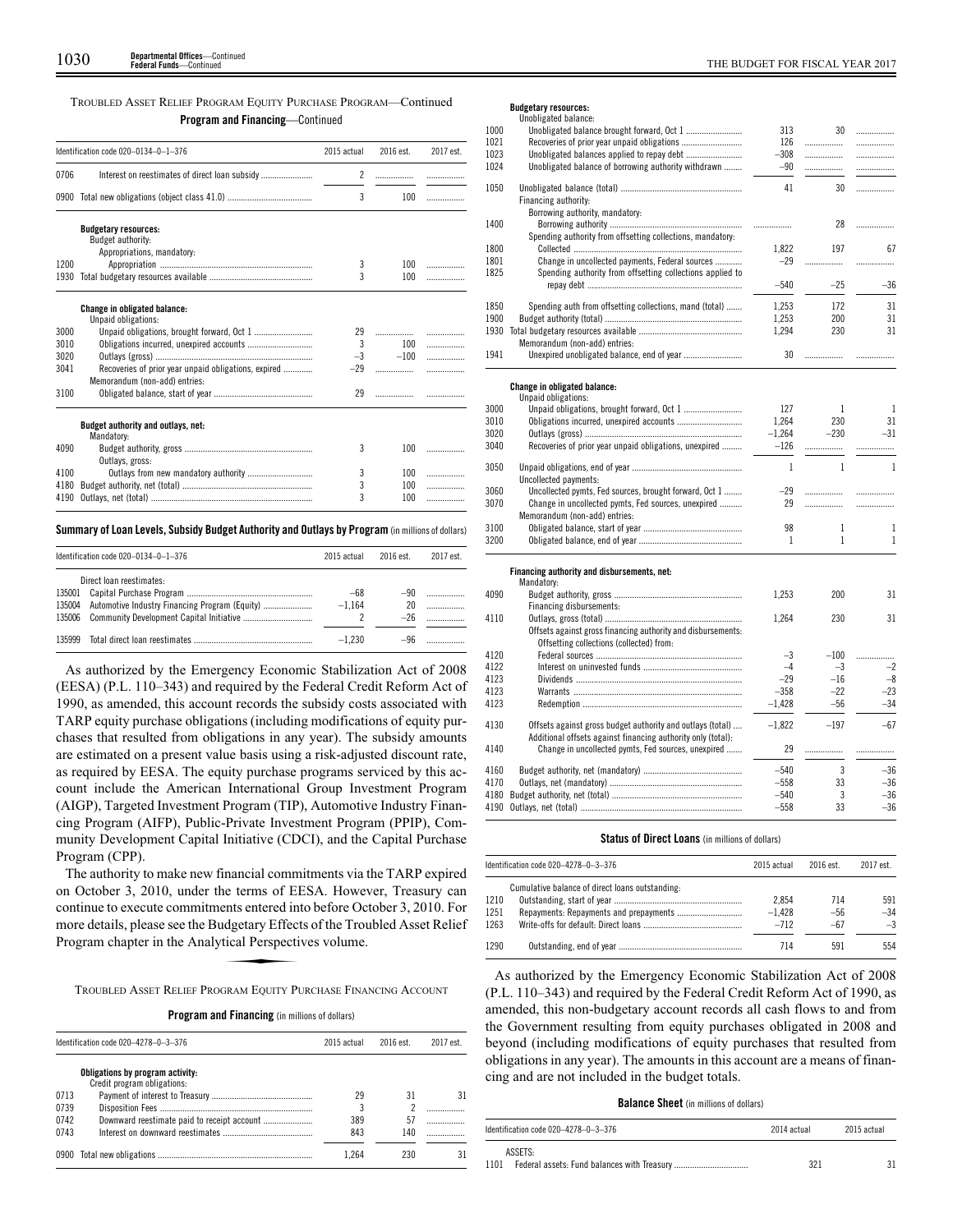## TROUBLED ASSET RELIEF PROGRAM EQUITY PURCHASE PROGRAM—Continued **Program and Financing**—Continued

|      | Identification code 020-0134-0-1-376                                                  | 2015 actual    | 2016 est. | 2017 est. |
|------|---------------------------------------------------------------------------------------|----------------|-----------|-----------|
| 0706 |                                                                                       | $\overline{c}$ |           |           |
| 0900 |                                                                                       | 3              | 100       |           |
|      | <b>Budgetary resources:</b>                                                           |                |           |           |
|      | Budget authority:                                                                     |                |           |           |
|      | Appropriations, mandatory:                                                            |                |           |           |
| 1200 |                                                                                       | 3              | 100       |           |
| 1930 |                                                                                       | 3              | 100       | .         |
|      | <b>Change in obligated balance:</b><br>Unpaid obligations:                            |                |           |           |
| 3000 |                                                                                       | 29             | .         |           |
| 3010 |                                                                                       | 3              | 100       | .         |
| 3020 |                                                                                       | $-3$           | $-100$    | .         |
| 3041 | Recoveries of prior year unpaid obligations, expired<br>Memorandum (non-add) entries: | $-29$          | .         |           |
| 3100 |                                                                                       | 29             | .         |           |
|      | Budget authority and outlays, net:<br>Mandatory:                                      |                |           |           |
| 4090 | Outlays, gross:                                                                       | 3              | 100       | .         |
| 4100 |                                                                                       | 3              | 100       | .         |
| 4180 |                                                                                       | 3              | 100       | .         |
| 4190 |                                                                                       | 3              | 100       | .         |

## **Summary ofLoan Levels, Subsidy Budget Authority and Outlays by Program** (inmillionsof dollars)

|        | Identification code $020-0134-0-1-376$ | 2015 actual | 2016 est. | 2017 est. |
|--------|----------------------------------------|-------------|-----------|-----------|
|        | Direct loan reestimates:               |             |           |           |
| 135001 |                                        | $-68$       | -90       |           |
| 135004 |                                        | $-1.164$    | 20        |           |
| 135006 |                                        |             | $-26$     |           |
| 135999 |                                        | $-1.230$    | -96       |           |

As authorized by the Emergency Economic Stabilization Act of 2008 (EESA) (P.L. 110–343) and required by the Federal Credit Reform Act of 1990, as amended, this account records the subsidy costs associated with TARP equity purchase obligations (including modifications of equity purchases that resulted from obligations in any year). The subsidy amounts are estimated on a present value basis using a risk-adjusted discount rate, as required by EESA. The equity purchase programs serviced by this account include the American International Group Investment Program (AIGP), Targeted Investment Program (TIP), Automotive Industry Financing Program (AIFP), Public-Private Investment Program (PPIP), Community Development Capital Initiative (CDCI), and the Capital Purchase Program (CPP).

The authority to make new financial commitments via the TARP expired on October 3, 2010, under the terms of EESA. However, Treasury can continue to execute commitments entered into before October 3, 2010. For more details, please see the Budgetary Effects of the Troubled Asset Relief Program chapter in the Analytical Perspectives volume.<br>TROUBLED ASSET REL more details, please see the Budgetary Effects of the Troubled Asset Relief Program chapter in the Analytical Perspectives volume.

TROUBLED ASSET RELIEF PROGRAM EQUITY PURCHASE FINANCING ACCOUNT

|  |  | <b>Program and Financing</b> (in millions of dollars) |  |  |  |  |
|--|--|-------------------------------------------------------|--|--|--|--|
|--|--|-------------------------------------------------------|--|--|--|--|

| Identification code 020-4278-0-3-376 |                                                                 | 2015 actual | 2016 est. | 2017 est. |  |
|--------------------------------------|-----------------------------------------------------------------|-------------|-----------|-----------|--|
|                                      | Obligations by program activity:<br>Credit program obligations: |             |           |           |  |
| 0713                                 |                                                                 | 29          | 31        | 31        |  |
| 0739                                 |                                                                 | 3           |           |           |  |
| 0742                                 | Downward reestimate paid to receipt account                     | 389         | 57        |           |  |
| 0743                                 |                                                                 | 843         | 140       |           |  |
|                                      |                                                                 | 1.264       | 230       | 31        |  |

## **Budgetary resources:**

|      | Unobligated balance:                                         |              |                   |              |
|------|--------------------------------------------------------------|--------------|-------------------|--------------|
| 1000 |                                                              | 313          | 30                | .            |
| 1021 |                                                              | 126          |                   |              |
| 1023 |                                                              | $-308$       |                   | .            |
| 1024 | Unobligated balance of borrowing authority withdrawn         | $-90$        |                   | .            |
|      |                                                              |              |                   |              |
| 1050 |                                                              | 41           | 30                | .            |
|      | Financing authority:                                         |              |                   |              |
|      | Borrowing authority, mandatory:                              |              |                   |              |
| 1400 |                                                              |              | 28                | .            |
|      | Spending authority from offsetting collections, mandatory:   |              |                   |              |
| 1800 |                                                              | 1,822        | 197               | 67           |
| 1801 | Change in uncollected payments, Federal sources              | $-29$        |                   | .            |
| 1825 | Spending authority from offsetting collections applied to    |              |                   |              |
|      |                                                              | $-540$       | $-25$             | $-36$        |
|      |                                                              |              |                   |              |
| 1850 | Spending auth from offsetting collections, mand (total)      | 1,253        | 172               | 31           |
| 1900 |                                                              | 1,253        | 200               | 31           |
| 1930 |                                                              | 1,294        | 230               | 31           |
|      | Memorandum (non-add) entries:                                |              |                   |              |
| 1941 |                                                              | 30           | .                 |              |
|      |                                                              |              |                   | .            |
|      |                                                              |              |                   |              |
|      | Change in obligated balance:<br>Unpaid obligations:          |              |                   |              |
|      |                                                              |              |                   |              |
| 3000 |                                                              | 127          | 1                 | $\mathbf{1}$ |
| 3010 |                                                              | 1,264        | 230               | 31           |
| 3020 |                                                              | $-1,264$     | $-230$            | $-31$        |
| 3040 | Recoveries of prior year unpaid obligations, unexpired       | $-126$       |                   | .            |
| 3050 |                                                              | $\mathbf{1}$ | $\mathbf{1}$      | $\mathbf{1}$ |
|      | Uncollected payments:                                        |              |                   |              |
| 3060 | Uncollected pymts, Fed sources, brought forward, Oct 1       | $-29$        | .                 |              |
| 3070 | Change in uncollected pymts, Fed sources, unexpired          | 29           | .                 | .            |
|      | Memorandum (non-add) entries:                                |              |                   |              |
|      |                                                              | 98           |                   |              |
| 3100 |                                                              | 1            | 1<br>$\mathbf{1}$ | 1<br>1       |
| 3200 |                                                              |              |                   |              |
|      |                                                              |              |                   |              |
|      | Financing authority and disbursements, net:<br>Mandatory:    |              |                   |              |
| 4090 |                                                              | 1,253        | 200               | 31           |
|      | Financing disbursements:                                     |              |                   |              |
| 4110 |                                                              | 1,264        | 230               | 31           |
|      |                                                              |              |                   |              |
|      | Offsets against gross financing authority and disbursements: |              |                   |              |
|      | Offsetting collections (collected) from:                     |              |                   |              |
| 4120 |                                                              | $-3$         | $-100$            | .            |
| 4122 |                                                              | $-4$         | $-3$              | $-2$         |
| 4123 |                                                              | $-29$        | $-16$             | $-8$         |
| 4123 |                                                              | $-358$       | $-22$             | $-23$        |
| 4123 |                                                              | $-1.428$     | $-56$             | $-34$        |
| 4130 | Offsets against gross budget authority and outlays (total)   | $-1,822$     | $-197$            | $-67$        |
|      | Additional offsets against financing authority only (total): |              |                   |              |
| 4140 |                                                              | 29           |                   |              |
|      | Change in uncollected pymts, Fed sources, unexpired          |              | .                 | .            |
| 4160 |                                                              | $-540$       | 3                 | $-36$        |
| 4170 |                                                              | $-558$       | 33                | $-36$        |
| 4180 |                                                              | $-540$       | 3                 | $-36$        |
|      |                                                              | $-558$       | 33                | $-36$        |
|      |                                                              |              |                   |              |
|      |                                                              |              |                   |              |

## **Status of Direct Loans** (in millions of dollars)

| Identification code 020-4278-0-3-376 |                                                 | 2015 actual | 2016 est. | 2017 est. |
|--------------------------------------|-------------------------------------------------|-------------|-----------|-----------|
|                                      | Cumulative balance of direct loans outstanding: |             |           |           |
| 1210                                 |                                                 | 2.854       | 714       | 591       |
| 1251                                 |                                                 | $-1.428$    | $-56$     | $-34$     |
| 1263                                 |                                                 | $-712$      | $-67$     | $-3$      |
| 1290                                 |                                                 | 714         | 591       | 554       |

As authorized by the Emergency Economic Stabilization Act of 2008 (P.L. 110–343) and required by the Federal Credit Reform Act of 1990, as amended, this non-budgetary account records all cash flows to and from the Government resulting from equity purchases obligated in 2008 and beyond (including modifications of equity purchases that resulted from obligations in any year). The amounts in this account are a means of financing and are not included in the budget totals.

#### **Balance Sheet** (in millions of dollars)

| Identification code 020–4278–0–3–376 | 2014 actual | 2015 actual |
|--------------------------------------|-------------|-------------|
| ASSETS:<br>1101                      | 321         |             |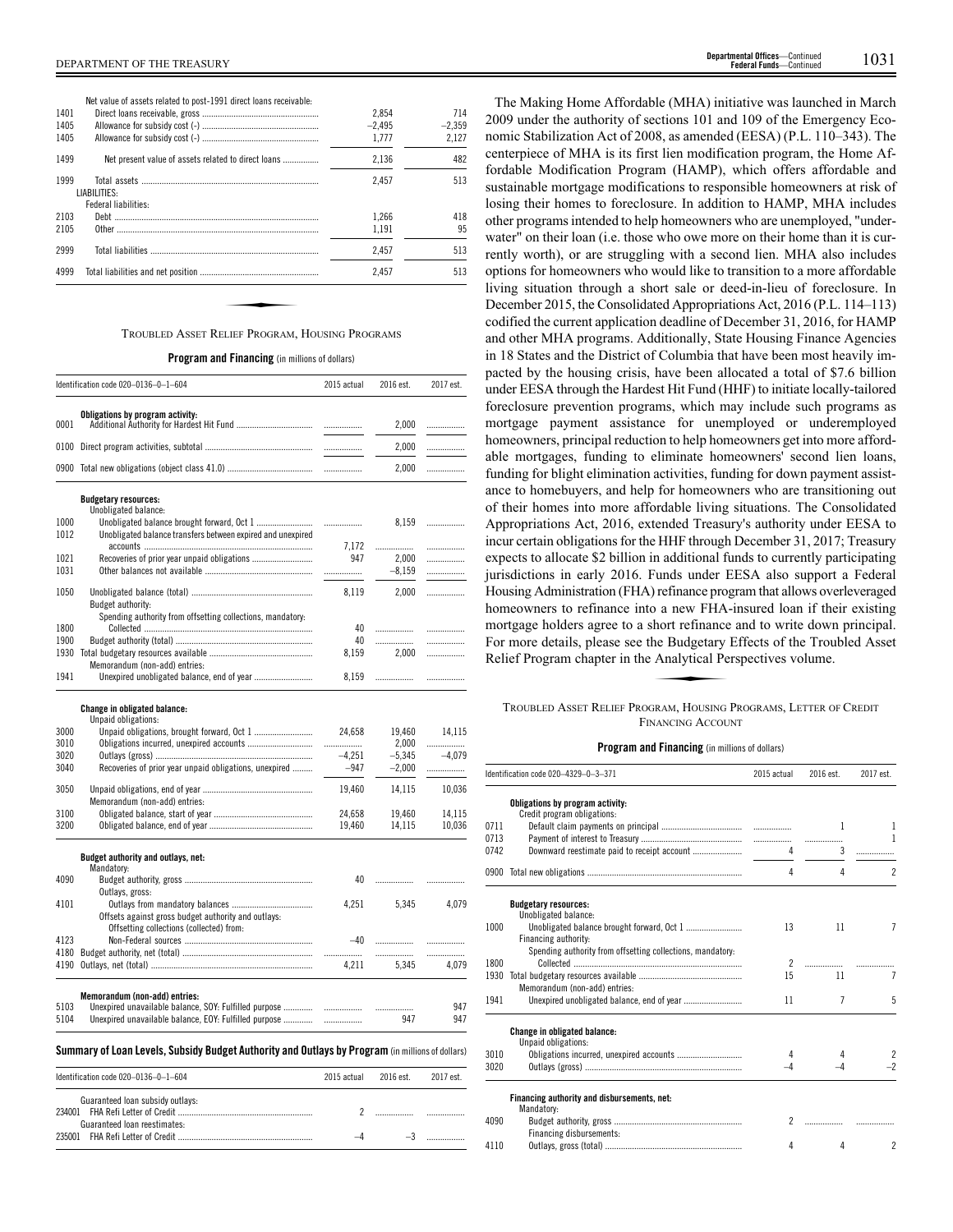| Net value of assets related to post-1991 direct loans receivable: |
|-------------------------------------------------------------------|
|-------------------------------------------------------------------|

| 1401 |                                                     | 2.854    | 714      |
|------|-----------------------------------------------------|----------|----------|
| 1405 |                                                     | $-2.495$ | $-2.359$ |
| 1405 |                                                     | 1.777    | 2.127    |
| 1499 | Net present value of assets related to direct loans | 2.136    | 482      |
| 1999 |                                                     | 2.457    | 513      |
|      | LIABILITIES:                                        |          |          |
|      | Federal liabilities:                                |          |          |
| 2103 |                                                     | 1.266    | 418      |
| 2105 |                                                     | 1.191    | 95       |
| 2999 |                                                     | 2,457    | 513      |
| 4999 |                                                     | 2.457    | 513      |
|      |                                                     |          |          |
|      |                                                     |          |          |
|      | TROUBLED ASSET RELIEF PROGRAM, HOUSING PROGRAMS     |          |          |

**Program and Financing** (in millions of dollars)

|              | Identification code 020-0136-0-1-604                                                                           | 2015 actual   | 2016 est.         | 2017 est.    |
|--------------|----------------------------------------------------------------------------------------------------------------|---------------|-------------------|--------------|
| 0001         | Obligations by program activity:                                                                               |               | 2,000             |              |
|              |                                                                                                                |               |                   | .            |
|              |                                                                                                                |               | 2,000             | .            |
|              |                                                                                                                |               | 2,000             | .            |
|              | <b>Budgetary resources:</b>                                                                                    |               |                   |              |
| 1000         | Unobligated balance:                                                                                           |               | 8,159             |              |
| 1012         | Unobligated balance transfers between expired and unexpired                                                    | <br>7,172     | .                 | .<br>.       |
| 1021         |                                                                                                                | 947           | 2,000             | .            |
| 1031         |                                                                                                                | .             | $-8,159$          | .            |
| 1050         | Budget authority:                                                                                              | 8,119         | 2,000             | .            |
|              | Spending authority from offsetting collections, mandatory:                                                     |               |                   |              |
| 1800         |                                                                                                                | 40            | .                 | .            |
| 1900         |                                                                                                                | 40            | .                 | .            |
| 1930         | Memorandum (non-add) entries:                                                                                  | 8,159         | 2,000             | .            |
| 1941         | Unexpired unobligated balance, end of year                                                                     | 8,159         |                   | .            |
|              | <b>Change in obligated balance:</b>                                                                            |               |                   |              |
|              | Unpaid obligations:                                                                                            |               |                   |              |
| 3000         | Unpaid obligations, brought forward, Oct 1                                                                     | 24,658        | 19,460            | 14,115       |
| 3010<br>3020 |                                                                                                                | <br>$-4,251$  | 2,000<br>$-5,345$ | <br>$-4.079$ |
| 3040         | Recoveries of prior year unpaid obligations, unexpired                                                         | $-947$        | $-2,000$          | .            |
| 3050         |                                                                                                                | 19,460        | 14,115            | 10,036       |
|              | Memorandum (non-add) entries:                                                                                  |               |                   |              |
| 3100         |                                                                                                                | 24,658        | 19,460            | 14,115       |
| 3200         |                                                                                                                | 19,460        | 14,115            | 10,036       |
|              | Budget authority and outlays, net:<br>Mandatory:                                                               |               |                   |              |
| 4090         |                                                                                                                | 40            | .                 | .            |
|              | Outlays, gross:                                                                                                |               |                   |              |
| 4101         |                                                                                                                | 4,251         | 5,345             | 4,079        |
|              | Offsets against gross budget authority and outlays:<br>Offsetting collections (collected) from:                |               |                   |              |
| 4123         |                                                                                                                | $-40$         | .                 | .            |
| 4180         |                                                                                                                |               | .                 |              |
| 4190         |                                                                                                                | 4,211         | 5.345             | 4.079        |
|              | Memorandum (non-add) entries:                                                                                  |               |                   |              |
| 5103<br>5104 | Unexpired unavailable balance, SOY: Fulfilled purpose<br>Unexpired unavailable balance, EOY: Fulfilled purpose | <br>          | .<br>947          | 947<br>947   |
|              |                                                                                                                |               |                   |              |
|              | Summary of Loan Levels, Subsidy Budget Authority and Outlays by Program (in millions of dollars)               |               |                   |              |
|              | Identification ando 020, 0126, 0, 1, CO4                                                                       | $2015$ astual | $201C$ ont        | $2017$ ort   |

| Identification code 020-0136-0-1-604 | $2015$ actual $2016$ est. | 2017 est. |
|--------------------------------------|---------------------------|-----------|
| Guaranteed loan subsidy outlays:     |                           |           |
|                                      |                           |           |
| Guaranteed loan reestimates:         |                           |           |
|                                      |                           | .         |

The Making Home Affordable (MHA) initiative was launched in March 2009 under the authority of sections 101 and 109 of the Emergency Economic Stabilization Act of 2008, as amended (EESA) (P.L. 110–343). The centerpiece of MHA is its first lien modification program, the Home Affordable Modification Program (HAMP), which offers affordable and sustainable mortgage modifications to responsible homeowners at risk of losing their homes to foreclosure. In addition to HAMP, MHA includes other programs intended to help homeowners who are unemployed, "underwater" on their loan (i.e. those who owe more on their home than it is currently worth), or are struggling with a second lien. MHA also includes options for homeowners who would like to transition to a more affordable living situation through a short sale or deed-in-lieu of foreclosure. In December 2015, the Consolidated Appropriations Act, 2016 (P.L. 114–113) codified the current application deadline of December 31, 2016, for HAMP and other MHA programs. Additionally, State Housing Finance Agencies in 18 States and the District of Columbia that have been most heavily impacted by the housing crisis, have been allocated a total of \$7.6 billion under EESA through the Hardest Hit Fund (HHF) to initiate locally-tailored foreclosure prevention programs, which may include such programs as mortgage payment assistance for unemployed or underemployed homeowners, principal reduction to help homeowners get into more affordable mortgages, funding to eliminate homeowners' second lien loans, funding for blight elimination activities, funding for down payment assistance to homebuyers, and help for homeowners who are transitioning out of their homes into more affordable living situations. The Consolidated Appropriations Act, 2016, extended Treasury's authority under EESA to incur certain obligations for the HHF through December 31, 2017; Treasury expects to allocate \$2 billion in additional funds to currently participating jurisdictions in early 2016. Funds under EESA also support a Federal Housing Administration (FHA) refinance program that allows overleveraged homeowners to refinance into a new FHA-insured loan if their existing mortgage holders agree to a short refinance and to write down principal.<br>For more details, please see the Budgetary Effects of the Troubled Asset<br>Relief Program chapter in the Analytical Perspectives volume.<br>TROUBLED ASSET For more details, please see the Budgetary Effects of the Troubled Asset Relief Program chapter in the Analytical Perspectives volume.

## TROUBLED ASSET RELIEF PROGRAM, HOUSING PROGRAMS, LETTER OF CREDIT FINANCING ACCOUNT

|      | Identification code 020-4329-0-3-371                            | 2015 actual    | 2016 est.      | 2017 est.                |
|------|-----------------------------------------------------------------|----------------|----------------|--------------------------|
|      | Obligations by program activity:<br>Credit program obligations: |                |                |                          |
| 0711 |                                                                 |                | 1              | 1                        |
| 0713 |                                                                 |                |                | 1                        |
| 0742 |                                                                 | 4              |                | .                        |
| 0900 |                                                                 | 4              | 4              | $\overline{\phantom{a}}$ |
|      | <b>Budgetary resources:</b>                                     |                |                |                          |
|      | Unobligated balance:                                            |                |                |                          |
| 1000 |                                                                 | 13             | 11             | $\overline{7}$           |
|      | Financing authority:                                            |                |                |                          |
|      | Spending authority from offsetting collections, mandatory:      |                |                |                          |
| 1800 |                                                                 | $\overline{2}$ |                |                          |
| 1930 |                                                                 | 15             | 11             | 7                        |
|      | Memorandum (non-add) entries:                                   |                |                |                          |
| 1941 |                                                                 | 11             | $\overline{7}$ | 5                        |
|      | <b>Change in obligated balance:</b><br>Unpaid obligations:      |                |                |                          |
| 3010 | Obligations incurred, unexpired accounts                        | 4              |                | $\overline{2}$           |
| 3020 |                                                                 | $-4$           |                | $-2$                     |
|      | Financing authority and disbursements, net:<br>Mandatory:       |                |                |                          |
| 4090 |                                                                 | $\overline{2}$ |                |                          |
|      | Financing disbursements:                                        |                |                |                          |
| 4110 |                                                                 | 4              | 4              | 2                        |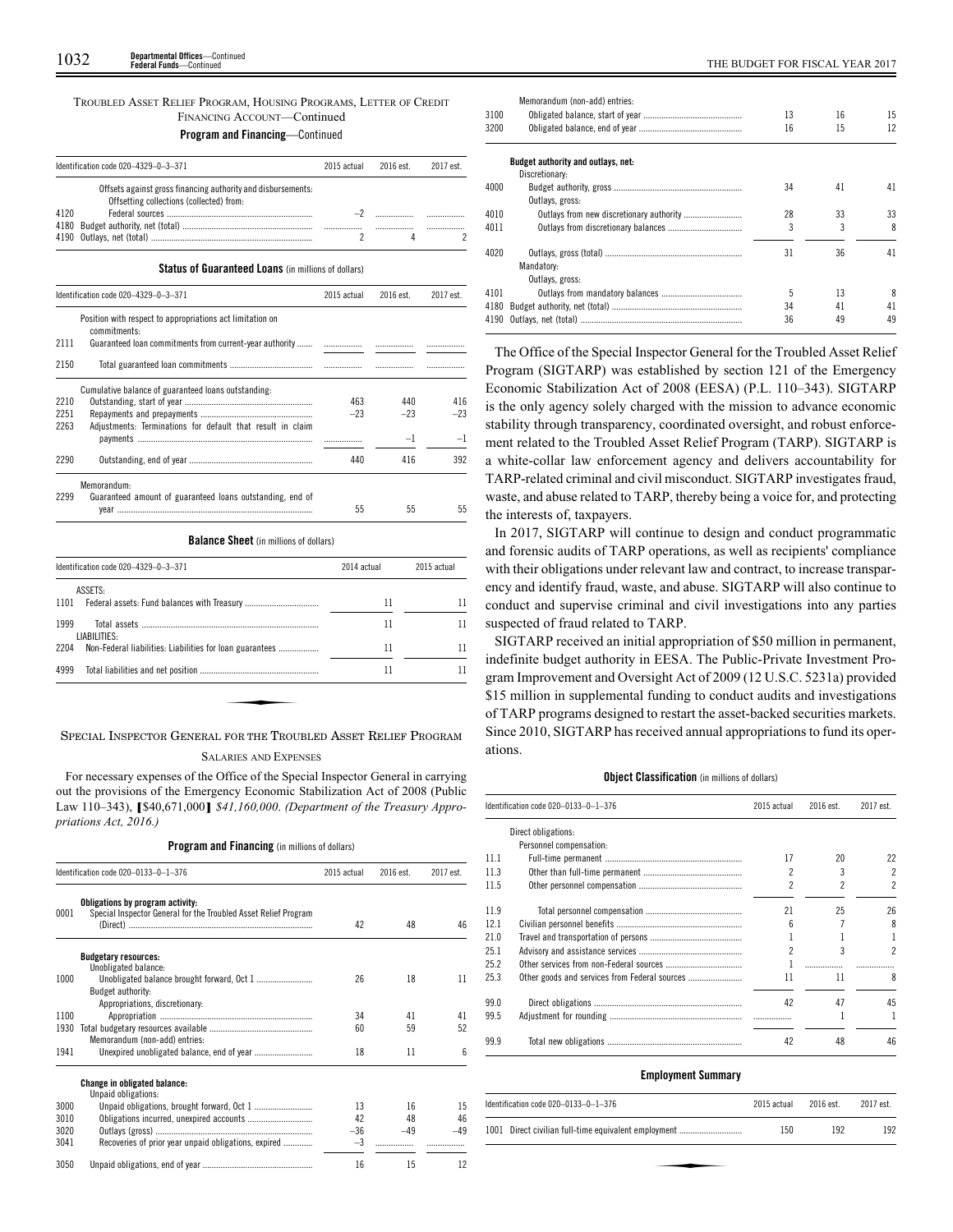## TROUBLED ASSET RELIEF PROGRAM, HOUSING PROGRAMS, LETTER OF CREDIT FINANCING ACCOUNT—Continued **Program and Financing**—Continued

|      | Identification code 020-4329-0-3-371                                                                     | 2015 actual | 2016 est. | 2017 est |
|------|----------------------------------------------------------------------------------------------------------|-------------|-----------|----------|
|      | Offsets against gross financing authority and disbursements.<br>Offsetting collections (collected) from: |             |           |          |
| 4120 |                                                                                                          |             |           |          |
|      |                                                                                                          |             |           |          |

**Status of Guaranteed Loans** (in millions of dollars)

|      | Identification code 020-4329-0-3-371                                      | 2015 actual | 2016 est. | 2017 est.   |
|------|---------------------------------------------------------------------------|-------------|-----------|-------------|
|      | Position with respect to appropriations act limitation on<br>commitments: |             |           |             |
| 2111 | Guaranteed loan commitments from current-year authority                   |             |           |             |
| 2150 |                                                                           |             |           |             |
|      | Cumulative balance of guaranteed loans outstanding.                       |             |           |             |
| 2210 |                                                                           | 463         | 440       | 416         |
| 2251 |                                                                           | $-23$       | $-23$     | $-23$       |
| 2263 | Adjustments: Terminations for default that result in claim                |             |           |             |
|      |                                                                           |             | $-1$      | $-1$        |
| 2290 |                                                                           | 440         | 416       | 392         |
|      | Memorandum:                                                               |             |           |             |
| 2299 | Guaranteed amount of guaranteed loans outstanding, end of                 |             |           |             |
|      |                                                                           | 55          | 55        | 55          |
|      | <b>Balance Sheet</b> (in millions of dollars)                             |             |           |             |
|      | Identification code 020-4329-0-3-371                                      | 2014 actual |           | 2015 actual |

| Identification code 020-4329-0-3-371                                                                                                                                                                                                                                                                                                                     | 2014 actual | 2015 actual |  |
|----------------------------------------------------------------------------------------------------------------------------------------------------------------------------------------------------------------------------------------------------------------------------------------------------------------------------------------------------------|-------------|-------------|--|
| ASSETS:                                                                                                                                                                                                                                                                                                                                                  |             |             |  |
| 1101                                                                                                                                                                                                                                                                                                                                                     | 11          | 11          |  |
| 1999<br>LIABILITIES:                                                                                                                                                                                                                                                                                                                                     | 11          | 11          |  |
| 2204                                                                                                                                                                                                                                                                                                                                                     | 11          | 11          |  |
| 4999                                                                                                                                                                                                                                                                                                                                                     | 11          | 11          |  |
|                                                                                                                                                                                                                                                                                                                                                          |             |             |  |
|                                                                                                                                                                                                                                                                                                                                                          |             |             |  |
| $\alpha$ , $\alpha$ , and $\alpha$ , $\alpha$ , $\alpha$ , $\alpha$ , $\alpha$ , $\alpha$ , $\alpha$ , $\alpha$ , $\alpha$ , $\alpha$ , $\alpha$ , $\alpha$ , $\alpha$ , $\alpha$ , $\alpha$ , $\alpha$ , $\alpha$ , $\alpha$ , $\alpha$ , $\alpha$ , $\alpha$ , $\alpha$ , $\alpha$ , $\alpha$ , $\alpha$ , $\alpha$ , $\alpha$ , $\alpha$ , $\alpha$ , |             |             |  |

SPECIAL INSPECTOR GENERAL FOR THE TROUBLED ASSET RELIEF PROGRAM

#### SALARIES AND EXPENSES

For necessary expenses of the Office of the Special Inspector General in carrying out the provisions of the Emergency Economic Stabilization Act of 2008 (Public Law 110–343), **[**\$40,671,000**]** *\$41,160,000*. *(Department of the Treasury Appropriations Act, 2016.)*

**Program and Financing** (in millions of dollars)

|      | Identification code 020-0133-0-1-376                                                                | 2015 actual | 2016 est. | 2017 est. |
|------|-----------------------------------------------------------------------------------------------------|-------------|-----------|-----------|
| 0001 | Obligations by program activity:<br>Special Inspector General for the Troubled Asset Relief Program | 42          | 48        | 46        |
|      | <b>Budgetary resources:</b><br>Unobligated balance:                                                 |             |           |           |
| 1000 | Budget authority:                                                                                   | 26          | 18        | 11        |
| 1100 | Appropriations, discretionary:                                                                      | 34          | 41        | 41        |
| 1930 |                                                                                                     | 60          | 59        | 52        |
|      | Memorandum (non-add) entries:                                                                       |             |           |           |
| 1941 |                                                                                                     | 18          | 11        | ĥ         |
|      | <b>Change in obligated balance:</b><br>Unpaid obligations:                                          |             |           |           |
| 3000 |                                                                                                     | 13          | 16        | 15        |
| 3010 |                                                                                                     | 42          | 48        | 46        |
| 3020 |                                                                                                     | $-36$       | $-49$     | $-49$     |
| 3041 | Recoveries of prior year unpaid obligations, expired                                                | -3          |           |           |
| 3050 |                                                                                                     | 16          | 15        | 12        |

|      | Memorandum (non-add) entries:      |    |    |    |
|------|------------------------------------|----|----|----|
| 3100 |                                    | 13 | 16 | 15 |
| 3200 |                                    | 16 | 15 | 12 |
|      | Budget authority and outlays, net: |    |    |    |
|      | Discretionary:                     |    |    |    |
| 4000 |                                    | 34 | 41 | 41 |
|      | Outlays, gross:                    |    |    |    |
| 4010 |                                    | 28 | 33 | 33 |
| 4011 |                                    | 3  | 3  | 8  |
| 4020 |                                    | 31 | 36 | 41 |
|      | Mandatory:                         |    |    |    |
|      | Outlays, gross:                    |    |    |    |
| 4101 |                                    | 5  | 13 | 8  |
| 4180 |                                    | 34 | 41 | 41 |
| 4190 |                                    | 36 | 49 | 49 |
|      |                                    |    |    |    |

The Office of the Special Inspector General for the Troubled Asset Relief Program (SIGTARP) was established by section 121 of the Emergency Economic Stabilization Act of 2008 (EESA) (P.L. 110–343). SIGTARP is the only agency solely charged with the mission to advance economic stability through transparency, coordinated oversight, and robust enforcement related to the Troubled Asset Relief Program (TARP). SIGTARP is a white-collar law enforcement agency and delivers accountability for TARP-related criminal and civil misconduct. SIGTARP investigates fraud, waste, and abuse related to TARP, thereby being a voice for, and protecting the interests of, taxpayers.

In 2017, SIGTARP will continue to design and conduct programmatic and forensic audits of TARP operations, as well as recipients' compliance with their obligations under relevant law and contract, to increase transparency and identify fraud, waste, and abuse. SIGTARP will also continue to conduct and supervise criminal and civil investigations into any parties suspected of fraud related to TARP.

SIGTARP received an initial appropriation of \$50 million in permanent, indefinite budget authority in EESA. The Public-Private Investment Program Improvement and Oversight Act of 2009 (12 U.S.C. 5231a) provided \$15 million in supplemental funding to conduct audits and investigations of TARP programs designed to restart the asset-backed securities markets. Since 2010, SIGTARP has received annual appropriations to fund its operations.

## **Object Classification** (in millions of dollars)

|      | Identification code 020-0133-0-1-376 | 2015 actual | 2016 est. | 2017 est.      |
|------|--------------------------------------|-------------|-----------|----------------|
|      | Direct obligations:                  |             |           |                |
|      | Personnel compensation:              |             |           |                |
| 11.1 |                                      | 17          | 20        | 22             |
| 11.3 |                                      | 2           | 3         | $\overline{c}$ |
| 11.5 |                                      | 2           | 2         | $\overline{c}$ |
| 11.9 |                                      | 21          | 25        | 26             |
| 12.1 |                                      | հ           |           | 8              |
| 21.0 |                                      |             |           |                |
| 25.1 |                                      | 2           | 3         | $\mathfrak{p}$ |
| 25.2 |                                      |             |           |                |
| 25.3 |                                      | 11          | 11        | 8              |
| 99.0 |                                      | 42          | 47        | 45             |
| 99.5 |                                      |             |           |                |
| 99.9 |                                      | 42          | 48        | 46             |

## **Employment Summary**

| ldentification code 020–0133–0–1–376                 | 2015 actual | 2016 est. | 2017 est. |
|------------------------------------------------------|-------------|-----------|-----------|
| 1001 Direct civilian full-time equivalent employment | 150         | 192       | 192       |
|                                                      |             |           |           |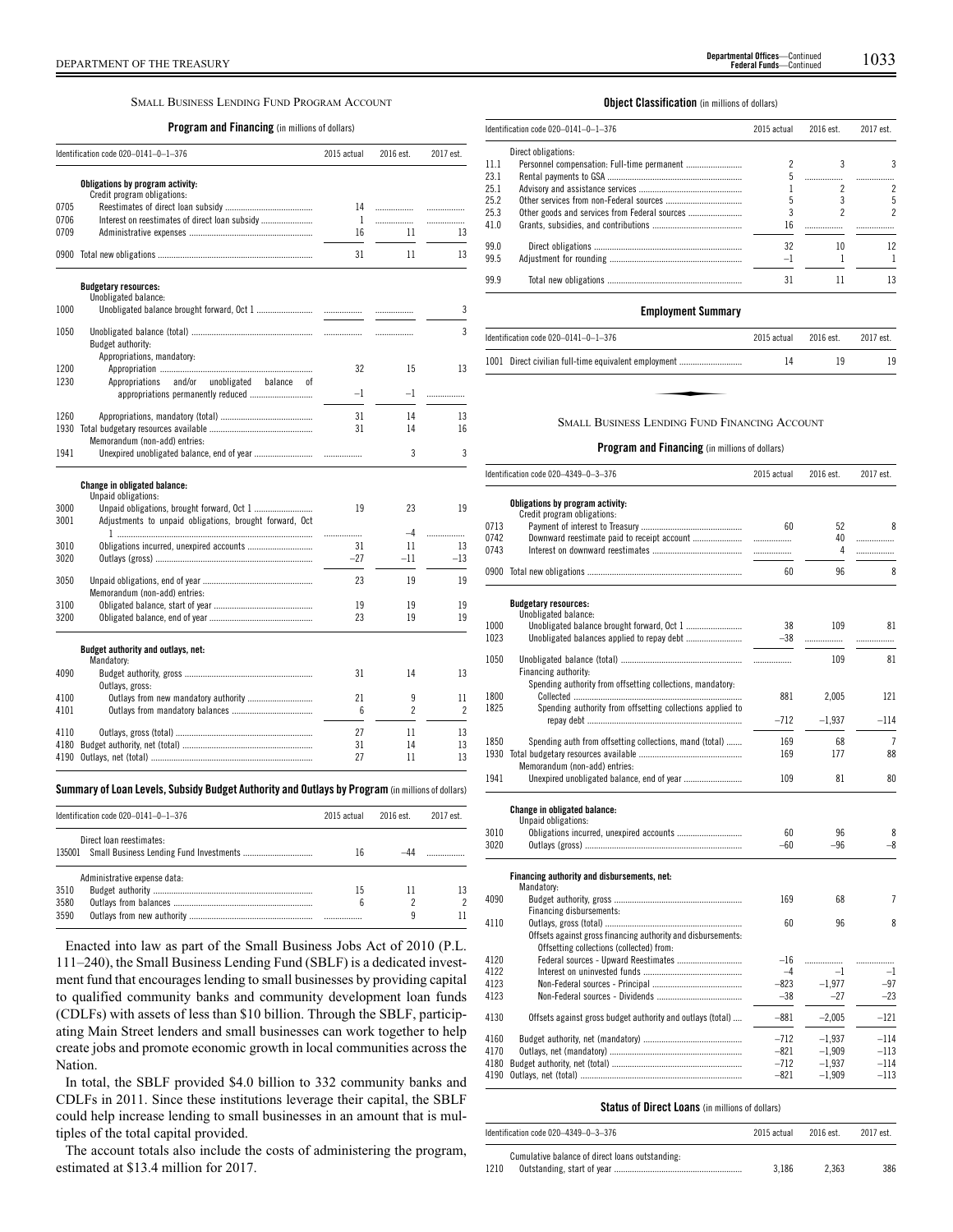## SMALL BUSINESS LENDING FUND PROGRAM ACCOUNT

## **Program and Financing** (in millions of dollars)

|              | Identification code 020-0141-0-1-376                                                                           |       | 2016 est.      | 2017 est.      |  |
|--------------|----------------------------------------------------------------------------------------------------------------|-------|----------------|----------------|--|
|              | Obligations by program activity:<br>Credit program obligations:                                                |       |                |                |  |
| 0705         |                                                                                                                | 14    | .              | .              |  |
| 0706         |                                                                                                                | 1     | .              | .              |  |
| 0709         |                                                                                                                | 16    | 11             | 13             |  |
|              |                                                                                                                | 31    | 11             | 13             |  |
|              | <b>Budgetary resources:</b>                                                                                    |       |                |                |  |
| 1000         | Unobligated balance:                                                                                           |       |                | 3              |  |
| 1050         | Budget authority:                                                                                              |       | .              | 3              |  |
|              | Appropriations, mandatory:                                                                                     |       |                |                |  |
| 1200         |                                                                                                                | 32    | 15             | 13             |  |
| 1230         | and/or<br>Appropriations<br>unobligated<br>balance<br>οf                                                       |       |                |                |  |
|              |                                                                                                                | -1    | $-1$           | .              |  |
| 1260         |                                                                                                                | 31    | 14             | 13             |  |
|              |                                                                                                                | 31    | 14             | 16             |  |
| 1941         | Memorandum (non-add) entries:                                                                                  |       | 3              | 3              |  |
| 3000<br>3001 | Change in obligated balance:<br>Unpaid obligations:<br>Adjustments to unpaid obligations, brought forward, Oct | 19    | 23             | 19             |  |
|              |                                                                                                                | .     | $-4$           | .              |  |
| 3010         | Obligations incurred, unexpired accounts                                                                       | 31    | 11             | 13             |  |
| 3020         |                                                                                                                | $-27$ | $-11$          | $-13$          |  |
| 3050         | Memorandum (non-add) entries:                                                                                  | 23    | 19             | 19             |  |
| 3100         |                                                                                                                | 19    | 19             | 19             |  |
| 3200         |                                                                                                                | 23    | 19             | 19             |  |
|              | Budget authority and outlays, net:<br>Mandatory:                                                               |       |                |                |  |
| 4090         | Outlays, gross:                                                                                                | 31    | 14             | 13             |  |
|              | Outlays from new mandatory authority                                                                           | 21    | 9              | 11             |  |
| 4100         |                                                                                                                | 6     | $\overline{c}$ | $\overline{c}$ |  |
| 4101         |                                                                                                                |       |                |                |  |
| 4110         |                                                                                                                | 27    | 11             | 13             |  |
| 4180         |                                                                                                                | 31    | 14             | 13             |  |

## **Summary ofLoan Levels, Subsidy Budget Authority and Outlays by Program** (inmillionsof dollars)

|      | Identification code 020-0141-0-1-376                                                                       |    | 2016 est. | 2017 est. |  |
|------|------------------------------------------------------------------------------------------------------------|----|-----------|-----------|--|
|      | Direct loan reestimates:<br>135001 Small Business Lending Fund Investments<br>Administrative expense data: |    |           |           |  |
|      |                                                                                                            |    |           |           |  |
| 3510 |                                                                                                            | 15 |           |           |  |
| 3580 |                                                                                                            | 6  |           |           |  |
| 3590 |                                                                                                            |    | q         |           |  |

Enacted into law as part of the Small Business Jobs Act of 2010 (P.L. 111–240), the Small Business Lending Fund (SBLF) is a dedicated investment fund that encourages lending to small businesses by providing capital to qualified community banks and community development loan funds (CDLFs) with assets of less than \$10 billion. Through the SBLF, participating Main Street lenders and small businesses can work together to help create jobs and promote economic growth in local communities across the Nation.

In total, the SBLF provided \$4.0 billion to 332 community banks and CDLFs in 2011. Since these institutions leverage their capital, the SBLF could help increase lending to small businesses in an amount that is multiples of the total capital provided.

The account totals also include the costs of administering the program, estimated at \$13.4 million for 2017.

## **Object Classification** (in millions of dollars)

|      | ldentification code 020–0141–0–1–376 |      | 2016 est. | 2017 est. |  |
|------|--------------------------------------|------|-----------|-----------|--|
|      | Direct obligations:                  |      |           |           |  |
| 11.1 |                                      |      |           | 3         |  |
| 23.1 |                                      |      |           |           |  |
| 25.1 |                                      |      |           |           |  |
| 25.2 |                                      |      |           | 5         |  |
| 25.3 |                                      |      |           | 2         |  |
| 41.0 |                                      | 16   |           |           |  |
| 99.0 |                                      | 32   | 10        | 12        |  |
| 99.5 |                                      | $-1$ |           |           |  |
| 99 9 |                                      | 31   | 11        | 13        |  |
|      |                                      |      |           |           |  |

#### **Employment Summary**

| Identification code 020-0141-0-1-376                 | 2015 actual | 2016 est. | 2017 est. |
|------------------------------------------------------|-------------|-----------|-----------|
| 1001 Direct civilian full-time equivalent employment | 14          | 19        | 19        |
|                                                      |             |           |           |
| <b>SMALL BUSINESS LENDING FUND FINANCING ACCOUNT</b> |             |           |           |

#### **Program and Financing** (in millions of dollars)

|              | Identification code 020-4349-0-3-376                         |               | 2016 est. | 2017 est.        |  |
|--------------|--------------------------------------------------------------|---------------|-----------|------------------|--|
|              | Obligations by program activity:                             |               |           |                  |  |
|              | Credit program obligations:                                  |               |           |                  |  |
| 0713         |                                                              | 60            | 52        | 8                |  |
| 0742         |                                                              |               | 40        | .                |  |
| 0743         |                                                              | .             | 4         | .                |  |
|              |                                                              | 60            | 96        | 8                |  |
|              | <b>Budgetary resources:</b>                                  |               |           |                  |  |
|              | Unobligated balance:                                         |               |           |                  |  |
| 1000         |                                                              | 38            | 109       | 81               |  |
| 1023         |                                                              | $-38$         | .         | .                |  |
| 1050         |                                                              | .             | 109       | 81               |  |
|              | Financing authority:                                         |               |           |                  |  |
|              | Spending authority from offsetting collections, mandatory:   |               |           |                  |  |
| 1800         |                                                              | 881           | 2,005     | 121              |  |
| 1825         | Spending authority from offsetting collections applied to    |               |           |                  |  |
|              |                                                              | $-712$        | $-1,937$  | $-114$           |  |
| 1850         | Spending auth from offsetting collections, mand (total)      | 169           | 68        | $\overline{7}$   |  |
| 1930         |                                                              | 169           | 177       | 88               |  |
|              | Memorandum (non-add) entries:                                |               |           |                  |  |
| 1941         |                                                              | 109           | 81        | 80               |  |
|              | Change in obligated balance:                                 |               |           |                  |  |
|              | Unpaid obligations:                                          |               |           |                  |  |
| 3010         |                                                              | 60            | 96        | 8                |  |
| 3020         |                                                              | $-60$         | $-96$     | $-8$             |  |
|              | Financing authority and disbursements, net:                  |               |           |                  |  |
|              | Mandatory:                                                   |               |           |                  |  |
| 4090         |                                                              | 169           | 68        | 7                |  |
|              | Financing disbursements:                                     |               |           |                  |  |
| 4110         |                                                              | 60            | 96        | 8                |  |
|              | Offsets against gross financing authority and disbursements: |               |           |                  |  |
|              | Offsetting collections (collected) from:                     |               |           |                  |  |
| 4120<br>4122 |                                                              | $-16$<br>$-4$ | .<br>$-1$ |                  |  |
| 4123         |                                                              | $-823$        | $-1.977$  | $^{-1}$<br>$-97$ |  |
| 4123         |                                                              | $-38$         | $-27$     | $-23$            |  |
|              |                                                              |               |           |                  |  |
| 4130         | Offsets against gross budget authority and outlays (total)   | $-881$        | $-2.005$  | $-121$           |  |
| 4160         |                                                              | $-712$        | $-1,937$  | $-114$           |  |
| 4170         |                                                              | $-821$        | $-1,909$  | $-113$           |  |
| 4180         |                                                              | $-712$        | $-1,937$  | $-114$           |  |
|              |                                                              | $-821$        | $-1,909$  | $-113$           |  |
|              |                                                              |               |           |                  |  |

## **Status of Direct Loans** (in millions of dollars)

| Identification code $020-4349-0-3-376$                  | 2015 actual | 2016 est | 2017 est. |
|---------------------------------------------------------|-------------|----------|-----------|
| Cumulative balance of direct loans outstanding:<br>1210 | 3.186       | 2.363    | 386       |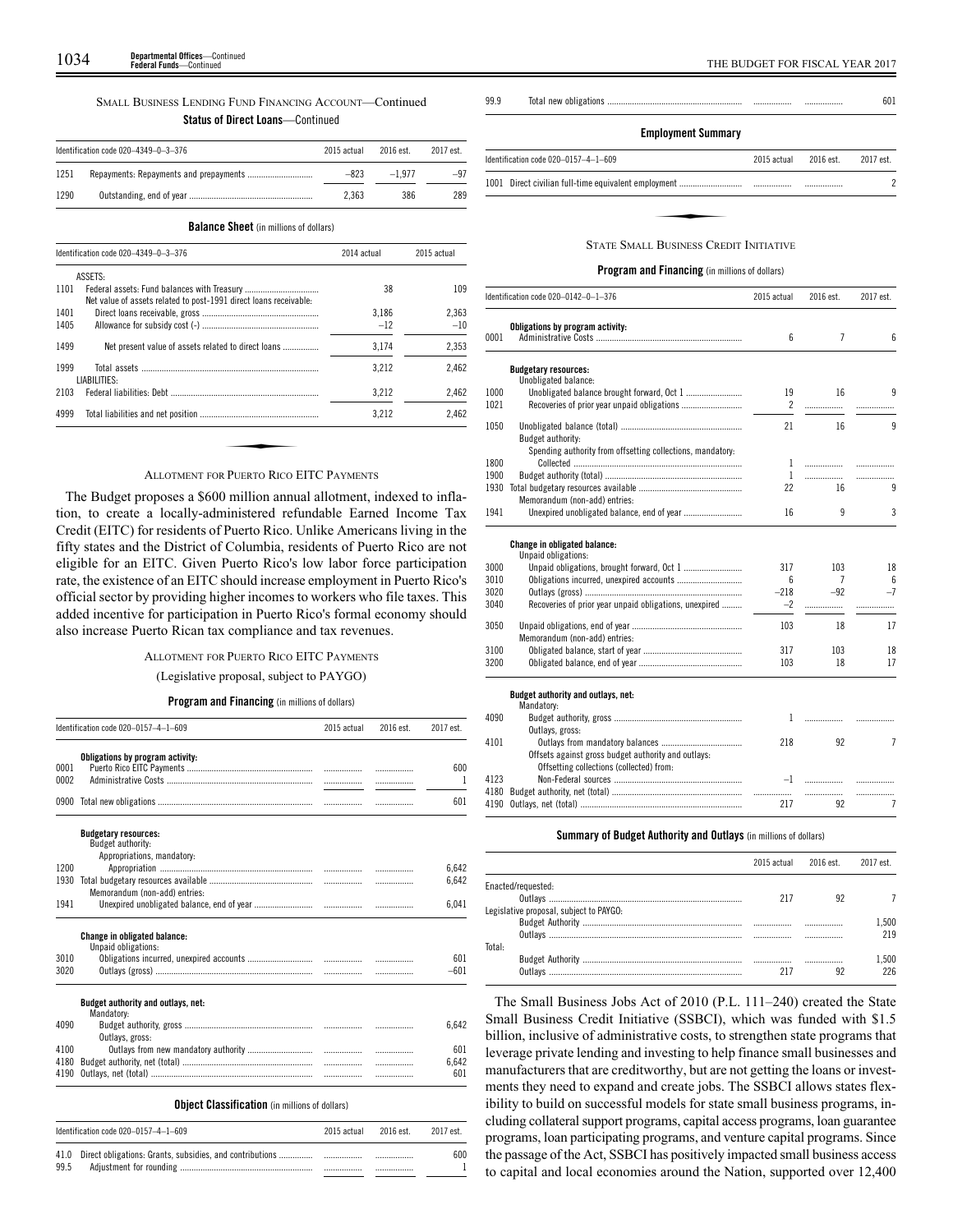# SMALL BUSINESS LENDING FUND FINANCING ACCOUNT—Continued

# **Status of Direct Loans**—Continued

|      | Identification code 020-4349-0-3-376 | 2015 actual | 2016 est. | 2017 est. |
|------|--------------------------------------|-------------|-----------|-----------|
| 1251 |                                      | $-823$      | $-1977$   | $-97$     |
| 1290 |                                      | 2.363       | 386       | 289       |

**Balance Sheet** (in millions of dollars)

|      | Identification code 020-4349-0-3-376                              | 2014 actual |       |
|------|-------------------------------------------------------------------|-------------|-------|
|      | <b>ASSETS:</b>                                                    |             |       |
| 1101 | Net value of assets related to post-1991 direct loans receivable: | 38          | 109   |
| 1401 |                                                                   | 3.186       | 2.363 |
| 1405 |                                                                   | $-12$       | $-10$ |
| 1499 | Net present value of assets related to direct loans               | 3.174       | 2,353 |
| 1999 | LIABILITIES:                                                      | 3.212       | 2.462 |
| 2103 |                                                                   | 3,212       | 2,462 |
| 4999 |                                                                   | 3.212       | 2,462 |
|      |                                                                   |             |       |
|      |                                                                   |             |       |
|      | <b>ALLOTMENT FOR PUERTO RICO EITC PAYMENTS</b>                    |             |       |

The Budget proposes a \$600 million annual allotment, indexed to inflation, to create a locally-administered refundable Earned Income Tax Credit (EITC) for residents of Puerto Rico. Unlike Americans living in the fifty states and the District of Columbia, residents of Puerto Rico are not eligible for an EITC. Given Puerto Rico's low labor force participation rate, the existence of an EITC should increase employment in Puerto Rico's official sector by providing higher incomes to workers who file taxes. This added incentive for participation in Puerto Rico's formal economy should also increase Puerto Rican tax compliance and tax revenues.

#### ALLOTMENT FOR PUERTO RICO EITC PAYMENTS

(Legislative proposal, subject to PAYGO)

## **Program and Financing** (in millions of dollars)

|      | Identification code 020-0157-4-1-609             | 2015 actual | 2016 est. | 2017 est.      |
|------|--------------------------------------------------|-------------|-----------|----------------|
|      | Obligations by program activity:                 |             |           |                |
| 0001 |                                                  |             |           | 600            |
| 0002 |                                                  |             | .         | 1              |
| 0900 |                                                  |             | .         | 601            |
|      | <b>Budgetary resources:</b>                      |             |           |                |
|      | Budget authority:                                |             |           |                |
| 1200 | Appropriations, mandatory:                       |             |           |                |
| 1930 |                                                  |             |           | 6,642<br>6,642 |
|      | Memorandum (non-add) entries:                    |             |           |                |
| 1941 |                                                  |             |           |                |
|      |                                                  |             |           | 6,041          |
|      | <b>Change in obligated balance:</b>              |             |           |                |
|      | Unpaid obligations:                              |             |           |                |
| 3010 |                                                  |             |           | 601            |
| 3020 |                                                  |             |           | $-601$         |
|      | Budget authority and outlays, net:<br>Mandatory: |             |           |                |
| 4090 |                                                  |             |           | 6,642          |
|      | Outlays, gross:                                  |             |           |                |
| 4100 |                                                  |             |           | 601            |
| 4180 |                                                  |             |           | 6,642          |
| 4190 |                                                  |             | .         | 601            |
|      |                                                  |             |           |                |

# Identification code 020–0157–4–1–609 2015 actual 2016 est. 2017 est. 41.0 Direct obligations: Grants, subsidies, and contributions ............... ................. ................. 600 99.5 Adjustment for rounding ........................................................... ................. ................. 1



| Identification code 020-0157-4-1-609          | 2015 actual | 2016 est. | 2017 est. |
|-----------------------------------------------|-------------|-----------|-----------|
|                                               |             |           |           |
|                                               |             |           |           |
| <b>STATE SMALL BUSINESS CREDIT INITIATIVE</b> |             |           |           |

|  |  | Program and Financing (in millions of dollars) |  |  |  |  |  |
|--|--|------------------------------------------------|--|--|--|--|--|
|--|--|------------------------------------------------|--|--|--|--|--|

|      | Identification code 020-0142-0-1-376                       | 2015 actual          | 2016 est. | 2017 est.      |
|------|------------------------------------------------------------|----------------------|-----------|----------------|
| 0001 | Obligations by program activity:                           | 6                    | 7         | 6              |
|      | <b>Budgetary resources:</b>                                |                      |           |                |
| 1000 | Unobligated balance:                                       |                      | 16        | 9              |
| 1021 |                                                            | 19<br>$\overline{2}$ | .         | .              |
|      |                                                            |                      |           |                |
| 1050 | Budget authority:                                          | 21                   | 16        | 9              |
|      | Spending authority from offsetting collections, mandatory: |                      |           |                |
| 1800 |                                                            | 1                    | .         | .              |
| 1900 |                                                            | $\mathbf{1}$         |           | .              |
| 1930 |                                                            | 22                   | 16        | 9              |
|      | Memorandum (non-add) entries:                              |                      |           |                |
| 1941 | Unexpired unobligated balance, end of year                 | 16                   | 9         | 3              |
|      | Change in obligated balance:<br>Unpaid obligations:        |                      |           |                |
| 3000 | Unpaid obligations, brought forward, Oct 1                 | 317                  | 103       | 18             |
| 3010 | Obligations incurred, unexpired accounts                   | 6                    | 7         | 6              |
| 3020 |                                                            | $-218$               | $-92$     | $-7$           |
| 3040 | Recoveries of prior year unpaid obligations, unexpired     | $-2$                 | .         | .              |
| 3050 | Memorandum (non-add) entries:                              | 103                  | 18        | 17             |
| 3100 |                                                            | 317                  | 103       | 18             |
| 3200 |                                                            | 103                  | 18        | 17             |
|      | Budget authority and outlays, net:<br>Mandatory:           |                      |           |                |
| 4090 |                                                            | $\mathbf{1}$         | .         |                |
|      | Outlays, gross:                                            |                      |           |                |
| 4101 |                                                            | 218                  | 92        | 7              |
|      | Offsets against gross budget authority and outlays:        |                      |           |                |
|      | Offsetting collections (collected) from:                   |                      |           |                |
| 4123 |                                                            | $-1$                 | .         |                |
| 4180 |                                                            |                      | .         |                |
| 4190 |                                                            | 217                  | 92        | $\overline{1}$ |

## **Summary of Budget Authority and Outlays** (in millions of dollars)

|                                         |     | 2015 actual 2016 est. | 2017 est |
|-----------------------------------------|-----|-----------------------|----------|
| Enacted/requested:                      |     |                       |          |
|                                         | 217 | 92                    |          |
| Legislative proposal, subject to PAYGO: |     |                       |          |
|                                         |     |                       | .500     |
|                                         |     |                       | 219      |
| Total:                                  |     |                       |          |
|                                         |     |                       | .500     |
| Outlavs                                 |     |                       | 226      |

The Small Business Jobs Act of 2010 (P.L. 111–240) created the State Small Business Credit Initiative (SSBCI), which was funded with \$1.5 billion, inclusive of administrative costs, to strengthen state programs that leverage private lending and investing to help finance small businesses and manufacturers that are creditworthy, but are not getting the loans or investments they need to expand and create jobs. The SSBCI allows states flexibility to build on successful models for state small business programs, including collateral support programs, capital access programs, loan guarantee programs, loan participating programs, and venture capital programs. Since the passage of the Act, SSBCI has positively impacted small business access to capital and local economies around the Nation, supported over 12,400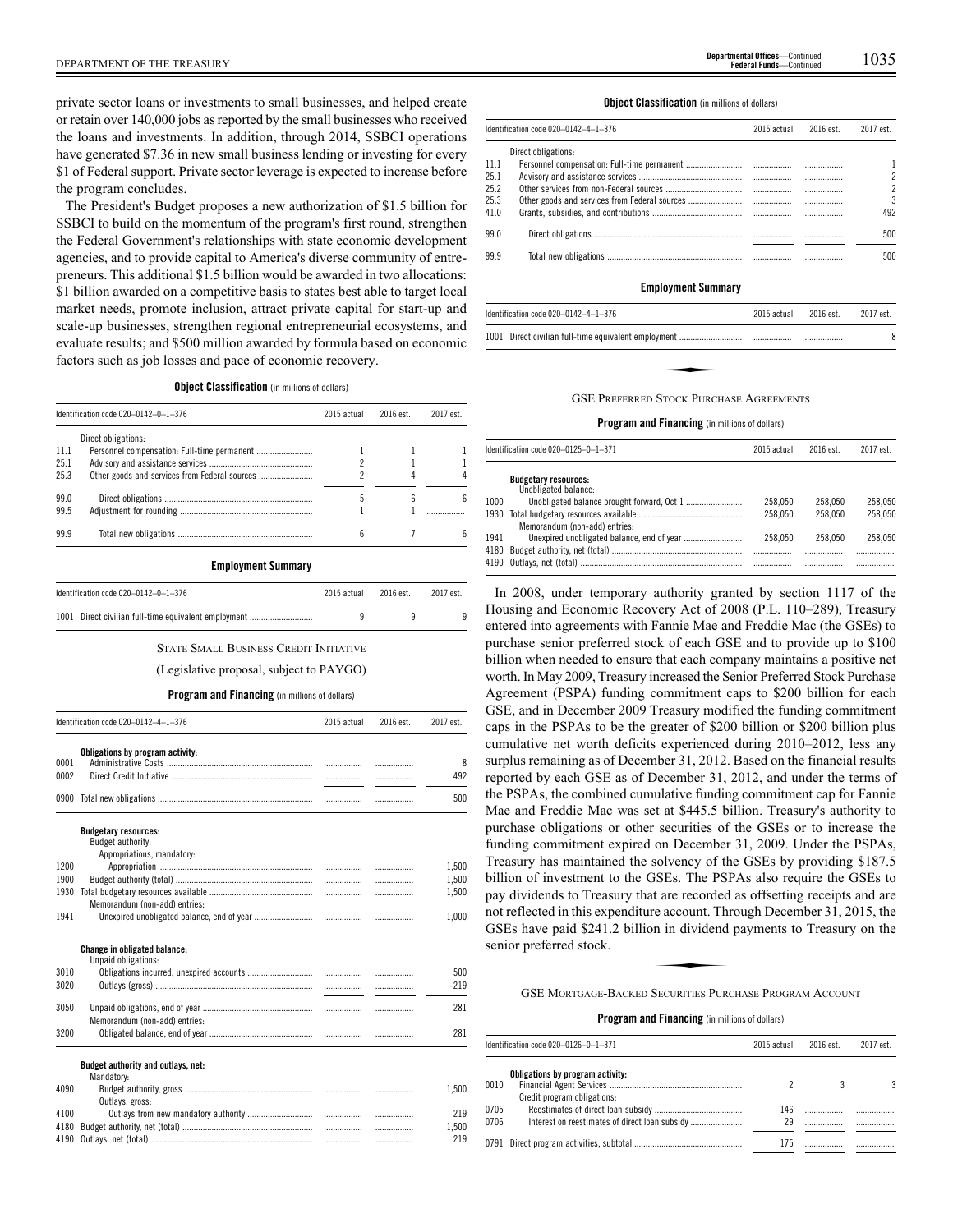private sector loans or investments to small businesses, and helped create or retain over 140,000 jobs as reported by the small businesses who received the loans and investments. In addition, through 2014, SSBCI operations have generated \$7.36 in new small business lending or investing for every \$1 of Federal support. Private sector leverage is expected to increase before the program concludes.

The President's Budget proposes a new authorization of \$1.5 billion for SSBCI to build on the momentum of the program's first round, strengthen the Federal Government's relationships with state economic development agencies, and to provide capital to America's diverse community of entrepreneurs. This additional \$1.5 billion would be awarded in two allocations: \$1 billion awarded on a competitive basis to states best able to target local market needs, promote inclusion, attract private capital for start-up and scale-up businesses, strengthen regional entrepreneurial ecosystems, and evaluate results; and \$500 million awarded by formula based on economic factors such as job losses and pace of economic recovery.

**Object Classification** (in millions of dollars)

|       | Identification code 020-0142-0-1-376 | 2015 actual | 2016 est. | 2017 est. |
|-------|--------------------------------------|-------------|-----------|-----------|
|       | Direct obligations:                  |             |           |           |
| -11.1 |                                      |             |           |           |
| 25.1  |                                      |             |           |           |
| 25.3  |                                      |             |           |           |
| 99.0  |                                      |             | 6         | 6         |
| 99.5  |                                      |             |           |           |
| 99.9  |                                      | 6           |           | ĥ         |
|       | <b>Employment Summary</b>            |             |           |           |

| Identification code 020-0142-<br>$-376$<br>0.1 | 20 | `est. | est. |
|------------------------------------------------|----|-------|------|

| 1001 Direct civilian full-time equivalent employment |  |  |
|------------------------------------------------------|--|--|
|                                                      |  |  |

#### STATE SMALL BUSINESS CREDIT INITIATIVE

(Legislative proposal, subject to PAYGO)

#### **Program and Financing** (in millions of dollars)

|      | Identification code 020-0142-4-1-376                | 2015 actual | 2016 est. | 2017 est. |
|------|-----------------------------------------------------|-------------|-----------|-----------|
|      | Obligations by program activity:                    |             |           |           |
| 0001 |                                                     |             | .         | 8         |
| 0002 |                                                     |             |           | 492       |
| 0900 |                                                     |             |           | 500       |
|      | <b>Budgetary resources:</b><br>Budget authority:    |             |           |           |
|      | Appropriations, mandatory:                          |             |           |           |
| 1200 |                                                     |             | .         | 1.500     |
| 1900 |                                                     |             | .         | 1,500     |
| 1930 |                                                     |             | .         | 1,500     |
|      | Memorandum (non-add) entries:                       |             |           |           |
| 1941 |                                                     |             |           | 1,000     |
|      | Change in obligated balance:<br>Unpaid obligations: |             |           |           |
| 3010 |                                                     |             | .         | 500       |
| 3020 |                                                     |             |           | $-219$    |
|      |                                                     |             |           |           |
| 3050 |                                                     |             | .         | 281       |
|      | Memorandum (non-add) entries:                       |             |           |           |
| 3200 |                                                     |             | .         | 281       |
|      | Budget authority and outlays, net:                  |             |           |           |
|      | Mandatory:                                          |             |           |           |
| 4090 |                                                     |             | .         | 1,500     |
|      | Outlavs, gross:                                     |             |           |           |
| 4100 |                                                     |             | .         | 219       |
| 4180 |                                                     |             | .         | 1,500     |
| 4190 |                                                     |             | .         | 219       |
|      |                                                     |             |           |           |

#### **Object Classification** (in millions of dollars)

|      | Identification code 020-0142-4-1-376 | 2015 actual | 2016 est. | 2017 est. |
|------|--------------------------------------|-------------|-----------|-----------|
|      | Direct obligations:                  |             |           |           |
| 11.1 |                                      |             |           |           |
| 25.1 |                                      |             |           | 2         |
| 25.2 |                                      |             |           | 2         |
| 25.3 |                                      |             |           | 3         |
| 41.0 |                                      |             |           | 492       |
|      |                                      |             |           |           |
| 99.0 |                                      |             |           | 500       |
| 99.9 |                                      |             |           | 500       |

#### **Employment Summary**

| Identification code 020-0142-4-1-376    | 2015 actual | 2016 est. | 2017 est. |
|-----------------------------------------|-------------|-----------|-----------|
|                                         |             |           | 8         |
|                                         |             |           |           |
| GSE PREEERRED STOCK PURCHASE AGREEMENTS |             |           |           |

#### GSE PREFERRED STOCK PURCHASE AGREEMENTS

## **Program and Financing** (in millions of dollars)

|      | Identification code 020-0125-0-1-371                | 2015 actual | 2016 est. | 2017 est. |
|------|-----------------------------------------------------|-------------|-----------|-----------|
|      | <b>Budgetary resources:</b><br>Unobligated balance: |             |           |           |
| 1000 |                                                     | 258.050     | 258.050   | 258.050   |
| 1930 | Memorandum (non-add) entries:                       | 258.050     | 258.050   | 258.050   |
| 1941 |                                                     | 258.050     | 258.050   | 258.050   |
|      |                                                     |             |           |           |
|      |                                                     |             |           |           |

In 2008, under temporary authority granted by section 1117 of the Housing and Economic Recovery Act of 2008 (P.L. 110–289), Treasury entered into agreements with Fannie Mae and Freddie Mac (the GSEs) to purchase senior preferred stock of each GSE and to provide up to \$100 billion when needed to ensure that each company maintains a positive net worth. In May 2009, Treasury increased the Senior Preferred Stock Purchase Agreement (PSPA) funding commitment caps to \$200 billion for each GSE, and in December 2009 Treasury modified the funding commitment caps in the PSPAs to be the greater of \$200 billion or \$200 billion plus cumulative net worth deficits experienced during 2010–2012, less any surplus remaining as of December 31, 2012. Based on the financial results reported by each GSE as of December 31, 2012, and under the terms of the PSPAs, the combined cumulative funding commitment cap for Fannie Mae and Freddie Mac was set at \$445.5 billion. Treasury's authority to purchase obligations or other securities of the GSEs or to increase the funding commitment expired on December 31, 2009. Under the PSPAs, Treasury has maintained the solvency of the GSEs by providing \$187.5 billion of investment to the GSEs. The PSPAs also require the GSEs to pay dividends to Treasury that are recorded as offsetting receipts and are not reflected in this expenditure account. Through December 31, 2015, the<br>not reflected in this expenditure account. Through December 31, 2015, the<br>GSEs have paid \$241.2 billion in dividend payments to Treasury on the<br>seni GSEs have paid \$241.2 billion in dividend payments to Treasury on the senior preferred stock.

GSE MORTGAGE-BACKED SECURITIES PURCHASE PROGRAM ACCOUNT

|      | ldentification code 020–0126–0–1–371 | 2015 actual | 2016 est. | 2017 est. |
|------|--------------------------------------|-------------|-----------|-----------|
|      | Obligations by program activity:     |             |           |           |
| 0010 |                                      |             |           |           |
|      | Credit program obligations:          |             |           |           |
| 0705 |                                      | 146         |           |           |
| 0706 |                                      | 29          |           |           |
|      |                                      | 175         |           |           |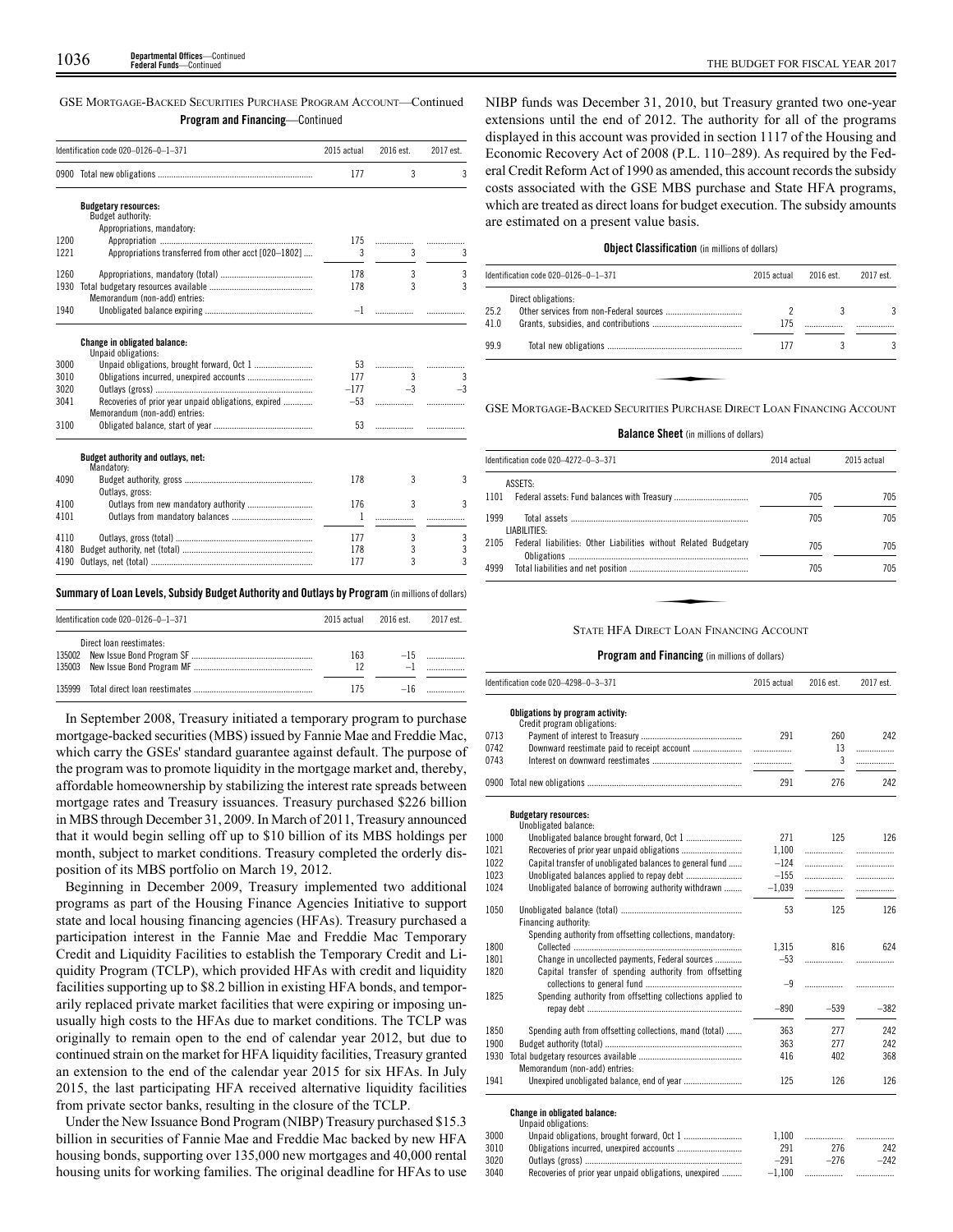GSE MORTGAGE-BACKED SECURITIES PURCHASE PROGRAM ACCOUNT—Continued **Program and Financing**—Continued

|      | Identification code 020-0126-0-1-371                  | 2015 actual | 2016 est.      | 2017 est. |
|------|-------------------------------------------------------|-------------|----------------|-----------|
|      |                                                       | 177         | 3              | 3         |
|      | <b>Budgetary resources:</b>                           |             |                |           |
|      | Budget authority:                                     |             |                |           |
|      | Appropriations, mandatory:                            |             |                |           |
| 1200 |                                                       | 175         |                | .         |
| 1221 | Appropriations transferred from other acct [020-1802] | 3           | 3              | 3         |
| 1260 |                                                       | 178         | 3              | 3         |
| 1930 |                                                       | 178         | $\overline{3}$ | 3         |
|      | Memorandum (non-add) entries:                         |             |                |           |
| 1940 |                                                       | $-1$        |                |           |
|      | Change in obligated balance:                          |             |                |           |
|      | Unpaid obligations:                                   |             |                |           |
| 3000 |                                                       | 53          |                | .         |
| 3010 |                                                       | 177         | 3              | 3         |
| 3020 |                                                       | $-177$      | $-3$           | $-3$      |
| 3041 | Recoveries of prior year unpaid obligations, expired  | $-53$       |                |           |
|      | Memorandum (non-add) entries:                         |             |                |           |
| 3100 |                                                       | 53          |                |           |
|      | Budget authority and outlays, net:<br>Mandatory:      |             |                |           |
| 4090 |                                                       | 178         | 3              | 3         |
|      | Outlays, gross:                                       |             |                |           |
| 4100 | Outlays from new mandatory authority                  | 176         | 3              | 3         |
| 4101 |                                                       | 1           |                |           |
| 4110 |                                                       | 177         | 3              | 3         |
| 4180 |                                                       | 178         | 3              | 3         |
| 4190 |                                                       | 177         | 3              | 3         |
|      |                                                       |             |                |           |

#### **Summary ofLoan Levels, Subsidy Budget Authority and Outlays by Program** (inmillionsof dollars)

| Identification code 020-0126-0-1-371 | 2015 actual | 2016 est. | 2017 est. |
|--------------------------------------|-------------|-----------|-----------|
| Direct loan reestimates:             | 163<br>12   | $-15$     |           |
|                                      | 175         |           | $-16$     |

In September 2008, Treasury initiated a temporary program to purchase mortgage-backed securities (MBS) issued by Fannie Mae and Freddie Mac, which carry the GSEs' standard guarantee against default. The purpose of the program was to promote liquidity in the mortgage market and, thereby, affordable homeownership by stabilizing the interest rate spreads between mortgage rates and Treasury issuances. Treasury purchased \$226 billion in MBS through December 31, 2009. In March of 2011, Treasury announced that it would begin selling off up to \$10 billion of its MBS holdings per month, subject to market conditions. Treasury completed the orderly disposition of its MBS portfolio on March 19, 2012.

Beginning in December 2009, Treasury implemented two additional programs as part of the Housing Finance Agencies Initiative to support state and local housing financing agencies (HFAs). Treasury purchased a participation interest in the Fannie Mae and Freddie Mac Temporary Credit and Liquidity Facilities to establish the Temporary Credit and Liquidity Program (TCLP), which provided HFAs with credit and liquidity facilities supporting up to \$8.2 billion in existing HFA bonds, and temporarily replaced private market facilities that were expiring or imposing unusually high costs to the HFAs due to market conditions. The TCLP was originally to remain open to the end of calendar year 2012, but due to continued strain on the market for HFA liquidity facilities, Treasury granted an extension to the end of the calendar year 2015 for six HFAs. In July 2015, the last participating HFA received alternative liquidity facilities from private sector banks, resulting in the closure of the TCLP.

Under the New Issuance Bond Program (NIBP) Treasury purchased \$15.3 billion in securities of Fannie Mae and Freddie Mac backed by new HFA housing bonds, supporting over 135,000 new mortgages and 40,000 rental housing units for working families. The original deadline for HFAs to use NIBP funds was December 31, 2010, but Treasury granted two one-year extensions until the end of 2012. The authority for all of the programs displayed in this account was provided in section 1117 of the Housing and Economic Recovery Act of 2008 (P.L. 110–289). As required by the Federal Credit Reform Act of 1990 as amended, this account records the subsidy costs associated with the GSE MBS purchase and State HFA programs, which are treated as direct loans for budget execution. The subsidy amounts are estimated on a present value basis.

## **Object Classification** (in millions of dollars)

|      | Identification code 020-0126-0-1-371                                  | 2015 actual | 2016 est. | 2017 est. |
|------|-----------------------------------------------------------------------|-------------|-----------|-----------|
|      | Direct obligations:                                                   |             |           |           |
| 25.2 |                                                                       |             |           | 3         |
| 41.0 |                                                                       | 175         |           |           |
| 99.9 |                                                                       | 177         |           | 3         |
|      |                                                                       |             |           |           |
|      |                                                                       |             |           |           |
|      | GSE MORTGAGE-BACKED SECURITIES PURCHASE DIRECT LOAN FINANCING ACCOUNT |             |           |           |

## **Balance Sheet** (in millions of dollars)

| ASSETS:                                                                  |     |     |
|--------------------------------------------------------------------------|-----|-----|
| 1101                                                                     |     |     |
|                                                                          | 705 | 705 |
| 1999<br>LIABILITIES:                                                     | 705 | 705 |
| Federal liabilities: Other Liabilities without Related Budgetary<br>2105 | 705 | 705 |
| 4999                                                                     | 705 | 705 |

#### STATE HFA DIRECT LOAN FINANCING ACCOUNT

## **Program and Financing** (in millions of dollars)

|      | Identification code 020-4298-0-3-371                            | 2015 actual | 2016 est.  | 2017 est. |
|------|-----------------------------------------------------------------|-------------|------------|-----------|
|      | Obligations by program activity:<br>Credit program obligations: |             |            |           |
| 0713 |                                                                 | 291         | 260        | 242       |
| 0742 |                                                                 |             | 13         | .         |
| 0743 |                                                                 |             | 3          | .         |
|      |                                                                 | 291         | 276        | 242       |
|      | <b>Budgetary resources:</b><br>Unobligated balance:             |             |            |           |
| 1000 |                                                                 | 271         | 125        | 126       |
| 1021 |                                                                 | 1,100       | .          | .         |
| 1022 | Capital transfer of unobligated balances to general fund        | $-124$      |            | .         |
| 1023 |                                                                 | $-155$      | .          | .         |
| 1024 | Unobligated balance of borrowing authority withdrawn            | $-1,039$    |            |           |
| 1050 | Financing authority:                                            | 53          | 125        | 126       |
|      | Spending authority from offsetting collections, mandatory:      |             |            |           |
| 1800 |                                                                 | 1.315       | 816        | 624       |
| 1801 | Change in uncollected payments, Federal sources                 | $-53$       | .          | .         |
| 1820 | Capital transfer of spending authority from offsetting          |             |            |           |
| 1825 |                                                                 | $-9$        | .          |           |
|      | Spending authority from offsetting collections applied to       | $-890$      | $-539$     | $-382$    |
| 1850 | Spending auth from offsetting collections, mand (total)         | 363         | 277        | 242       |
| 1900 |                                                                 | 363         | 277        | 242       |
| 1930 |                                                                 | 416         | 402        | 368       |
|      | Memorandum (non-add) entries:                                   |             |            |           |
| 1941 |                                                                 | 125         | 126        | 126       |
|      | <b>Change in obligated balance:</b><br>Unpaid obligations:      |             |            |           |
| 3000 |                                                                 | 1.100       | .          | .         |
| 3010 | Obligations incurred unexpired accounts                         | 201         | <b>276</b> | クイク       |

3010 Obligations incurred, unexpired accounts ............................. 291 276 242 3020 Outlays (gross) ...................................................................... –291 –276 –242

 $3040$  Recoveries of prior year unpaid obligations, unexpired ..........  $-1,100$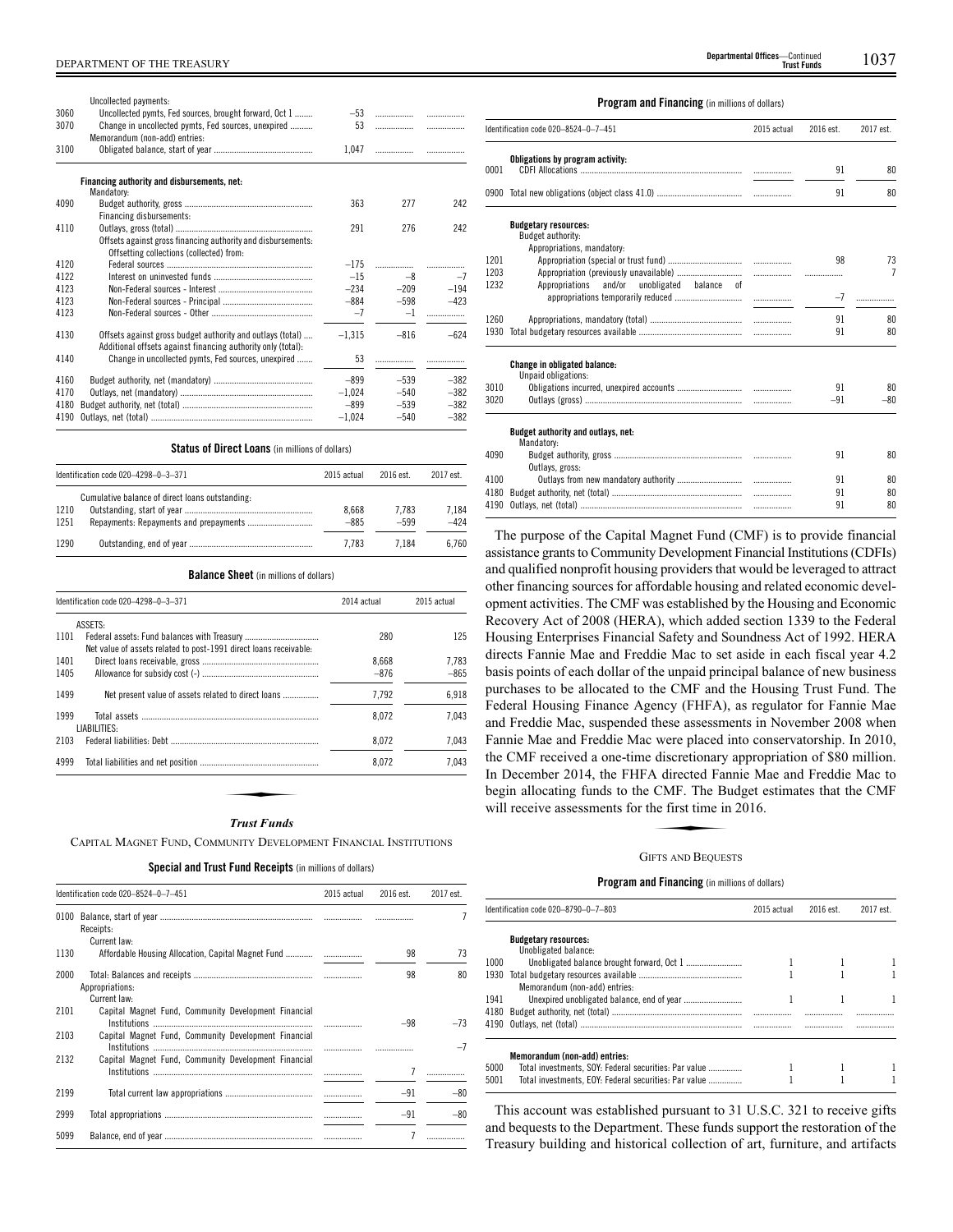|      | Uncollected payments:                                                                                               |          |        |        |
|------|---------------------------------------------------------------------------------------------------------------------|----------|--------|--------|
| 3060 | Uncollected pymts, Fed sources, brought forward, Oct 1                                                              | $-53$    | .      | .      |
| 3070 | Change in uncollected pymts, Fed sources, unexpired<br>Memorandum (non-add) entries:                                | 53       | .      |        |
| 3100 |                                                                                                                     | 1.047    | .      | .      |
|      | Financing authority and disbursements, net:                                                                         |          |        |        |
|      | Mandatory:                                                                                                          |          |        |        |
| 4090 | Financing disbursements:                                                                                            | 363      | 277    | 242    |
| 4110 |                                                                                                                     | 291      | 276    | 242    |
|      | Offsets against gross financing authority and disbursements:<br>Offsetting collections (collected) from:            |          |        |        |
| 4120 |                                                                                                                     | $-175$   | .      | .      |
| 4122 |                                                                                                                     | $-15$    | $-8$   | $-7$   |
| 4123 |                                                                                                                     | $-234$   | $-209$ | $-194$ |
| 4123 |                                                                                                                     | $-884$   | $-598$ | $-423$ |
| 4123 |                                                                                                                     | $-7$     | $-1$   | .      |
| 4130 | Offsets against gross budget authority and outlays (total)                                                          | $-1.315$ | $-816$ | $-624$ |
| 4140 | Additional offsets against financing authority only (total):<br>Change in uncollected pymts. Fed sources, unexpired | 53       |        |        |
| 4160 |                                                                                                                     | $-899$   | $-539$ | $-382$ |
| 4170 |                                                                                                                     | $-1.024$ | $-540$ | $-382$ |
| 4180 |                                                                                                                     | $-899$   | $-539$ | $-382$ |
| 4190 |                                                                                                                     | $-1.024$ | $-540$ | $-382$ |

## **Status of Direct Loans** (in millions of dollars)

|              | Identification code 020-4298-0-3-371            | 2015 actual     | 2016 est.       | 2017 est.       |
|--------------|-------------------------------------------------|-----------------|-----------------|-----------------|
| 1210<br>1251 | Cumulative balance of direct loans outstanding: | 8.668<br>$-885$ | 7.783<br>$-599$ | 7.184<br>$-424$ |
| 1290         |                                                 | 7.783           | 7.184           | 6.760           |

#### **Balance Sheet** (in millions of dollars)

|      | Identification code 020-4298-0-3-371                              | 2014 actual | 2015 actual |
|------|-------------------------------------------------------------------|-------------|-------------|
|      | <b>ASSETS:</b>                                                    |             |             |
| 1101 | Net value of assets related to post-1991 direct loans receivable: | 280         | 125         |
| 1401 |                                                                   | 8.668       | 7.783       |
| 1405 |                                                                   | $-876$      | $-865$      |
| 1499 | Net present value of assets related to direct loans               | 7.792       | 6,918       |
| 1999 | LIABILITIES:                                                      | 8.072       | 7.043       |
| 2103 |                                                                   | 8.072       | 7,043       |
| 4999 |                                                                   | 8.072       | 7.043       |
|      |                                                                   |             |             |
|      |                                                                   |             |             |
|      | Trust Funds                                                       |             |             |

#### *Trust Funds*

CAPITAL MAGNET FUND, COMMUNITY DEVELOPMENT FINANCIAL INSTITUTIONS

## **Special and Trust Fund Receipts** (in millions of dollars)

|      | Identification code 020-8524-0-7-451                 | 2015 actual | 2016 est. | 2017 est. |
|------|------------------------------------------------------|-------------|-----------|-----------|
| 0100 | Receipts:                                            |             |           |           |
| 1130 | Current law:                                         |             | 98        | 73        |
| 2000 | Appropriations:<br>Current law:                      |             | 98        | 80        |
| 2101 | Capital Magnet Fund, Community Development Financial |             | $-98$     | $-73$     |
| 2103 | Capital Magnet Fund, Community Development Financial |             |           | $-7$      |
| 2132 | Capital Magnet Fund, Community Development Financial |             |           |           |
| 2199 |                                                      |             | $-91$     | $-80$     |
| 2999 |                                                      |             | $-91$     | $-80$     |
| 5099 |                                                      |             |           |           |

#### **Program and Financing** (in millions of dollars)

|              | Identification code 020-8524-0-7-451                                           | 2015 actual | 2016 est.   | 2017 est.            |
|--------------|--------------------------------------------------------------------------------|-------------|-------------|----------------------|
| 0001         | Obligations by program activity:                                               |             | 91          | 80                   |
|              |                                                                                |             | 91          | 80                   |
|              | <b>Budgetary resources:</b><br>Budget authority:<br>Appropriations, mandatory: |             |             |                      |
| 1201<br>1203 |                                                                                |             | 98<br>.     | 73<br>$\overline{7}$ |
| 1232         | Appropriations<br>and/or<br>unobligated balance of                             |             | $-7$        |                      |
| 1260<br>1930 |                                                                                |             | 91<br>91    | 80<br>80             |
|              | <b>Change in obligated balance:</b>                                            |             |             |                      |
| 3010<br>3020 | Unpaid obligations:                                                            |             | 91<br>$-91$ | 80<br>$-80$          |
|              | Budget authority and outlays, net:<br>Mandatory:                               |             |             |                      |
| 4090         | Outlays, gross:                                                                |             | 91          | 80                   |
| 4100<br>4180 |                                                                                |             | 91<br>91    | 80<br>80             |
| 4190         |                                                                                |             | 91          | 80                   |

The purpose of the Capital Magnet Fund (CMF) is to provide financial assistance grants to Community Development Financial Institutions (CDFIs) and qualified nonprofit housing providers that would be leveraged to attract other financing sources for affordable housing and related economic development activities. The CMF was established by the Housing and Economic Recovery Act of 2008 (HERA), which added section 1339 to the Federal Housing Enterprises Financial Safety and Soundness Act of 1992. HERA directs Fannie Mae and Freddie Mac to set aside in each fiscal year 4.2 basis points of each dollar of the unpaid principal balance of new business purchases to be allocated to the CMF and the Housing Trust Fund. The Federal Housing Finance Agency (FHFA), as regulator for Fannie Mae and Freddie Mac, suspended these assessments in November 2008 when Fannie Mae and Freddie Mac were placed into conservatorship. In 2010, the CMF received a one-time discretionary appropriation of \$80 million. In December 2014, the FHFA directed Fannie Mae and Freddie Mac to<br>
begin allocating funds to the CMF. The Budget estimates that the CMF<br>
will receive assessments for the first time in 2016.<br>
GUETS AND BEOUESTS begin allocating funds to the CMF. The Budget estimates that the CMF will receive assessments for the first time in 2016.

#### GIFTS AND BEQUESTS

## **Program and Financing** (in millions of dollars)

|      | Identification code 020–8790–0–7–803                  | 2015 actual | 2016 est. | 2017 est. |
|------|-------------------------------------------------------|-------------|-----------|-----------|
|      | <b>Budgetary resources:</b>                           |             |           |           |
|      | Unobligated balance:                                  |             |           |           |
| 1000 |                                                       |             |           |           |
| 1930 |                                                       |             |           |           |
|      | Memorandum (non-add) entries:                         |             |           |           |
| 1941 |                                                       |             |           |           |
|      |                                                       |             |           |           |
|      |                                                       |             |           |           |
|      | Memorandum (non-add) entries:                         |             |           |           |
| 5000 | Total investments, SOY: Federal securities: Par value |             |           |           |
| 5001 | Total investments, EOY: Federal securities: Par value |             |           |           |

This account was established pursuant to 31 U.S.C. 321 to receive gifts and bequests to the Department. These funds support the restoration of the Treasury building and historical collection of art, furniture, and artifacts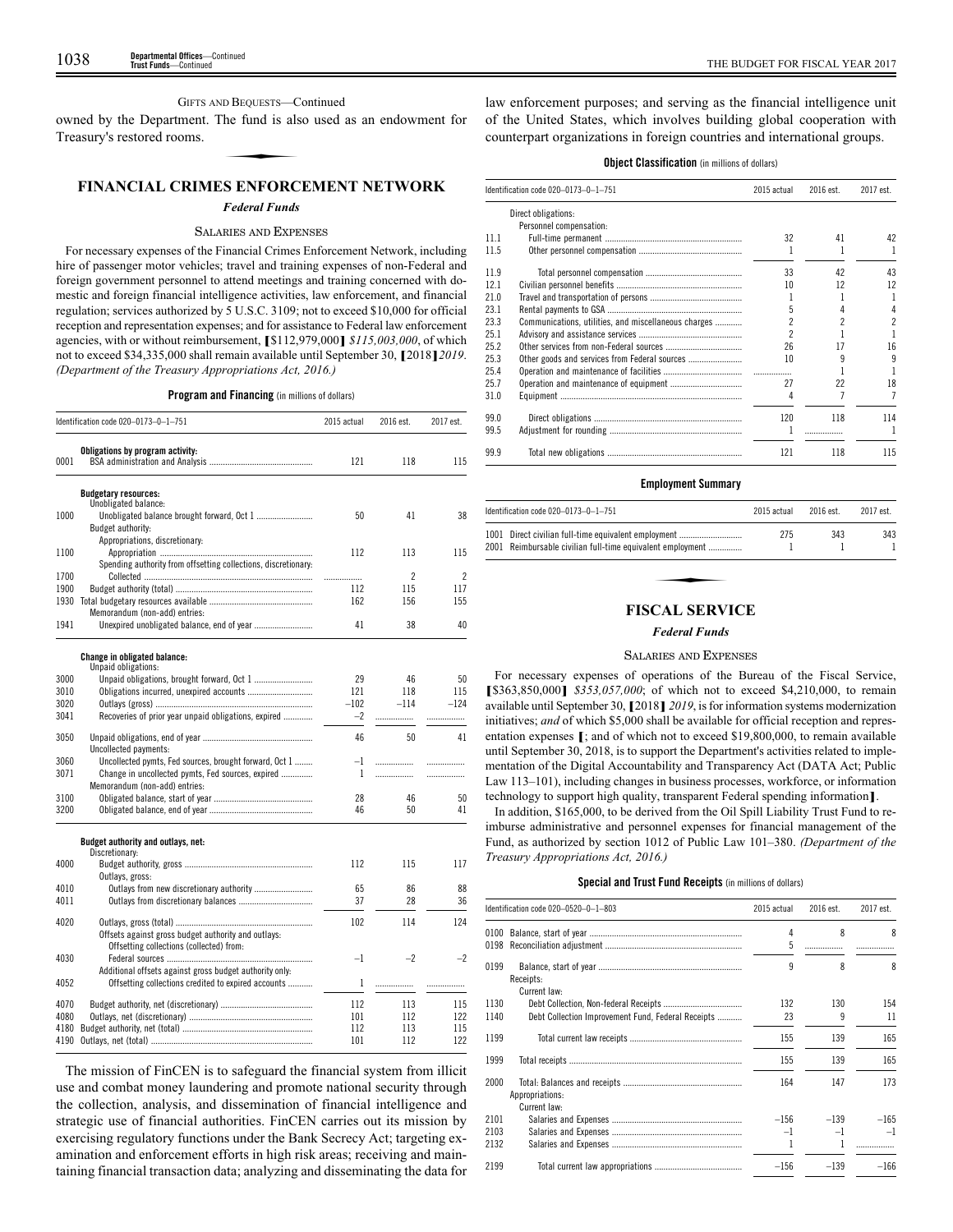## GIFTS AND BEQUESTS—Continued

owned by the Department. The fund is also used as an endowment for Treasury's restored rooms. D BEQUESTS—C<br>he fund is als<br>S ENEOPC

## **FINANCIAL CRIMES ENFORCEMENT NETWORK**

#### *Federal Funds*

## SALARIES AND EXPENSES

For necessary expenses of the Financial Crimes Enforcement Network, including hire of passenger motor vehicles; travel and training expenses of non-Federal and foreign government personnel to attend meetings and training concerned with domestic and foreign financial intelligence activities, law enforcement, and financial regulation; services authorized by 5 U.S.C. 3109; not to exceed \$10,000 for official reception and representation expenses; and for assistance to Federal law enforcement agencies, with or without reimbursement, **[**\$112,979,000**]** *\$115,003,000*, of which not to exceed \$34,335,000 shall remain available until September 30, **[**2018**]***2019*. *(Department of the Treasury Appropriations Act, 2016.)*

**Program and Financing** (in millions of dollars)

|      | Identification code 020-0173-0-1-751                                                                           | 2015 actual | 2016 est.      | 2017 est.      |
|------|----------------------------------------------------------------------------------------------------------------|-------------|----------------|----------------|
| 0001 | Obligations by program activity:                                                                               | 121         | 118            | 115            |
|      | <b>Budgetary resources:</b>                                                                                    |             |                |                |
| 1000 | Unobligated balance:<br>Budget authority:                                                                      | 50          | 41             | 38             |
|      | Appropriations, discretionary:                                                                                 |             |                |                |
| 1100 |                                                                                                                | 112         | 113            | 115            |
|      | Spending authority from offsetting collections, discretionary:                                                 |             |                |                |
| 1700 |                                                                                                                | .           | $\overline{c}$ | $\overline{c}$ |
| 1900 |                                                                                                                | 112         | 115            | 117            |
| 1930 |                                                                                                                | 162         | 156            | 155            |
|      | Memorandum (non-add) entries:                                                                                  |             |                |                |
| 1941 |                                                                                                                | 41          | 38             | 40             |
|      | Change in obligated balance:                                                                                   |             |                |                |
|      | Unpaid obligations:                                                                                            |             |                |                |
| 3000 |                                                                                                                | 29          | 46             | 50             |
| 3010 |                                                                                                                | 121         | 118            | 115            |
| 3020 |                                                                                                                | $-102$      | $-114$         | $-124$         |
| 3041 | Recoveries of prior year unpaid obligations, expired                                                           | $-2$        | .              |                |
| 3050 | Uncollected payments:                                                                                          | 46          | 50             | 41             |
| 3060 | Uncollected pymts, Fed sources, brought forward, Oct 1                                                         | $-1$        | .              | .              |
| 3071 | Change in uncollected pymts, Fed sources, expired                                                              | 1           | .              | .              |
|      | Memorandum (non-add) entries:                                                                                  |             |                |                |
| 3100 |                                                                                                                | 28          | 46             | 50             |
| 3200 |                                                                                                                | 46          | 50             | 41             |
|      | Budget authority and outlays, net:                                                                             |             |                |                |
|      | Discretionary:                                                                                                 |             |                |                |
| 4000 |                                                                                                                | 112         | 115            | 117            |
|      | Outlays, gross:                                                                                                |             |                |                |
| 4010 |                                                                                                                | 65          | 86             | 88             |
| 4011 |                                                                                                                | 37          | 28             | 36             |
| 4020 |                                                                                                                | 102         | 114            | 124            |
|      | Offsets against gross budget authority and outlays:<br>Offsetting collections (collected) from:                |             |                |                |
| 4030 |                                                                                                                | $-1$        | $-2$           | $-2$           |
| 4052 | Additional offsets against gross budget authority only:<br>Offsetting collections credited to expired accounts | 1           | .              |                |
| 4070 |                                                                                                                | 112         | 113            | 115            |
| 4080 |                                                                                                                | 101         | 112            | 122            |
| 4180 |                                                                                                                | 112         | 113            | 115            |
| 4190 |                                                                                                                | 101         | 112            | 122            |

The mission of FinCEN is to safeguard the financial system from illicit use and combat money laundering and promote national security through the collection, analysis, and dissemination of financial intelligence and strategic use of financial authorities. FinCEN carries out its mission by exercising regulatory functions under the Bank Secrecy Act; targeting examination and enforcement efforts in high risk areas; receiving and maintaining financial transaction data; analyzing and disseminating the data for law enforcement purposes; and serving as the financial intelligence unit of the United States, which involves building global cooperation with counterpart organizations in foreign countries and international groups.

## **Object Classification** (in millions of dollars)

|      | Identification code 020-0173-0-1-751                 | 2015 actual | 2016 est. | 2017 est.      |
|------|------------------------------------------------------|-------------|-----------|----------------|
|      | Direct obligations:                                  |             |           |                |
|      | Personnel compensation:                              |             |           |                |
| 11.1 |                                                      | 32          | 41        | 42             |
| 11.5 |                                                      |             |           |                |
| 11.9 |                                                      | 33          | 42        | 43             |
| 12.1 |                                                      | 10          | 12        | 12             |
| 21.0 |                                                      |             |           | 1              |
| 23.1 |                                                      | 5           | 4         | 4              |
| 23.3 | Communications, utilities, and miscellaneous charges |             | 2         | $\overline{c}$ |
| 25.1 |                                                      |             |           |                |
| 25.2 |                                                      | 26          | 17        | 16             |
| 25.3 | Other goods and services from Federal sources        | 10          | 9         | 9              |
| 25.4 |                                                      |             |           |                |
| 25.7 |                                                      | 27          | 22        | 18             |
| 31.0 |                                                      | 4           |           | 7              |
| 99.0 |                                                      | 120         | 118       | 114            |
| 99.5 |                                                      |             | .         | ı              |
| 99.9 |                                                      | 121         | 118       | 115            |
|      |                                                      |             |           |                |

#### **Employment Summary**

| Identification code $020-0173-0-1-751$                                                                             | 2015 actual | 2016 est. | 2017 est. |
|--------------------------------------------------------------------------------------------------------------------|-------------|-----------|-----------|
| 1001 Direct civilian full-time equivalent employment<br>2001 Reimbursable civilian full-time equivalent employment | 275         | 343       | 343       |
|                                                                                                                    |             |           |           |
| ексат серуісе                                                                                                      |             |           |           |

## **FISCAL SERVICE**

## *Federal Funds*

#### SALARIES AND EXPENSES

For necessary expenses of operations of the Bureau of the Fiscal Service, **[**\$363,850,000**]** *\$353,057,000*; of which not to exceed \$4,210,000, to remain available until September 30, **[**2018**]** *2019*, is for information systems modernization initiatives; *and* of which \$5,000 shall be available for official reception and representation expenses **[**; and of which not to exceed \$19,800,000, to remain available until September 30, 2018, is to support the Department's activities related to implementation of the Digital Accountability and Transparency Act (DATA Act; Public Law 113–101), including changes in business processes, workforce, or information technology to support high quality, transparent Federal spending information**]**.

In addition, \$165,000, to be derived from the Oil Spill Liability Trust Fund to reimburse administrative and personnel expenses for financial management of the Fund, as authorized by section 1012 of Public Law 101–380. *(Department of the Treasury Appropriations Act, 2016.)*

## **Special and Trust Fund Receipts** (in millions of dollars)

|              | Identification code 020-0520-0-1-803               | 2015 actual | 2016 est. | 2017 est. |
|--------------|----------------------------------------------------|-------------|-----------|-----------|
| 0100<br>0198 |                                                    | 4<br>5      | 8         | 8         |
| 0199         | Receipts:<br>Current law:                          | 9           | 8         | 8         |
| 1130         |                                                    | 132         | 130       | 154       |
| 1140         | Debt Collection Improvement Fund, Federal Receipts | 23          | 9         | 11        |
| 1199         |                                                    | 155         | 139       | 165       |
| 1999         |                                                    | 155         | 139       | 165       |
| 2000         | Appropriations:<br>Current law:                    | 164         | 147       | 173       |
| 2101         |                                                    | $-156$      | $-139$    | $-165$    |
| 2103         |                                                    | $-1$        | $-1$      | $-1$      |
| 2132         |                                                    |             |           |           |
| 2199         |                                                    | $-156$      | $-139$    | $-166$    |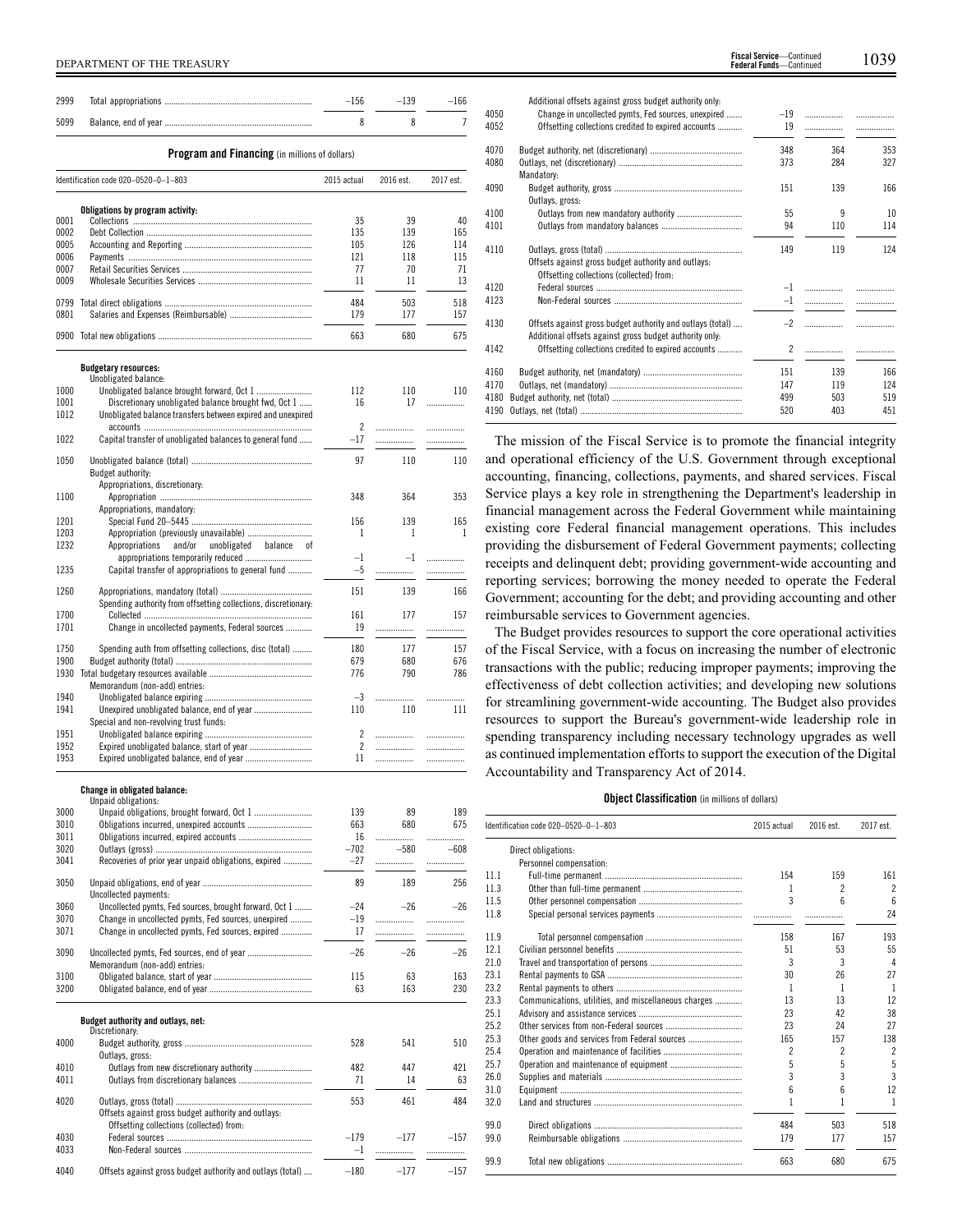| 2999         |                                                                | $-156$                   | $-139$    | $-166$    |
|--------------|----------------------------------------------------------------|--------------------------|-----------|-----------|
| 5099         |                                                                | 8                        | 8         | 7         |
|              | Program and Financing (in millions of dollars)                 |                          |           |           |
|              | Identification code 020-0520-0-1-803                           | 2015 actual              | 2016 est. | 2017 est. |
|              | Obligations by program activity:                               |                          |           |           |
| 0001         |                                                                | 35                       | 39        | 40        |
| 0002         |                                                                | 135                      | 139       | 165       |
| 0005         |                                                                | 105                      | 126       | 114       |
| 0006         |                                                                | 121                      | 118       | 115       |
| 0007         |                                                                | 77                       | 70        | 71        |
| 0009         |                                                                | 11                       | 11        | 13        |
|              |                                                                | 484                      | 503       | 518       |
| 0799<br>0801 |                                                                | 179                      | 177       | 157       |
|              |                                                                |                          |           |           |
|              |                                                                | 663                      | 680       | 675       |
|              | <b>Budgetary resources:</b>                                    |                          |           |           |
|              | Unobligated balance:                                           |                          |           |           |
| 1000         |                                                                | 112                      | 110       | 110       |
| 1001         | Discretionary unobligated balance brought fwd, Oct 1           | 16                       | 17        | .         |
| 1012         | Unobligated balance transfers between expired and unexpired    |                          |           |           |
|              |                                                                | $\overline{\phantom{a}}$ | .         |           |
| 1022         | Capital transfer of unobligated balances to general fund       | $-17$                    | .         | .         |
| 1050         |                                                                | 97                       | 110       | 110       |
|              | Budget authority:                                              |                          |           |           |
|              | Appropriations, discretionary:                                 |                          |           |           |
| 1100         |                                                                | 348                      | 364       | 353       |
|              | Appropriations, mandatory:                                     |                          |           |           |
| 1201         |                                                                | 156                      | 139       | 165       |
| 1203         | Appropriation (previously unavailable)                         | 1                        | 1         | 1         |
| 1232         | and/or<br>Appropriations<br>unobligated<br>balance<br>0f       |                          |           |           |
|              |                                                                | $-1$                     | $-1$      | .         |
| 1235         | Capital transfer of appropriations to general fund             | $-5$                     | .         | .         |
| 1260         |                                                                | 151                      | 139       | 166       |
|              | Spending authority from offsetting collections, discretionary: |                          |           |           |
| 1700         |                                                                | 161                      | 177       | 157       |
| 1701         | Change in uncollected payments, Federal sources                | 19                       | .         | .         |
|              |                                                                |                          |           |           |
| 1750         | Spending auth from offsetting collections, disc (total)        | 180                      | 177       | 157       |
| 1900         |                                                                | 679                      | 680       | 676       |
| 1930         |                                                                | 776                      | 790       | 786       |
|              | Memorandum (non-add) entries:                                  |                          |           |           |
| 1940         |                                                                | $-3$                     |           | .         |
| 1941         | Unexpired unobligated balance, end of year                     | 110                      | 110       | 111       |
|              | Special and non-revolving trust funds:                         |                          |           |           |
| 1951         |                                                                | $\overline{2}$           | .         | .         |
| 1952         |                                                                | $\overline{c}$           | .         | .         |
| 1953         | Expired unobligated balance, end of year                       | 11                       | .         | .         |

#### **Change in obligated balance:** ungu ... unigations

| 3000 |                                                            | 139    | 89     | 189    |
|------|------------------------------------------------------------|--------|--------|--------|
| 3010 |                                                            | 663    | 680    | 675    |
| 3011 |                                                            | 16     |        | .      |
| 3020 |                                                            | $-702$ | $-580$ | $-608$ |
| 3041 | Recoveries of prior year unpaid obligations, expired       | $-27$  |        | .      |
|      |                                                            |        |        |        |
| 3050 |                                                            | 89     | 189    | 256    |
|      | Uncollected payments:                                      |        |        |        |
| 3060 | Uncollected pymts, Fed sources, brought forward, Oct 1     | $-24$  | $-26$  | $-26$  |
| 3070 | Change in uncollected pymts, Fed sources, unexpired        | $-19$  |        | .      |
| 3071 | Change in uncollected pymts, Fed sources, expired          | 17     |        | .      |
| 3090 |                                                            | $-26$  | $-26$  | $-26$  |
|      |                                                            |        |        |        |
|      | Memorandum (non-add) entries:                              |        |        |        |
| 3100 |                                                            | 115    | 63     | 163    |
| 3200 |                                                            | 63     | 163    | 230    |
|      | Budget authority and outlays, net:                         |        |        |        |
|      | Discretionary:                                             |        |        |        |
| 4000 |                                                            | 528    | 541    | 510    |
|      | Outlays, gross:                                            |        |        |        |
| 4010 | Outlays from new discretionary authority                   | 482    | 447    | 421    |
| 4011 |                                                            | 71     | 14     | 63     |
|      |                                                            |        |        |        |
| 4020 |                                                            | 553    | 461    | 484    |
|      | Offsets against gross budget authority and outlays:        |        |        |        |
|      | Offsetting collections (collected) from:                   |        |        |        |
| 4030 |                                                            | $-179$ | $-177$ | $-157$ |
| 4033 |                                                            | $-1$   |        | .      |
| 4040 | Offsets against gross budget authority and outlays (total) | $-180$ | $-177$ | $-157$ |
|      |                                                            |        |        |        |

|      | Additional offsets against gross budget authority only.                                                               |       |     |     |
|------|-----------------------------------------------------------------------------------------------------------------------|-------|-----|-----|
| 4050 | Change in uncollected pymts, Fed sources, unexpired                                                                   | $-19$ |     | .   |
| 4052 | Offsetting collections credited to expired accounts                                                                   | 19    | .   |     |
| 4070 |                                                                                                                       | 348   | 364 | 353 |
| 4080 |                                                                                                                       | 373   | 284 | 327 |
|      | Mandatory:                                                                                                            |       |     |     |
| 4090 |                                                                                                                       | 151   | 139 | 166 |
|      | Outlays, gross:                                                                                                       |       |     |     |
| 4100 |                                                                                                                       | 55    | q   | 10  |
| 4101 |                                                                                                                       | 94    | 110 | 114 |
| 4110 |                                                                                                                       | 149   | 119 | 124 |
|      | Offsets against gross budget authority and outlays:<br>Offsetting collections (collected) from:                       |       |     |     |
| 4120 |                                                                                                                       |       |     |     |
| 4123 |                                                                                                                       | $-1$  | .   |     |
| 4130 | Offsets against gross budget authority and outlays (total)<br>Additional offsets against gross budget authority only: | $-2$  |     | .   |
| 4142 | Offsetting collections credited to expired accounts                                                                   | 2     |     |     |
| 4160 |                                                                                                                       | 151   | 139 | 166 |
| 4170 |                                                                                                                       | 147   | 119 | 124 |
| 4180 |                                                                                                                       | 499   | 503 | 519 |
| 4190 |                                                                                                                       | 520   | 403 | 451 |
|      |                                                                                                                       |       |     |     |

The mission of the Fiscal Service is to promote the financial integrity and operational efficiency of the U.S. Government through exceptional accounting, financing, collections, payments, and shared services. Fiscal Service plays a key role in strengthening the Department's leadership in financial management across the Federal Government while maintaining existing core Federal financial management operations. This includes providing the disbursement of Federal Government payments; collecting receipts and delinquent debt; providing government-wide accounting and reporting services; borrowing the money needed to operate the Federal Government; accounting for the debt; and providing accounting and other reimbursable services to Government agencies.

The Budget provides resources to support the core operational activities of the Fiscal Service, with a focus on increasing the number of electronic transactions with the public; reducing improper payments; improving the effectiveness of debt collection activities; and developing new solutions for streamlining government-wide accounting. The Budget also provides resources to support the Bureau's government-wide leadership role in spending transparency including necessary technology upgrades as well as continued implementation efforts to support the execution of the Digital Accountability and Transparency Act of 2014.

#### **Object Classification** (in millions of dollars)

|      | Identification code 020-0520-0-1-803                 | 2015 actual | 2016 est.                | 2017 est.       |
|------|------------------------------------------------------|-------------|--------------------------|-----------------|
|      | Direct obligations:                                  |             |                          |                 |
|      | Personnel compensation:                              |             |                          |                 |
| 11.1 |                                                      | 154         | 159                      | 161             |
| 11.3 |                                                      | 1           | $\overline{\phantom{a}}$ | $\overline{c}$  |
| 11.5 |                                                      | 3           | ĥ                        | $6\overline{6}$ |
| 11.8 |                                                      |             |                          | 24              |
| 11.9 |                                                      | 158         | 167                      | 193             |
| 12.1 |                                                      | 51          | 53                       | 55              |
| 21.0 |                                                      | 3           | 3                        | 4               |
| 23.1 |                                                      | 30          | 26                       | 27              |
| 23.2 |                                                      | 1           | 1                        | 1               |
| 23.3 | Communications, utilities, and miscellaneous charges | 13          | 13                       | 12              |
| 25.1 |                                                      | 23          | 42                       | 38              |
| 25.2 |                                                      | 23          | 24                       | 27              |
| 25.3 |                                                      | 165         | 157                      | 138             |
| 25.4 |                                                      | 2           | $\overline{\phantom{a}}$ | $\overline{2}$  |
| 25.7 |                                                      | 5           | 5                        | 5               |
| 26.0 |                                                      | 3           | 3                        | $\overline{3}$  |
| 31.0 |                                                      | 6           | $6\overline{6}$          | 12              |
| 32.0 |                                                      |             |                          | 1               |
| 99.0 |                                                      | 484         | 503                      | 518             |
| 99.0 |                                                      | 179         | 177                      | 157             |
| 99.9 |                                                      | 663         | 680                      | 675             |
|      |                                                      |             |                          |                 |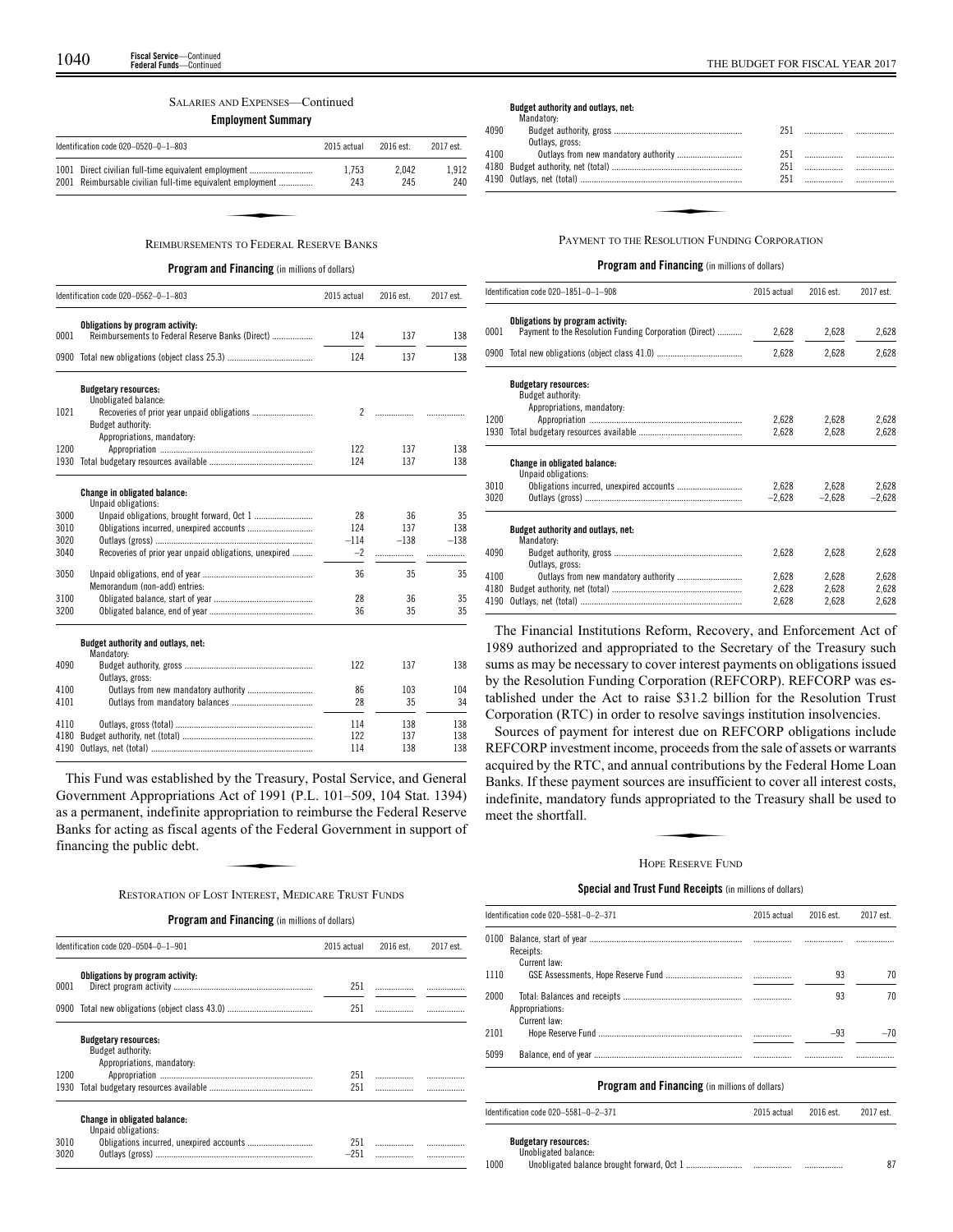#### SALARIES AND EXPENSES—Continued

**Employment Summary**

| 1.912<br>Direct civilian full-time equivalent employment<br>1.753<br>2.042      |
|---------------------------------------------------------------------------------|
| 2001 Reimbursable civilian full-time equivalent employment<br>240<br>245<br>243 |
|                                                                                 |

**Program and Financing** (in millions of dollars)

|      | Identification code 020-0562-0-1-803                   | 2015 actual    | 2016 est. | 2017 est. |
|------|--------------------------------------------------------|----------------|-----------|-----------|
|      | Obligations by program activity:                       |                |           |           |
| 0001 | Reimbursements to Federal Reserve Banks (Direct)       | 124            | 137       | 138       |
|      |                                                        | 124            | 137       | 138       |
|      | <b>Budgetary resources:</b>                            |                |           |           |
| 1021 | Unobligated balance:                                   | $\mathfrak{p}$ |           |           |
|      | Budget authority:                                      |                | .         |           |
|      | Appropriations, mandatory:                             |                |           |           |
| 1200 |                                                        | 122            | 137       | 138       |
| 1930 |                                                        | 124            | 137       | 138       |
|      |                                                        |                |           |           |
|      | Change in obligated balance:                           |                |           |           |
| 3000 | Unpaid obligations:                                    | 28             | 36        | 35        |
| 3010 |                                                        | 124            | 137       | 138       |
| 3020 |                                                        | $-114$         | $-138$    | $-138$    |
| 3040 | Recoveries of prior year unpaid obligations, unexpired | $-2$           |           |           |
| 3050 |                                                        | 36             | 35        | 35        |
|      | Memorandum (non-add) entries:                          |                |           |           |
| 3100 |                                                        | 28             | 36        | 35        |
| 3200 |                                                        | 36             | 35        | 35        |
|      |                                                        |                |           |           |
|      | Budget authority and outlays, net:<br>Mandatory:       |                |           |           |
| 4090 |                                                        | 122            | 137       | 138       |
|      | Outlays, gross:                                        |                |           |           |
| 4100 |                                                        | 86             | 103       | 104       |
| 4101 |                                                        | 28             | 35        | 34        |
| 4110 |                                                        | 114            | 138       | 138       |
| 4180 |                                                        | 122            | 137       | 138       |
| 4190 |                                                        | 114            | 138       | 138       |

This Fund was established by the Treasury, Postal Service, and General Government Appropriations Act of 1991 (P.L. 101–509, 104 Stat. 1394) as a permanent, indefinite appropriation to reimburse the Federal Reserve Banks for acting as fiscal agents of the Federal Government in support of financing the public debt. ret of 1991 (1)<br>propriation to r<br>nts of the Fede<br>T INTEREST ME

RESTORATION OF LOST INTEREST, MEDICARE TRUST FUNDS

**Program and Financing** (in millions of dollars)

|      | Identification code 020-0504-0-1-901                                           | 2015 actual | 2016 est. | 2017 est. |
|------|--------------------------------------------------------------------------------|-------------|-----------|-----------|
| 0001 | Obligations by program activity:                                               | 251         |           |           |
| 0900 |                                                                                | 251         |           |           |
|      | <b>Budgetary resources:</b><br>Budget authority:<br>Appropriations, mandatory: |             |           |           |
| 1200 |                                                                                | 251         |           |           |
| 1930 |                                                                                | 251         |           |           |
|      | Change in obligated balance:<br>Unpaid obligations:                            |             |           |           |
| 3010 |                                                                                | 251         |           |           |
| 3020 |                                                                                | $-251$      |           |           |

#### **Budget authority and outlays, net:**

|      | Mandatory:                                    |     |  |
|------|-----------------------------------------------|-----|--|
| 4090 |                                               | 251 |  |
|      | Outlays, gross:                               |     |  |
| 4100 |                                               | 251 |  |
|      |                                               | 251 |  |
|      |                                               | 251 |  |
|      |                                               |     |  |
|      |                                               |     |  |
|      |                                               |     |  |
|      | PAYMENT TO THE RESOLUTION FUNDING CORPORATION |     |  |
|      |                                               |     |  |

## **Program and Financing** (in millions of dollars)

|      | Identification code 020-1851-0-1-908                   | 2015 actual | 2016 est. | 2017 est. |
|------|--------------------------------------------------------|-------------|-----------|-----------|
|      | Obligations by program activity:                       |             |           |           |
| 0001 | Payment to the Resolution Funding Corporation (Direct) | 2,628       | 2,628     | 2,628     |
|      | 0900 Total new obligations (object class 41.0)         | 2,628       | 2,628     | 2,628     |
|      | <b>Budgetary resources:</b>                            |             |           |           |
|      | Budget authority:                                      |             |           |           |
|      | Appropriations, mandatory:                             |             |           |           |
| 1200 |                                                        | 2,628       | 2,628     | 2,628     |
|      |                                                        | 2,628       | 2,628     | 2,628     |
|      | Change in obligated balance:                           |             |           |           |
|      | Unpaid obligations:                                    |             |           |           |
| 3010 |                                                        | 2,628       | 2.628     | 2,628     |
| 3020 |                                                        | $-2,628$    | $-2,628$  | $-2,628$  |
|      | Budget authority and outlays, net:                     |             |           |           |
|      | Mandatory:                                             |             |           |           |
| 4090 |                                                        | 2,628       | 2,628     | 2,628     |
|      | Outlays, gross:                                        |             |           |           |
| 4100 |                                                        | 2,628       | 2,628     | 2,628     |
| 4180 |                                                        | 2,628       | 2,628     | 2,628     |
| 4190 |                                                        | 2,628       | 2,628     | 2,628     |

The Financial Institutions Reform, Recovery, and Enforcement Act of 1989 authorized and appropriated to the Secretary of the Treasury such sums as may be necessary to cover interest payments on obligations issued by the Resolution Funding Corporation (REFCORP). REFCORP was established under the Act to raise \$31.2 billion for the Resolution Trust Corporation (RTC) in order to resolve savings institution insolvencies.

Sources of payment for interest due on REFCORP obligations include REFCORP investment income, proceeds from the sale of assets or warrants acquired by the RTC, and annual contributions by the Federal Home Loan Banks. If these payment sources are insufficient to cover all interest costs, indefinite, mandatory funds appropriated to the Treasury shall be used to meet the shortfall. dat compound<br>es are insuffic<br>ppropriated to<br>ppe Reserve Fu

## HOPE RESERVE FUND

## **Special and Trust Fund Receipts** (in millions of dollars)

|      | Identification code 020-5581-0-2-371                  | 2015 actual | 2016 est. | 2017 est. |
|------|-------------------------------------------------------|-------------|-----------|-----------|
| 0100 | Receipts:                                             |             |           |           |
| 1110 | Current law:                                          |             | 93        | 70        |
| 2000 | Appropriations:<br>Current law:                       |             | 93        | 70        |
| 2101 |                                                       |             | $-93$     | $-70$     |
| 5099 |                                                       |             |           |           |
|      | <b>Program and Financing</b> (in millions of dollars) |             |           |           |
|      | Identification code 020-5581-0-2-371                  | 2015 actual | 2016 est. | 2017 est. |

**Budgetary resources:** Unobligated balance:

|      | and and the same services |      |  |
|------|---------------------------|------|--|
| 1000 |                           | <br> |  |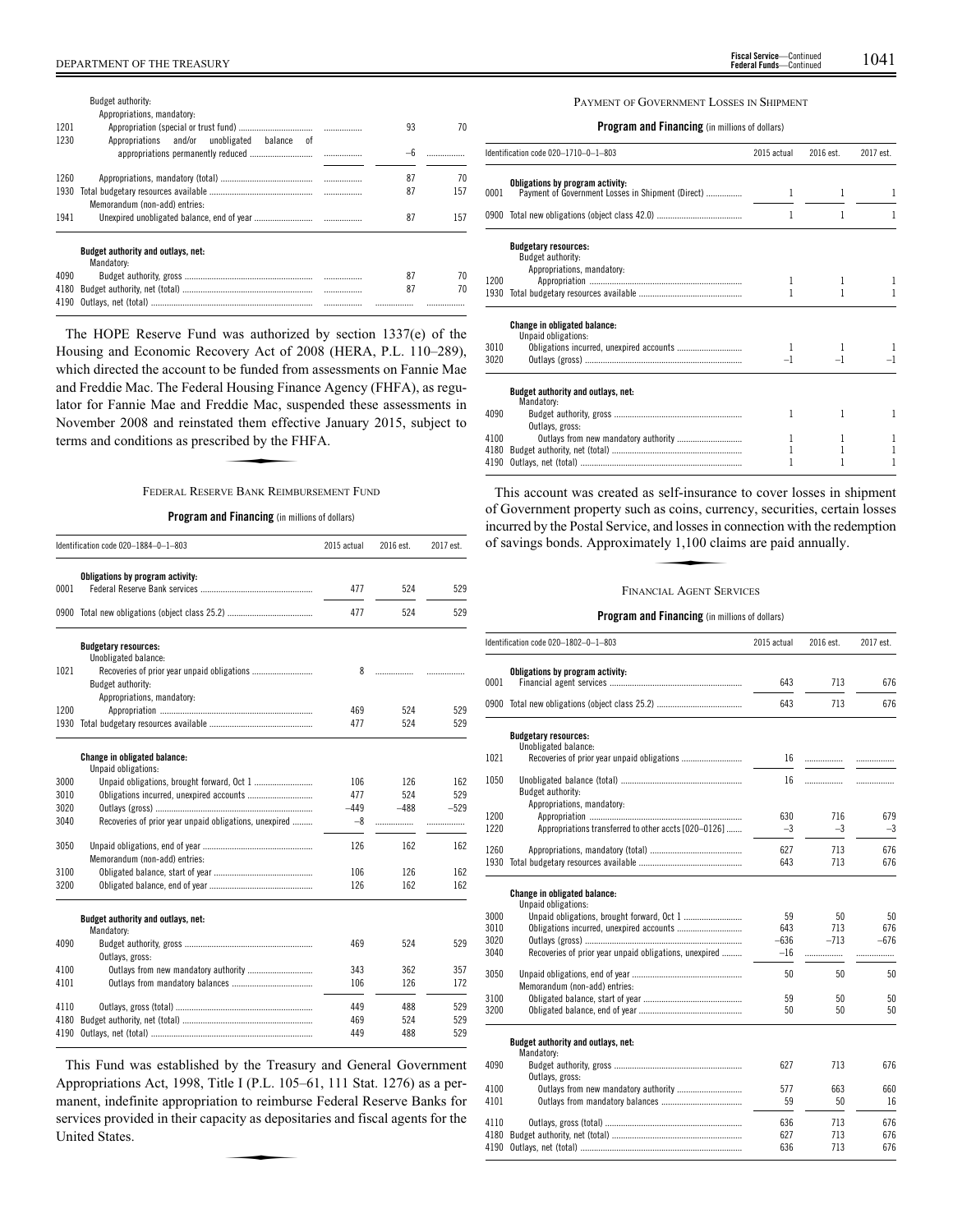|      | Budget authority:<br>Appropriations, mandatory:         |   |    |     |
|------|---------------------------------------------------------|---|----|-----|
| 1201 |                                                         |   | 93 | 70  |
| 1230 | Appropriations and/or unobligated<br>balance of         |   |    |     |
| 1260 |                                                         |   | 87 | 70  |
| 1930 |                                                         |   | 87 | 157 |
|      | Memorandum (non-add) entries:                           |   |    |     |
| 1941 |                                                         |   | 87 | 157 |
|      | <b>Budget authority and outlays, net:</b><br>Mandatory: |   |    |     |
| 4090 |                                                         |   | 87 | 70  |
| 4180 |                                                         | . | 87 | 70  |
| 4190 |                                                         |   |    | .   |

The HOPE Reserve Fund was authorized by section 1337(e) of the Housing and Economic Recovery Act of 2008 (HERA, P.L. 110–289), which directed the account to be funded from assessments on Fannie Mae and Freddie Mac. The Federal Housing Finance Agency (FHFA), as regulator for Fannie Mae and Freddie Mac, suspended these assessments in<br>November 2008 and reinstated them effective January 2015, subject to<br>terms and conditions as prescribed by the FHFA.<br>FEDERAL RESERVE BANK REIMBURSEMENT F November 2008 and reinstated them effective January 2015, subject to terms and conditions as prescribed by the FHFA.

## FEDERAL RESERVE BANK REIMBURSEMENT FUND

## **Program and Financing** (in millions of dollars)

|              | Identification code 020-1884-0-1-803                   | 2015 actual | 2016 est.  | 2017 est.  |
|--------------|--------------------------------------------------------|-------------|------------|------------|
|              | Obligations by program activity:                       |             |            |            |
| 0001         |                                                        | 477         | 524        | 529        |
|              |                                                        | 477         | 524        | 529        |
|              | <b>Budgetary resources:</b>                            |             |            |            |
|              | Unobligated balance:                                   |             |            |            |
| 1021         | Recoveries of prior year unpaid obligations            | 8           | .          |            |
|              | Budget authority:                                      |             |            |            |
|              | Appropriations, mandatory:                             |             |            |            |
| 1200<br>1930 |                                                        | 469         | 524<br>524 | 529<br>529 |
|              |                                                        | 477         |            |            |
|              | Change in obligated balance:                           |             |            |            |
|              | Unpaid obligations:                                    |             |            |            |
| 3000         |                                                        | 106         | 126        | 162        |
| 3010         |                                                        | 477         | 524        | 529        |
| 3020         |                                                        | $-449$      | $-488$     | $-529$     |
| 3040         | Recoveries of prior year unpaid obligations, unexpired | -8          | .          | .          |
| 3050         |                                                        | 126         | 162        | 162        |
|              | Memorandum (non-add) entries:                          |             |            |            |
| 3100         |                                                        | 106         | 126        | 162        |
| 3200         |                                                        | 126         | 162        | 162        |
|              | Budget authority and outlays, net:                     |             |            |            |
|              | Mandatory:                                             |             |            |            |
| 4090         |                                                        | 469         | 524        | 529        |
|              | Outlays, gross:                                        |             |            |            |
| 4100         |                                                        | 343         | 362        | 357        |
| 4101         |                                                        | 106         | 126        | 172        |
| 4110         |                                                        | 449         | 488        | 529        |
| 4180         |                                                        | 469         | 524        | 529        |
| 4190         |                                                        | 449         | 488        | 529        |

This Fund was established by the Treasury and General Government Appropriations Act, 1998, Title I (P.L. 105–61, 111 Stat. 1276) as a permanent, indefinite appropriation to reimburse Federal Reserve Banks for services provided in their capacity as depositaries and fiscal agents for the United States. ion to reimbur<br>acity as deposi

## PAYMENT OF GOVERNMENT LOSSES IN SHIPMENT

## **Program and Financing** (in millions of dollars)

|      | Identification code 020-1710-0-1-803                                                  | 2015 actual | 2016 est. | 2017 est. |
|------|---------------------------------------------------------------------------------------|-------------|-----------|-----------|
| 0001 | Obligations by program activity:<br>Payment of Government Losses in Shipment (Direct) | 1           | 1         | 1         |
|      |                                                                                       |             |           |           |
|      | <b>Budgetary resources:</b><br>Budget authority:                                      |             |           |           |
| 1200 | Appropriations, mandatory:                                                            |             |           |           |
| 1930 |                                                                                       |             |           |           |
|      | <b>Change in obligated balance:</b><br>Unpaid obligations:                            |             |           |           |
| 3010 |                                                                                       |             |           |           |
| 3020 |                                                                                       | $-1$        | $-1$      |           |
|      | Budget authority and outlays, net:<br>Mandatory:                                      |             |           |           |
| 4090 | Outlays, gross:                                                                       | 1           |           |           |
| 4100 |                                                                                       |             |           | 1         |
| 4180 |                                                                                       |             |           |           |
| 4190 |                                                                                       |             |           |           |

This account was created as self-insurance to cover losses in shipment of Government property such as coins, currency, securities, certain losses incurred by the Postal Service, and losses in connection with the redemption of savings bonds. Approximately 1,100 claims are paid annually. as coins, current<br>and losses in c<br>tely 1,100 clai

## FINANCIAL AGENT SERVICES

|      | Identification code 020-1802-0-1-803                   | 2015 actual | 2016 est. | 2017 est. |
|------|--------------------------------------------------------|-------------|-----------|-----------|
|      | Obligations by program activity:                       |             |           |           |
| 0001 |                                                        | 643         | 713       | 676       |
| 0900 |                                                        | 643         | 713       | 676       |
|      | <b>Budgetary resources:</b><br>Unobligated balance:    |             |           |           |
| 1021 |                                                        | 16          | .         |           |
|      |                                                        |             |           |           |
| 1050 | Budget authority:                                      | 16          | .         |           |
|      | Appropriations, mandatory:                             |             |           |           |
| 1200 |                                                        | 630         | 716       | 679       |
| 1220 | Appropriations transferred to other accts [020-0126]   | $-3$        | $-3$      | $-3$      |
| 1260 |                                                        | 627         | 713       | 676       |
| 1930 |                                                        | 643         | 713       | 676       |
|      | Change in obligated balance:<br>Unpaid obligations:    |             |           |           |
| 3000 |                                                        | 59          | 50        | 50        |
| 3010 |                                                        | 643         | 713       | 676       |
| 3020 |                                                        | $-636$      | $-713$    | $-676$    |
| 3040 | Recoveries of prior year unpaid obligations, unexpired | $-16$       | .         |           |
| 3050 | Memorandum (non-add) entries:                          | 50          | 50        | 50        |
| 3100 |                                                        | 59          | 50        | 50        |
| 3200 |                                                        | 50          | 50        | 50        |
|      | Budget authority and outlays, net:<br>Mandatory:       |             |           |           |
| 4090 | Outlays, gross:                                        | 627         | 713       | 676       |
| 4100 |                                                        | 577         | 663       | 660       |
| 4101 |                                                        | 59          | 50        | 16        |
| 4110 |                                                        | 636         | 713       | 676       |
| 4180 |                                                        | 627         | 713       | 676       |
| 4190 |                                                        | 636         | 713       | 676       |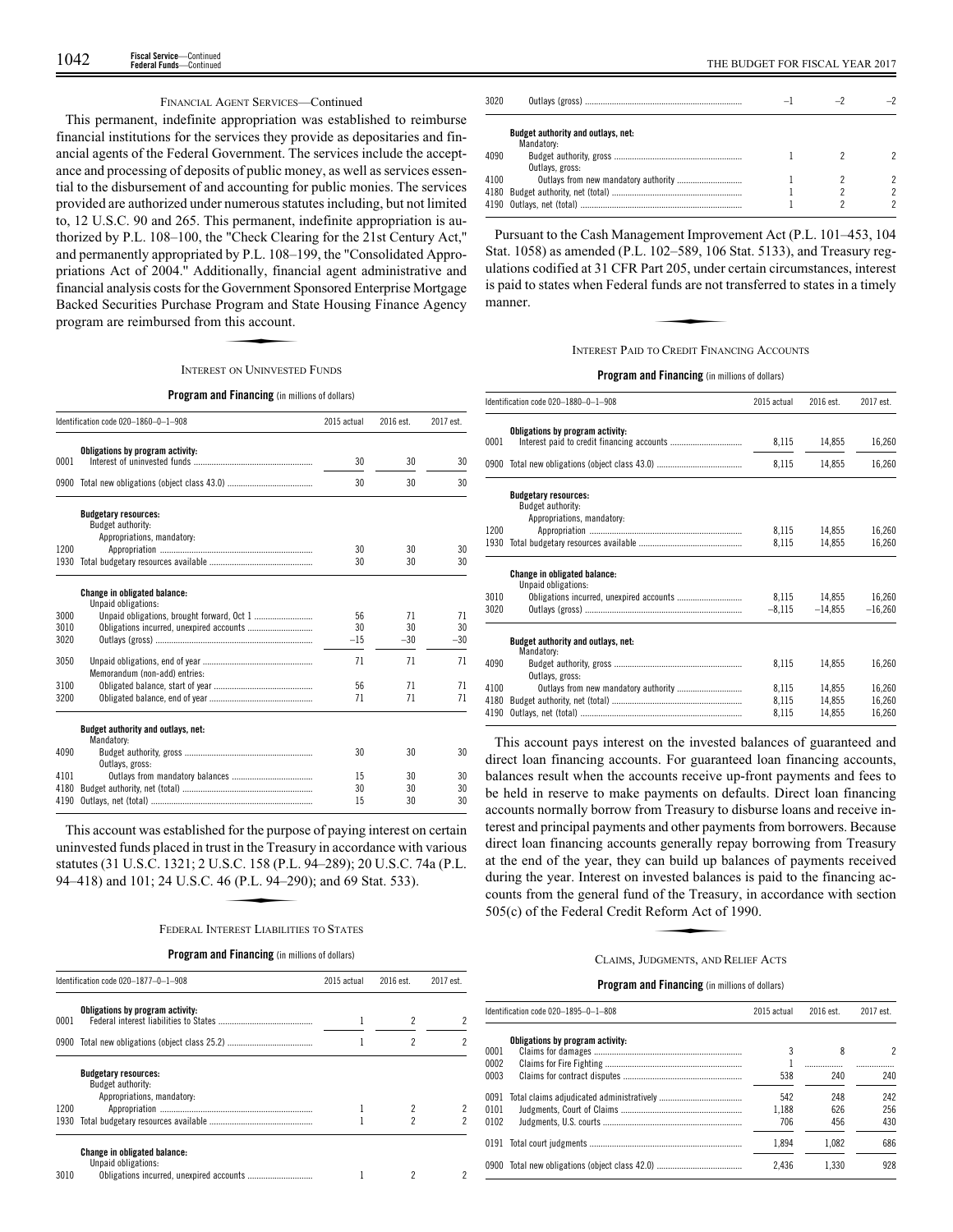## FINANCIAL AGENT SERVICES—Continued

This permanent, indefinite appropriation was established to reimburse financial institutions for the services they provide as depositaries and financial agents of the Federal Government. The services include the acceptance and processing of deposits of public money, as well as services essential to the disbursement of and accounting for public monies. The services provided are authorized under numerous statutes including, but not limited to, 12 U.S.C. 90 and 265. This permanent, indefinite appropriation is authorized by P.L. 108–100, the "Check Clearing for the 21st Century Act,'' and permanently appropriated by P.L. 108–199, the "Consolidated Appropriations Act of 2004.'' Additionally, financial agent administrative and financial analysis costs for the Government Sponsored Enterprise Mortgage<br>
Backed Securities Purchase Program and State Housing Finance Agency<br>
program are reimbursed from this account.<br>
INTEREST ON UNINVESTED FUNDS Backed Securities Purchase Program and State Housing Finance Agency program are reimbursed from this account.

#### INTEREST ON UNINVESTED FUNDS

#### **Program and Financing** (in millions of dollars)

|                      | Identification code 020-1860-0-1-908                                           | 2015 actual       | 2016 est.         | 2017 est.         |
|----------------------|--------------------------------------------------------------------------------|-------------------|-------------------|-------------------|
| 0001                 | Obligations by program activity:                                               | 30                | 30                | 30                |
|                      |                                                                                | 30                | 30                | 30                |
|                      | <b>Budgetary resources:</b><br>Budget authority:<br>Appropriations, mandatory: |                   |                   |                   |
| 1200                 |                                                                                | 30                | 30                | 30                |
| 1930                 |                                                                                | 30                | 30                | 30                |
| 3000<br>3010<br>3020 | <b>Change in obligated balance:</b><br>Unpaid obligations:                     | 56<br>30<br>$-15$ | 71<br>30<br>$-30$ | 71<br>30<br>$-30$ |
| 3050                 | Memorandum (non-add) entries:                                                  | 71                | 71                | 71                |
| 3100                 |                                                                                | 56                | 71                | 71                |
| 3200                 |                                                                                | 71                | 71                | 71                |
|                      | Budget authority and outlays, net:<br>Mandatory:                               |                   |                   |                   |
| 4090                 | Outlays, gross:                                                                | 30                | 30                | 30                |
| 4101                 |                                                                                | 15                | 30                | 30                |
| 4180                 |                                                                                | 30                | 30                | 30                |
| 4190                 |                                                                                | 15                | 30                | 30                |

This account was established for the purpose of paying interest on certain This account was established for the purpose of paying interest of ecrtain<br>uninvested funds placed in trust in the Treasury in accordance with various<br>statutes (31 U.S.C. 1321; 2 U.S.C. 158 (P.L. 94–289); 20 U.S.C. 74a (P. statutes (31 U.S.C. 1321; 2 U.S.C. 158 (P.L. 94–289); 20 U.S.C. 74a (P.L. 94–418) and 101; 24 U.S.C. 46 (P.L. 94 –290); and 69 Stat. 533).

#### FEDERAL INTEREST LIABILITIES TO STATES

#### **Program and Financing** (in millions of dollars)

|      | Identification code 020-1877-0-1-908                                           | 2015 actual | 2016 est. | 2017 est. |
|------|--------------------------------------------------------------------------------|-------------|-----------|-----------|
| 0001 | Obligations by program activity:                                               |             |           |           |
| 0900 |                                                                                |             | 2         | 2         |
|      | <b>Budgetary resources:</b><br>Budget authority:<br>Appropriations, mandatory: |             |           |           |
| 1200 |                                                                                |             |           |           |
| 1930 |                                                                                |             |           |           |
| 3010 | <b>Change in obligated balance:</b><br>Unpaid obligations:                     |             |           |           |

| 3020 |                                                  |  |  |
|------|--------------------------------------------------|--|--|
|      | Budget authority and outlays, net:<br>Mandatory: |  |  |
| 4090 | Outlays, gross:                                  |  |  |
| 4100 |                                                  |  |  |

Pursuant to the Cash Management Improvement Act (P.L. 101–453, 104 Stat. 1058) as amended (P.L. 102–589, 106 Stat. 5133), and Treasury regbut a 1050) as americae (1.2. 102–505), 100 But . 5155), and Treasary regulations codified at 31 CFR Part 205, under certain circumstances, interest<br>is paid to states when Federal funds are not transferred to states in a t is paid to states when Federal funds are not transferred to states in a timely manner.

## INTEREST PAID TO CREDIT FINANCING ACCOUNTS

## **Program and Financing** (in millions of dollars)

|      | ldentification code 020–1880–0–1–908           |          | 2016 est.<br>2015 actual | 2017 est. |
|------|------------------------------------------------|----------|--------------------------|-----------|
|      | Obligations by program activity:               |          |                          |           |
| 0001 |                                                | 8,115    | 14,855                   | 16,260    |
|      | 0900 Total new obligations (object class 43.0) | 8,115    | 14,855                   | 16,260    |
|      | <b>Budgetary resources:</b>                    |          |                          |           |
|      | Budget authority:                              |          |                          |           |
| 1200 | Appropriations, mandatory:                     | 8,115    | 14.855                   | 16,260    |
| 1930 |                                                | 8.115    | 14.855                   | 16,260    |
|      |                                                |          |                          |           |
|      | <b>Change in obligated balance:</b>            |          |                          |           |
| 3010 | Unpaid obligations:                            | 8,115    | 14,855                   | 16,260    |
| 3020 |                                                | $-8,115$ | $-14,855$                | $-16,260$ |
|      |                                                |          |                          |           |
|      | Budget authority and outlays, net:             |          |                          |           |
|      | Mandatory:                                     |          |                          |           |
| 4090 |                                                | 8.115    | 14.855                   | 16.260    |
|      | Outlavs, gross:                                |          |                          |           |
| 4100 |                                                | 8,115    | 14,855                   | 16.260    |
| 4180 |                                                | 8,115    | 14,855                   | 16,260    |
| 4190 |                                                | 8,115    | 14.855                   | 16,260    |
|      |                                                |          |                          |           |

This account pays interest on the invested balances of guaranteed and direct loan financing accounts. For guaranteed loan financing accounts, balances result when the accounts receive up-front payments and fees to be held in reserve to make payments on defaults. Direct loan financing accounts normally borrow from Treasury to disburse loans and receive interest and principal payments and other payments from borrowers. Because direct loan financing accounts generally repay borrowing from Treasury at the end of the year, they can build up balances of payments received during the year. Interest on invested balances is paid to the financing accounts from the general fund of the Treasury, in accordance with section 505(c) of the Federal Credit Reform Act of 1990.<br>CLAIMS JUDGMENTS AND RELIE counts from the general fund of the Treasury, in accordance with section 505(c) of the Federal Credit Reform Act of 1990.

#### CLAIMS, JUDGMENTS, AND RELIEF ACTS

|                      | ldentification code 020–1895–0–1–808           | 2015 actual         | 2016 est.         | 2017 est.         |
|----------------------|------------------------------------------------|---------------------|-------------------|-------------------|
| 0001                 | Obligations by program activity:               | 3                   | 8                 | 2                 |
| 0002<br>0003         |                                                | 538                 | 240               | 240               |
| 0091<br>0101<br>0102 |                                                | 542<br>1.188<br>706 | 248<br>626<br>456 | 242<br>256<br>430 |
|                      |                                                | 1.894               | 1.082             | 686               |
|                      | 0900 Total new obligations (object class 42.0) | 2.436               | 1.330             | 928               |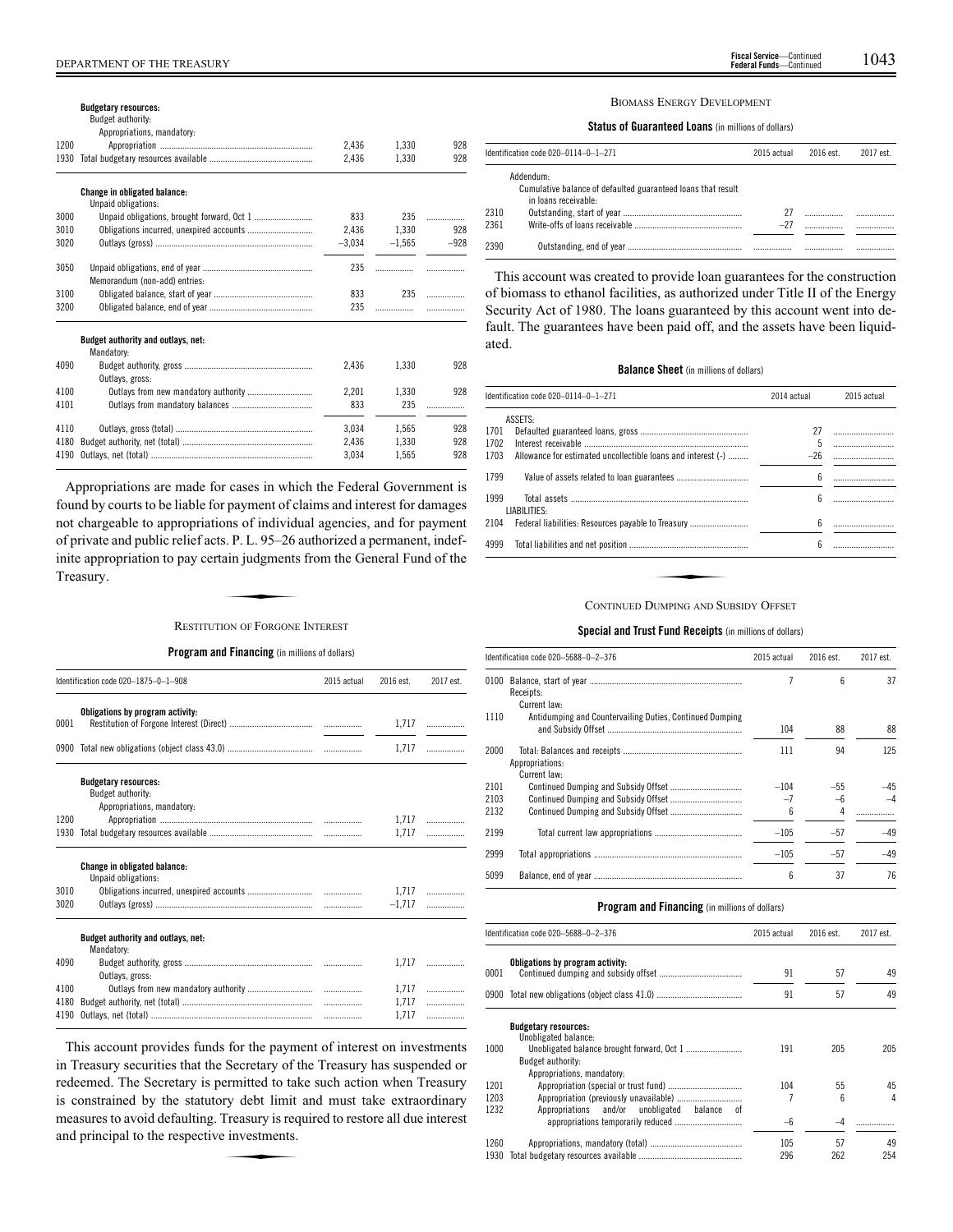|      | <b>Budgetary resources:</b>                                |          |          |        |
|------|------------------------------------------------------------|----------|----------|--------|
|      | Budget authority:                                          |          |          |        |
|      | Appropriations, mandatory:                                 |          |          |        |
| 1200 |                                                            | 2.436    | 1.330    | 928    |
| 1930 |                                                            | 2.436    | 1.330    | 928    |
|      | <b>Change in obligated balance:</b><br>Unpaid obligations: |          |          |        |
| 3000 |                                                            | 833      | 235      | .      |
| 3010 | Obligations incurred, unexpired accounts                   | 2.436    | 1.330    | 928    |
| 3020 |                                                            | $-3,034$ | $-1.565$ | $-928$ |
| 3050 | Memorandum (non-add) entries:                              | 235      | .        |        |
| 3100 |                                                            | 833      | 235      |        |
| 3200 |                                                            | 235      | .        |        |
|      | Budget authority and outlays, net:<br>Mandatory:           |          |          |        |
| 4090 | Outlays, gross:                                            | 2.436    | 1.330    | 928    |
| 4100 |                                                            | 2.201    | 1,330    | 928    |
| 4101 |                                                            | 833      | 235      |        |
|      |                                                            |          |          |        |
| 4110 |                                                            | 3.034    | 1.565    | 928    |
| 4180 |                                                            | 2.436    | 1.330    | 928    |
| 4190 |                                                            | 3,034    | 1,565    | 928    |

Appropriations are made for cases in which the Federal Government is found by courts to be liable for payment of claims and interest for damages not chargeable to appropriations of individual agencies, and for payment of private and public relief acts. P. L. 95–26 authorized a permanent, indefinite appropriation to pay certain judgments from the General Fund of the Treasury. s. P. L. 95–26 and judgments

#### RESTITUTION OF FORGONE INTEREST

## **Program and Financing** (in millions of dollars)

|                      | Identification code 020-1875-0-1-908                                           | 2015 actual | 2016 est.      | 2017 est. |
|----------------------|--------------------------------------------------------------------------------|-------------|----------------|-----------|
| 0001                 | Obligations by program activity:                                               |             |                |           |
|                      |                                                                                |             | 1.717          | .         |
|                      | <b>Budgetary resources:</b><br>Budget authority:<br>Appropriations, mandatory: |             |                |           |
| 1200<br>1930         |                                                                                |             | 1.717          | .         |
|                      | <b>Change in obligated balance:</b><br>Unpaid obligations:                     |             |                |           |
| 3010<br>3020         |                                                                                |             |                |           |
|                      | Budget authority and outlays, net:<br>Mandatory:                               |             |                |           |
| 4090                 | Outlays, gross:                                                                |             |                | $1.717$   |
| 4100<br>4180<br>4190 |                                                                                |             | 1.717<br>1.717 | .<br>.    |
|                      |                                                                                |             |                |           |

This account provides funds for the payment of interest on investments in Treasury securities that the Secretary of the Treasury has suspended or redeemed. The Secretary is permitted to take such action when Treasury is constrained by the statutory debt limit and must take extraordinary measures to avoid defaulting. Treasury is required to restore all due interest and principal to the respective investments. ry debt limit<br>Treasury is req<br>
investments.

## BIOMASS ENERGY DEVELOPMENT

## **Status of Guaranteed Loans** (in millions of dollars)

|              | Identification code 020-0114-0-1-271                                                              | 2015 actual | 2016 est. | 2017 est. |
|--------------|---------------------------------------------------------------------------------------------------|-------------|-----------|-----------|
|              | Addendum:<br>Cumulative balance of defaulted guaranteed loans that result<br>in loans receivable: |             |           |           |
| 2310<br>2361 |                                                                                                   | $-27$       |           |           |
| 2390         |                                                                                                   |             |           |           |

This account was created to provide loan guarantees for the construction of biomass to ethanol facilities, as authorized under Title II of the Energy Security Act of 1980. The loans guaranteed by this account went into default. The guarantees have been paid off, and the assets have been liquidated.

## **Balance Sheet** (in millions of dollars)

|      | ldentification code 020–0114–0–1–271                         | 2014 actual | 2015 actual |
|------|--------------------------------------------------------------|-------------|-------------|
|      | ASSETS:                                                      |             |             |
| 1701 |                                                              | 27          |             |
| 1702 |                                                              | 5           |             |
| 1703 | Allowance for estimated uncollectible loans and interest (-) | $-26$       |             |
| 1799 |                                                              | 6           |             |
| 1999 |                                                              | 6           |             |
| 2104 | LIABILITIES:                                                 | 6           |             |
| 4999 |                                                              | 6           |             |
|      |                                                              |             |             |
|      | <b>CONTINUED DUMPING AND SUBSIDY OFFSET</b>                  |             |             |

## **Special and Trust Fund Receipts** (in millions of dollars)

|      | Identification code 020-5688-0-2-376                     | 2015 actual | 2016 est. | 2017 est. |
|------|----------------------------------------------------------|-------------|-----------|-----------|
|      | Receipts:<br>Current law:                                |             | 6         | 37        |
| 1110 | Antidumping and Countervailing Duties, Continued Dumping | 104         | 88        | 88        |
| 2000 | Appropriations:<br>Current law:                          | 111         | 94        | 125       |
| 2101 |                                                          | $-104$      | $-55$     | -45       |
| 2103 |                                                          | $-7$        | $-6$      | $-4$      |
| 2132 |                                                          | 6           | 4         |           |
| 2199 |                                                          | $-105$      | $-57$     | $-49$     |
| 2999 |                                                          | $-105$      | $-57$     | $-49$     |
| 5099 |                                                          | 6           | 37        | 76        |

|      | ldentification code 020–5688–0–2–376               | 2015 actual | 2016 est. | 2017 est. |
|------|----------------------------------------------------|-------------|-----------|-----------|
|      | Obligations by program activity:                   |             |           |           |
| 0001 |                                                    | 91          | 57        | 49        |
|      |                                                    | 91          | 57        | 49        |
|      | <b>Budgetary resources:</b>                        |             |           |           |
|      | Unobligated balance:                               |             |           |           |
| 1000 |                                                    | 191         | 205       | 205       |
|      | Budget authority:                                  |             |           |           |
|      | Appropriations, mandatory:                         |             |           |           |
| 1201 |                                                    | 104         | 55        | 45        |
| 1203 |                                                    |             | 6         | 4         |
| 1232 | Appropriations and/or unobligated<br>balance<br>οf |             |           |           |
|      |                                                    | $-6$        | -4        |           |
| 1260 |                                                    | 105         | 57        | 49        |
| 1930 |                                                    | 296         | 262       | 254       |
|      |                                                    |             |           |           |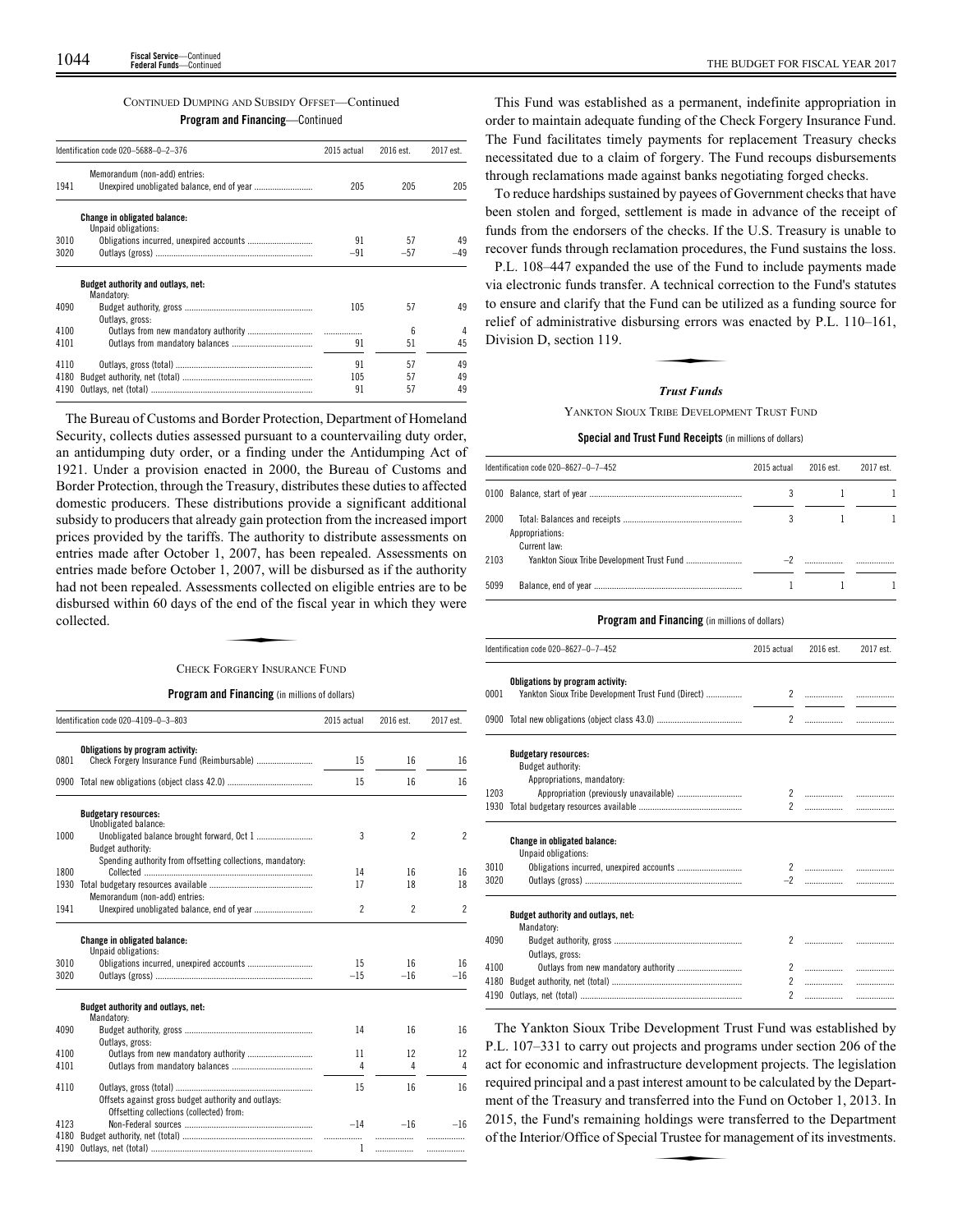## CONTINUED DUMPING AND SUBSIDY OFFSET—Continued

## **Program and Financing**—Continued

|      | Identification code 020-5688-0-2-376                       | 2015 actual | 2016 est.       | 2017 est. |
|------|------------------------------------------------------------|-------------|-----------------|-----------|
| 1941 | Memorandum (non-add) entries:                              | 205         | 205             | 205       |
|      | <b>Change in obligated balance:</b><br>Unpaid obligations: |             |                 |           |
| 3010 |                                                            | 91          | 57              | 49        |
| 3020 |                                                            | $-91$       | $-57$           | -49       |
|      | Budget authority and outlays, net:<br>Mandatory:           |             |                 |           |
| 4090 | Outlays, gross:                                            | 105         | 57              | 49        |
| 4100 |                                                            |             | $6\overline{6}$ | 4         |
| 4101 |                                                            | 91          | 51              | 45        |
| 4110 |                                                            | 91          | 57              | 49        |
| 4180 |                                                            | 105         | 57              | 49        |
| 4190 |                                                            | 91          | 57              | 49        |

The Bureau of Customs and Border Protection, Department of Homeland Security, collects duties assessed pursuant to a countervailing duty order, an antidumping duty order, or a finding under the Antidumping Act of 1921. Under a provision enacted in 2000, the Bureau of Customs and Border Protection, through the Treasury, distributes these duties to affected domestic producers. These distributions provide a significant additional subsidy to producers that already gain protection from the increased import prices provided by the tariffs. The authority to distribute assessments on entries made after October 1, 2007, has been repealed. Assessments on entries made before October 1, 2007, will be disbursed as if the authority had not been repealed. Assessments collected on eligible entries are to be disbursed within 60 days of the end of the fiscal year in which they were collected. , 2007, whi of<br>ments collecte<br>he end of the f<br>profery INSURAN

## CHECK FORGERY INSURANCE FUND

**Program and Financing** (in millions of dollars)

|      | Identification code 020-4109-0-3-803                                                            | 2015 actual    | 2016 est.      | 2017 est.                |
|------|-------------------------------------------------------------------------------------------------|----------------|----------------|--------------------------|
|      | Obligations by program activity:                                                                |                |                |                          |
| 0801 | Check Forgery Insurance Fund (Reimbursable)                                                     | 15             | 16             | 16                       |
| 0900 |                                                                                                 | 15             | 16             | 16                       |
|      | <b>Budgetary resources:</b><br>Unobligated balance:                                             |                |                |                          |
| 1000 | Budget authority:                                                                               | 3              | $\overline{2}$ | $\overline{\phantom{a}}$ |
|      | Spending authority from offsetting collections, mandatory:                                      |                |                |                          |
| 1800 |                                                                                                 | 14             | 16             | 16                       |
| 1930 | Memorandum (non-add) entries:                                                                   | 17             | 18             | 18                       |
| 1941 |                                                                                                 | $\overline{c}$ | $\overline{c}$ | $\mathfrak{p}$           |
|      | Change in obligated balance:<br>Unpaid obligations:                                             |                |                |                          |
| 3010 | Obligations incurred, unexpired accounts                                                        | 15             | 16             | 16                       |
| 3020 |                                                                                                 | $-15$          | $-16$          | $-16$                    |
|      | Budget authority and outlays, net:<br>Mandatory:                                                |                |                |                          |
| 4090 | Outlays, gross:                                                                                 | 14             | 16             | 16                       |
| 4100 | Outlays from new mandatory authority                                                            | 11             | 12             | 12                       |
| 4101 |                                                                                                 | 4              | 4              | 4                        |
| 4110 | Offsets against gross budget authority and outlays:<br>Offsetting collections (collected) from: | 15             | 16             | 16                       |
| 4123 |                                                                                                 |                | $-16$<br>$-14$ | $-16$                    |
| 4180 |                                                                                                 |                |                |                          |
| 4190 |                                                                                                 | 1              |                | .                        |

This Fund was established as a permanent, indefinite appropriation in order to maintain adequate funding of the Check Forgery Insurance Fund. The Fund facilitates timely payments for replacement Treasury checks necessitated due to a claim of forgery. The Fund recoups disbursements through reclamations made against banks negotiating forged checks.

To reduce hardships sustained by payees of Government checks that have been stolen and forged, settlement is made in advance of the receipt of funds from the endorsers of the checks. If the U.S. Treasury is unable to recover funds through reclamation procedures, the Fund sustains the loss.

P.L. 108–447 expanded the use of the Fund to include payments made via electronic funds transfer. A technical correction to the Fund's statutes to ensure and clarify that the Fund can be utilized as a funding source for relief of administrative disbursing errors was enacted by P.L. 110–161, Division D, section 119. Fund can be units<br>resing errors were

#### *Trust Funds*

YANKTON SIOUX TRIBE DEVELOPMENT TRUST FUND

#### **Special and Trust Fund Receipts** (in millions of dollars)

| Identification code 020-8627-0-7-452 | 2015 actual | 2016 est. | 2017 est. |
|--------------------------------------|-------------|-----------|-----------|
|                                      |             |           |           |
| 2000<br>Appropriations:              |             |           |           |
| Current law:                         |             |           |           |
| 2103                                 |             |           |           |
|                                      |             |           |           |
| 5099                                 |             |           |           |

#### **Program and Financing** (in millions of dollars)

|      | Identification code 020-8627-0-7-452                                                    | 2015 actual    | 2016 est. | 2017 est. |
|------|-----------------------------------------------------------------------------------------|----------------|-----------|-----------|
| 0001 | Obligations by program activity:<br>Yankton Sioux Tribe Development Trust Fund (Direct) | 2              |           |           |
|      |                                                                                         | $\mathfrak{p}$ |           |           |
|      | <b>Budgetary resources:</b><br>Budget authority:<br>Appropriations, mandatory:          |                |           |           |
| 1203 |                                                                                         |                |           |           |
| 1930 |                                                                                         | $\mathfrak{p}$ |           |           |
|      | <b>Change in obligated balance:</b><br>Unpaid obligations:                              |                |           |           |
| 3010 |                                                                                         |                |           |           |
| 3020 |                                                                                         |                |           | .         |
|      | Budget authority and outlays, net:<br>Mandatory:                                        |                |           |           |
| 4090 | Outlays, gross:                                                                         | 2              |           |           |
| 4100 |                                                                                         |                |           |           |
| 4180 |                                                                                         | $\mathbf{2}$   |           | .         |
| 4190 |                                                                                         | $\mathfrak{p}$ |           | .         |

The Yankton Sioux Tribe Development Trust Fund was established by P.L. 107–331 to carry out projects and programs under section 206 of the act for economic and infrastructure development projects. The legislation required principal and a past interest amount to be calculated by the Department of the Treasury and transferred into the Fund on October 1, 2013. In 2015, the Fund's remaining holdings were transferred to the Department of the Interior/Office of Special Trustee for management of its investments. 2015, the Fund's remaining holdings were transferred to the Department of the Interior/Office of Special Trustee for management of its investments.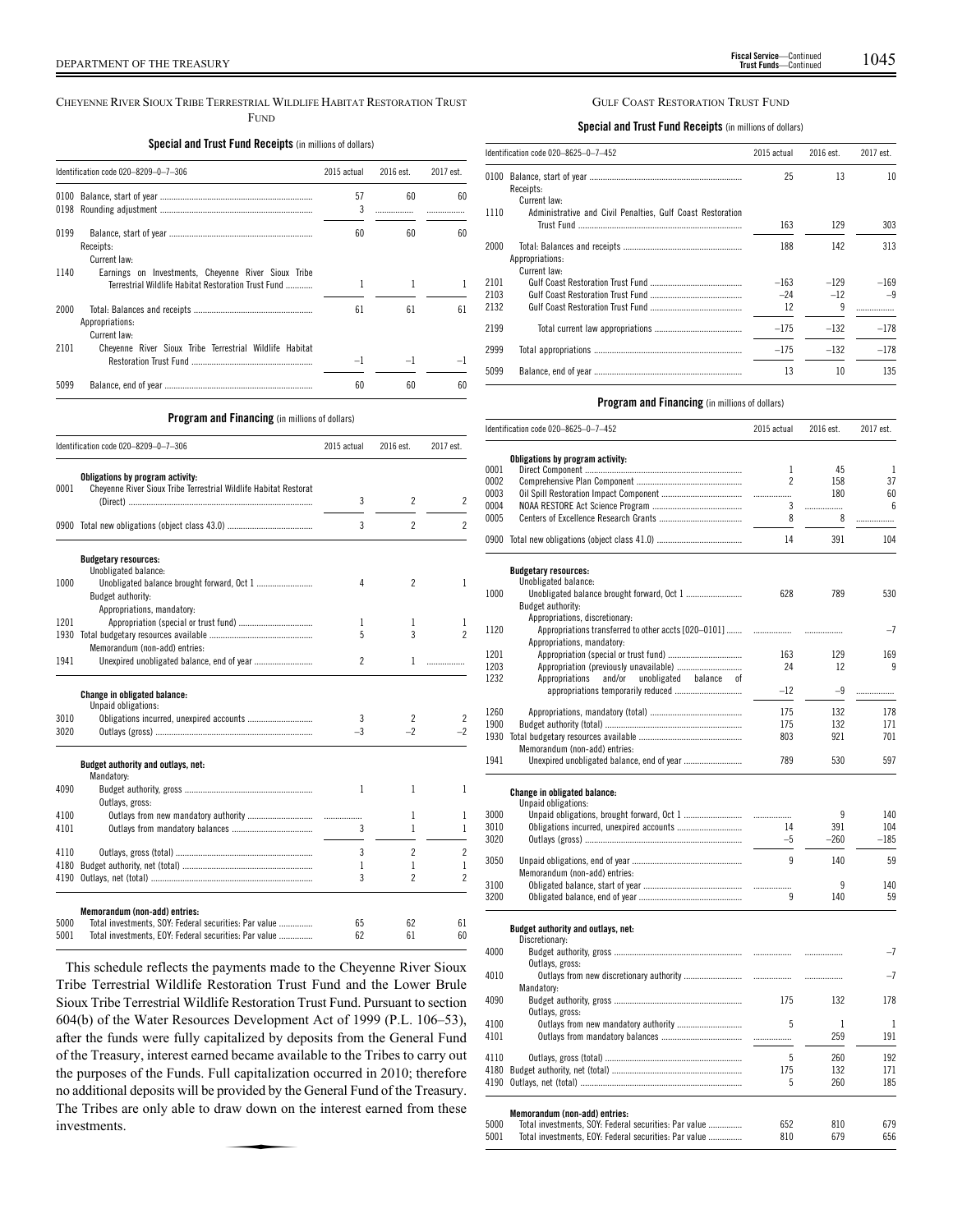#### CHEYENNE RIVER SIOUX TRIBE TERRESTRIAL WILDLIFE HABITAT RESTORATION TRUST FUND

## **Special and Trust Fund Receipts** (in millions of dollars)

|              | Identification code 020-8209-0-7-306                                                                       | 2015 actual | 2016 est. | 2017 est. |
|--------------|------------------------------------------------------------------------------------------------------------|-------------|-----------|-----------|
| 0100<br>0198 |                                                                                                            | 57<br>3     | 60        | 60        |
| 0199         | Receipts:<br>Current law:                                                                                  | 60          | 60        | 60        |
| 1140         | Earnings on Investments, Cheyenne River Sioux Tribe<br>Terrestrial Wildlife Habitat Restoration Trust Fund | 1           | 1         |           |
| 2000         | Appropriations:<br>Current law:                                                                            | 61          | 61        | 61        |
| 2101         | Cheyenne River Sioux Tribe Terrestrial Wildlife Habitat                                                    | $-1$        |           |           |
| 5099         |                                                                                                            | 60          | 60        | 60        |

## **Program and Financing** (in millions of dollars)

|      | Identification code 020-8209-0-7-306                                                                 | 2015 actual    | 2016 est.                | 2017 est.                |
|------|------------------------------------------------------------------------------------------------------|----------------|--------------------------|--------------------------|
| 0001 | Obligations by program activity:<br>Cheyenne River Sioux Tribe Terrestrial Wildlife Habitat Restorat | 3              | 2                        | 2                        |
|      |                                                                                                      | 3              | $\overline{c}$           | $\overline{\phantom{a}}$ |
|      | <b>Budgetary resources:</b>                                                                          |                |                          |                          |
|      | Unobligated balance:                                                                                 |                |                          |                          |
| 1000 |                                                                                                      | 4              | $\overline{\phantom{a}}$ | 1                        |
|      | Budget authority:                                                                                    |                |                          |                          |
|      | Appropriations, mandatory:                                                                           |                |                          |                          |
| 1201 |                                                                                                      | 1<br>5         | 1<br>3                   | 1<br>$\mathfrak{p}$      |
| 1930 |                                                                                                      |                |                          |                          |
|      | Memorandum (non-add) entries:                                                                        |                |                          |                          |
| 1941 |                                                                                                      | $\overline{c}$ | 1                        | .                        |
|      | Change in obligated balance:<br>Unpaid obligations:                                                  |                |                          |                          |
| 3010 |                                                                                                      | 3              | 2                        | 2                        |
| 3020 |                                                                                                      | $-3$           | $-2$                     | -2                       |
|      | Budget authority and outlays, net:<br>Mandatory:                                                     |                |                          |                          |
| 4090 |                                                                                                      | 1              | 1                        | 1                        |
|      | Outlays, gross:                                                                                      |                |                          |                          |
| 4100 |                                                                                                      |                | 1                        | 1                        |
| 4101 |                                                                                                      | 3              | 1                        | 1                        |
| 4110 |                                                                                                      | 3              | $\overline{c}$           | $\overline{c}$           |
| 4180 |                                                                                                      | 1              | 1                        | 1                        |
| 4190 |                                                                                                      | 3              | 2                        | $\overline{c}$           |
|      | Memorandum (non-add) entries:                                                                        |                |                          |                          |
| 5000 | Total investments, SOY: Federal securities: Par value                                                | 65             | 62                       | 61                       |
| 5001 | Total investments, EOY: Federal securities: Par value                                                | 62             | 61                       | 60                       |
|      |                                                                                                      |                |                          |                          |

This schedule reflects the payments made to the Cheyenne River Sioux Tribe Terrestrial Wildlife Restoration Trust Fund and the Lower Brule Sioux Tribe Terrestrial Wildlife Restoration Trust Fund. Pursuant to section 604(b) of the Water Resources Development Act of 1999 (P.L. 106–53), after the funds were fully capitalized by deposits from the General Fund of the Treasury, interest earned became available to the Tribes to carry out the purposes of the Funds. Full capitalization occurred in 2010; therefore no additional deposits will be provided by the General Fund of the Treasury.<br>The Tribes are only able to draw down on the interest earned from these investments. The Tribes are only able to draw down on the interest earned from these investments.

## GULF COAST RESTORATION TRUST FUND

**Special and Trust Fund Receipts** (in millions of dollars)

|      | Identification code 020-8625-0-7-452                       | 2015 actual | 2016 est. | 2017 est. |
|------|------------------------------------------------------------|-------------|-----------|-----------|
| 0100 | Receipts:                                                  | 25          | 13        | 10        |
| 1110 | Current law:                                               |             |           |           |
|      | Administrative and Civil Penalties, Gulf Coast Restoration | 163         | 129       | 303       |
| 2000 | Appropriations:                                            | 188         | 142       | 313       |
|      | Current law:                                               |             |           |           |
| 2101 |                                                            | $-163$      | $-129$    | $-169$    |
| 2103 |                                                            | $-24$       | $-12$     | $-9$      |
| 2132 |                                                            | 12          | 9         |           |
| 2199 |                                                            | $-175$      | $-132$    | $-178$    |
| 2999 |                                                            | $-175$      | $-132$    | $-178$    |
| 5099 |                                                            | 13          | 10        | 135       |

|      | Identification code 020-8625-0-7-452                       | 2015 actual    | 2016 est. | 2017 est. |
|------|------------------------------------------------------------|----------------|-----------|-----------|
|      | Obligations by program activity:                           |                |           |           |
| 0001 |                                                            | $\mathbf{1}$   | 45        | 1         |
| 0002 |                                                            | $\overline{c}$ | 158       | 37        |
| 0003 |                                                            | .              | 180       | 60        |
| 0004 |                                                            | 3              | .         | 6         |
| 0005 |                                                            | 8              | 8         | .         |
|      |                                                            | 14             | 391       | 104       |
|      | <b>Budgetary resources:</b>                                |                |           |           |
| 1000 | Unobligated balance:                                       | 628            | 789       | 530       |
|      | Budget authority:                                          |                |           |           |
|      | Appropriations, discretionary:                             |                |           |           |
| 1120 | Appropriations transferred to other accts [020-0101]       |                |           | $-7$      |
|      | Appropriations, mandatory:                                 |                |           |           |
| 1201 | Appropriation (special or trust fund)                      | 163            | 129       | 169       |
| 1203 |                                                            | 24             | 12        | 9         |
| 1232 | Appropriations<br>and/or<br>unobligated<br>balance of      |                |           |           |
|      |                                                            | $-12$          | $-9$      | .         |
|      |                                                            |                |           |           |
| 1260 |                                                            | 175            | 132       | 178       |
| 1900 |                                                            | 175            | 132       | 171       |
| 1930 |                                                            | 803            | 921       | 701       |
|      | Memorandum (non-add) entries:                              |                |           |           |
| 1941 |                                                            | 789            | 530       | 597       |
| 3000 | <b>Change in obligated balance:</b><br>Unpaid obligations: |                | q         | 140       |
| 3010 | Obligations incurred, unexpired accounts                   | 14             | 391       | 104       |
| 3020 |                                                            | $-5$           | $-260$    | $-185$    |
| 3050 | Memorandum (non-add) entries:                              | 9              | 140       | 59        |
| 3100 |                                                            |                | 9         | 140       |
| 3200 |                                                            | 9              | 140       | 59        |
|      | Budget authority and outlays, net:                         |                |           |           |
| 4000 | Discretionary:                                             |                |           | $-7$      |
|      | Outlays, gross:                                            |                |           |           |
| 4010 | Outlays from new discretionary authority                   | .              | .         | $-7$      |
|      | Mandatory:                                                 |                |           |           |
| 4090 |                                                            | 175            | 132       | 178       |
|      | Outlays, gross:                                            |                |           |           |
| 4100 |                                                            | 5              | 1         | 1         |
| 4101 |                                                            | .              | 259       | 191       |
| 4110 |                                                            | 5              | 260       | 192       |
| 4180 |                                                            | 175            | 132       | 171       |
| 4190 |                                                            | 5              | 260       | 185       |
|      | Memorandum (non-add) entries:                              |                |           |           |
| 5000 | Total investments, SOY: Federal securities: Par value      | 652            | 810       | 679       |
| 5001 | Total investments, EOY: Federal securities: Par value      | 810            | 679       | 656       |
|      |                                                            |                |           |           |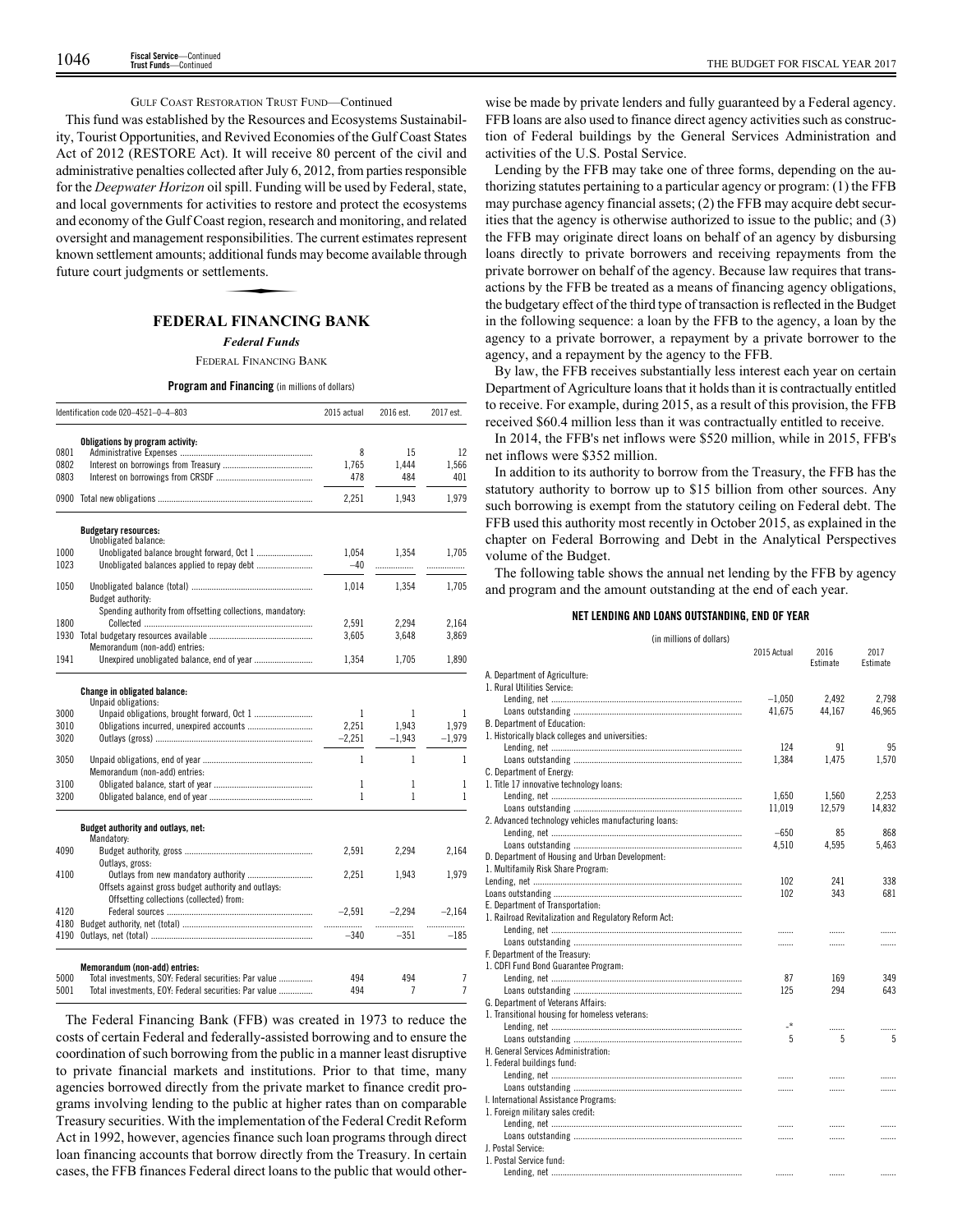## GULF COAST RESTORATION TRUST FUND—Continued

This fund was established by the Resources and Ecosystems Sustainability, Tourist Opportunities, and Revived Economies of the Gulf Coast States Act of 2012 (RESTORE Act). It will receive 80 percent of the civil and administrative penalties collected after July 6, 2012, from parties responsible for the *Deepwater Horizon* oil spill. Funding will be used by Federal, state, and local governments for activities to restore and protect the ecosystems and economy of the Gulf Coast region, research and monitoring, and related oversight and management responsibilities. The current estimates represent<br>known settlement amounts; additional funds may become available through<br>future court judgments or settlements.<br>**EFDFPAT FINANCING BANK** known settlement amounts; additional funds may become available through future court judgments or settlements.

## **FEDERAL FINANCING BANK**

## *Federal Funds*

FEDERAL FINANCING BANK

#### **Program and Financing** (in millions of dollars)

|              | Identification code 020-4521-0-4-803                       | 2015 actual    | 2016 est.   | 2017 est.           |
|--------------|------------------------------------------------------------|----------------|-------------|---------------------|
|              | Obligations by program activity:                           |                |             |                     |
| 0801         |                                                            | 8              | 15          | 12                  |
| 0802         |                                                            | 1,765          | 1,444       | 1,566               |
| 0803         |                                                            | 478            | 484         | 401                 |
|              |                                                            | 2,251          | 1,943       | 1,979               |
|              | <b>Budgetary resources:</b>                                |                |             |                     |
|              | Unobligated balance:                                       |                |             |                     |
| 1000<br>1023 | Unobligated balance brought forward, Oct 1                 | 1.054<br>$-40$ | 1.354       | 1.705               |
|              |                                                            |                | .           | .                   |
| 1050         |                                                            | 1,014          | 1,354       | 1,705               |
|              | Budget authority:                                          |                |             |                     |
|              | Spending authority from offsetting collections, mandatory: |                |             |                     |
| 1800         |                                                            | 2,591          | 2.294       | 2,164               |
| 1930         |                                                            | 3,605          | 3,648       | 3,869               |
|              | Memorandum (non-add) entries:                              |                |             |                     |
| 1941         | Unexpired unobligated balance, end of year                 | 1,354          | 1,705       | 1,890               |
|              | <b>Change in obligated balance:</b>                        |                |             |                     |
|              | Unpaid obligations:                                        |                |             |                     |
| 3000         |                                                            | 1              | 1           | 1                   |
| 3010         |                                                            | 2,251          | 1.943       | 1,979               |
| 3020         |                                                            | $-2,251$       | $-1,943$    | $-1,979$            |
| 3050         |                                                            | 1              | 1           | 1                   |
|              | Memorandum (non-add) entries:                              |                |             |                     |
| 3100         |                                                            | 1              | 1           | 1                   |
| 3200         |                                                            | 1              | 1           | 1                   |
|              | Budget authority and outlays, net:                         |                |             |                     |
|              | Mandatory:                                                 |                |             |                     |
| 4090         |                                                            | 2,591          | 2,294       | 2,164               |
|              | Outlays, gross:                                            |                |             |                     |
| 4100         |                                                            | 2,251          | 1,943       | 1,979               |
|              | Offsets against gross budget authority and outlays:        |                |             |                     |
|              | Offsetting collections (collected) from:                   |                |             |                     |
| 4120         |                                                            | $-2,591$       | $-2.294$    | $-2.164$            |
| 4180<br>4190 |                                                            | .<br>$-340$    | .<br>$-351$ | .<br>$-185$         |
|              |                                                            |                |             |                     |
|              | Memorandum (non-add) entries:                              |                |             |                     |
| 5000         | Total investments, SOY: Federal securities: Par value      | 494            | 494<br>7    | 7<br>$\overline{7}$ |
| 5001         | Total investments, EOY: Federal securities: Par value      | 494            |             |                     |

The Federal Financing Bank (FFB) was created in 1973 to reduce the costs of certain Federal and federally-assisted borrowing and to ensure the coordination of such borrowing from the public in a manner least disruptive to private financial markets and institutions. Prior to that time, many agencies borrowed directly from the private market to finance credit programs involving lending to the public at higher rates than on comparable Treasury securities. With the implementation of the Federal Credit Reform Act in 1992, however, agencies finance such loan programs through direct loan financing accounts that borrow directly from the Treasury. In certain cases, the FFB finances Federal direct loans to the public that would other-

wise be made by private lenders and fully guaranteed by a Federal agency. FFB loans are also used to finance direct agency activities such as construction of Federal buildings by the General Services Administration and activities of the U.S. Postal Service.

Lending by the FFB may take one of three forms, depending on the authorizing statutes pertaining to a particular agency or program: (1) the FFB may purchase agency financial assets; (2) the FFB may acquire debt securities that the agency is otherwise authorized to issue to the public; and (3) the FFB may originate direct loans on behalf of an agency by disbursing loans directly to private borrowers and receiving repayments from the private borrower on behalf of the agency. Because law requires that transactions by the FFB be treated as a means of financing agency obligations, the budgetary effect of the third type of transaction is reflected in the Budget in the following sequence: a loan by the FFB to the agency, a loan by the agency to a private borrower, a repayment by a private borrower to the agency, and a repayment by the agency to the FFB.

By law, the FFB receives substantially less interest each year on certain Department of Agriculture loans that it holds than it is contractually entitled to receive. For example, during 2015, as a result of this provision, the FFB received \$60.4 million less than it was contractually entitled to receive.

In 2014, the FFB's net inflows were \$520 million, while in 2015, FFB's net inflows were \$352 million.

In addition to its authority to borrow from the Treasury, the FFB has the statutory authority to borrow up to \$15 billion from other sources. Any such borrowing is exempt from the statutory ceiling on Federal debt. The FFB used this authority most recently in October 2015, as explained in the chapter on Federal Borrowing and Debt in the Analytical Perspectives volume of the Budget.

The following table shows the annual net lending by the FFB by agency and program and the amount outstanding at the end of each year.

## **NET LENDING AND LOANS OUTSTANDING, END OF YEAR**

| (in millions of dollars)                              |             |                  |                  |
|-------------------------------------------------------|-------------|------------------|------------------|
|                                                       | 2015 Actual | 2016<br>Estimate | 2017<br>Estimate |
| A. Department of Agriculture:                         |             |                  |                  |
| 1. Rural Utilities Service:                           |             |                  |                  |
|                                                       | $-1,050$    | 2.492            | 2,798            |
|                                                       | 41.675      | 44.167           | 46.965           |
| B. Department of Education:                           |             |                  |                  |
| 1. Historically black colleges and universities:      |             |                  |                  |
|                                                       | 124         | 91               | 95               |
|                                                       | 1,384       | 1,475            | 1,570            |
| C. Department of Energy:                              |             |                  |                  |
| 1. Title 17 innovative technology loans:              |             |                  |                  |
|                                                       | 1,650       | 1,560            | 2,253            |
|                                                       | 11,019      | 12,579           | 14,832           |
| 2. Advanced technology vehicles manufacturing loans:  |             |                  |                  |
|                                                       | $-650$      | 85               | 868              |
|                                                       | 4,510       | 4,595            | 5,463            |
| D. Department of Housing and Urban Development:       |             |                  |                  |
| 1. Multifamily Risk Share Program:                    |             |                  |                  |
|                                                       | 102         | 241              | 338              |
|                                                       | 102         | 343              | 681              |
| E. Department of Transportation:                      |             |                  |                  |
| 1. Railroad Revitalization and Regulatory Reform Act: |             |                  |                  |
|                                                       | .           | .                | .                |
|                                                       | .           | .                |                  |
| F. Department of the Treasury:                        |             |                  |                  |
| 1. CDFI Fund Bond Guarantee Program:                  |             |                  |                  |
|                                                       | 87          | 169              | 349              |
|                                                       | 125         | 294              | 643              |
| G. Department of Veterans Affairs:                    |             |                  |                  |
| 1. Transitional housing for homeless veterans:        |             |                  |                  |
|                                                       | -*          | .                | .                |
|                                                       | 5           | 5                | 5                |
| H. General Services Administration:                   |             |                  |                  |
| 1. Federal buildings fund:                            |             |                  |                  |
|                                                       | .           | .                |                  |
|                                                       | .           | .                | .                |
| I. International Assistance Programs:                 |             |                  |                  |
| 1. Foreign military sales credit:                     |             |                  |                  |
|                                                       | .           | .                | .                |
|                                                       | .           | .                |                  |
| <b>J. Postal Service:</b>                             |             |                  |                  |
| 1. Postal Service fund:                               |             |                  |                  |
|                                                       | .           | .                |                  |
|                                                       |             |                  |                  |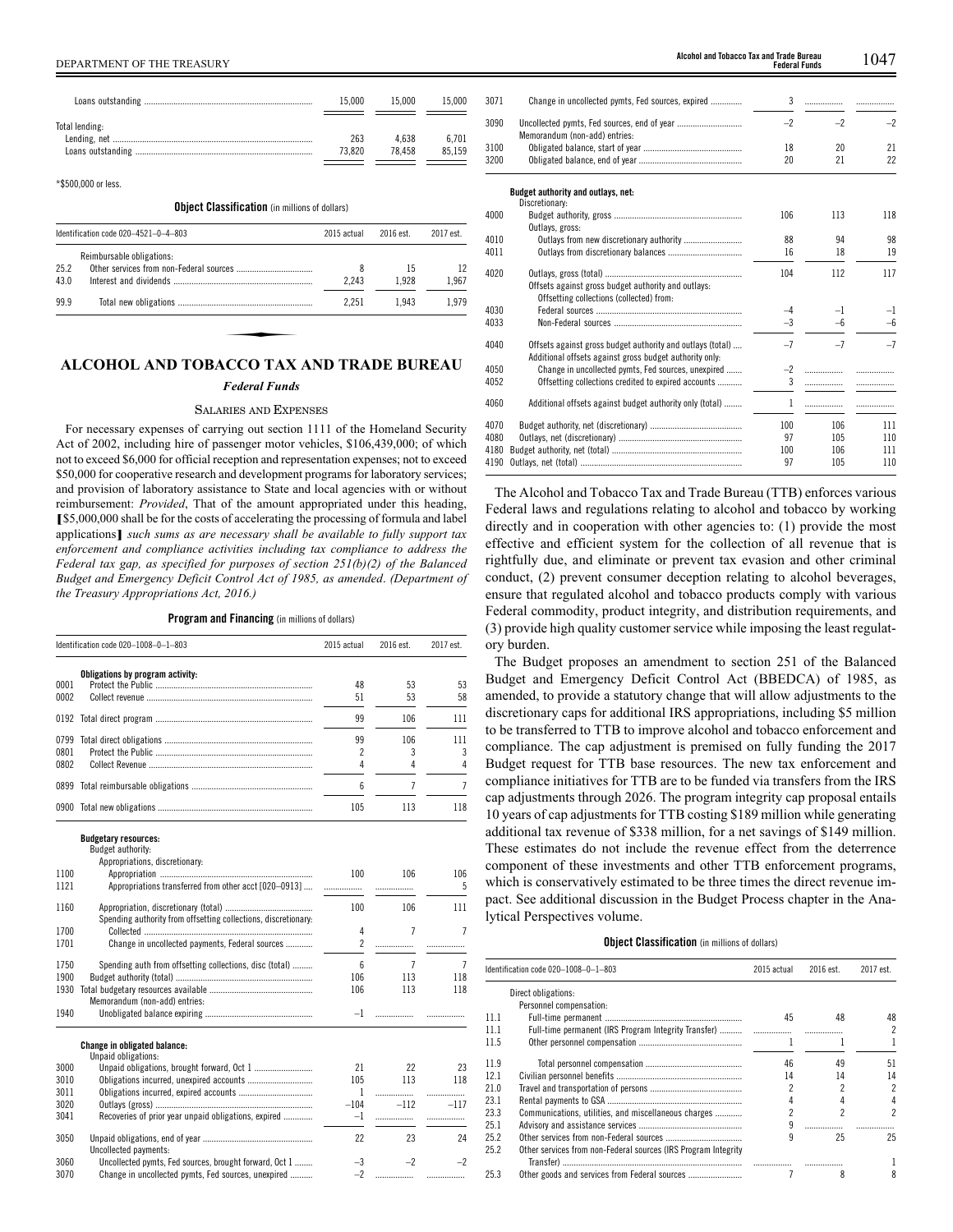|                | 15.000        | 15.000          | 15.000         |
|----------------|---------------|-----------------|----------------|
| Total lending: | 263<br>73.820 | 4.638<br>78 458 | 6.701<br>85159 |

\*\$500,000 or less.

**Object Classification** (in millions of dollars)

|      | Identification code 020-4521-0-4-803 | 2015 actual | 2016 est. | 2017 est. |
|------|--------------------------------------|-------------|-----------|-----------|
|      | Reimbursable obligations:            |             |           |           |
| 25.2 |                                      | 8           | 15        | 12        |
| 43.0 |                                      | 2.243       | 1.928     | 1,967     |
| 99.9 |                                      | 2.251       | 1.943     | 1.979     |

## **ALCOHOL AND TOBACCO TAX AND TRADE BUREAU**

#### *Federal Funds*

#### SALARIES AND EXPENSES

For necessary expenses of carrying out section 1111 of the Homeland Security Act of 2002, including hire of passenger motor vehicles, \$106,439,000; of which not to exceed \$6,000 for official reception and representation expenses; not to exceed \$50,000 for cooperative research and development programs for laboratory services; and provision of laboratory assistance to State and local agencies with or without reimbursement: *Provided*, That of the amount appropriated under this heading, **[**\$5,000,000 shall be for the costs of accelerating the processing of formula and label applications**]** *such sums as are necessary shall be available to fully support tax enforcement and compliance activities including tax compliance to address the Federal tax gap, as specified for purposes of section 251(b)(2) of the Balanced Budget and Emergency Deficit Control Act of 1985, as amended*. *(Department of the Treasury Appropriations Act, 2016.)*

**Program and Financing** (in millions of dollars)

|      | Identification code 020-1008-0-1-803                           | 2015 actual    | 2016 est.      | 2017 est.      |
|------|----------------------------------------------------------------|----------------|----------------|----------------|
|      | Obligations by program activity:                               |                |                |                |
| 0001 |                                                                | 48             | 53             | 53             |
| 0002 |                                                                | 51             | 53             | 58             |
|      |                                                                | 99             | 106            | 111            |
| 0799 |                                                                | 99             | 106            | 111            |
| 0801 |                                                                | 2              | 3              | 3              |
| 0802 |                                                                | 4              | 4              | 4              |
| 0899 |                                                                | 6              | $\overline{7}$ | $\overline{7}$ |
|      |                                                                | 105            | 113            | 118            |
|      | <b>Budgetary resources:</b>                                    |                |                |                |
|      | Budget authority:                                              |                |                |                |
|      | Appropriations, discretionary:                                 |                |                |                |
| 1100 |                                                                | 100            | 106            | 106            |
| 1121 | Appropriations transferred from other acct [020-0913]          | .              | .              | 5              |
| 1160 |                                                                | 100            | 106            | 111            |
|      | Spending authority from offsetting collections, discretionary: |                |                |                |
| 1700 |                                                                | 4              | $\overline{7}$ | $\overline{7}$ |
| 1701 | Change in uncollected payments, Federal sources                | $\overline{c}$ | .              | .              |
| 1750 | Spending auth from offsetting collections, disc (total)        | 6              | 7              | 7              |
| 1900 |                                                                | 106            | 113            | 118            |
| 1930 |                                                                | 106            | 113            | 118            |
|      | Memorandum (non-add) entries:                                  |                |                |                |
| 1940 |                                                                | $-1$           | .              |                |
|      | Change in obligated balance:                                   |                |                |                |
|      | Unpaid obligations:                                            |                |                |                |
| 3000 |                                                                | 21             | 22             | 23             |
| 3010 |                                                                | 105            | 113            | 118            |
| 3011 |                                                                | $\mathbf{1}$   | .              |                |
| 3020 |                                                                | $-104$         | $-112$         | $-117$         |
| 3041 | Recoveries of prior year unpaid obligations, expired           | -1             | .              | .              |
| 3050 |                                                                | 22             | 23             | 24             |
|      | Uncollected payments:                                          |                |                |                |
| 3060 | Uncollected pymts, Fed sources, brought forward, Oct 1         | -3             | $-2$           | $-2$           |
| 3070 | Change in uncollected pymts, Fed sources, unexpired            | $-2$           | .              |                |

DEPARTMENT OF THE TREASURY 1047 **Alcohol and Tobacco Tax and Trade Bureau Federal Funds**

| 3071 | Change in uncollected pymts, Fed sources, expired                                                                     | 3    | .    |      |
|------|-----------------------------------------------------------------------------------------------------------------------|------|------|------|
| 3090 | Memorandum (non-add) entries:                                                                                         | $-2$ | $-2$ | $-2$ |
| 3100 |                                                                                                                       | 18   | 20   | 21   |
| 3200 |                                                                                                                       | 20   | 21   | 22   |
|      | Budget authority and outlays, net:<br>Discretionary:                                                                  |      |      |      |
| 4000 | Outlays, gross:                                                                                                       | 106  | 113  | 118  |
| 4010 | Outlays from new discretionary authority                                                                              | 88   | 94   | 98   |
| 4011 |                                                                                                                       | 16   | 18   | 19   |
| 4020 | Offsets against gross budget authority and outlays:<br>Offsetting collections (collected) from:                       | 104  | 112  | 117  |
| 4030 |                                                                                                                       | $-4$ | $-1$ | $-1$ |
| 4033 |                                                                                                                       | $-3$ | $-6$ | $-6$ |
| 4040 | Offsets against gross budget authority and outlays (total)<br>Additional offsets against gross budget authority only. | $-7$ | $-7$ | $-7$ |
| 4050 | Change in uncollected pymts, Fed sources, unexpired                                                                   | $-2$ | .    |      |
| 4052 | Offsetting collections credited to expired accounts                                                                   | 3    | .    |      |
| 4060 | Additional offsets against budget authority only (total)                                                              | 1    | .    |      |
| 4070 |                                                                                                                       | 100  | 106  | 111  |
| 4080 |                                                                                                                       | 97   | 105  | 110  |
| 4180 |                                                                                                                       | 100  | 106  | 111  |
| 4190 |                                                                                                                       | 97   | 105  | 110  |
|      |                                                                                                                       |      |      |      |

The Alcohol and Tobacco Tax and Trade Bureau (TTB) enforces various Federal laws and regulations relating to alcohol and tobacco by working directly and in cooperation with other agencies to: (1) provide the most effective and efficient system for the collection of all revenue that is rightfully due, and eliminate or prevent tax evasion and other criminal conduct, (2) prevent consumer deception relating to alcohol beverages, ensure that regulated alcohol and tobacco products comply with various Federal commodity, product integrity, and distribution requirements, and (3) provide high quality customer service while imposing the least regulatory burden.

The Budget proposes an amendment to section 251 of the Balanced Budget and Emergency Deficit Control Act (BBEDCA) of 1985, as amended, to provide a statutory change that will allow adjustments to the discretionary caps for additional IRS appropriations, including \$5 million to be transferred to TTB to improve alcohol and tobacco enforcement and compliance. The cap adjustment is premised on fully funding the 2017 Budget request for TTB base resources. The new tax enforcement and compliance initiatives for TTB are to be funded via transfers from the IRS cap adjustments through 2026. The program integrity cap proposal entails 10 years of cap adjustments for TTB costing \$189 million while generating additional tax revenue of \$338 million, for a net savings of \$149 million. These estimates do not include the revenue effect from the deterrence component of these investments and other TTB enforcement programs, which is conservatively estimated to be three times the direct revenue impact. See additional discussion in the Budget Process chapter in the Analytical Perspectives volume.

#### **Object Classification** (in millions of dollars)

|      | Identification code 020-1008-0-1-803                           |    | 2015 actual<br>2016 est. |                |
|------|----------------------------------------------------------------|----|--------------------------|----------------|
|      | Direct obligations:                                            |    |                          |                |
|      | Personnel compensation:                                        |    |                          |                |
| 111  |                                                                | 45 | 48                       | 48             |
| 11.1 |                                                                |    |                          | 2              |
| 11.5 |                                                                |    |                          |                |
| 119  |                                                                | 46 | 49                       | 51             |
| 12.1 |                                                                | 14 | 14                       | 14             |
| 21.0 |                                                                |    |                          | $\overline{c}$ |
| 23.1 |                                                                |    |                          | 4              |
| 23.3 | Communications, utilities, and miscellaneous charges           |    |                          | 2              |
| 25.1 |                                                                |    |                          |                |
| 25.2 |                                                                | ٩  | 25                       | 25             |
| 25.2 | Other services from non-Federal sources (IRS Program Integrity |    |                          |                |
|      |                                                                |    |                          |                |
| 25.3 |                                                                |    |                          | 8              |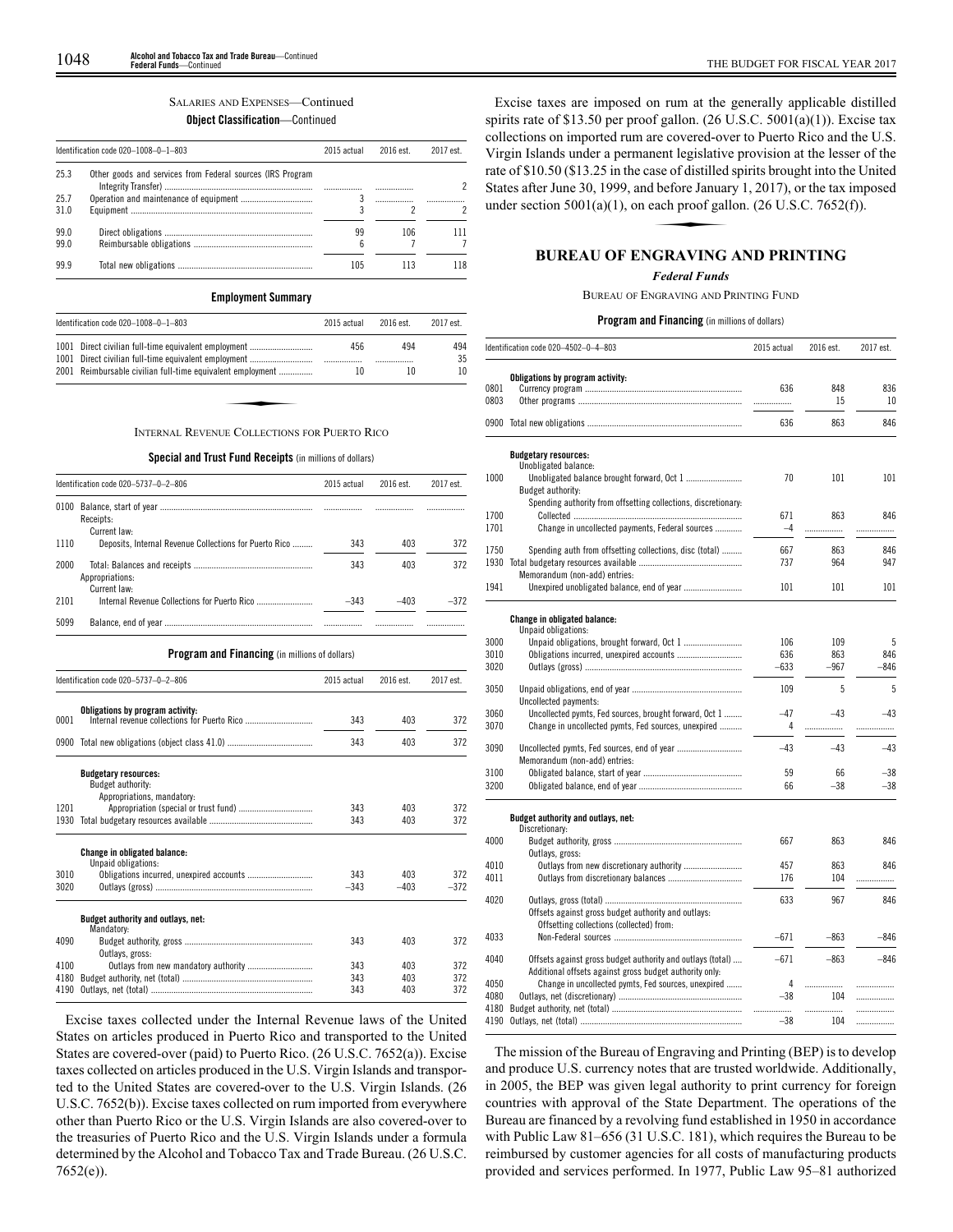# SALARIES AND EXPENSES—Continued

# **Object Classification**—Continued

| Identification code 020-1008-0-1-803 |                                                            | 2015 actual | 2016 est. | 2017 est. |  |
|--------------------------------------|------------------------------------------------------------|-------------|-----------|-----------|--|
| 25.3                                 | Other goods and services from Federal sources (IRS Program |             |           |           |  |
| 25.7<br>31.0                         |                                                            |             |           |           |  |
| 99.0<br>99.0                         |                                                            | 99<br>ĥ     | 106       |           |  |
| 99.9                                 |                                                            | 105         |           |           |  |

#### **Employment Summary**

| Identification code 020-1008-0-1-803<br>2015 actual                                                          |     | 2016 est. | 2017 est. |
|--------------------------------------------------------------------------------------------------------------|-----|-----------|-----------|
| 1001 Direct civilian full-time equivalent employment<br>1001 Direct civilian full-time equivalent employment | 456 | 494       | 494<br>35 |
| 2001 Reimbursable civilian full-time equivalent employment                                                   | 10  | 10        | 10        |
|                                                                                                              |     |           |           |
|                                                                                                              |     |           |           |
| <b>INTERNAL REVENUE COLLECTIONS FOR PUERTO RICO</b>                                                          |     |           |           |

#### **Special and Trust Fund Receipts** (in millions of dollars)

|      | Identification code 020-5737-0-2-806                   |        | 2016 est. | 2017 est. |  |
|------|--------------------------------------------------------|--------|-----------|-----------|--|
| 0100 | Receipts:<br>Current law:                              |        |           | .         |  |
| 1110 | Deposits, Internal Revenue Collections for Puerto Rico | 343    | 403       | 372       |  |
| 2000 | Appropriations:<br>Current law:                        | 343    | 403       | 372       |  |
| 2101 |                                                        | $-343$ | $-403$    | $-372$    |  |
| 5099 |                                                        |        |           |           |  |

| <b>Program and Financing</b> (in millions of dollars) |                                                                                |        |           |           |
|-------------------------------------------------------|--------------------------------------------------------------------------------|--------|-----------|-----------|
|                                                       | Identification code 020-5737-0-2-806                                           |        | 2016 est. | 2017 est. |
| 0001                                                  | Obligations by program activity:                                               | 343    | 403       | 372       |
|                                                       |                                                                                |        |           |           |
|                                                       |                                                                                | 343    | 403       | 372       |
|                                                       | <b>Budgetary resources:</b><br>Budget authority:<br>Appropriations, mandatory: |        |           |           |
| 1201                                                  |                                                                                | 343    | 403       | 372       |
| 1930                                                  |                                                                                | 343    | 403       | 372       |
|                                                       | <b>Change in obligated balance:</b><br>Unpaid obligations:                     |        |           |           |
| 3010                                                  |                                                                                | 343    | 403       | 372       |
| 3020                                                  |                                                                                | $-343$ | $-403$    | $-372$    |
|                                                       | Budget authority and outlays, net:<br>Mandatory:                               |        |           |           |
| 4090                                                  | Outlays, gross:                                                                | 343    | 403       | 372       |
| 4100                                                  |                                                                                | 343    | 403       | 372       |
| 4180                                                  |                                                                                | 343    | 403       | 372       |
| 4190                                                  |                                                                                | 343    | 403       | 372       |

Excise taxes collected under the Internal Revenue laws of the United States on articles produced in Puerto Rico and transported to the United States are covered-over (paid) to Puerto Rico. (26 U.S.C. 7652(a)). Excise taxes collected on articles produced in the U.S. Virgin Islands and transported to the United States are covered-over to the U.S. Virgin Islands. (26 U.S.C. 7652(b)). Excise taxes collected on rum imported from everywhere other than Puerto Rico or the U.S. Virgin Islands are also covered-over to the treasuries of Puerto Rico and the U.S. Virgin Islands under a formula determined by the Alcohol and Tobacco Tax and Trade Bureau. (26 U.S.C. 7652(e)).

Excise taxes are imposed on rum at the generally applicable distilled spirits rate of \$13.50 per proof gallon. (26 U.S.C. 5001(a)(1)). Excise tax collections on imported rum are covered-over to Puerto Rico and the U.S. Virgin Islands under a permanent legislative provision at the lesser of the rate of \$10.50 (\$13.25 in the case of distilled spirits brought into the United States after June 30, 1999, and before January 1, 2017), or the tax imposed under section 5001(a)(1), on each proof gallon. (26 U.S.C. 7652(f States after June 30, 1999, and before January 1, 2017), or the tax imposed under section  $5001(a)(1)$ , on each proof gallon. (26 U.S.C. 7652(f)).

# **BUREAU OF ENGRAVING AND PRINTING**

#### *Federal Funds*

#### BUREAU OF ENGRAVING AND PRINTING FUND

#### **Program and Financing** (in millions of dollars)

| Identification code 020-4502-0-4-803 |                                                                | 2015 actual | 2016 est. | 2017 est. |  |
|--------------------------------------|----------------------------------------------------------------|-------------|-----------|-----------|--|
| 0801<br>0803                         | Obligations by program activity:                               | 636<br>.    | 848<br>15 | 836<br>10 |  |
|                                      |                                                                | 636         | 863       | 846       |  |
|                                      | <b>Budgetary resources:</b>                                    |             |           |           |  |
| 1000                                 | Unobligated balance:<br>Budget authority:                      | 70          | 101       | 101       |  |
|                                      | Spending authority from offsetting collections, discretionary: |             |           |           |  |
| 1700                                 |                                                                | 671         | 863       | 846       |  |
| 1701                                 | Change in uncollected payments, Federal sources                | $-4$        | .         | .         |  |
| 1750                                 | Spending auth from offsetting collections, disc (total)        | 667         | 863       | 846       |  |
| 1930                                 |                                                                | 737         | 964       | 947       |  |
|                                      | Memorandum (non-add) entries:                                  |             |           |           |  |
| 1941                                 |                                                                | 101         | 101       | 101       |  |
|                                      |                                                                |             |           |           |  |
|                                      | Change in obligated balance:<br>Unpaid obligations:            |             |           |           |  |
| 3000                                 |                                                                | 106         | 109       | 5         |  |
| 3010                                 | Obligations incurred, unexpired accounts                       | 636         | 863       | 846       |  |
| 3020                                 |                                                                | $-633$      | $-967$    | $-846$    |  |
| 3050                                 | Uncollected payments:                                          | 109         | 5         | 5         |  |
| 3060                                 | Uncollected pymts, Fed sources, brought forward, Oct 1         | $-47$       | $-43$     | $-43$     |  |
| 3070                                 | Change in uncollected pymts, Fed sources, unexpired            | 4           | .         |           |  |
| 3090                                 | Memorandum (non-add) entries:                                  | $-43$       | $-43$     | $-43$     |  |
| 3100                                 |                                                                | 59          | 66        | $-38$     |  |
| 3200                                 |                                                                | 66          | $-38$     | $-38$     |  |
|                                      | Budget authority and outlays, net:                             |             |           |           |  |
|                                      | Discretionary:                                                 |             |           |           |  |
| 4000                                 |                                                                | 667         | 863       | 846       |  |
| 4010                                 | Outlays, gross:                                                | 457         | 863       | 846       |  |
| 4011                                 |                                                                | 176         | 104       | .         |  |
|                                      |                                                                |             |           |           |  |
| 4020                                 | Offsets against gross budget authority and outlays:            | 633         | 967       | 846       |  |
|                                      | Offsetting collections (collected) from:                       |             |           |           |  |
| 4033                                 |                                                                | $-671$      | $-863$    | $-846$    |  |
| 4040                                 | Offsets against gross budget authority and outlays (total)     | $-671$      | $-863$    | $-846$    |  |
|                                      | Additional offsets against gross budget authority only:        |             |           |           |  |
| 4050                                 | Change in uncollected pymts, Fed sources, unexpired            | 4           | .         | .         |  |
| 4080<br>4180                         |                                                                | $-38$<br>.  | 104<br>   | .<br>.    |  |
| 4190                                 |                                                                | $-38$       | 104       | .         |  |
|                                      |                                                                |             |           |           |  |

The mission of the Bureau of Engraving and Printing (BEP) is to develop and produce U.S. currency notes that are trusted worldwide. Additionally, in 2005, the BEP was given legal authority to print currency for foreign countries with approval of the State Department. The operations of the Bureau are financed by a revolving fund established in 1950 in accordance with Public Law 81–656 (31 U.S.C. 181), which requires the Bureau to be reimbursed by customer agencies for all costs of manufacturing products provided and services performed. In 1977, Public Law 95–81 authorized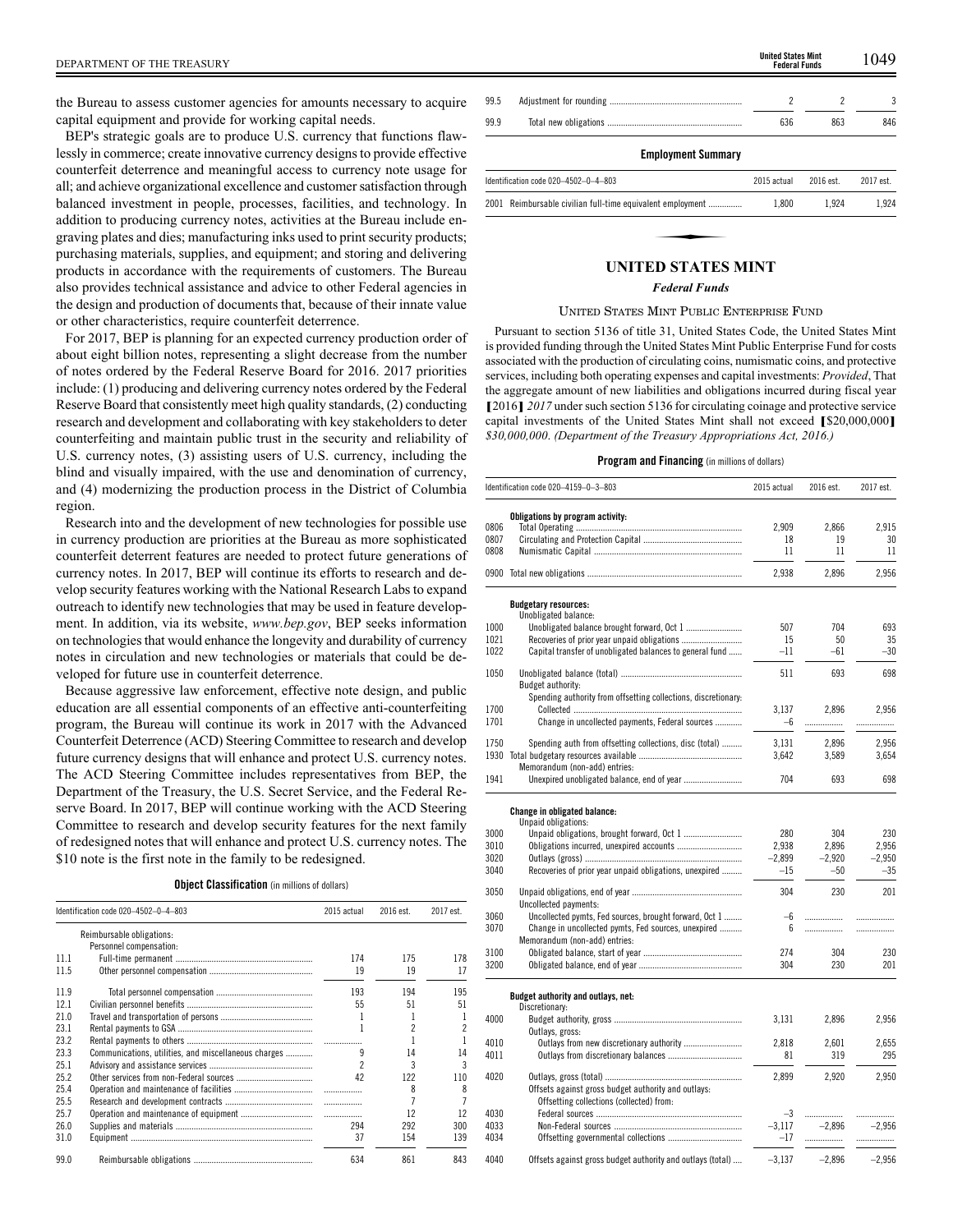BEP's strategic goals are to produce U.S. currency that functions flawlessly in commerce; create innovative currency designs to provide effective counterfeit deterrence and meaningful access to currency note usage for all; and achieve organizational excellence and customer satisfaction through balanced investment in people, processes, facilities, and technology. In addition to producing currency notes, activities at the Bureau include engraving plates and dies; manufacturing inks used to print security products; purchasing materials, supplies, and equipment; and storing and delivering products in accordance with the requirements of customers. The Bureau also provides technical assistance and advice to other Federal agencies in the design and production of documents that, because of their innate value or other characteristics, require counterfeit deterrence.

For 2017, BEP is planning for an expected currency production order of about eight billion notes, representing a slight decrease from the number of notes ordered by the Federal Reserve Board for 2016. 2017 priorities include: (1) producing and delivering currency notes ordered by the Federal Reserve Board that consistently meet high quality standards, (2) conducting research and development and collaborating with key stakeholders to deter counterfeiting and maintain public trust in the security and reliability of U.S. currency notes, (3) assisting users of U.S. currency, including the blind and visually impaired, with the use and denomination of currency, and (4) modernizing the production process in the District of Columbia region.

Research into and the development of new technologies for possible use in currency production are priorities at the Bureau as more sophisticated counterfeit deterrent features are needed to protect future generations of currency notes. In 2017, BEP will continue its efforts to research and develop security features working with the National Research Labs to expand outreach to identify new technologies that may be used in feature development. In addition, via its website, *www.bep.gov*, BEP seeks information on technologies that would enhance the longevity and durability of currency notes in circulation and new technologies or materials that could be developed for future use in counterfeit deterrence.

Because aggressive law enforcement, effective note design, and public education are all essential components of an effective anti-counterfeiting program, the Bureau will continue its work in 2017 with the Advanced Counterfeit Deterrence (ACD) Steering Committee to research and develop future currency designs that will enhance and protect U.S. currency notes. The ACD Steering Committee includes representatives from BEP, the Department of the Treasury, the U.S. Secret Service, and the Federal Reserve Board. In 2017, BEP will continue working with the ACD Steering Committee to research and develop security features for the next family of redesigned notes that will enhance and protect U.S. currency notes. The \$10 note is the first note in the family to be redesigned.

|  | <b>Object Classification</b> (in millions of dollars) |  |  |
|--|-------------------------------------------------------|--|--|
|--|-------------------------------------------------------|--|--|

|      | Identification code 020-4502-0-4-803                 | 2015 actual | 2016 est. | 2017 est. |
|------|------------------------------------------------------|-------------|-----------|-----------|
|      | Reimbursable obligations:                            |             |           |           |
|      | Personnel compensation:                              |             |           |           |
| 11.1 |                                                      | 174         | 175       | 178       |
| 11.5 |                                                      | 19          | 19        | 17        |
| 11.9 |                                                      | 193         | 194       | 195       |
| 12.1 |                                                      | 55          | 51        | 51        |
| 21.0 |                                                      |             |           |           |
| 23.1 |                                                      |             |           | 2         |
| 23.2 |                                                      |             |           |           |
| 23.3 | Communications, utilities, and miscellaneous charges |             | 14        | 14        |
| 25.1 |                                                      | 2           | 3         | 3         |
| 25.2 |                                                      | 42          | 122       | 110       |
| 25.4 |                                                      |             | 8         | 8         |
| 25.5 |                                                      |             |           |           |
| 25.7 |                                                      |             | 12        | 12        |
| 26.0 |                                                      | 294         | 292       | 300       |
| 31.0 |                                                      | 37          | 154       | 139       |
| 99.0 |                                                      | 634         | 861       | 843       |

| DEPARTMENT OF THE TREASURY                                                                                                         |      | <b>United States Mint</b><br><b>Federal Funds</b> | 1049 |
|------------------------------------------------------------------------------------------------------------------------------------|------|---------------------------------------------------|------|
| the Bureau to assess customer agencies for amounts necessary to acquire                                                            | 99.5 |                                                   |      |
| capital equipment and provide for working capital needs.<br>DED's strategie goals are to produce U.S. surveyor that functions flow | 99.9 | 636                                               | 846  |

## **Employment Summary**

| Identification code 020-4502-0-4-803                       | 2015 actual | 2016 est. | 2017 est. |
|------------------------------------------------------------|-------------|-----------|-----------|
| 2001 Reimbursable civilian full-time equivalent employment | 1.800       | 1.924     | 1.924     |
|                                                            |             |           |           |
| <b>INITED STATES MINT</b>                                  |             |           |           |

#### **UNITED STATES MINT**

#### *Federal Funds*

#### UNITED STATES MINT PUBLIC ENTERPRISE FUND

Pursuant to section 5136 of title 31, United States Code, the United States Mint is provided funding through the United States Mint Public Enterprise Fund for costs associated with the production of circulating coins, numismatic coins, and protective services, including both operating expenses and capital investments: *Provided*, That the aggregate amount of new liabilities and obligations incurred during fiscal year **[**2016**]** *2017* under such section 5136 for circulating coinage and protective service capital investments of the United States Mint shall not exceed **[**\$20,000,000**]** *\$30,000,000*. *(Department of the Treasury Appropriations Act, 2016.)*

|      | Identification code 020-4159-0-3-803                           | 2015 actual | 2016 est. | 2017 est. |
|------|----------------------------------------------------------------|-------------|-----------|-----------|
|      | Obligations by program activity:                               |             |           |           |
| 0806 |                                                                | 2,909       | 2,866     | 2,915     |
| 0807 |                                                                | 18          | 19        | 30        |
| 0808 |                                                                | 11          | 11        | 11        |
|      |                                                                | 2,938       | 2,896     | 2,956     |
|      | <b>Budgetary resources:</b>                                    |             |           |           |
|      | Unobligated balance:                                           |             |           |           |
| 1000 |                                                                | 507         | 704       | 693       |
| 1021 |                                                                | 15          | 50        | 35        |
| 1022 | Capital transfer of unobligated balances to general fund       | -11         | $-61$     | $-30$     |
| 1050 |                                                                | 511         | 693       | 698       |
|      | Budget authority:                                              |             |           |           |
|      | Spending authority from offsetting collections, discretionary: |             |           |           |
| 1700 |                                                                | 3.137       | 2.896     | 2.956     |
| 1701 | Change in uncollected payments, Federal sources                | $-6$        | .         | .         |
| 1750 | Spending auth from offsetting collections, disc (total)        | 3,131       | 2.896     | 2,956     |
| 1930 |                                                                | 3,642       | 3,589     | 3,654     |
|      | Memorandum (non-add) entries:                                  |             |           |           |
| 1941 |                                                                | 704         | 693       | 698       |
|      |                                                                |             |           |           |
|      | Change in obligated balance:<br>Unpaid obligations:            |             |           |           |
| 3000 |                                                                | 280         | 304       | 230       |
| 3010 |                                                                | 2,938       | 2,896     | 2,956     |
| 3020 |                                                                | $-2,899$    | $-2,920$  | $-2,950$  |
| 3040 | Recoveries of prior year unpaid obligations, unexpired         | $-15$       | $-50$     | $-35$     |
|      |                                                                |             |           |           |
| 3050 |                                                                | 304         | 230       | 201       |
|      | Uncollected payments:                                          |             |           |           |
| 3060 | Uncollected pymts, Fed sources, brought forward, Oct 1         | $-6$        | .         |           |
| 3070 | Change in uncollected pymts, Fed sources, unexpired            | 6           | .         | .         |
|      | Memorandum (non-add) entries:                                  |             |           |           |
| 3100 |                                                                | 274         | 304       | 230       |
| 3200 |                                                                | 304         | 230       | 201       |
|      | Budget authority and outlays, net:                             |             |           |           |
|      | Discretionary:                                                 |             |           |           |
| 4000 |                                                                | 3,131       | 2,896     | 2,956     |
|      | Outlays, gross:                                                |             |           |           |
| 4010 |                                                                | 2,818       | 2,601     | 2,655     |
| 4011 |                                                                | 81          | 319       | 295       |
|      |                                                                |             |           |           |
| 4020 |                                                                | 2,899       | 2,920     | 2,950     |
|      | Offsets against gross budget authority and outlays:            |             |           |           |
|      | Offsetting collections (collected) from:                       |             |           |           |
| 4030 |                                                                | $-3$        | .         | .         |
| 4033 |                                                                | $-3,117$    | $-2.896$  | $-2,956$  |
| 4034 |                                                                | $-17$       | .         | .         |
|      |                                                                |             |           |           |
| 4040 | Offsets against gross budget authority and outlays (total)     | $-3,137$    | $-2,896$  | $-2,956$  |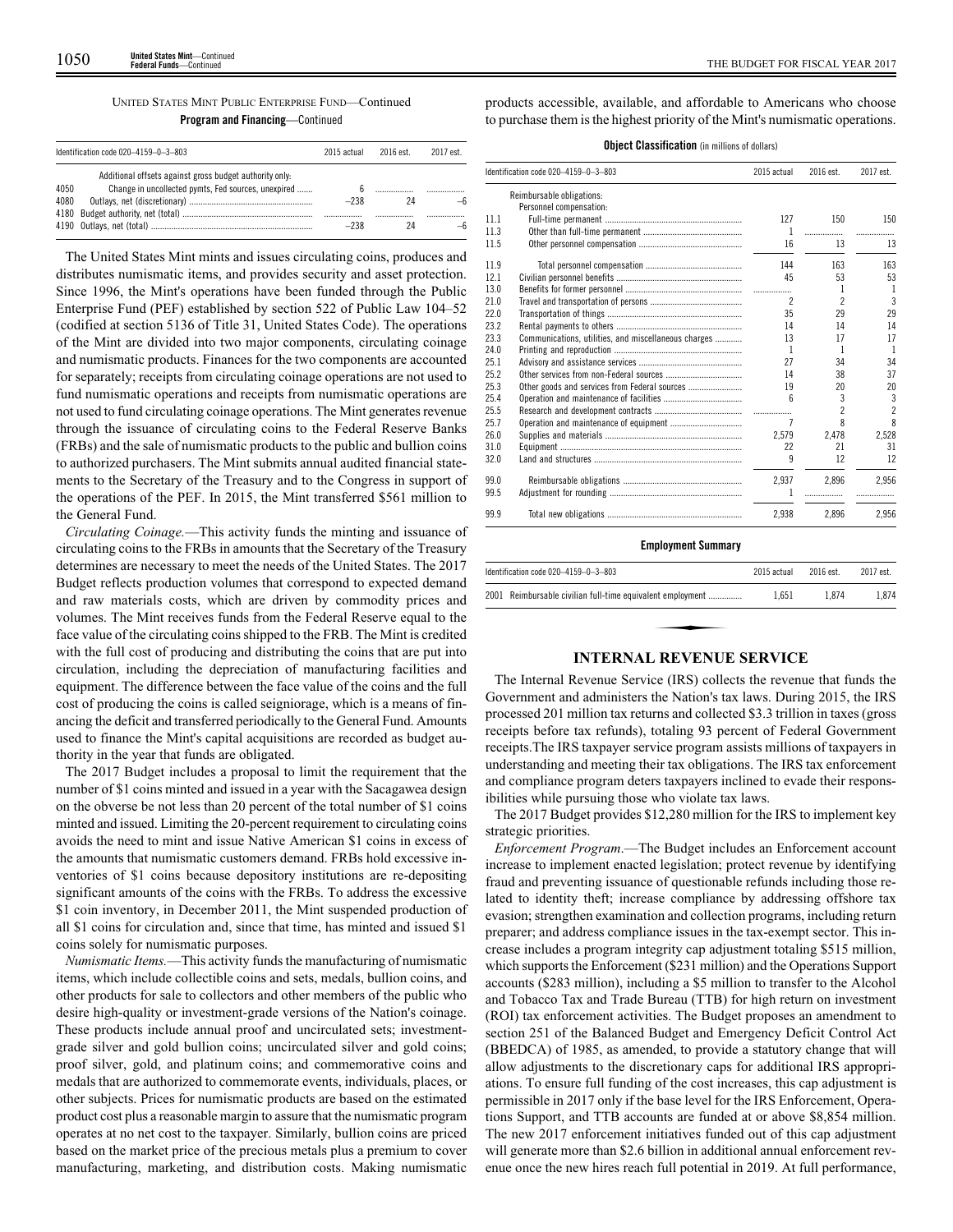|      | Identification code $020-4159-0-3-803$                  | 2015 actual | 2016 est. | 2017 est. |
|------|---------------------------------------------------------|-------------|-----------|-----------|
|      | Additional offsets against gross budget authority only. |             |           |           |
| 4050 | Change in uncollected pymts, Fed sources, unexpired     |             |           |           |
| 4080 |                                                         | $-238$      |           |           |
|      |                                                         |             |           |           |
|      |                                                         | $-238$      |           |           |

The United States Mint mints and issues circulating coins, produces and distributes numismatic items, and provides security and asset protection. Since 1996, the Mint's operations have been funded through the Public Enterprise Fund (PEF) established by section 522 of Public Law 104–52 (codified at section 5136 of Title 31, United States Code). The operations of the Mint are divided into two major components, circulating coinage and numismatic products. Finances for the two components are accounted for separately; receipts from circulating coinage operations are not used to fund numismatic operations and receipts from numismatic operations are not used to fund circulating coinage operations. The Mint generates revenue through the issuance of circulating coins to the Federal Reserve Banks (FRBs) and the sale of numismatic products to the public and bullion coins to authorized purchasers. The Mint submits annual audited financial statements to the Secretary of the Treasury and to the Congress in support of the operations of the PEF. In 2015, the Mint transferred \$561 million to the General Fund.

*Circulating Coinage.*—This activity funds the minting and issuance of circulating coins to the FRBs in amounts that the Secretary of the Treasury determines are necessary to meet the needs of the United States. The 2017 Budget reflects production volumes that correspond to expected demand and raw materials costs, which are driven by commodity prices and volumes. The Mint receives funds from the Federal Reserve equal to the face value of the circulating coins shipped to the FRB. The Mint is credited with the full cost of producing and distributing the coins that are put into circulation, including the depreciation of manufacturing facilities and equipment. The difference between the face value of the coins and the full cost of producing the coins is called seigniorage, which is a means of financing the deficit and transferred periodically to the General Fund. Amounts used to finance the Mint's capital acquisitions are recorded as budget authority in the year that funds are obligated.

The 2017 Budget includes a proposal to limit the requirement that the number of \$1 coins minted and issued in a year with the Sacagawea design on the obverse be not less than 20 percent of the total number of \$1 coins minted and issued. Limiting the 20-percent requirement to circulating coins avoids the need to mint and issue Native American \$1 coins in excess of the amounts that numismatic customers demand. FRBs hold excessive inventories of \$1 coins because depository institutions are re-depositing significant amounts of the coins with the FRBs. To address the excessive \$1 coin inventory, in December 2011, the Mint suspended production of all \$1 coins for circulation and, since that time, has minted and issued \$1 coins solely for numismatic purposes.

*Numismatic Items.*—This activity funds the manufacturing of numismatic items, which include collectible coins and sets, medals, bullion coins, and other products for sale to collectors and other members of the public who desire high-quality or investment-grade versions of the Nation's coinage. These products include annual proof and uncirculated sets; investmentgrade silver and gold bullion coins; uncirculated silver and gold coins; proof silver, gold, and platinum coins; and commemorative coins and medals that are authorized to commemorate events, individuals, places, or other subjects. Prices for numismatic products are based on the estimated product cost plus a reasonable margin to assure that the numismatic program operates at no net cost to the taxpayer. Similarly, bullion coins are priced based on the market price of the precious metals plus a premium to cover manufacturing, marketing, and distribution costs. Making numismatic

products accessible, available, and affordable to Americans who choose to purchase them is the highest priority of the Mint's numismatic operations.

|  | <b>Object Classification</b> (in millions of dollars) |  |  |
|--|-------------------------------------------------------|--|--|
|--|-------------------------------------------------------|--|--|

|      | Identification code 020-4159-0-3-803                 |                          | 2016 est.      | 2017 est.      |
|------|------------------------------------------------------|--------------------------|----------------|----------------|
|      | Reimbursable obligations:                            |                          |                |                |
|      | Personnel compensation:                              |                          |                |                |
| 11.1 |                                                      | 127                      | 150            | 150            |
| 11.3 |                                                      | 1                        | .              | .              |
| 11.5 |                                                      | 16                       | 13             | 13             |
| 11.9 |                                                      | 144                      | 163            | 163            |
| 12.1 |                                                      | 45                       | 53             | 53             |
| 13.0 |                                                      |                          | 1              | 1              |
| 21.0 |                                                      | $\overline{\phantom{a}}$ | $\overline{c}$ | $\overline{3}$ |
| 22.0 |                                                      | 35                       | 29             | 29             |
| 23.2 |                                                      | 14                       | 14             | 14             |
| 23.3 | Communications, utilities, and miscellaneous charges | 13                       | 17             | 17             |
| 24.0 |                                                      | 1                        | 1              | $\mathbf{1}$   |
| 25.1 |                                                      | 27                       | 34             | 34             |
| 25.2 |                                                      | 14                       | 38             | 37             |
| 25.3 | Other goods and services from Federal sources        | 19                       | 20             | 20             |
| 25.4 |                                                      | ĥ                        | 3              | 3              |
| 25.5 |                                                      |                          | 2              | $\overline{c}$ |
| 25.7 |                                                      | 7                        | 8              | 8              |
| 26.0 |                                                      | 2.579                    | 2,478          | 2,528          |
| 31.0 |                                                      | 22                       | 21             | 31             |
| 32.0 |                                                      | 9                        | 12             | 12             |
| 99.0 |                                                      | 2,937                    | 2.896          | 2.956          |
| 99.5 |                                                      | 1                        |                |                |
| 99.9 |                                                      | 2.938                    | 2.896          | 2,956          |

## **Employment Summary**

| Identification code 020-4159-0-3-803                       | 2015 actual | 2016 est. | 2017 est. |
|------------------------------------------------------------|-------------|-----------|-----------|
| 2001 Reimbursable civilian full-time equivalent employment | 1.651       | 1.874     | 1.874     |
|                                                            |             |           |           |
| INTEDNAL DEVENHE SEDVICE                                   |             |           |           |

## **INTERNAL REVENUE SERVICE**

The Internal Revenue Service (IRS) collects the revenue that funds the Government and administers the Nation's tax laws. During 2015, the IRS processed 201 million tax returns and collected \$3.3 trillion in taxes (gross receipts before tax refunds), totaling 93 percent of Federal Government receipts.The IRS taxpayer service program assists millions of taxpayers in understanding and meeting their tax obligations. The IRS tax enforcement and compliance program deters taxpayers inclined to evade their responsibilities while pursuing those who violate tax laws.

The 2017 Budget provides \$12,280 million for the IRS to implement key strategic priorities.

*Enforcement Program*.—The Budget includes an Enforcement account increase to implement enacted legislation; protect revenue by identifying fraud and preventing issuance of questionable refunds including those related to identity theft; increase compliance by addressing offshore tax evasion; strengthen examination and collection programs, including return preparer; and address compliance issues in the tax-exempt sector. This increase includes a program integrity cap adjustment totaling \$515 million, which supports the Enforcement (\$231 million) and the Operations Support accounts (\$283 million), including a \$5 million to transfer to the Alcohol and Tobacco Tax and Trade Bureau (TTB) for high return on investment (ROI) tax enforcement activities. The Budget proposes an amendment to section 251 of the Balanced Budget and Emergency Deficit Control Act (BBEDCA) of 1985, as amended, to provide a statutory change that will allow adjustments to the discretionary caps for additional IRS appropriations. To ensure full funding of the cost increases, this cap adjustment is permissible in 2017 only if the base level for the IRS Enforcement, Operations Support, and TTB accounts are funded at or above \$8,854 million. The new 2017 enforcement initiatives funded out of this cap adjustment will generate more than \$2.6 billion in additional annual enforcement revenue once the new hires reach full potential in 2019. At full performance,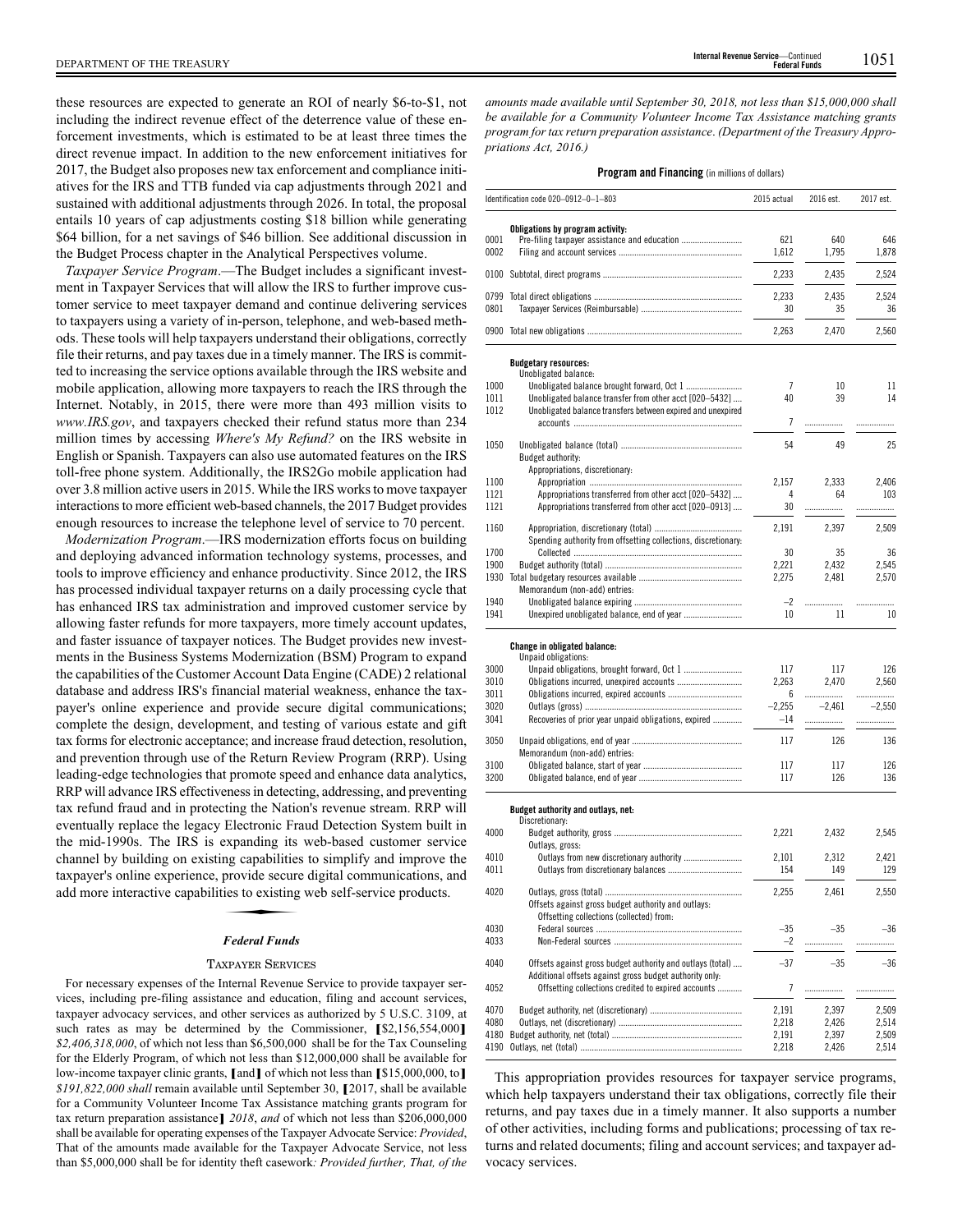these resources are expected to generate an ROI of nearly \$6-to-\$1, not including the indirect revenue effect of the deterrence value of these enforcement investments, which is estimated to be at least three times the direct revenue impact. In addition to the new enforcement initiatives for 2017, the Budget also proposes new tax enforcement and compliance initiatives for the IRS and TTB funded via cap adjustments through 2021 and sustained with additional adjustments through 2026. In total, the proposal entails 10 years of cap adjustments costing \$18 billion while generating \$64 billion, for a net savings of \$46 billion. See additional discussion in the Budget Process chapter in the Analytical Perspectives volume.

*Taxpayer Service Program*.—The Budget includes a significant investment in Taxpayer Services that will allow the IRS to further improve customer service to meet taxpayer demand and continue delivering services to taxpayers using a variety of in-person, telephone, and web-based methods. These tools will help taxpayers understand their obligations, correctly file their returns, and pay taxes due in a timely manner. The IRS is committed to increasing the service options available through the IRS website and mobile application, allowing more taxpayers to reach the IRS through the Internet. Notably, in 2015, there were more than 493 million visits to *www.IRS.gov*, and taxpayers checked their refund status more than 234 million times by accessing *Where's My Refund?* on the IRS website in English or Spanish. Taxpayers can also use automated features on the IRS toll-free phone system. Additionally, the IRS2Go mobile application had over 3.8 million active users in 2015. While the IRS works to move taxpayer interactions to more efficient web-based channels, the 2017 Budget provides enough resources to increase the telephone level of service to 70 percent.

*Modernization Program*.—IRS modernization efforts focus on building and deploying advanced information technology systems, processes, and tools to improve efficiency and enhance productivity. Since 2012, the IRS has processed individual taxpayer returns on a daily processing cycle that has enhanced IRS tax administration and improved customer service by allowing faster refunds for more taxpayers, more timely account updates, and faster issuance of taxpayer notices. The Budget provides new investments in the Business Systems Modernization (BSM) Program to expand the capabilities of the Customer Account Data Engine (CADE) 2 relational database and address IRS's financial material weakness, enhance the taxpayer's online experience and provide secure digital communications; complete the design, development, and testing of various estate and gift tax forms for electronic acceptance; and increase fraud detection, resolution, and prevention through use of the Return Review Program (RRP). Using leading-edge technologies that promote speed and enhance data analytics, RRP will advance IRS effectiveness in detecting, addressing, and preventing tax refund fraud and in protecting the Nation's revenue stream. RRP will eventually replace the legacy Electronic Fraud Detection System built in the mid-1990s. The IRS is expanding its web-based customer service channel by building on existing capabilities to simplify and improve the taxpayer's online experience, provide secure digital communications, and add more interactive capabilities to existing web self-service products. Explanding to the capabilities<br>provide secure<br>ies to existing<br>Federal Funds

## *Federal Funds*

#### TAXPAYER SERVICES

For necessary expenses of the Internal Revenue Service to provide taxpayer services, including pre-filing assistance and education, filing and account services, taxpayer advocacy services, and other services as authorized by 5 U.S.C. 3109, at such rates as may be determined by the Commissioner, **[**\$2,156,554,000**]** *\$2,406,318,000*, of which not less than \$6,500,000 shall be for the Tax Counseling for the Elderly Program, of which not less than \$12,000,000 shall be available for low-income taxpayer clinic grants, **[**and**]** of which not less than **[**\$15,000,000, to**]** *\$191,822,000 shall* remain available until September 30, **[**2017, shall be available for a Community Volunteer Income Tax Assistance matching grants program for tax return preparation assistance**]** *2018*, *and* of which not less than \$206,000,000 shall be available for operating expenses of the Taxpayer Advocate Service: *Provided*, That of the amounts made available for the Taxpayer Advocate Service, not less than \$5,000,000 shall be for identity theft casework*: Provided further, That, of the*

*amounts made available until September 30, 2018, not less than \$15,000,000 shall be available for a Community Volunteer Income Tax Assistance matching grants program for tax return preparation assistance*. *(Department of the Treasury Appropriations Act, 2016.)*

#### **Program and Financing** (in millions of dollars)

|      | Identification code 020-0912-0-1-803                                                                           | 2015 actual    | 2016 est. | 2017 est. |
|------|----------------------------------------------------------------------------------------------------------------|----------------|-----------|-----------|
|      | Obligations by program activity:                                                                               |                |           |           |
| 0001 |                                                                                                                | 621            | 640       | 646       |
| 0002 |                                                                                                                | 1,612          | 1,795     | 1,878     |
| 0100 |                                                                                                                | 2,233          | 2,435     | 2,524     |
| 0799 |                                                                                                                | 2,233          | 2,435     | 2,524     |
| 0801 |                                                                                                                | 30             | 35        | 36        |
|      |                                                                                                                | 2,263          | 2,470     | 2,560     |
|      |                                                                                                                |                |           |           |
|      | <b>Budgetary resources:</b><br>Unobligated balance:                                                            |                |           |           |
| 1000 |                                                                                                                | $\overline{7}$ | 10        | 11        |
| 1011 | Unobligated balance transfer from other acct [020-5432]                                                        | 40             | 39        | 14        |
| 1012 | Unobligated balance transfers between expired and unexpired                                                    |                |           |           |
|      |                                                                                                                | $\overline{7}$ | .         | .         |
| 1050 |                                                                                                                | 54             | 49        | 25        |
|      | Budget authority:                                                                                              |                |           |           |
|      | Appropriations, discretionary:                                                                                 |                |           |           |
| 1100 |                                                                                                                | 2,157          | 2,333     | 2,406     |
| 1121 | Appropriations transferred from other acct [020-5432]                                                          | 4              | 64        | 103       |
| 1121 | Appropriations transferred from other acct [020-0913]                                                          | 30             | .         |           |
| 1160 |                                                                                                                |                |           |           |
|      | Spending authority from offsetting collections, discretionary:                                                 | 2,191          | 2,397     | 2,509     |
| 1700 |                                                                                                                | 30             | 35        | 36        |
| 1900 |                                                                                                                | 2,221          | 2,432     | 2,545     |
| 1930 |                                                                                                                | 2,275          | 2,481     | 2,570     |
|      | Memorandum (non-add) entries:                                                                                  |                |           |           |
| 1940 |                                                                                                                | $-2$           |           |           |
| 1941 |                                                                                                                | 10             | 11        | 10        |
|      | Change in obligated balance:                                                                                   |                |           |           |
|      | Unpaid obligations:                                                                                            |                |           |           |
| 3000 |                                                                                                                | 117            | 117       | 126       |
| 3010 | Obligations incurred, unexpired accounts                                                                       | 2,263          | 2,470     | 2,560     |
| 3011 |                                                                                                                | 6              | .         | .         |
| 3020 |                                                                                                                | $-2,255$       | $-2,461$  | $-2,550$  |
| 3041 | Recoveries of prior year unpaid obligations, expired                                                           | -14            | .         | .         |
| 3050 |                                                                                                                | 117            | 126       | 136       |
|      | Memorandum (non-add) entries:                                                                                  |                |           |           |
| 3100 |                                                                                                                | 117            | 117       | 126       |
| 3200 |                                                                                                                | 117            | 126       | 136       |
|      |                                                                                                                |                |           |           |
|      | Budget authority and outlays, net:<br>Discretionary:                                                           |                |           |           |
| 4000 |                                                                                                                | 2,221          | 2,432     | 2,545     |
|      | Outlays, gross:                                                                                                |                |           |           |
| 4010 | Outlays from new discretionary authority                                                                       | 2,101          | 2,312     | 2,421     |
| 4011 |                                                                                                                | 154            | 149       | 129       |
| 4020 |                                                                                                                | 2,255          | 2,461     | 2,550     |
|      | Offsets against gross budget authority and outlays:                                                            |                |           |           |
|      | Offsetting collections (collected) from:                                                                       |                |           |           |
| 4030 |                                                                                                                | $-35$          | $-35$     | $-36$     |
| 4033 |                                                                                                                | $-2$           | .         | .         |
|      |                                                                                                                |                |           |           |
| 4040 | Offsets against gross budget authority and outlays (total)                                                     | $-37$          | $-35$     | $-36$     |
| 4052 | Additional offsets against gross budget authority only:<br>Offsetting collections credited to expired accounts | 7              |           |           |
|      |                                                                                                                |                |           |           |
| 4070 |                                                                                                                | 2,191          | 2,397     | 2,509     |
| 4080 |                                                                                                                | 2,218          | 2,426     | 2,514     |
| 4180 |                                                                                                                | 2,191          | 2,397     | 2,509     |
| 4190 |                                                                                                                | 2,218          | 2,426     | 2,514     |

This appropriation provides resources for taxpayer service programs, which help taxpayers understand their tax obligations, correctly file their returns, and pay taxes due in a timely manner. It also supports a number of other activities, including forms and publications; processing of tax returns and related documents; filing and account services; and taxpayer advocacy services.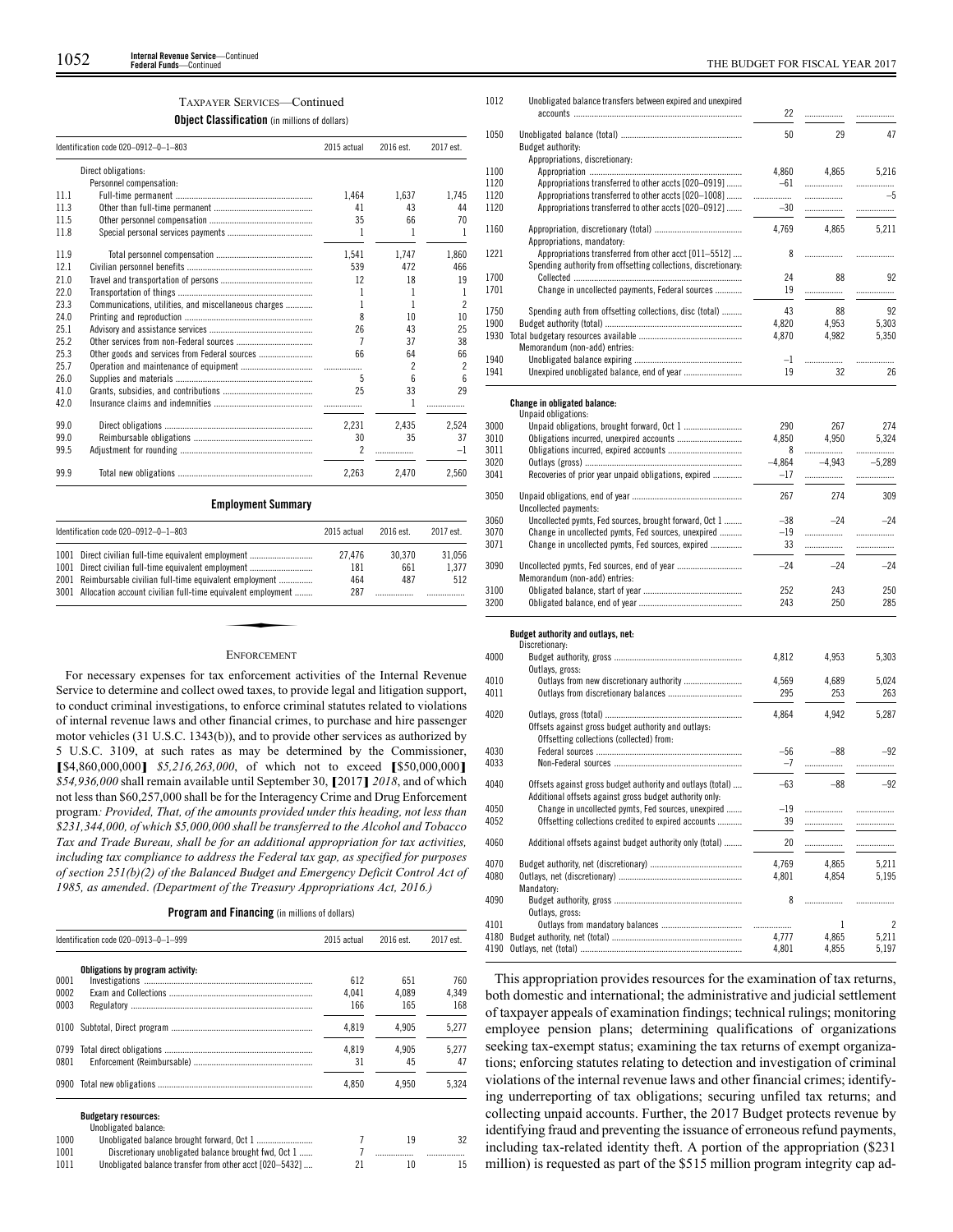## TAXPAYER SERVICES—Continued

**Object Classification** (in millions of dollars)

|      | Identification code 020-0912-0-1-803                 | 2015 actual              | 2016 est. | 2017 est.                |
|------|------------------------------------------------------|--------------------------|-----------|--------------------------|
|      | Direct obligations:                                  |                          |           |                          |
|      | Personnel compensation:                              |                          |           |                          |
| 11.1 |                                                      | 1.464                    | 1.637     | 1.745                    |
| 11.3 |                                                      | 41                       | 43        | 44                       |
| 11.5 |                                                      | 35                       | 66        | 70                       |
| 11.8 |                                                      | 1                        | 1         | 1                        |
| 11.9 |                                                      | 1.541                    | 1.747     | 1.860                    |
| 12.1 |                                                      | 539                      | 472       | 466                      |
| 21.0 |                                                      | 12                       | 18        | 19                       |
| 22.0 |                                                      | 1                        | 1         | 1                        |
| 23.3 | Communications, utilities, and miscellaneous charges | 1                        | 1         | $\overline{\phantom{a}}$ |
| 24.0 |                                                      | 8                        | 10        | 10                       |
| 25.1 |                                                      | 26                       | 43        | 25                       |
| 25.2 |                                                      | 7                        | 37        | 38                       |
| 25.3 |                                                      | 66                       | 64        | 66                       |
| 25.7 |                                                      |                          | 2         | 2                        |
| 26.0 |                                                      | 5                        | 6         | 6                        |
| 41.0 |                                                      | 25                       | 33        | 29                       |
| 42.0 |                                                      |                          | 1         |                          |
| 99.0 |                                                      | 2.231                    | 2.435     | 2.524                    |
| 99.0 |                                                      | 30                       | 35        | 37                       |
| 99.5 |                                                      | $\overline{\phantom{a}}$ | .         | $-1$                     |
| 99.9 |                                                      | 2.263                    | 2.470     | 2.560                    |

## **Employment Summary**

|      | Identification code 020-0912-0-1-803                             | 2015 actual | 2016 est. | 2017 est. |
|------|------------------------------------------------------------------|-------------|-----------|-----------|
| 1001 | Direct civilian full-time equivalent employment                  | 27.476      | 30.370    | 31.056    |
| 1001 | Direct civilian full-time equivalent employment                  | 181         | 661       | 1.377     |
| 2001 | Reimbursable civilian full-time equivalent employment            | 464         | 487       | 512       |
|      | 3001 Allocation account civilian full-time equivalent employment | 287         |           |           |

#### ENFORCEMENT

For necessary expenses for tax enforcement activities of the Internal Revenue Service to determine and collect owed taxes, to provide legal and litigation support, to conduct criminal investigations, to enforce criminal statutes related to violations of internal revenue laws and other financial crimes, to purchase and hire passenger motor vehicles (31 U.S.C. 1343(b)), and to provide other services as authorized by 5 U.S.C. 3109, at such rates as may be determined by the Commissioner, **[**\$4,860,000,000**]** *\$5,216,263,000*, of which not to exceed **[**\$50,000,000**]** *\$54,936,000* shall remain available until September 30, **[**2017**]** *2018*, and of which not less than \$60,257,000 shall be for the Interagency Crime and Drug Enforcement program*: Provided, That, of the amounts provided under this heading, not less than \$231,344,000, of which \$5,000,000 shall be transferred to the Alcohol and Tobacco Tax and Trade Bureau, shall be for an additional appropriation for tax activities, including tax compliance to address the Federal tax gap, as specified for purposes of section 251(b)(2) of the Balanced Budget and Emergency Deficit Control Act of 1985, as amended*. *(Department of the Treasury Appropriations Act, 2016.)*

## **Program and Financing** (in millions of dollars)

|      | Identification code 020-0913-0-1-999                    | 2015 actual | 2016 est. | 2017 est. |
|------|---------------------------------------------------------|-------------|-----------|-----------|
|      | Obligations by program activity:                        |             |           |           |
| 0001 |                                                         | 612         | 651       | 760       |
| 0002 |                                                         | 4.041       | 4.089     | 4.349     |
| 0003 |                                                         | 166         | 165       | 168       |
| 0100 |                                                         | 4,819       | 4,905     | 5,277     |
| 0799 |                                                         | 4.819       | 4.905     | 5.277     |
| 0801 |                                                         | 31          | 45        | 47        |
| 0900 |                                                         | 4.850       | 4.950     | 5,324     |
|      | <b>Budgetary resources:</b>                             |             |           |           |
|      | Unobligated balance:                                    |             |           |           |
| 1000 |                                                         |             | 19        | 32        |
| 1001 | Discretionary unobligated balance brought fwd, Oct 1    |             |           |           |
| 1011 | Unobligated balance transfer from other acct [020-5432] | 21          | 10        | 15        |

| 1012         | Unobligated balance transfers between expired and unexpired                                                   |                |          |          |
|--------------|---------------------------------------------------------------------------------------------------------------|----------------|----------|----------|
|              |                                                                                                               | 22             | .        |          |
| 1050         |                                                                                                               | 50             | 29       | 47       |
|              | Budget authority:                                                                                             |                |          |          |
|              | Appropriations, discretionary:                                                                                |                |          |          |
| 1100         |                                                                                                               | 4.860          | 4.865    | 5,216    |
| 1120         | Appropriations transferred to other accts [020-0919]                                                          | $-61$          | .        | .        |
| 1120         | Appropriations transferred to other accts [020-1008]                                                          | .              | .        | $-5$     |
| 1120         | Appropriations transferred to other accts [020-0912]                                                          | $-30$          | .        | .        |
| 1160         |                                                                                                               | 4,769          | 4.865    | 5,211    |
|              | Appropriations, mandatory:                                                                                    |                |          |          |
| 1221         | Appropriations transferred from other acct [011–5512]                                                         | 8              | .        | .        |
|              | Spending authority from offsetting collections, discretionary:                                                |                |          |          |
| 1700         |                                                                                                               | 24             | 88       | 92       |
| 1701         | Change in uncollected payments, Federal sources                                                               | 19             | .        | .        |
| 1750         | Spending auth from offsetting collections, disc (total)                                                       | 43             | 88       | 92       |
| 1900         |                                                                                                               | 4,820          | 4,953    | 5,303    |
| 1930         |                                                                                                               | 4,870          | 4,982    | 5,350    |
|              | Memorandum (non-add) entries:                                                                                 |                |          |          |
| 1940         |                                                                                                               | $-1$           |          |          |
| 1941         | Unexpired unobligated balance, end of year                                                                    | 19             | 32       | 26       |
|              |                                                                                                               |                |          |          |
|              | Change in obligated balance:                                                                                  |                |          |          |
| 3000         | Unpaid obligations:                                                                                           | 290            | 267      | 274      |
| 3010         |                                                                                                               | 4.850          | 4,950    | 5,324    |
| 3011         |                                                                                                               | 8              | .        | .        |
| 3020         |                                                                                                               | $-4,864$       | $-4.943$ | $-5,289$ |
| 3041         | Recoveries of prior year unpaid obligations, expired                                                          | $-17$          | .        | .        |
|              |                                                                                                               |                |          |          |
| 3050         |                                                                                                               | 267            | 274      | 309      |
|              | Uncollected payments:                                                                                         |                | $-24$    | $-24$    |
| 3060<br>3070 | Uncollected pymts, Fed sources, brought forward, Oct 1<br>Change in uncollected pymts, Fed sources, unexpired | $-38$<br>$-19$ | .        | .        |
| 3071         | Change in uncollected pymts, Fed sources, expired                                                             | 33             | .        | .        |
|              |                                                                                                               |                |          |          |
| 3090         |                                                                                                               | $-24$          | $-24$    | $-24$    |
|              | Memorandum (non-add) entries:                                                                                 |                |          |          |
| 3100         |                                                                                                               | 252            | 243      | 250      |
| 3200         |                                                                                                               | 243            | 250      | 285      |
|              |                                                                                                               |                |          |          |
|              | Budget authority and outlays, net:<br>Discretionary:                                                          |                |          |          |
| 4000         |                                                                                                               | 4,812          | 4,953    | 5,303    |
|              | Outlays, gross:                                                                                               |                |          |          |
| 4010         |                                                                                                               | 4.569          | 4.689    | 5.024    |

| 4000 | Outlays, gross:                                                                                                       | 4.01Z | 4.JJJ | ນ.ວບວ          |
|------|-----------------------------------------------------------------------------------------------------------------------|-------|-------|----------------|
| 4010 |                                                                                                                       | 4,569 | 4,689 | 5,024          |
| 4011 |                                                                                                                       | 295   | 253   | 263            |
| 4020 | Offsets against gross budget authority and outlays:<br>Offsetting collections (collected) from:                       | 4.864 | 4.942 | 5,287          |
| 4030 |                                                                                                                       | $-56$ | $-88$ | $-92$          |
| 4033 |                                                                                                                       | $-7$  |       |                |
| 4040 | Offsets against gross budget authority and outlays (total)<br>Additional offsets against gross budget authority only. | $-63$ | $-88$ | $-92$          |
| 4050 | Change in uncollected pymts, Fed sources, unexpired                                                                   | $-19$ |       |                |
| 4052 | Offsetting collections credited to expired accounts                                                                   | 39    |       |                |
| 4060 | Additional offsets against budget authority only (total)                                                              | 20    |       |                |
| 4070 |                                                                                                                       | 4,769 | 4.865 | 5,211          |
| 4080 |                                                                                                                       | 4,801 | 4,854 | 5,195          |
|      | Mandatory:                                                                                                            |       |       |                |
| 4090 |                                                                                                                       | 8     |       |                |
|      | Outlays, gross:                                                                                                       |       |       |                |
| 4101 |                                                                                                                       |       | 1     | $\overline{2}$ |
| 4180 |                                                                                                                       | 4.777 | 4.865 | 5,211          |
| 4190 |                                                                                                                       | 4.801 | 4,855 | 5,197          |
|      |                                                                                                                       |       |       |                |

This appropriation provides resources for the examination of tax returns, both domestic and international; the administrative and judicial settlement of taxpayer appeals of examination findings; technical rulings; monitoring employee pension plans; determining qualifications of organizations seeking tax-exempt status; examining the tax returns of exempt organizations; enforcing statutes relating to detection and investigation of criminal violations of the internal revenue laws and other financial crimes; identifying underreporting of tax obligations; securing unfiled tax returns; and collecting unpaid accounts. Further, the 2017 Budget protects revenue by identifying fraud and preventing the issuance of erroneous refund payments, including tax-related identity theft. A portion of the appropriation (\$231 million) is requested as part of the \$515 million program integrity cap ad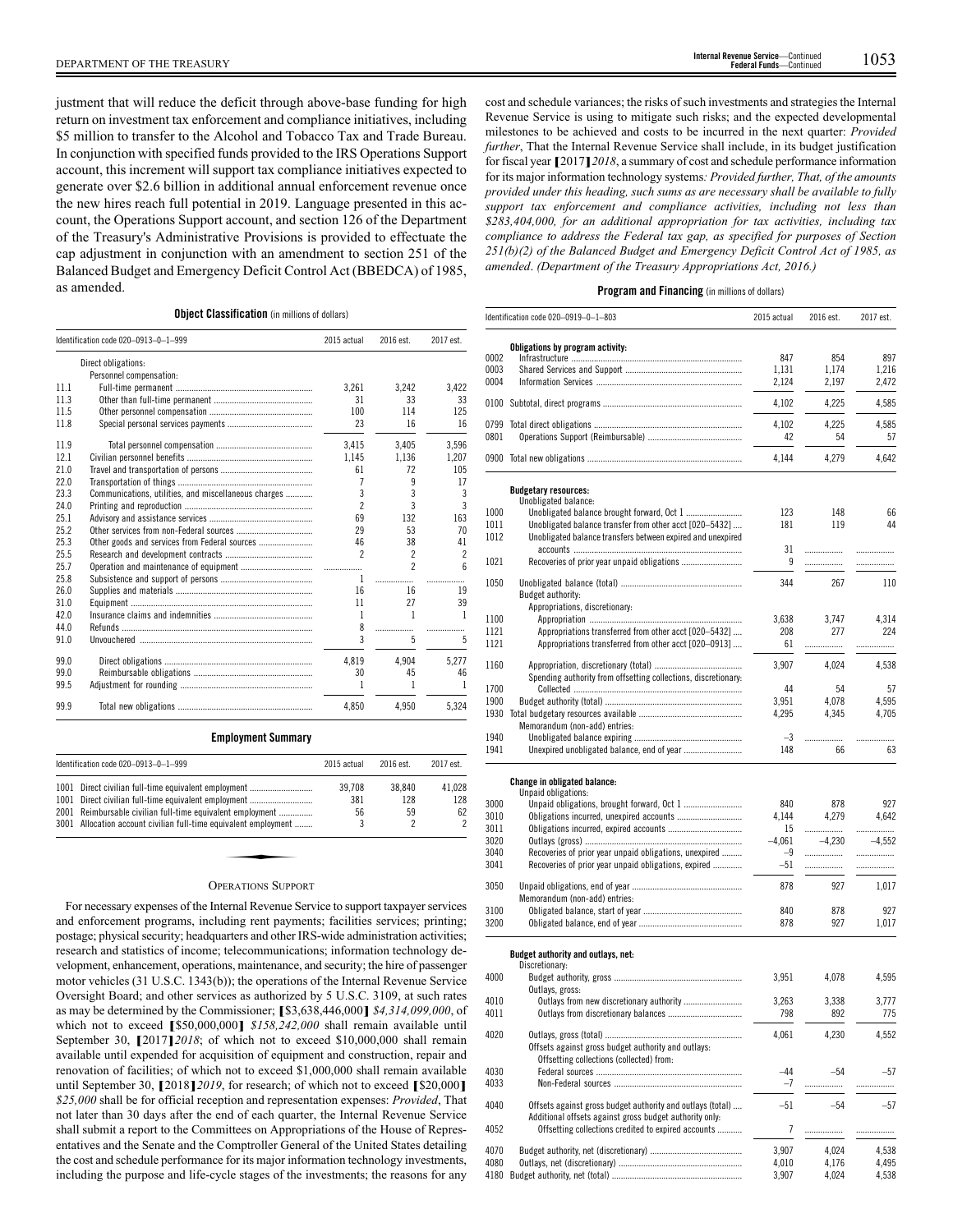justment that will reduce the deficit through above-base funding for high return on investment tax enforcement and compliance initiatives, including \$5 million to transfer to the Alcohol and Tobacco Tax and Trade Bureau. In conjunction with specified funds provided to the IRS Operations Support account, this increment will support tax compliance initiatives expected to generate over \$2.6 billion in additional annual enforcement revenue once the new hires reach full potential in 2019. Language presented in this account, the Operations Support account, and section 126 of the Department of the Treasury's Administrative Provisions is provided to effectuate the cap adjustment in conjunction with an amendment to section 251 of the Balanced Budget and Emergency Deficit Control Act (BBEDCA) of 1985, as amended.

Revenue Service is using to mitigate such risks; and the expected developmental milestones to be achieved and costs to be incurred in the next quarter: *Provided further*, That the Internal Revenue Service shall include, in its budget justification for fiscal year **[**2017**]***2018*, a summary of cost and schedule performance information for its major information technology systems*: Provided further, That, of the amounts provided under this heading, such sums as are necessary shall be available to fully support tax enforcement and compliance activities, including not less than \$283,404,000, for an additional appropriation for tax activities, including tax compliance to address the Federal tax gap, as specified for purposes of Section 251(b)(2) of the Balanced Budget and Emergency Deficit Control Act of 1985, as amended*. *(Department of the Treasury Appropriations Act, 2016.)*

cost and schedule variances; the risks of such investments and strategies the Internal

## **Program and Financing** (in millions of dollars)

|              | Identification code 020-0919-0-1-803                                                                           | 2015 actual | 2016 est. | 2017 est. |
|--------------|----------------------------------------------------------------------------------------------------------------|-------------|-----------|-----------|
|              | Obligations by program activity:                                                                               |             |           |           |
| 0002         |                                                                                                                | 847         | 854       | 897       |
| 0003         |                                                                                                                | 1,131       | 1,174     | 1,216     |
| 0004         |                                                                                                                | 2,124       | 2,197     | 2,472     |
|              |                                                                                                                | 4,102       | 4,225     | 4,585     |
|              |                                                                                                                | 4,102       | 4,225     | 4,585     |
| 0801         |                                                                                                                | 42          | 54        | 57        |
|              |                                                                                                                | 4,144       | 4,279     | 4,642     |
|              |                                                                                                                |             |           |           |
|              | <b>Budgetary resources:</b><br>Unobligated balance:                                                            |             |           |           |
| 1000         |                                                                                                                | 123         | 148       | 66        |
| 1011         | Unobligated balance transfer from other acct [020-5432]                                                        | 181         | 119       | 44        |
| 1012         | Unobligated balance transfers between expired and unexpired                                                    |             |           |           |
| 1021         |                                                                                                                | 31<br>9     | <br>      | .<br>.    |
|              |                                                                                                                |             |           |           |
| 1050         | Budget authority:                                                                                              | 344         | 267       | 110       |
|              | Appropriations, discretionary:                                                                                 |             |           |           |
| 1100         |                                                                                                                | 3.638       | 3,747     | 4,314     |
| 1121         | Appropriations transferred from other acct [020-5432]                                                          | 208         | 277       | 224       |
| 1121         | Appropriations transferred from other acct [020-0913]                                                          | 61          | .         |           |
| 1160         |                                                                                                                | 3,907       | 4,024     | 4,538     |
|              | Spending authority from offsetting collections, discretionary:                                                 |             |           |           |
| 1700         |                                                                                                                | 44          | 54        | 57        |
| 1900         |                                                                                                                | 3,951       | 4,078     | 4,595     |
|              |                                                                                                                | 4,295       | 4,345     | 4,705     |
|              | Memorandum (non-add) entries:                                                                                  |             |           |           |
| 1940<br>1941 |                                                                                                                | $-3$<br>148 | .<br>66   | .<br>63   |
|              |                                                                                                                |             |           |           |
|              | Change in obligated balance:<br>Unpaid obligations:                                                            |             |           |           |
| 3000         | Unpaid obligations, brought forward, Oct 1                                                                     | 840         | 878       | 927       |
| 3010         |                                                                                                                | 4,144       | 4,279     | 4,642     |
| 3011         |                                                                                                                | 15          | .         |           |
| 3020         |                                                                                                                | $-4,061$    | $-4,230$  | $-4,552$  |
| 3040         | Recoveries of prior year unpaid obligations, unexpired                                                         | $-9$        | .         |           |
| 3041         | Recoveries of prior year unpaid obligations, expired                                                           | -51         | .         | .         |
| 3050         |                                                                                                                | 878         | 927       | 1,017     |
|              | Memorandum (non-add) entries:                                                                                  |             |           |           |
| 3100         |                                                                                                                | 840         | 878       | 927       |
| 3200         |                                                                                                                | 878         | 927       | 1.017     |
|              | Budget authority and outlays, net:                                                                             |             |           |           |
|              | Discretionary:                                                                                                 |             |           |           |
| 4000         |                                                                                                                | 3,951       | 4,078     | 4,595     |
| 4010         | Outlays, gross:                                                                                                | 3,263       | 3,338     | 3,777     |
| 4011         |                                                                                                                | 798         | 892       | 775       |
| 4020         |                                                                                                                | 4,061       |           |           |
|              | Offsets against gross budget authority and outlays:                                                            |             | 4,230     | 4,552     |
|              | Offsetting collections (collected) from:                                                                       |             |           |           |
| 4030         |                                                                                                                | $-44$       | $-54$     | $-57$     |
| 4033         |                                                                                                                | $-7$        | .         | .         |
|              |                                                                                                                |             |           |           |
| 4040         | Offsets against gross budget authority and outlays (total)                                                     | $-51$       | $-54$     | $-57$     |
| 4052         | Additional offsets against gross budget authority only:<br>Offsetting collections credited to expired accounts | 7           | .         | .         |
|              |                                                                                                                |             |           |           |
| 4070         |                                                                                                                | 3,907       | 4,024     | 4,538     |
| 4080         |                                                                                                                | 4,010       | 4,176     | 4,495     |
|              |                                                                                                                | 3,907       | 4,024     | 4,538     |

#### **Object Classification** (in millions of dollars)

|      | Identification code 020-0913-0-1-999                 | 2015 actual              | 2016 est.                | 2017 est.      |
|------|------------------------------------------------------|--------------------------|--------------------------|----------------|
|      | Direct obligations:                                  |                          |                          |                |
|      | Personnel compensation:                              |                          |                          |                |
| 11.1 |                                                      | 3.261                    | 3.242                    | 3.422          |
| 11.3 |                                                      | 31                       | 33                       | 33             |
| 11.5 |                                                      | 100                      | 114                      | 125            |
| 11.8 |                                                      | 23                       | 16                       | 16             |
| 11.9 |                                                      | 3.415                    | 3,405                    | 3,596          |
| 12.1 |                                                      | 1.145                    | 1.136                    | 1.207          |
| 21.0 |                                                      | 61                       | 72                       | 105            |
| 22.0 |                                                      | 7                        | q                        | 17             |
| 23.3 | Communications, utilities, and miscellaneous charges | 3                        | 3                        | 3              |
| 24.0 |                                                      | 2                        | 3                        | 3              |
| 25.1 |                                                      | 69                       | 132                      | 163            |
| 25.2 |                                                      | 29                       | 53                       | 70             |
| 25.3 |                                                      | 46                       | 38                       | 41             |
| 25.5 |                                                      | $\overline{\phantom{a}}$ | $\overline{\phantom{a}}$ | $\overline{c}$ |
| 25.7 |                                                      |                          | $\mathfrak{p}$           | ĥ              |
| 25.8 |                                                      | $\mathbf{1}$             | .                        |                |
| 26.0 |                                                      | 16                       | 16                       | 19             |
| 31.0 |                                                      | 11                       | 27                       | 39             |
| 42.0 |                                                      | $\mathbf{1}$             | $\overline{1}$           | 1              |
| 44.0 |                                                      | 8                        | .                        | .              |
| 91.0 |                                                      | 3                        | 5                        | 5              |
| 99.0 |                                                      | 4.819                    | 4.904                    | 5.277          |
| 99.0 |                                                      | 30                       | 45                       | 46             |
| 99.5 |                                                      | 1                        | 1                        | 1              |
| 99.9 |                                                      | 4.850                    | 4.950                    | 5.324          |

#### **Employment Summary**

|      | Identification code 020-0913-0-1-999                             | 2015 actual | 2016 est. | 2017 est. |
|------|------------------------------------------------------------------|-------------|-----------|-----------|
| 1001 | Direct civilian full-time equivalent employment                  | 39.708      | 38.840    | 41.028    |
| 1001 | Direct civilian full-time equivalent employment                  | 381         | 128       | 128       |
| 2001 | Reimbursable civilian full-time equivalent employment            | 56          | 59        | 62        |
|      | 3001 Allocation account civilian full-time equivalent employment |             |           | 2         |

#### OPERATIONS SUPPORT

For necessary expenses of the Internal Revenue Service to support taxpayer services and enforcement programs, including rent payments; facilities services; printing; postage; physical security; headquarters and other IRS-wide administration activities; research and statistics of income; telecommunications; information technology development, enhancement, operations, maintenance, and security; the hire of passenger motor vehicles (31 U.S.C. 1343(b)); the operations of the Internal Revenue Service Oversight Board; and other services as authorized by 5 U.S.C. 3109, at such rates as may be determined by the Commissioner; **[**\$3,638,446,000**]** *\$4,314,099,000*, of which not to exceed **[**\$50,000,000**]** *\$158,242,000* shall remain available until September 30, **[**2017**]***2018*; of which not to exceed \$10,000,000 shall remain available until expended for acquisition of equipment and construction, repair and renovation of facilities; of which not to exceed \$1,000,000 shall remain available until September 30, **[**2018**]***2019*, for research; of which not to exceed **[**\$20,000**]** *\$25,000* shall be for official reception and representation expenses: *Provided*, That not later than 30 days after the end of each quarter, the Internal Revenue Service shall submit a report to the Committees on Appropriations of the House of Representatives and the Senate and the Comptroller General of the United States detailing the cost and schedule performance for its major information technology investments, including the purpose and life-cycle stages of the investments; the reasons for any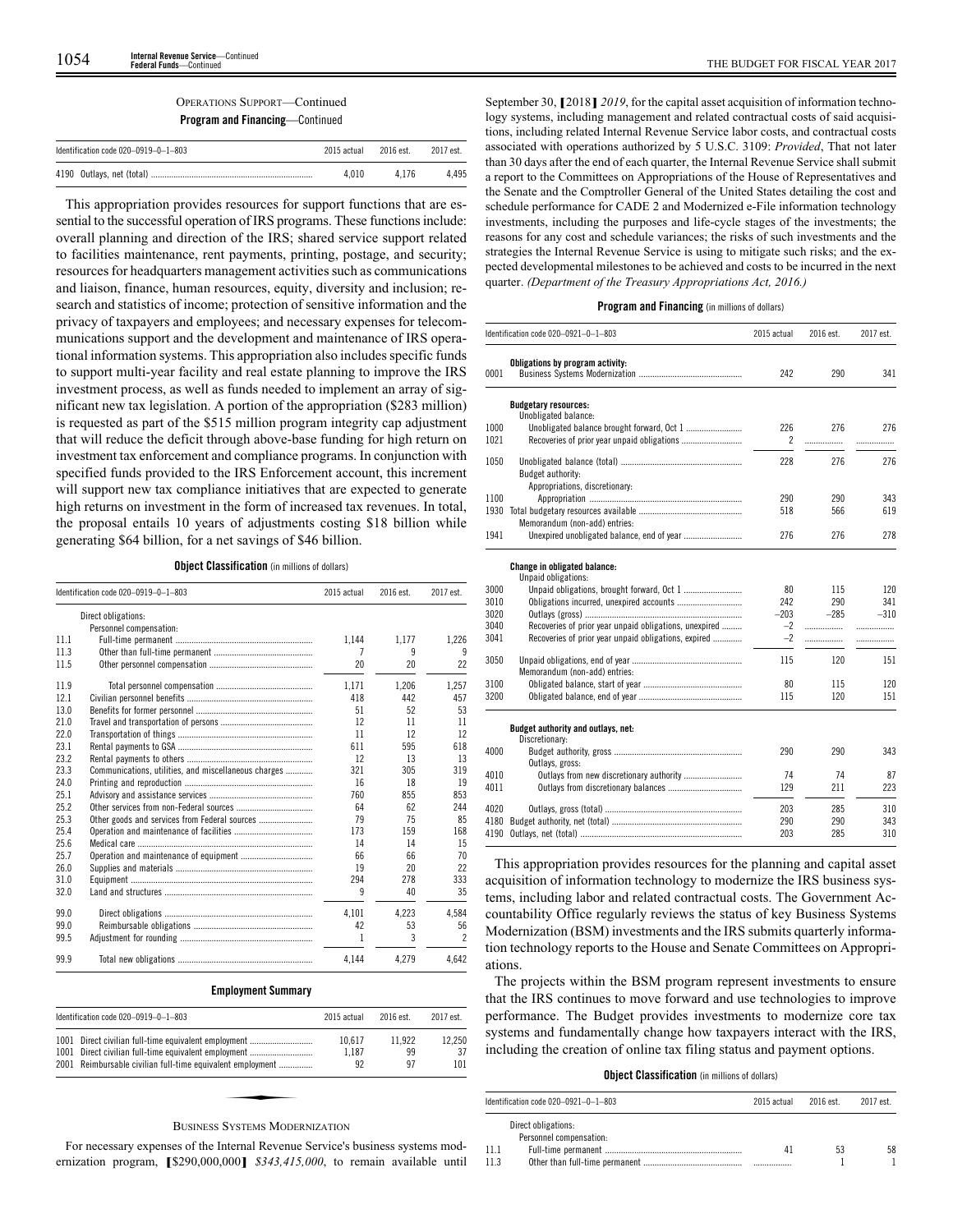**Program and Financing**—Continued

| Identification code $020-0919-0-1-803$<br>2015 actual<br>2016 est.<br>4.010<br>4 1 7 6 |  | 2017 est. |       |
|----------------------------------------------------------------------------------------|--|-----------|-------|
|                                                                                        |  |           |       |
|                                                                                        |  |           | 4.495 |

This appropriation provides resources for support functions that are essential to the successful operation of IRS programs. These functions include: overall planning and direction of the IRS; shared service support related to facilities maintenance, rent payments, printing, postage, and security; resources for headquarters management activities such as communications and liaison, finance, human resources, equity, diversity and inclusion; research and statistics of income; protection of sensitive information and the privacy of taxpayers and employees; and necessary expenses for telecommunications support and the development and maintenance of IRS operational information systems. This appropriation also includes specific funds to support multi-year facility and real estate planning to improve the IRS investment process, as well as funds needed to implement an array of significant new tax legislation. A portion of the appropriation (\$283 million) is requested as part of the \$515 million program integrity cap adjustment that will reduce the deficit through above-base funding for high return on investment tax enforcement and compliance programs. In conjunction with specified funds provided to the IRS Enforcement account, this increment will support new tax compliance initiatives that are expected to generate high returns on investment in the form of increased tax revenues. In total, the proposal entails 10 years of adjustments costing \$18 billion while generating \$64 billion, for a net savings of \$46 billion.

**Object Classification** (in millions of dollars)

|      | Identification code 020-0919-0-1-803                 | 2015 actual | 2016 est. | 2017 est.                |
|------|------------------------------------------------------|-------------|-----------|--------------------------|
|      | Direct obligations:                                  |             |           |                          |
|      | Personnel compensation:                              |             |           |                          |
| 111  |                                                      | 1.144       | 1.177     | 1,226                    |
| 11.3 |                                                      | 7           | 9         | 9                        |
| 11.5 |                                                      | 20          | 20        | 22                       |
| 11.9 |                                                      | 1.171       | 1.206     | 1.257                    |
| 12.1 |                                                      | 418         | 442       | 457                      |
| 13.0 |                                                      | 51          | 52        | 53                       |
| 21.0 |                                                      | 12          | 11        | 11                       |
| 22.0 |                                                      | 11          | 12        | 12                       |
| 23.1 |                                                      | 611         | 595       | 618                      |
| 23.2 |                                                      | 12          | 13        | 13                       |
| 23.3 | Communications, utilities, and miscellaneous charges | 321         | 305       | 319                      |
| 24.0 |                                                      | 16          | 18        | 19                       |
| 25.1 |                                                      | 760         | 855       | 853                      |
| 25.2 |                                                      | 64          | 62        | 244                      |
| 25.3 | Other goods and services from Federal sources        | 79          | 75        | 85                       |
| 25.4 |                                                      | 173         | 159       | 168                      |
| 25.6 |                                                      | 14          | 14        | 15                       |
| 25.7 |                                                      | 66          | 66        | 70                       |
| 26.0 |                                                      | 19          | 20        | 22                       |
| 31.0 |                                                      | 294         | 278       | 333                      |
| 32.0 |                                                      | 9           | 40        | 35                       |
| 99.0 |                                                      | 4.101       | 4.223     | 4.584                    |
| 99.0 |                                                      | 42          | 53        | 56                       |
| 99.5 |                                                      | 1           | 3         | $\overline{\phantom{a}}$ |
| 99.9 |                                                      | 4.144       | 4.279     | 4.642                    |

## **Employment Summary**

| Identification code 020-0919-0-1-803                       | 2015 actual | 2016 est. | 2017 est. |
|------------------------------------------------------------|-------------|-----------|-----------|
| 1001 Direct civilian full-time equivalent employment       | 10.617      | 11.922    | 12.250    |
| 1001 Direct civilian full-time equivalent employment       | 1.187       | 99        | 37        |
| 2001 Reimbursable civilian full-time equivalent employment | 92          | 97        | 101       |
|                                                            |             |           |           |

## BUSINESS SYSTEMS MODERNIZATION

For necessary expenses of the Internal Revenue Service's business systems modernization program, **[**\$290,000,000**]** *\$343,415,000*, to remain available until

September 30, **[**2018**]** *2019*, for the capital asset acquisition of information technology systems, including management and related contractual costs of said acquisitions, including related Internal Revenue Service labor costs, and contractual costs associated with operations authorized by 5 U.S.C. 3109: *Provided*, That not later than 30 days after the end of each quarter, the Internal Revenue Service shall submit a report to the Committees on Appropriations of the House of Representatives and the Senate and the Comptroller General of the United States detailing the cost and schedule performance for CADE 2 and Modernized e-File information technology investments, including the purposes and life-cycle stages of the investments; the reasons for any cost and schedule variances; the risks of such investments and the strategies the Internal Revenue Service is using to mitigate such risks; and the expected developmental milestones to be achieved and costs to be incurred in the next quarter. *(Department of the Treasury Appropriations Act, 2016.)*

## **Program and Financing** (in millions of dollars)

|              | Identification code 020-0921-0-1-803                       | 2015 actual | 2016 est. | 2017 est. |
|--------------|------------------------------------------------------------|-------------|-----------|-----------|
| 0001         | Obligations by program activity:                           | 242         | 290       | 341       |
|              | <b>Budgetary resources:</b><br>Unobligated balance:        |             |           |           |
| 1000<br>1021 | Unobligated balance brought forward, Oct 1                 | 226<br>2    | 276<br>.  | 276       |
| 1050         | Budget authority:                                          | 228         | 276       | 276       |
|              | Appropriations, discretionary:                             |             |           |           |
| 1100         |                                                            | 290         | 290       | 343       |
| 1930         | Memorandum (non-add) entries:                              | 518         | 566       | 619       |
| 1941         |                                                            | 276         | 276       | 278       |
|              | <b>Change in obligated balance:</b><br>Unpaid obligations: |             |           |           |
| 3000         |                                                            | 80          | 115       | 120       |
| 3010         | Obligations incurred, unexpired accounts                   | 242         | 290       | 341       |
| 3020         |                                                            | $-203$      | $-285$    | $-310$    |
| 3040         | Recoveries of prior year unpaid obligations, unexpired     | $-2$        | .         | .         |
| 3041         | Recoveries of prior year unpaid obligations, expired       | $-2$        | .         |           |
| 3050         | Memorandum (non-add) entries:                              | 115         | 120       | 151       |
| 3100         |                                                            | 80          | 115       | 120       |
| 3200         |                                                            | 115         | 120       | 151       |
|              | Budget authority and outlays, net:<br>Discretionary:       |             |           |           |
| 4000         | Outlays, gross:                                            | 290         | 290       | 343       |
| 4010         | Outlays from new discretionary authority                   | 74          | 74        | 87        |
| 4011         |                                                            | 129         | 211       | 223       |
| 4020         |                                                            | 203         | 285       | 310       |
| 4180         |                                                            | 290         | 290       | 343       |
| 4190         |                                                            | 203         | 285       | 310       |

This appropriation provides resources for the planning and capital asset acquisition of information technology to modernize the IRS business systems, including labor and related contractual costs. The Government Accountability Office regularly reviews the status of key Business Systems Modernization (BSM) investments and the IRS submits quarterly information technology reports to the House and Senate Committees on Appropriations.

The projects within the BSM program represent investments to ensure that the IRS continues to move forward and use technologies to improve performance. The Budget provides investments to modernize core tax systems and fundamentally change how taxpayers interact with the IRS, including the creation of online tax filing status and payment options.

#### **Object Classification** (in millions of dollars)

|      | Identification code $020-0921-0-1-803$         | 2015 actual | 2016 est. | 2017 est. |
|------|------------------------------------------------|-------------|-----------|-----------|
|      | Direct obligations:<br>Personnel compensation: |             |           |           |
| 11.1 |                                                | 41          | 53        | 58        |
| 11.3 |                                                |             |           |           |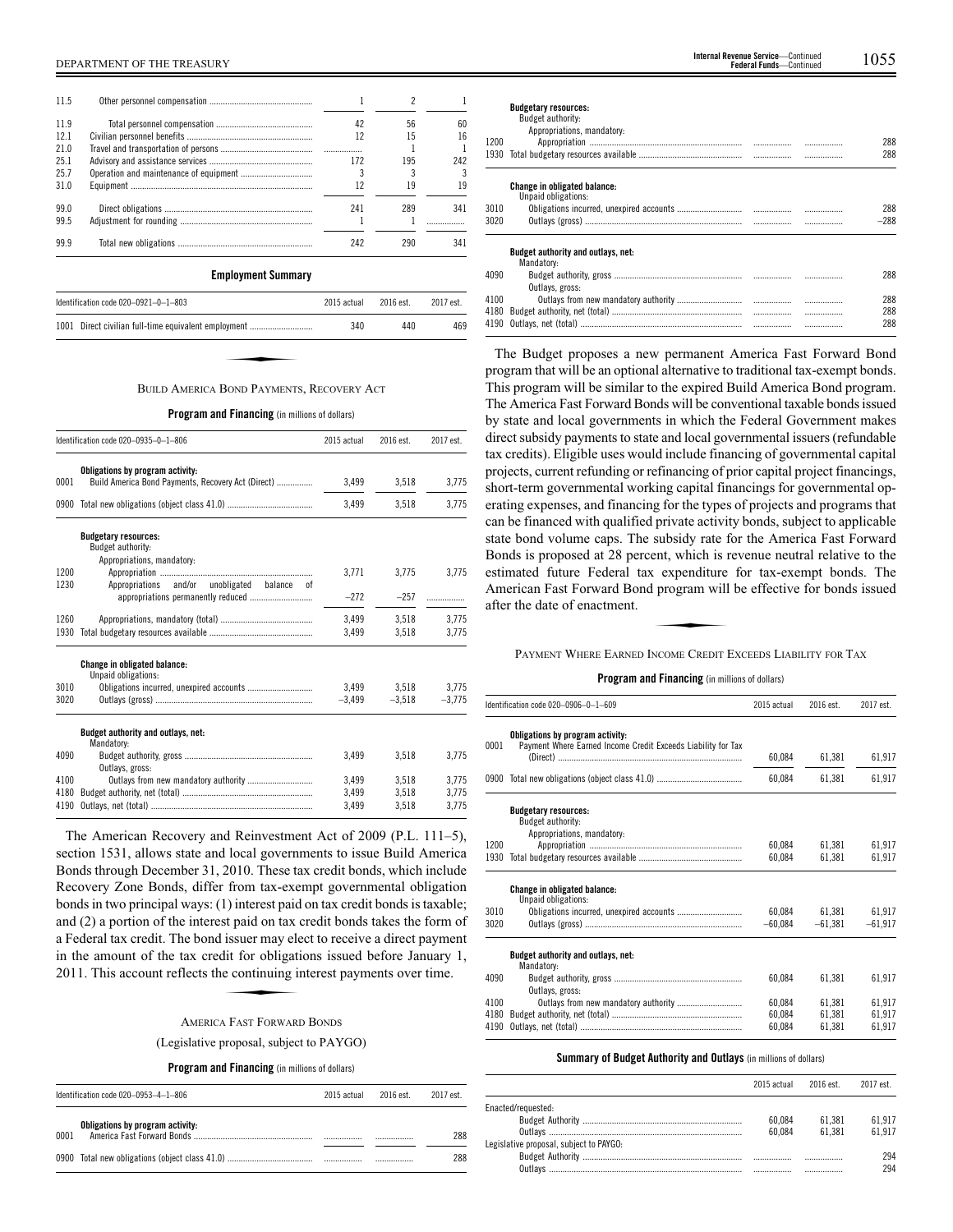| 11.5 |                                                 |             | 2         |           |
|------|-------------------------------------------------|-------------|-----------|-----------|
| 11.9 |                                                 | 42          | 56        | 60        |
| 12.1 |                                                 | 12          | 15        | 16        |
| 21.0 |                                                 | .           |           |           |
| 25.1 |                                                 | 172         | 195       | 242       |
| 25.7 |                                                 | 3           | 3         | 3         |
| 31.0 |                                                 | 12          | 19        | 19        |
| 99.0 |                                                 | 241         | 289       | 341       |
| 99.5 |                                                 | 1           |           | .         |
| 99.9 |                                                 | 242         | 290       | 341       |
|      | <b>Employment Summary</b>                       |             |           |           |
|      | Identification code 020-0921-0-1-803            | 2015 actual | 2016 est. | 2017 est. |
| 1001 | Direct civilian full-time equivalent employment | 340         | 440       | 469       |
|      |                                                 |             |           |           |
|      |                                                 |             |           |           |
|      |                                                 |             |           |           |
|      | <b>BUILD AMERICA BOND PAYMENTS RECOVERY ACT</b> |             |           |           |

#### BUILD AMERICA BOND PAYMENTS, RECOVERY ACT

#### **Program and Financing** (in millions of dollars)

|      | Identification code 020-0935-0-1-806                                                        | 2015 actual | 2016 est. | 2017 est. |
|------|---------------------------------------------------------------------------------------------|-------------|-----------|-----------|
| 0001 | Obligations by program activity:<br>Build America Bond Payments, Recovery Act (Direct)      | 3.499       | 3.518     | 3,775     |
| 0900 |                                                                                             | 3.499       | 3,518     | 3.775     |
|      | <b>Budgetary resources:</b><br>Budget authority:<br>Appropriations, mandatory:              |             |           |           |
| 1200 |                                                                                             | 3,771       | 3,775     | 3,775     |
| 1230 | Appropriations and/or<br>unobligated<br>balance<br>nt<br>appropriations permanently reduced | $-272$      | $-257$    | .         |
| 1260 |                                                                                             | 3.499       | 3,518     | 3,775     |
| 1930 |                                                                                             | 3,499       | 3,518     | 3.775     |
|      | <b>Change in obligated balance:</b><br>Unpaid obligations:                                  |             |           |           |
| 3010 |                                                                                             | 3,499       | 3,518     | 3,775     |
| 3020 |                                                                                             | $-3.499$    | $-3,518$  | $-3.775$  |
|      | Budget authority and outlays, net:<br>Mandatory:                                            |             |           |           |
| 4090 | Outlavs, gross:                                                                             | 3,499       | 3.518     | 3.775     |
| 4100 |                                                                                             | 3.499       | 3,518     | 3.775     |
| 4180 |                                                                                             | 3,499       | 3,518     | 3,775     |
| 4190 |                                                                                             | 3,499       | 3,518     | 3,775     |

The American Recovery and Reinvestment Act of 2009 (P.L. 111–5), section 1531, allows state and local governments to issue Build America Bonds through December 31, 2010. These tax credit bonds, which include Recovery Zone Bonds, differ from tax-exempt governmental obligation bonds in two principal ways: (1) interest paid on tax credit bonds is taxable; and (2) a portion of the interest paid on tax credit bonds takes the form of a Federal tax credit. The bond issuer may elect to receive a direct payment<br>in the amount of the tax credit for obligations issued before January 1,<br>2011. This account reflects the continuing interest payments over time.<br>A in the amount of the tax credit for obligations issued before January 1, 2011. This account reflects the continuing interest payments over time.

#### AMERICA FAST FORWARD BONDS

(Legislative proposal, subject to PAYGO)

#### **Program and Financing** (in millions of dollars)

| Identification code 020-0953-4-1-806 |                                  | 2015 actual | 2016 est. | 2017 est |
|--------------------------------------|----------------------------------|-------------|-----------|----------|
| 0001                                 | Obligations by program activity: |             | .         | 288      |
|                                      |                                  |             |           | 288      |

| 1200 | <b>Budgetary resources:</b><br>Budget authority:<br>Appropriations, mandatory: |   | 288<br>288 |
|------|--------------------------------------------------------------------------------|---|------------|
|      |                                                                                |   |            |
|      | <b>Change in obligated balance:</b>                                            |   |            |
|      | Unpaid obligations:                                                            |   |            |
| 3010 |                                                                                |   | 288        |
| 3020 |                                                                                |   | $-288$     |
|      | Budget authority and outlays, net:                                             |   |            |
|      | Mandatory:                                                                     |   |            |
| 4090 |                                                                                |   | 288        |
|      | Outlays, gross:                                                                |   |            |
| 4100 |                                                                                |   | 288        |
|      |                                                                                | . | 288        |
|      |                                                                                |   |            |

4190 Outlays, net (total) ........................................................................ ................. ................. 288

The Budget proposes a new permanent America Fast Forward Bond program that will be an optional alternative to traditional tax-exempt bonds. This program will be similar to the expired Build America Bond program. The America Fast Forward Bonds will be conventional taxable bonds issued by state and local governments in which the Federal Government makes direct subsidy payments to state and local governmental issuers (refundable tax credits). Eligible uses would include financing of governmental capital projects, current refunding or refinancing of prior capital project financings, short-term governmental working capital financings for governmental operating expenses, and financing for the types of projects and programs that can be financed with qualified private activity bonds, subject to applicable state bond volume caps. The subsidy rate for the America Fast Forward Bonds is proposed at 28 percent, which is revenue neutral relative to the Estimated future Federal tax expenditure for tax-exempt bonds. The American Fast Forward Bond program will be effective for bonds issued<br>after the date of enactment.<br>PAYMENT WHERE EARNED INCOME CREDIT EXCEEDS LIABILITY FOR American Fast Forward Bond program will be effective for bonds issued after the date of enactment.

## PAYMENT WHERE EARNED INCOME CREDIT EXCEEDS LIABILITY FOR TAX

#### **Program and Financing** (in millions of dollars)

|      | Identification code 020-0906-0-1-609                                                             | 2015 actual | 2016 est. | 2017 est. |
|------|--------------------------------------------------------------------------------------------------|-------------|-----------|-----------|
| 0001 | Obligations by program activity:<br>Payment Where Earned Income Credit Exceeds Liability for Tax |             |           |           |
|      |                                                                                                  | 60,084      | 61,381    | 61,917    |
|      |                                                                                                  | 60.084      | 61.381    | 61,917    |
|      | <b>Budgetary resources:</b><br>Budget authority:<br>Appropriations, mandatory:                   |             |           |           |
| 1200 |                                                                                                  | 60.084      | 61.381    | 61.917    |
| 1930 |                                                                                                  | 60.084      | 61.381    | 61,917    |
|      | <b>Change in obligated balance:</b><br>Unpaid obligations:                                       |             |           |           |
| 3010 |                                                                                                  | 60.084      | 61.381    | 61.917    |
| 3020 |                                                                                                  | $-60.084$   | $-61.381$ | $-61.917$ |
|      | Budget authority and outlays, net:<br>Mandatory:                                                 |             |           |           |
| 4090 | Outlays, gross:                                                                                  | 60.084      | 61.381    | 61,917    |
| 4100 |                                                                                                  | 60.084      | 61.381    | 61.917    |
| 4180 |                                                                                                  | 60,084      | 61.381    | 61,917    |
| 4190 |                                                                                                  | 60,084      | 61,381    | 61,917    |

## **Summary of Budget Authority and Outlays** (in millions of dollars)

|                                         | 2015 actual | 2016 est. | 2017 est. |
|-----------------------------------------|-------------|-----------|-----------|
| Enacted/requested:                      |             |           |           |
|                                         | 60.084      | 61.381    | 61.917    |
|                                         | 60.084      | 61.381    | 61 917    |
| Legislative proposal, subject to PAYGO: |             |           |           |
|                                         |             |           | 294       |
| Outlays                                 |             |           | 294       |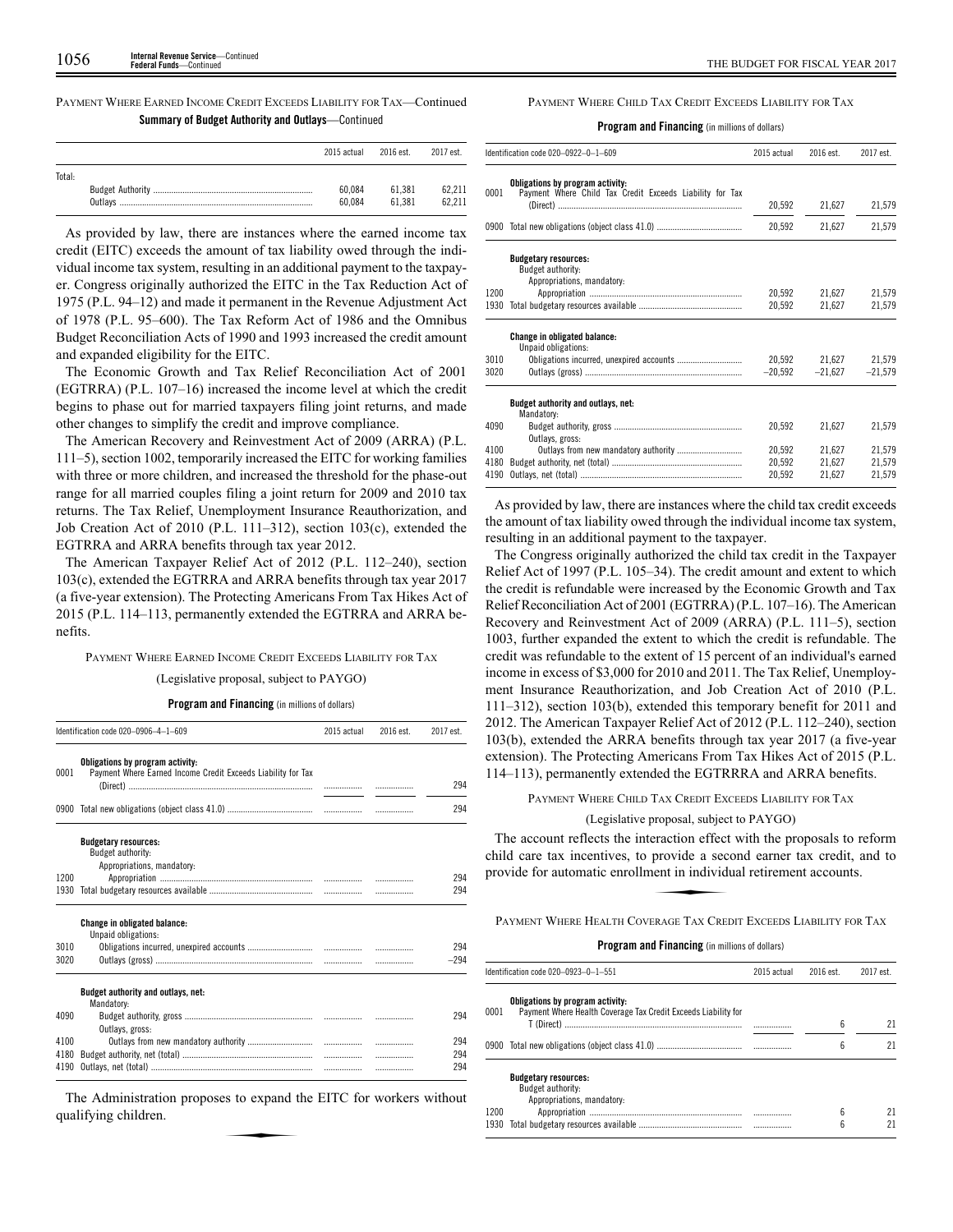PAYMENT WHERE EARNED INCOME CREDIT EXCEEDS LIABILITY FOR TAX—Continued **Summary of Budget Authority and Outlays**—Continued

|        | 2015 actual | 2016 est. | 2017 est. |
|--------|-------------|-----------|-----------|
| Total: | 60.084      | 61.381    | 62.211    |
|        | 60.084      | 61.381    | 62.211    |

As provided by law, there are instances where the earned income tax credit (EITC) exceeds the amount of tax liability owed through the individual income tax system, resulting in an additional payment to the taxpayer. Congress originally authorized the EITC in the Tax Reduction Act of 1975 (P.L. 94–12) and made it permanent in the Revenue Adjustment Act of 1978 (P.L. 95–600). The Tax Reform Act of 1986 and the Omnibus Budget Reconciliation Acts of 1990 and 1993 increased the credit amount and expanded eligibility for the EITC.

The Economic Growth and Tax Relief Reconciliation Act of 2001 (EGTRRA) (P.L. 107–16) increased the income level at which the credit begins to phase out for married taxpayers filing joint returns, and made other changes to simplify the credit and improve compliance.

The American Recovery and Reinvestment Act of 2009 (ARRA) (P.L. 111–5), section 1002, temporarily increased the EITC for working families with three or more children, and increased the threshold for the phase-out range for all married couples filing a joint return for 2009 and 2010 tax returns. The Tax Relief, Unemployment Insurance Reauthorization, and Job Creation Act of 2010 (P.L. 111–312), section 103(c), extended the EGTRRA and ARRA benefits through tax year 2012.

The American Taxpayer Relief Act of 2012 (P.L. 112–240), section 103(c), extended the EGTRRA and ARRA benefits through tax year 2017 (a five-year extension). The Protecting Americans From Tax Hikes Act of 2015 (P.L. 114–113, permanently extended the EGTRRA and ARRA benefits.

PAYMENT WHERE EARNED INCOME CREDIT EXCEEDS LIABILITY FOR TAX

(Legislative proposal, subject to PAYGO)

**Program and Financing** (in millions of dollars)

|      | Identification code 020-0906-4-1-609                                                             | 2015 actual | 2016 est. | 2017 est. |
|------|--------------------------------------------------------------------------------------------------|-------------|-----------|-----------|
| 0001 | Obligations by program activity:<br>Payment Where Earned Income Credit Exceeds Liability for Tax |             |           |           |
|      |                                                                                                  |             |           | 294       |
|      |                                                                                                  |             |           | 294       |
|      | <b>Budgetary resources:</b>                                                                      |             |           |           |
|      | Budget authority:<br>Appropriations, mandatory:                                                  |             |           |           |
| 1200 |                                                                                                  |             |           | 294       |
| 1930 |                                                                                                  |             |           | 294       |
|      |                                                                                                  |             |           |           |
|      | <b>Change in obligated balance:</b><br>Unpaid obligations:                                       |             |           |           |
| 3010 |                                                                                                  |             |           | 294       |
| 3020 |                                                                                                  |             | .         | $-294$    |
|      | Budget authority and outlays, net:<br>Mandatory:                                                 |             |           |           |
| 4090 |                                                                                                  |             |           | 294       |
|      | Outlavs, gross:                                                                                  |             |           |           |
| 4100 |                                                                                                  |             |           | 294       |
| 4180 |                                                                                                  |             | .         | 294       |
| 4190 |                                                                                                  |             | .         | 294       |

The Administration proposes to expand the EITC for workers without qualifying children. expand to expand the state of the state of the state of the state of the state of the state of the state of the state of the state of the state of the state of the state of the state of the state of the state of the state

PAYMENT WHERE CHILD TAX CREDIT EXCEEDS LIABILITY FOR TAX

**Program and Financing** (in millions of dollars)

|      | Identification code 020-0922-0-1-609                                                         | 2015 actual | 2016 est. | 2017 est. |
|------|----------------------------------------------------------------------------------------------|-------------|-----------|-----------|
| 0001 | Obligations by program activity:<br>Payment Where Child Tax Credit Exceeds Liability for Tax |             |           |           |
|      |                                                                                              | 20,592      | 21,627    | 21,579    |
|      |                                                                                              | 20,592      | 21,627    | 21,579    |
|      | <b>Budgetary resources:</b><br>Budget authority:<br>Appropriations, mandatory:               |             |           |           |
| 1200 |                                                                                              | 20,592      | 21.627    | 21,579    |
| 1930 |                                                                                              | 20,592      | 21,627    | 21,579    |
|      | <b>Change in obligated balance:</b><br>Unpaid obligations:                                   |             |           |           |
| 3010 |                                                                                              | 20,592      | 21,627    | 21,579    |
| 3020 |                                                                                              | $-20,592$   | $-21,627$ | $-21,579$ |
|      | Budget authority and outlays, net:<br>Mandatory:                                             |             |           |           |
| 4090 | Outlavs, gross:                                                                              | 20,592      | 21.627    | 21,579    |
| 4100 |                                                                                              | 20.592      | 21.627    | 21,579    |
| 4180 |                                                                                              | 20,592      | 21,627    | 21,579    |
| 4190 |                                                                                              | 20,592      | 21.627    | 21.579    |

As provided by law, there are instances where the child tax credit exceeds the amount of tax liability owed through the individual income tax system, resulting in an additional payment to the taxpayer.

The Congress originally authorized the child tax credit in the Taxpayer Relief Act of 1997 (P.L. 105–34). The credit amount and extent to which the credit is refundable were increased by the Economic Growth and Tax Relief Reconciliation Act of 2001 (EGTRRA) (P.L. 107–16). The American Recovery and Reinvestment Act of 2009 (ARRA) (P.L. 111–5), section 1003, further expanded the extent to which the credit is refundable. The credit was refundable to the extent of 15 percent of an individual's earned income in excess of \$3,000 for 2010 and 2011. The Tax Relief, Unemployment Insurance Reauthorization, and Job Creation Act of 2010 (P.L. 111–312), section 103(b), extended this temporary benefit for 2011 and 2012. The American Taxpayer Relief Act of 2012 (P.L. 112–240), section 103(b), extended the ARRA benefits through tax year 2017 (a five-year extension). The Protecting Americans From Tax Hikes Act of 2015 (P.L. 114–113), permanently extended the EGTRRRA and ARRA benefits.

PAYMENT WHERE CHILD TAX CREDIT EXCEEDS LIABILITY FOR TAX

(Legislative proposal, subject to PAYGO)

The account reflects the interaction effect with the proposals to reform<br>
iild care tax incentives, to provide a second earner tax credit, and to<br>
rovide for automatic enrollment in individual retirement accounts.<br>
PAYMENT child care tax incentives, to provide a second earner tax credit, and to provide for automatic enrollment in individual retirement accounts.

PAYMENT WHERE HEALTH COVERAGE TAX CREDIT EXCEEDS LIABILITY FOR TAX

|              | Identification code 020-0923-0-1-551                                                               | 2015 actual | 2016 est. | 2017 est. |
|--------------|----------------------------------------------------------------------------------------------------|-------------|-----------|-----------|
| 0001         | Obligations by program activity:<br>Payment Where Health Coverage Tax Credit Exceeds Liability for |             | 6         | 21        |
|              |                                                                                                    |             | 6         | 21        |
|              | <b>Budgetary resources:</b><br>Budget authority:<br>Appropriations, mandatory:                     |             |           |           |
| 1200<br>1930 |                                                                                                    |             | 6<br>6    | 21<br>21  |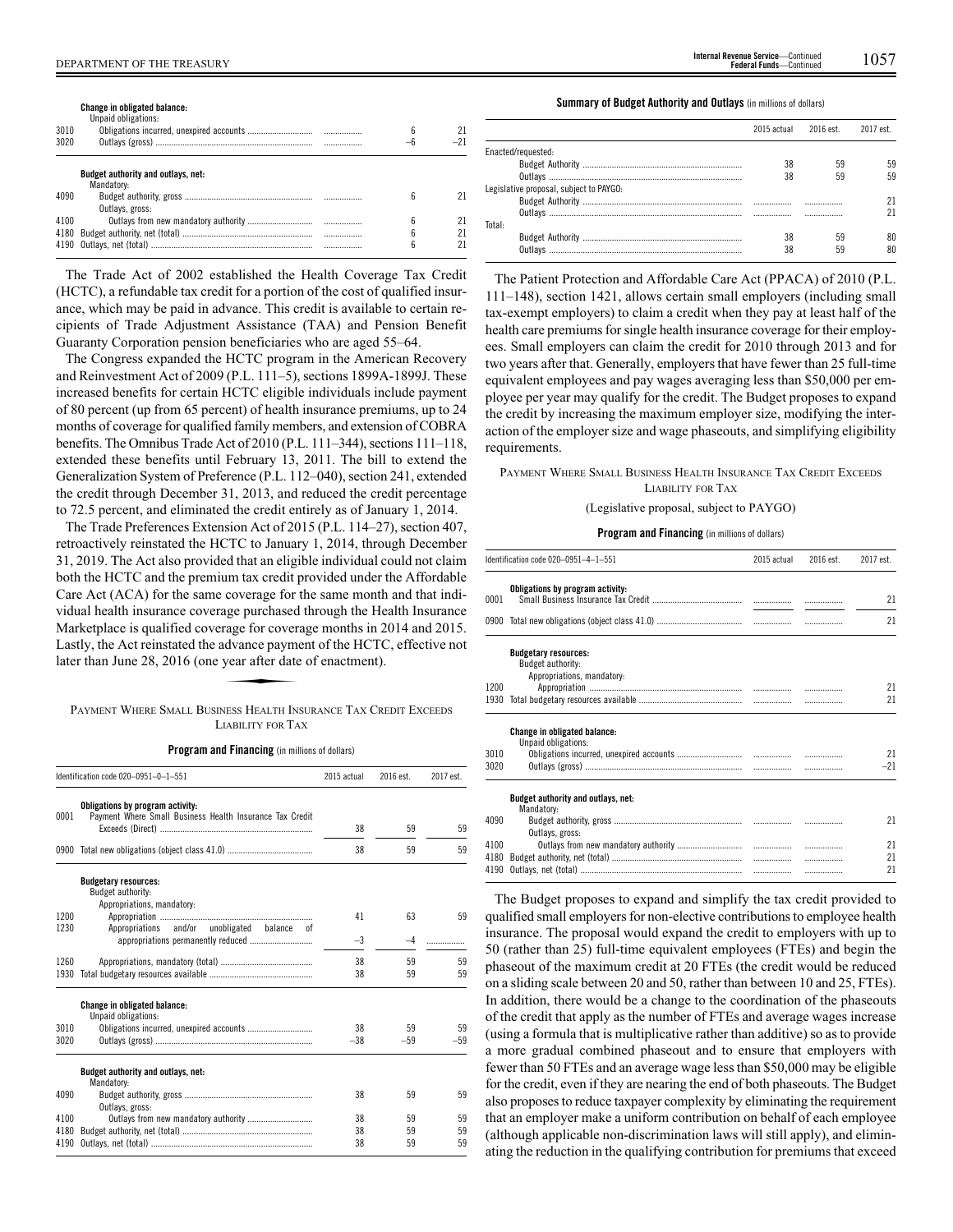**Change in obligated balance:**

| 3010<br>3020 | Unpaid obligations:                              | 6      | -21 |
|--------------|--------------------------------------------------|--------|-----|
|              | Budget authority and outlays, net:<br>Mandatory: |        |     |
| 4090         | Outlays, gross:                                  | h      |     |
| 4100         |                                                  | h      | 21  |
|              |                                                  | 6<br>6 |     |

The Trade Act of 2002 established the Health Coverage Tax Credit (HCTC), a refundable tax credit for a portion of the cost of qualified insurance, which may be paid in advance. This credit is available to certain recipients of Trade Adjustment Assistance (TAA) and Pension Benefit Guaranty Corporation pension beneficiaries who are aged 55–64.

The Congress expanded the HCTC program in the American Recovery and Reinvestment Act of 2009 (P.L. 111–5), sections 1899A-1899J. These increased benefits for certain HCTC eligible individuals include payment of 80 percent (up from 65 percent) of health insurance premiums, up to 24 months of coverage for qualified family members, and extension of COBRA benefits. The Omnibus Trade Act of 2010 (P.L. 111–344), sections 111–118, extended these benefits until February 13, 2011. The bill to extend the Generalization System of Preference (P.L. 112–040), section 241, extended the credit through December 31, 2013, and reduced the credit percentage to 72.5 percent, and eliminated the credit entirely as of January 1, 2014.

The Trade Preferences Extension Act of 2015 (P.L. 114–27), section 407, retroactively reinstated the HCTC to January 1, 2014, through December 31, 2019. The Act also provided that an eligible individual could not claim both the HCTC and the premium tax credit provided under the Affordable Care Act (ACA) for the same coverage for the same month and that individual health insurance coverage purchased through the Health Insurance Marketplace is qualified coverage for coverage months in 2014 and 2015.<br>Lastly, the Act reinstated the advance payment of the HCTC, effective not<br>later than June 28, 2016 (one year after date of enactment).<br>PAYMENT WHERE S Lastly, the Act reinstated the advance payment of the HCTC, effective not later than June 28, 2016 (one year after date of enactment).

PAYMENT WHERE SMALL BUSINESS HEALTH INSURANCE TAX CREDIT EXCEEDS LIABILITY FOR TAX

**Program and Financing** (in millions of dollars)

|              | Identification code 020-0951-0-1-551                                                         | 2015 actual | 2016 est. | 2017 est. |
|--------------|----------------------------------------------------------------------------------------------|-------------|-----------|-----------|
| 0001         | Obligations by program activity:<br>Payment Where Small Business Health Insurance Tax Credit |             |           |           |
|              |                                                                                              | 38          | 59        | 59        |
|              |                                                                                              | 38          | 59        | 59        |
|              | <b>Budgetary resources:</b>                                                                  |             |           |           |
|              | Budget authority:<br>Appropriations, mandatory:                                              |             |           |           |
| 1200         |                                                                                              | 41          | 63        | 59        |
| 1230         | Appropriations and/or unobligated<br>balance<br>0f                                           |             |           |           |
|              |                                                                                              | $-3$        | -4        |           |
|              |                                                                                              |             |           |           |
| 1260<br>1930 |                                                                                              | 38<br>38    | 59<br>59  | 59<br>59  |
|              |                                                                                              |             |           |           |
|              | <b>Change in obligated balance:</b><br>Unpaid obligations:                                   |             |           |           |
| 3010         | Obligations incurred, unexpired accounts                                                     | 38          | 59        | 59        |
| 3020         |                                                                                              | $-38$       | $-59$     | $-59$     |
|              | Budget authority and outlays, net:<br>Mandatory:                                             |             |           |           |
| 4090         | Outlavs, gross:                                                                              | 38          | 59        | 59        |
| 4100         |                                                                                              | 38          | 59        | 59        |
| 4180         |                                                                                              | 38          | 59        | 59        |
| 4190         |                                                                                              | 38          | 59        | 59        |

DEPARTMENT OF THE TREASURY 1057 **Internal Revenue Service**—Continued **Federal Funds**—Continued

**Summary of Budget Authority and Outlays** (in millions of dollars)

|                                         | 2015 actual | 2016 est. | 2017 est. |
|-----------------------------------------|-------------|-----------|-----------|
| Enacted/requested:                      |             |           |           |
|                                         | 38          | 59        | 59        |
|                                         | 38          | 59        | 59        |
| Legislative proposal, subject to PAYGO: |             |           |           |
|                                         |             |           | 21        |
|                                         |             |           | 21        |
| Total:                                  |             |           |           |
|                                         | 38          | 59        | 80        |
| Outlavs                                 | 38          | 59        | 80        |

The Patient Protection and Affordable Care Act (PPACA) of 2010 (P.L. 111–148), section 1421, allows certain small employers (including small tax-exempt employers) to claim a credit when they pay at least half of the health care premiums for single health insurance coverage for their employees. Small employers can claim the credit for 2010 through 2013 and for two years after that. Generally, employers that have fewer than 25 full-time equivalent employees and pay wages averaging less than \$50,000 per employee per year may qualify for the credit. The Budget proposes to expand the credit by increasing the maximum employer size, modifying the interaction of the employer size and wage phaseouts, and simplifying eligibility requirements.

#### PAYMENT WHERE SMALL BUSINESS HEALTH INSURANCE TAX CREDIT EXCEEDS LIABILITY FOR TAX

(Legislative proposal, subject to PAYGO)

#### **Program and Financing** (in millions of dollars)

|      | Identification code 020-0951-4-1-551                                           | 2015 actual | 2016 est. | 2017 est. |
|------|--------------------------------------------------------------------------------|-------------|-----------|-----------|
| 0001 | Obligations by program activity:                                               |             |           | 21        |
|      |                                                                                |             |           | 21        |
|      | <b>Budgetary resources:</b><br>Budget authority:<br>Appropriations, mandatory: |             |           |           |
| 1200 |                                                                                |             |           | 21        |
| 1930 |                                                                                |             |           | 21        |
|      | <b>Change in obligated balance:</b><br>Unpaid obligations:                     |             |           |           |
| 3010 |                                                                                |             |           | 21        |
| 3020 |                                                                                |             |           | $-21$     |
|      | Budget authority and outlays, net:<br>Mandatory:                               |             |           |           |
| 4090 | Outlays, gross:                                                                |             |           | 21        |
| 4100 |                                                                                |             |           | 21        |
| 4180 |                                                                                |             | .         | 21        |
| 4190 |                                                                                |             | .         | 21        |

The Budget proposes to expand and simplify the tax credit provided to qualified small employers for non-elective contributions to employee health insurance. The proposal would expand the credit to employers with up to 50 (rather than 25) full-time equivalent employees (FTEs) and begin the phaseout of the maximum credit at 20 FTEs (the credit would be reduced on a sliding scale between 20 and 50, rather than between 10 and 25, FTEs). In addition, there would be a change to the coordination of the phaseouts of the credit that apply as the number of FTEs and average wages increase (using a formula that is multiplicative rather than additive) so as to provide a more gradual combined phaseout and to ensure that employers with fewer than 50 FTEs and an average wage less than \$50,000 may be eligible for the credit, even if they are nearing the end of both phaseouts. The Budget also proposes to reduce taxpayer complexity by eliminating the requirement that an employer make a uniform contribution on behalf of each employee (although applicable non-discrimination laws will still apply), and eliminating the reduction in the qualifying contribution for premiums that exceed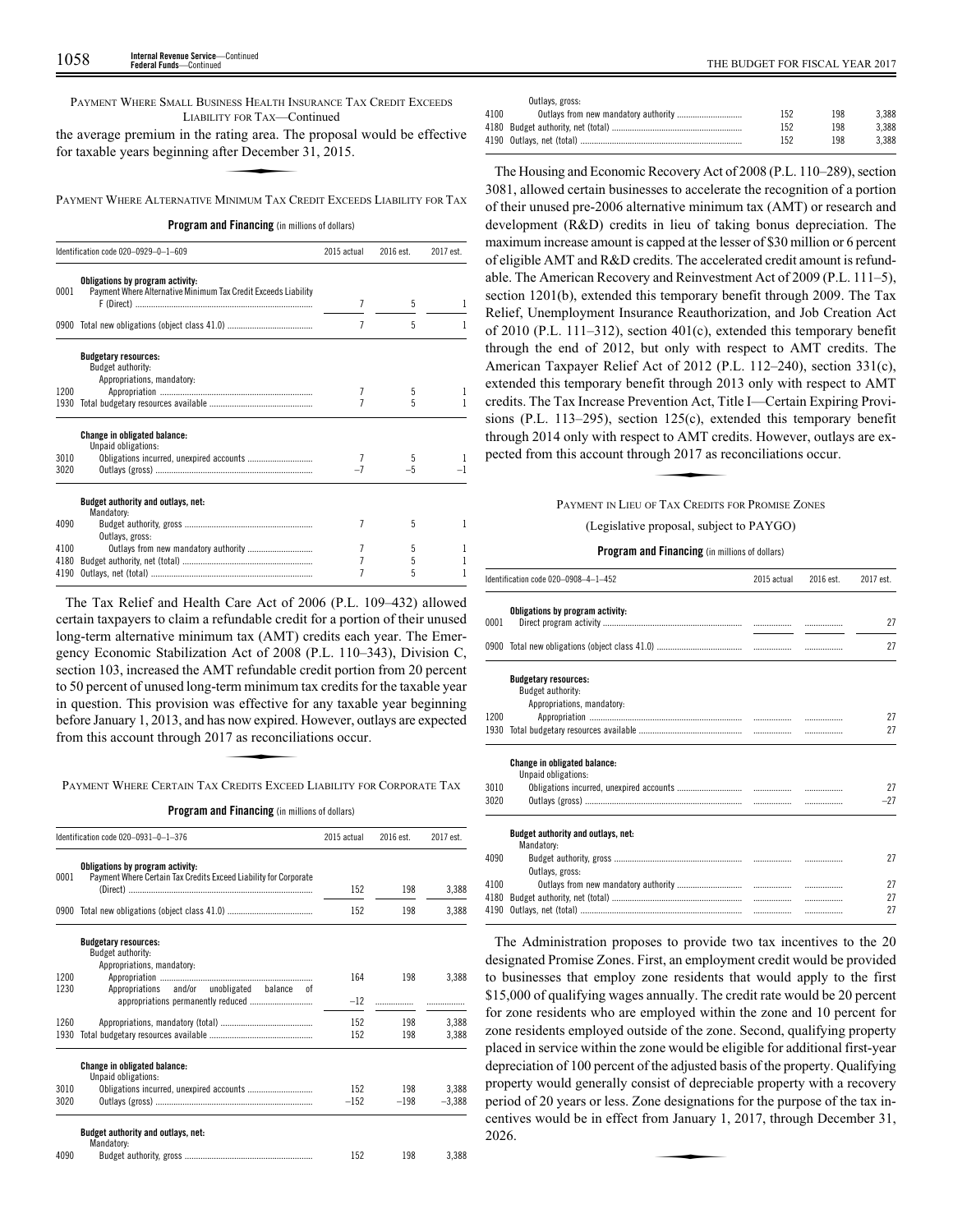PAYMENT WHERE SMALL BUSINESS HEALTH INSURANCE TAX CREDIT EXCEEDS LIABILITY FOR TAX—Continued

the average premium in the rating area. The proposal would be effective for taxable years beginning after December 31, 2015. **EXAMPLE TO TAX**<br>TY FOR TAX—CC<br>ating area. The<br>TINIMIM TAX CE

PAYMENT WHERE ALTERNATIVE MINIMUM TAX CREDIT EXCEEDS LIABILITY FOR TAX

**Program and Financing** (in millions of dollars)

|      | Identification code 020-0929-0-1-609                                                               |   | 2016 est. | 2017 est. |  |
|------|----------------------------------------------------------------------------------------------------|---|-----------|-----------|--|
| 0001 | Obligations by program activity:<br>Payment Where Alternative Minimum Tax Credit Exceeds Liability | 7 |           |           |  |
|      |                                                                                                    |   | 5         |           |  |
|      |                                                                                                    | 7 | 5         |           |  |
|      | <b>Budgetary resources:</b><br>Budget authority:<br>Appropriations, mandatory:                     |   |           |           |  |
| 1200 |                                                                                                    |   | 5         |           |  |
| 1930 |                                                                                                    |   | 5         |           |  |
|      | <b>Change in obligated balance:</b><br>Unpaid obligations:                                         |   |           |           |  |
| 3010 | Obligations incurred, unexpired accounts                                                           |   | 5         |           |  |
| 3020 |                                                                                                    |   |           |           |  |
|      | Budget authority and outlays, net:<br>Mandatory:                                                   |   |           |           |  |
| 4090 | Outlays, gross:                                                                                    | 7 | 5         |           |  |
| 4100 | Outlays from new mandatory authority                                                               |   | 5         |           |  |
| 4180 |                                                                                                    |   | 5         |           |  |
| 4190 |                                                                                                    |   | 5         |           |  |

The Tax Relief and Health Care Act of 2006 (P.L. 109–432) allowed certain taxpayers to claim a refundable credit for a portion of their unused long-term alternative minimum tax (AMT) credits each year. The Emergency Economic Stabilization Act of 2008 (P.L. 110–343), Division C, section 103, increased the AMT refundable credit portion from 20 percent to 50 percent of unused long-term minimum tax credits for the taxable year In question. This provision was effective for any taxable year beginning<br>
before January 1, 2013, and has now expired. However, outlays are expected<br>
from this account through 2017 as reconciliations occur.<br>
PAYMENT WHERE before January 1, 2013, and has now expired. However, outlays are expected from this account through 2017 as reconciliations occur.

PAYMENT WHERE CERTAIN TAX CREDITS EXCEED LIABILITY FOR CORPORATE TAX

**Program and Financing** (in millions of dollars)

|      | Identification code 020-0931-0-1-376                                                                 |        | 2016 est. | 2017 est. |
|------|------------------------------------------------------------------------------------------------------|--------|-----------|-----------|
| 0001 | Obligations by program activity:<br>Payment Where Certain Tax Credits Exceed Liability for Corporate |        |           |           |
|      | (Direct) ……………………………………………………………………                                                                  | 152    | 198       | 3.388     |
| 0900 |                                                                                                      | 152    | 198       | 3.388     |
|      | <b>Budgetary resources:</b><br>Budget authority:<br>Appropriations, mandatory:                       |        |           |           |
| 1200 |                                                                                                      | 164    | 198       | 3.388     |
| 1230 | Appropriations and/or unobligated<br>balance<br>0f                                                   | $-12$  |           |           |
| 1260 |                                                                                                      | 152    | 198       | 3.388     |
| 1930 |                                                                                                      | 152    | 198       | 3,388     |
|      | <b>Change in obligated balance:</b><br>Unpaid obligations:                                           |        |           |           |
| 3010 | Obligations incurred, unexpired accounts                                                             | 152    | 198       | 3.388     |
| 3020 |                                                                                                      | $-152$ | $-198$    | $-3.388$  |
|      | Budget authority and outlays, net:<br>Mandatory:                                                     |        |           |           |
| 4090 |                                                                                                      | 152    | 198       | 3.388     |
|      |                                                                                                      |        |           |           |

|      | Outlays, gross: |     |     |       |
|------|-----------------|-----|-----|-------|
| 4100 |                 | 152 | 198 | 3.388 |
|      |                 | 152 | 198 | 3.388 |
|      |                 | 152 | 198 | 3.388 |

The Housing and Economic Recovery Act of 2008 (P.L. 110–289), section 3081, allowed certain businesses to accelerate the recognition of a portion of their unused pre-2006 alternative minimum tax (AMT) or research and development (R&D) credits in lieu of taking bonus depreciation. The maximum increase amount is capped at the lesser of \$30 million or 6 percent of eligible AMT and R&D credits. The accelerated credit amount is refundable. The American Recovery and Reinvestment Act of 2009 (P.L. 111–5), section 1201(b), extended this temporary benefit through 2009. The Tax Relief, Unemployment Insurance Reauthorization, and Job Creation Act of 2010 (P.L. 111–312), section 401(c), extended this temporary benefit through the end of 2012, but only with respect to AMT credits. The American Taxpayer Relief Act of 2012 (P.L. 112–240), section 331(c), extended this temporary benefit through 2013 only with respect to AMT credits. The Tax Increase Prevention Act, Title I—Certain Expiring Provisions (P.L. 113–295), section 125(c), extended this temporary benefit<br>through 2014 only with respect to AMT credits. However, outlays are ex-<br>pected from this account through 2017 as reconciliations occur.<br> $P_{\text{AVMENT IN LTE U OF TAY C$ through 2014 only with respect to AMT credits. However, outlays are expected from this account through 2017 as reconciliations occur.

# PAYMENT IN LIEU OF TAX CREDITS FOR PROMISE ZONES

(Legislative proposal, subject to PAYGO)

**Program and Financing** (in millions of dollars)

|      | Identification code 020-0908-4-1-452                                           |  | 2016 est. | 2017 est. |
|------|--------------------------------------------------------------------------------|--|-----------|-----------|
| 0001 | Obligations by program activity:                                               |  |           | 27        |
|      |                                                                                |  | .         | 27        |
|      | <b>Budgetary resources:</b><br>Budget authority:<br>Appropriations, mandatory: |  |           |           |
| 1200 |                                                                                |  |           | 27        |
| 1930 |                                                                                |  |           | 27        |
|      | <b>Change in obligated balance:</b><br>Unpaid obligations:                     |  |           |           |
| 3010 |                                                                                |  |           | 27        |
| 3020 |                                                                                |  |           | $-27$     |
|      | Budget authority and outlays, net:<br>Mandatory:                               |  |           |           |
| 4090 | Outlays, gross:                                                                |  |           | 27        |
| 4100 |                                                                                |  |           | 27        |
| 4180 |                                                                                |  |           | 27        |
| 4190 |                                                                                |  |           | 27        |

The Administration proposes to provide two tax incentives to the 20 designated Promise Zones. First, an employment credit would be provided to businesses that employ zone residents that would apply to the first \$15,000 of qualifying wages annually. The credit rate would be 20 percent for zone residents who are employed within the zone and 10 percent for zone residents employed outside of the zone. Second, qualifying property placed in service within the zone would be eligible for additional first-year depreciation of 100 percent of the adjusted basis of the property. Qualifying property would generally consist of depreciable property with a recovery period of 20 years or less. Zone designations for the purpose of the tax incentives would be in effect from January 1, 2017, through December 31, 2026. centives would be in effect from January 1, 2017, through December 31, 2026.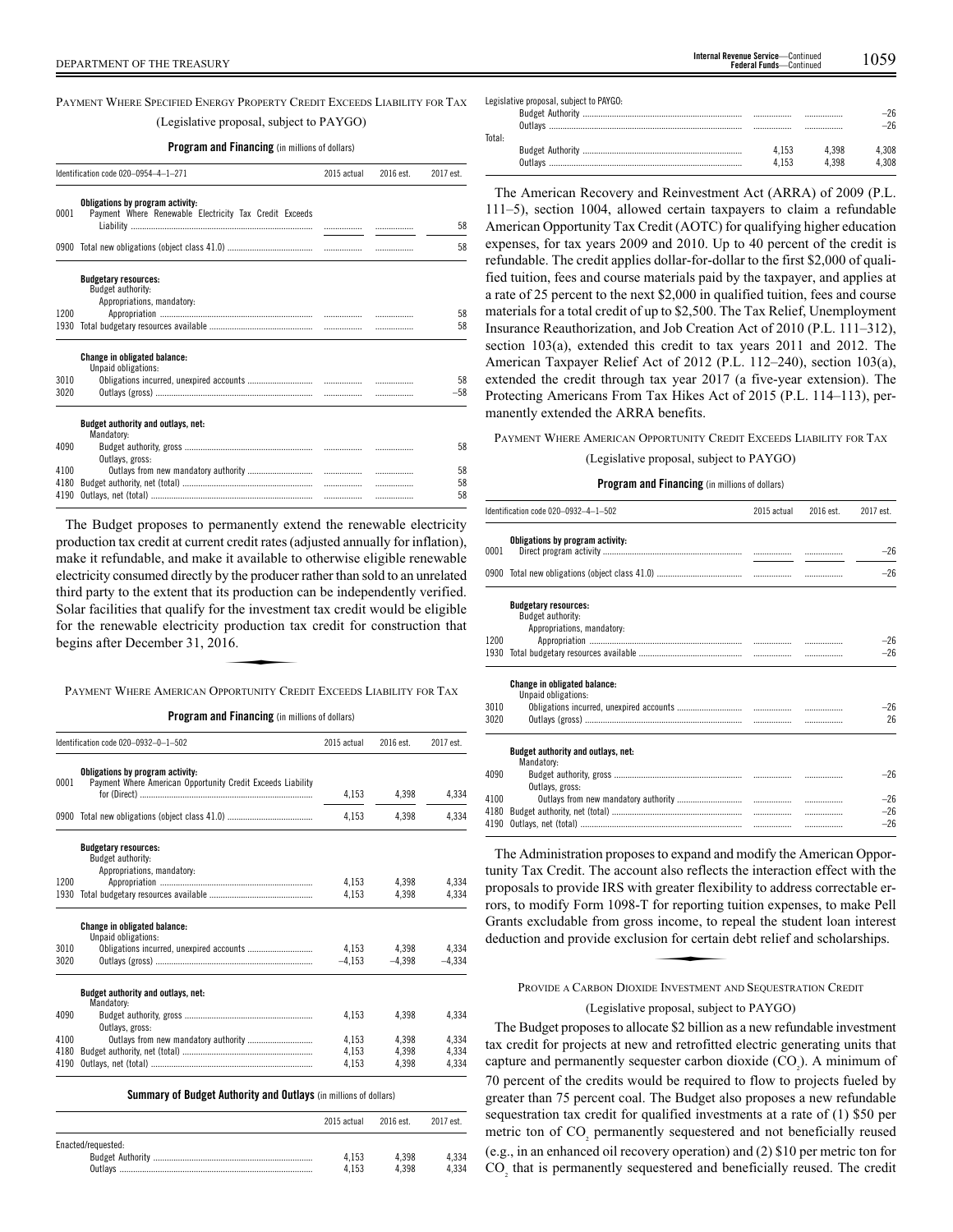PAYMENT WHERE SPECIFIED ENERGY PROPERTY CREDIT EXCEEDS LIABILITY FOR TAX (Legislative proposal, subject to PAYGO)

## **Program and Financing** (in millions of dollars)

|      | Identification code 020-0954-4-1-271                                                       | 2015 actual | 2016 est. | 2017 est. |
|------|--------------------------------------------------------------------------------------------|-------------|-----------|-----------|
| 0001 | Obligations by program activity:<br>Payment Where Renewable Electricity Tax Credit Exceeds |             |           | 58        |
|      |                                                                                            |             |           | 58        |
|      | <b>Budgetary resources:</b><br>Budget authority:                                           |             |           |           |
|      | Appropriations, mandatory:                                                                 |             |           |           |
| 1200 |                                                                                            |             |           | 58        |
| 1930 |                                                                                            |             |           | 58        |
|      | <b>Change in obligated balance:</b><br>Unpaid obligations:                                 |             |           |           |
| 3010 |                                                                                            |             |           | 58        |
| 3020 |                                                                                            |             |           | $-58$     |
|      | Budget authority and outlays, net:<br>Mandatory:                                           |             |           |           |
| 4090 | Outlavs, gross:                                                                            |             |           | 58        |
| 4100 |                                                                                            |             |           | 58        |
| 4180 |                                                                                            |             |           | 58        |
| 4190 |                                                                                            |             | .         | 58        |

The Budget proposes to permanently extend the renewable electricity production tax credit at current credit rates (adjusted annually for inflation), make it refundable, and make it available to otherwise eligible renewable electricity consumed directly by the producer rather than sold to an unrelated third party to the extent that its production can be independently verified. Solar facilities that qualify for the investment tax credit would be eligible<br>
for the renewable electricity production tax credit for construction that<br>
begins after December 31, 2016.<br>
PAYMENT WHERE AMERICAN OPPORTINITY for the renewable electricity production tax credit for construction that begins after December 31, 2016.

PAYMENT WHERE AMERICAN OPPORTUNITY CREDIT EXCEEDS LIABILITY FOR TAX

**Program and Financing** (in millions of dollars)

|      | Identification code 020-0932-0-1-502                                                            | 2015 actual | 2016 est. | 2017 est. |
|------|-------------------------------------------------------------------------------------------------|-------------|-----------|-----------|
| 0001 | Obligations by program activity:<br>Payment Where American Opportunity Credit Exceeds Liability | 4.153       | 4,398     | 4,334     |
|      |                                                                                                 | 4.153       | 4.398     | 4.334     |
|      |                                                                                                 |             |           |           |
|      | <b>Budgetary resources:</b><br><b>Budget authority:</b><br>Appropriations, mandatory:           |             |           |           |
| 1200 |                                                                                                 | 4.153       | 4.398     | 4.334     |
| 1930 |                                                                                                 | 4.153       | 4.398     | 4.334     |
|      | <b>Change in obligated balance:</b><br>Unpaid obligations:                                      |             |           |           |
| 3010 |                                                                                                 | 4.153       | 4.398     | 4.334     |
| 3020 |                                                                                                 | $-4.153$    | $-4.398$  | $-4.334$  |
|      | Budget authority and outlays, net:<br>Mandatory:                                                |             |           |           |
| 4090 | Outlays, gross:                                                                                 | 4.153       | 4.398     | 4.334     |
| 4100 |                                                                                                 | 4.153       | 4.398     | 4.334     |
| 4180 |                                                                                                 | 4.153       | 4.398     | 4,334     |
| 4190 |                                                                                                 | 4.153       | 4.398     | 4.334     |

**Summary of Budget Authority and Outlays** (in millions of dollars)

|                    | 2015 actual | 2016 est. | 2017 est. |
|--------------------|-------------|-----------|-----------|
| Enacted/requested: |             |           |           |
|                    | 4.153       | 4.398     | 4.334     |
|                    | 4.153       | 4.398     | 4.334     |

| Legislative proposal, subject to PAYGO: |       |       |       |
|-----------------------------------------|-------|-------|-------|
|                                         |       |       |       |
|                                         |       |       |       |
| Total:                                  |       |       |       |
|                                         | 4.153 | 1398  | 4.308 |
|                                         | 4.153 | . 398 | .308  |

The American Recovery and Reinvestment Act (ARRA) of 2009 (P.L. 111–5), section 1004, allowed certain taxpayers to claim a refundable American Opportunity Tax Credit (AOTC) for qualifying higher education expenses, for tax years 2009 and 2010. Up to 40 percent of the credit is refundable. The credit applies dollar-for-dollar to the first \$2,000 of qualified tuition, fees and course materials paid by the taxpayer, and applies at a rate of 25 percent to the next \$2,000 in qualified tuition, fees and course materials for a total credit of up to \$2,500. The Tax Relief, Unemployment Insurance Reauthorization, and Job Creation Act of 2010 (P.L. 111–312), section 103(a), extended this credit to tax years 2011 and 2012. The American Taxpayer Relief Act of 2012 (P.L. 112–240), section 103(a), extended the credit through tax year 2017 (a five-year extension). The Protecting Americans From Tax Hikes Act of 2015 (P.L. 114–113), permanently extended the ARRA benefits.

## PAYMENT WHERE AMERICAN OPPORTUNITY CREDIT EXCEEDS LIABILITY FOR TAX

## (Legislative proposal, subject to PAYGO)

## **Program and Financing** (in millions of dollars)

|      | Identification code 020-0932-4-1-502                       |  | 2016 est. | 2017 est. |
|------|------------------------------------------------------------|--|-----------|-----------|
| 0001 | Obligations by program activity:                           |  | .         | $-26$     |
|      |                                                            |  |           |           |
|      |                                                            |  |           | $-26$     |
|      | <b>Budgetary resources:</b><br>Budget authority:           |  |           |           |
|      | Appropriations, mandatory:                                 |  |           |           |
| 1200 |                                                            |  |           | $-26$     |
| 1930 |                                                            |  | .         | $-26$     |
|      | <b>Change in obligated balance:</b><br>Unpaid obligations: |  |           |           |
| 3010 |                                                            |  |           | -26       |
| 3020 |                                                            |  | .         | 26        |
|      | Budget authority and outlays, net:<br>Mandatory:           |  |           |           |
| 4090 |                                                            |  |           | -26       |
|      | Outlays, gross:                                            |  |           |           |
| 4100 |                                                            |  | .         | $-26$     |
| 4180 |                                                            |  | .         | $-26$     |
| 4190 |                                                            |  | .         | $-26$     |

The Administration proposes to expand and modify the American Opportunity Tax Credit. The account also reflects the interaction effect with the proposals to provide IRS with greater flexibility to address correctable errors, to modify Form 1098-T for reporting tuition expenses, to make Pell<br>Grants excludable from gross income, to repeal the student loan interest<br>deduction and provide exclusion for certain debt relief and scholarships.<br>PR Grants excludable from gross income, to repeal the student loan interest deduction and provide exclusion for certain debt relief and scholarships.

#### PROVIDE A CARBON DIOXIDE INVESTMENT AND SEQUESTRATION CREDIT

## (Legislative proposal, subject to PAYGO)

The Budget proposes to allocate \$2 billion as a new refundable investment tax credit for projects at new and retrofitted electric generating units that capture and permanently sequester carbon dioxide  $(CO<sub>2</sub>)$ . A minimum of 70 percent of the credits would be required to flow to projects fueled by greater than 75 percent coal. The Budget also proposes a new refundable sequestration tax credit for qualified investments at a rate of (1) \$50 per metric ton of  $CO<sub>2</sub>$  permanently sequestered and not beneficially reused (e.g., in an enhanced oil recovery operation) and (2) \$10 per metric ton for  $CO<sub>2</sub>$  that is permanently sequestered and beneficially reused. The credit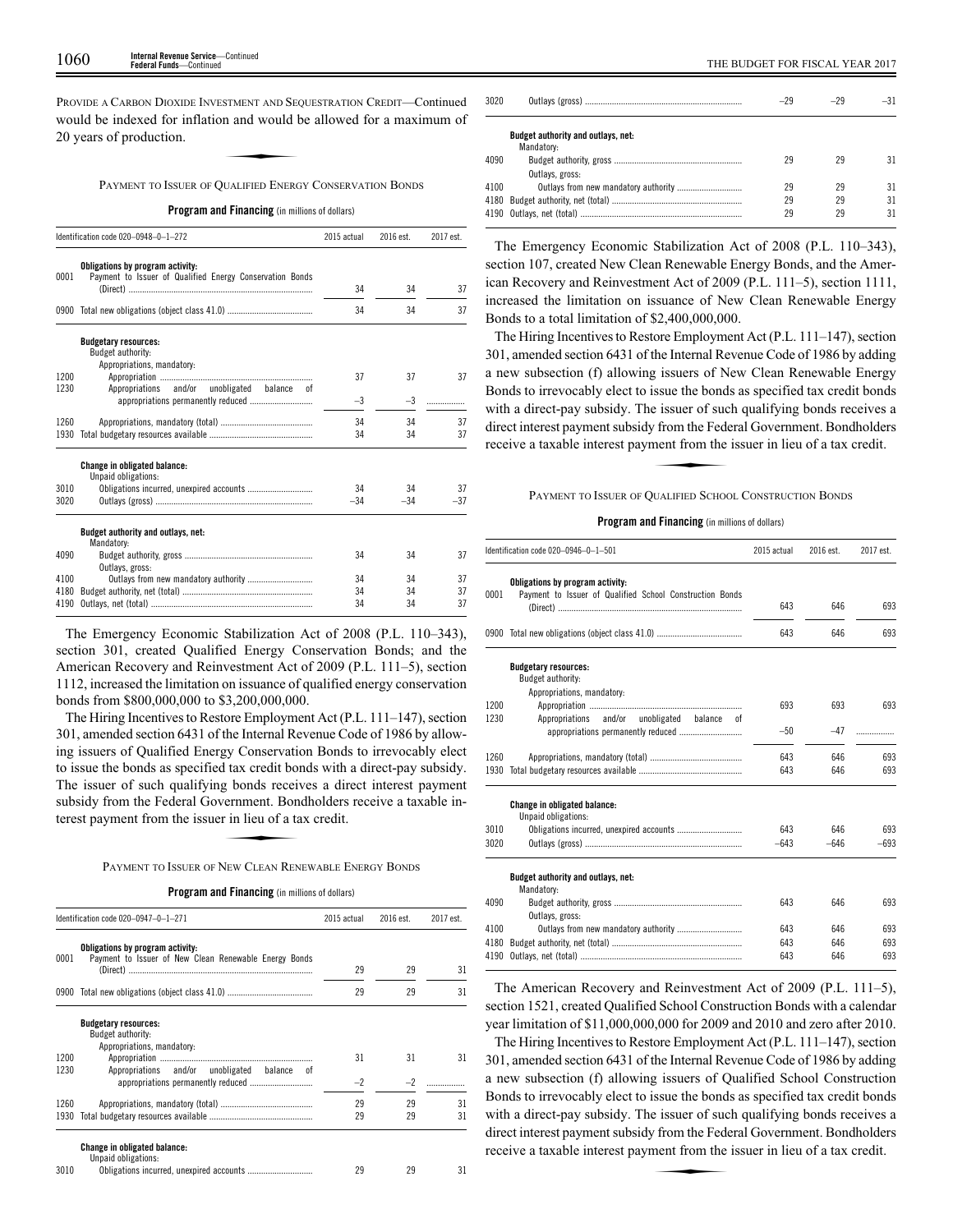PROVIDE A CARBON DIOXIDE INVESTMENT AND SEQUESTRATION CREDIT—Continued would be indexed for inflation and would be allowed for a maximum of 20 years of production. STMENT AND SECT<br>**n** and would b<br>HIALIFIED ENFRO

PAYMENT TO ISSUER OF QUALIFIED ENERGY CONSERVATION BONDS

**Program and Financing** (in millions of dollars)

|      | Identification code 020-0948-0-1-272                                                         |       | 2016 est. | 2017 est. |
|------|----------------------------------------------------------------------------------------------|-------|-----------|-----------|
| 0001 | Obligations by program activity:<br>Payment to Issuer of Qualified Energy Conservation Bonds | 34    | 34        |           |
|      |                                                                                              |       |           | 37        |
| 0900 |                                                                                              | 34    | 34        | 37        |
|      | <b>Budgetary resources:</b><br>Budget authority:<br>Appropriations, mandatory:               |       |           |           |
| 1200 |                                                                                              | 37    | 37        | 37        |
| 1230 | Appropriations and/or unobligated balance<br>0f                                              |       |           |           |
|      |                                                                                              | $-3$  | $-3$      |           |
| 1260 |                                                                                              | 34    | 34        | 37        |
| 1930 |                                                                                              | 34    | 34        | 37        |
|      | <b>Change in obligated balance:</b><br>Unpaid obligations:                                   |       |           |           |
| 3010 | Obligations incurred, unexpired accounts                                                     | 34    | 34        | 37        |
| 3020 |                                                                                              | $-34$ | $-34$     | $-37$     |
|      | Budget authority and outlays, net:<br>Mandatory:                                             |       |           |           |
| 4090 | Outlays, gross:                                                                              | 34    | 34        | 37        |
| 4100 | Outlays from new mandatory authority                                                         | 34    | 34        | 37        |
| 4180 |                                                                                              | 34    | 34        | 37        |
| 4190 |                                                                                              | 34    | 34        | 37        |

The Emergency Economic Stabilization Act of 2008 (P.L. 110–343), section 301, created Qualified Energy Conservation Bonds; and the American Recovery and Reinvestment Act of 2009 (P.L. 111–5), section 1112, increased the limitation on issuance of qualified energy conservation bonds from \$800,000,000 to \$3,200,000,000.

The Hiring Incentives to Restore Employment Act (P.L. 111–147), section 301, amended section 6431 of the Internal Revenue Code of 1986 by allowing issuers of Qualified Energy Conservation Bonds to irrevocably elect to issue the bonds as specified tax credit bonds with a direct-pay subsidy. The issuer of such qualifying bonds receives a direct interest payment<br>subsidy from the Federal Government. Bondholders receive a taxable in-<br>terest payment from the issuer in lieu of a tax credit.<br>PAYMENT TO ISSUER OF NEW subsidy from the Federal Government. Bondholders receive a taxable interest payment from the issuer in lieu of a tax credit.

PAYMENT TO ISSUER OF NEW CLEAN RENEWABLE ENERGY BONDS

| Program and Financing (in millions of dollars) |  |  |  |  |  |  |  |
|------------------------------------------------|--|--|--|--|--|--|--|
|------------------------------------------------|--|--|--|--|--|--|--|

|      | Identification code 020-0947-0-1-271                                                      |      | 2016 est. | 2017 est. |
|------|-------------------------------------------------------------------------------------------|------|-----------|-----------|
| 0001 | Obligations by program activity:<br>Payment to Issuer of New Clean Renewable Energy Bonds |      |           |           |
|      | (Direct) ……………………………………………………………………                                                       | 29   | 29        | 31        |
| 0900 |                                                                                           | 29   | 29        | 31        |
|      | <b>Budgetary resources:</b><br>Budget authority:                                          |      |           |           |
|      | Appropriations, mandatory:                                                                |      |           |           |
| 1200 |                                                                                           | 31   | 31        | 31        |
| 1230 | Appropriations and/or unobligated<br>balance<br>.nt                                       |      |           |           |
|      |                                                                                           | $-2$ | $-2$      |           |
| 1260 |                                                                                           | 29   | 29        | 31        |
| 1930 |                                                                                           | 29   | 29        | 31        |
|      | <b>Change in obligated balance:</b><br>Unpaid obligations:                                |      |           |           |
| 3010 |                                                                                           | 29   | 29        | 31        |

| 3020 |                                    | $-29$ | $-29$ | $-31$ |
|------|------------------------------------|-------|-------|-------|
|      | Budget authority and outlays, net: |       |       |       |
|      | Mandatory:                         |       |       |       |
| 4090 |                                    | 29    | 29    | 31    |
|      | Outlays, gross:                    |       |       |       |
| 4100 |                                    | 29    | 29    | 31    |
|      |                                    | 29    | 29    | 31    |
|      |                                    | 29    | 29    | 31    |
|      |                                    |       |       |       |

The Emergency Economic Stabilization Act of 2008 (P.L. 110–343), section 107, created New Clean Renewable Energy Bonds, and the American Recovery and Reinvestment Act of 2009 (P.L. 111–5), section 1111, increased the limitation on issuance of New Clean Renewable Energy Bonds to a total limitation of \$2,400,000,000.

The Hiring Incentives to Restore Employment Act (P.L. 111–147), section 301, amended section 6431 of the Internal Revenue Code of 1986 by adding a new subsection (f) allowing issuers of New Clean Renewable Energy Bonds to irrevocably elect to issue the bonds as specified tax credit bonds with a direct-pay subsidy. The issuer of such qualifying bonds receives a direct interest payment subsidy from the Federal Government. Bondholders receive a taxable interest payment from the issuer in lieu of a tax credit. e issuer of such<br>
From the Fede<br>
THALEED SCROOM

PAYMENT TO ISSUER OF QUALIFIED SCHOOL CONSTRUCTION BONDS

## **Program and Financing** (in millions of dollars)

|      | Identification code 020-0946-0-1-501                                                         | 2015 actual | 2016 est. | 2017 est. |
|------|----------------------------------------------------------------------------------------------|-------------|-----------|-----------|
| 0001 | Obligations by program activity:<br>Payment to Issuer of Qualified School Construction Bonds | 643         | 646       | 693       |
|      |                                                                                              | 643         | 646       | 693       |
|      | <b>Budgetary resources:</b><br>Budget authority:<br>Appropriations, mandatory:               |             |           |           |
| 1200 |                                                                                              | 693         | 693       | 693       |
| 1230 | and/or<br>unobligated<br>Appropriations<br>balance<br>0Ť                                     |             |           |           |
|      |                                                                                              | $-50$       | $-47$     | .         |
| 1260 |                                                                                              | 643         | 646       | 693       |
| 1930 |                                                                                              | 643         | 646       | 693       |
|      | <b>Change in obligated balance:</b><br>Unpaid obligations:                                   |             |           |           |
| 3010 |                                                                                              | 643         | 646       | 693       |
| 3020 |                                                                                              | $-643$      | $-646$    | $-693$    |
|      | Budget authority and outlays, net:<br>Mandatory:                                             |             |           |           |
| 4090 | Outlays, gross:                                                                              | 643         | 646       | 693       |
| 4100 |                                                                                              | 643         | 646       | 693       |
| 4180 |                                                                                              | 643         | 646       | 693       |
| 4190 |                                                                                              | 643         | 646       | 693       |

The American Recovery and Reinvestment Act of 2009 (P.L. 111–5), section 1521, created Qualified School Construction Bonds with a calendar year limitation of \$11,000,000,000 for 2009 and 2010 and zero after 2010.

The Hiring Incentives to Restore Employment Act (P.L. 111–147), section 301, amended section 6431 of the Internal Revenue Code of 1986 by adding a new subsection (f) allowing issuers of Qualified School Construction Bonds to irrevocably elect to issue the bonds as specified tax credit bonds with a direct-pay subsidy. The issuer of such qualifying bonds receives a direct interest payment subsidy from the Federal Government. Bondholders receive a taxable interest payment from the issuer in lieu of a tax credit. direct interest payment subsidy from the Federal Government. Bondholders receive a taxable interest payment from the issuer in lieu of a tax credit.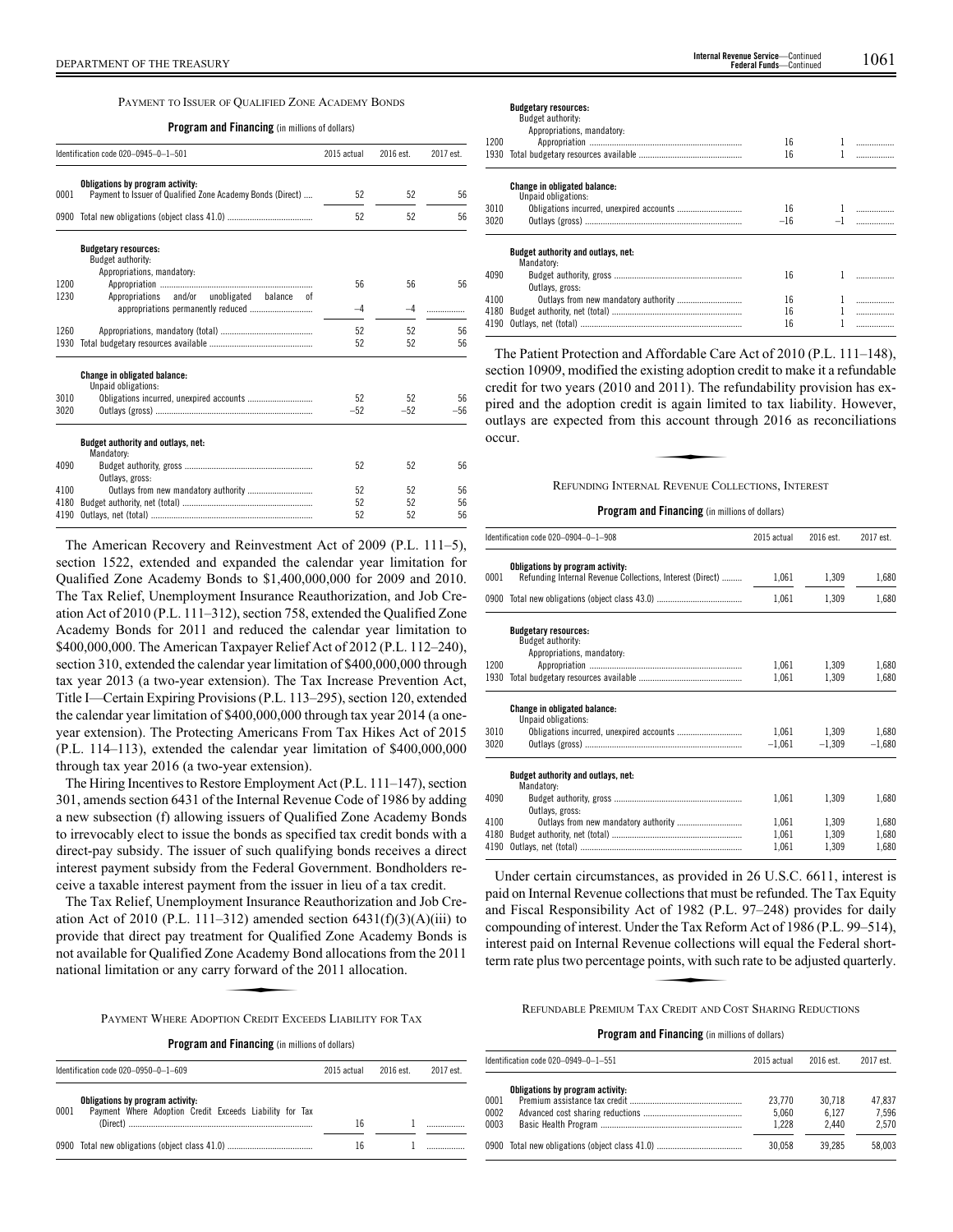## PAYMENT TO ISSUER OF QUALIFIED ZONE ACADEMY BONDS

#### **Program and Financing** (in millions of dollars)

|      | Identification code 020-0945-0-1-501                       | 2015 actual | 2016 est. | 2017 est. |
|------|------------------------------------------------------------|-------------|-----------|-----------|
| 0001 | Obligations by program activity:                           |             |           | 56        |
|      | Payment to Issuer of Qualified Zone Academy Bonds (Direct) | 52          | 52        |           |
|      |                                                            | 52          | 52        | 56        |
|      | <b>Budgetary resources:</b><br>Budget authority:           |             |           |           |
| 1200 | Appropriations, mandatory:                                 | 56          | 56        | 56        |
| 1230 | Appropriations and/or unobligated balance of               |             |           |           |
|      |                                                            | $-4$        | -4        |           |
| 1260 |                                                            | 52          | 52        | 56        |
| 1930 |                                                            | 52          | 52        | 56        |
|      | <b>Change in obligated balance:</b><br>Unpaid obligations: |             |           |           |
| 3010 |                                                            | 52          | 52        | 56        |
| 3020 |                                                            | $-52$       | $-52$     | $-56$     |
|      | Budget authority and outlays, net:<br>Mandatory:           |             |           |           |
| 4090 | Outlays, gross:                                            | 52          | 52        | 56        |
| 4100 |                                                            | 52          | 52        | 56        |
| 4180 |                                                            | 52          | 52        | 56        |
| 4190 |                                                            | 52          | 52        | 56        |

The American Recovery and Reinvestment Act of 2009 (P.L. 111–5), section 1522, extended and expanded the calendar year limitation for Qualified Zone Academy Bonds to \$1,400,000,000 for 2009 and 2010. The Tax Relief, Unemployment Insurance Reauthorization, and Job Creation Act of 2010 (P.L. 111–312), section 758, extended the Qualified Zone Academy Bonds for 2011 and reduced the calendar year limitation to \$400,000,000. The American Taxpayer Relief Act of 2012 (P.L. 112–240), section 310, extended the calendar year limitation of \$400,000,000 through tax year 2013 (a two-year extension). The Tax Increase Prevention Act, Title I—Certain Expiring Provisions (P.L. 113–295), section 120, extended the calendar year limitation of \$400,000,000 through tax year 2014 (a oneyear extension). The Protecting Americans From Tax Hikes Act of 2015 (P.L. 114–113), extended the calendar year limitation of \$400,000,000 through tax year 2016 (a two-year extension).

The Hiring Incentives to Restore Employment Act (P.L. 111–147), section 301, amends section 6431 of the Internal Revenue Code of 1986 by adding a new subsection (f) allowing issuers of Qualified Zone Academy Bonds to irrevocably elect to issue the bonds as specified tax credit bonds with a direct-pay subsidy. The issuer of such qualifying bonds receives a direct interest payment subsidy from the Federal Government. Bondholders receive a taxable interest payment from the issuer in lieu of a tax credit.

The Tax Relief, Unemployment Insurance Reauthorization and Job Creation Act of 2010 (P.L. 111–312) amended section  $6431(f)(3)(A)(iii)$  to provide that direct pay treatment for Qualified Zone Academy Bonds is not available for Qualified Zone Academy Bond allocations from the 2011 national limitation or any carry forward of the 2011 allocation. **EVALUATE:**<br>
The Academy B<br>
TON CREDIT EXC

PAYMENT WHERE ADOPTION CREDIT EXCEEDS LIABILITY FOR TAX

| Identification code 020-0950-0-1-609                                                                | 2015 actual | 2016 est. | 2017 est. |
|-----------------------------------------------------------------------------------------------------|-------------|-----------|-----------|
| Obligations by program activity:<br>Payment Where Adoption Credit Exceeds Liability for Tax<br>0001 | 16          |           |           |
|                                                                                                     | 16          |           |           |

| <b>Budgetary resources:</b> |
|-----------------------------|

|      | Budget authority:                                          |       |   |
|------|------------------------------------------------------------|-------|---|
|      | Appropriations, mandatory:                                 |       |   |
| 1200 |                                                            | 16    |   |
| 1930 |                                                            | 16    |   |
|      | <b>Change in obligated balance:</b><br>Unpaid obligations: |       |   |
| 3010 |                                                            | 16    | . |
| 3020 |                                                            | $-16$ |   |
|      | Budget authority and outlays, net:<br>Mandatory:           |       |   |
| 4090 | Outlays, gross:                                            | 16    |   |
| 4100 |                                                            | 16    |   |
| 4180 |                                                            | 16    |   |
| 4190 |                                                            | 16    |   |

The Patient Protection and Affordable Care Act of 2010 (P.L. 111–148), section 10909, modified the existing adoption credit to make it a refundable credit for two years (2010 and 2011). The refundability provision has expired and the adoption credit is again limited to tax liability. However,<br>pired and the adoption credit is again limited to tax liability. However,<br>outlays are expected from this account through 2016 as reconciliations<br>occ outlays are expected from this account through 2016 as reconciliations occur.

## REFUNDING INTERNAL REVENUE COLLECTIONS, INTEREST

## **Program and Financing** (in millions of dollars)

|      | Identification code 020-0904-0-1-908                                                          | 2015 actual | 2016 est. | 2017 est. |
|------|-----------------------------------------------------------------------------------------------|-------------|-----------|-----------|
| 0001 | Obligations by program activity:<br>Refunding Internal Revenue Collections, Interest (Direct) | 1,061       | 1,309     | 1,680     |
|      |                                                                                               | 1,061       | 1,309     | 1,680     |
|      | <b>Budgetary resources:</b><br>Budget authority:<br>Appropriations, mandatory:                |             |           |           |
| 1200 |                                                                                               | 1,061       | 1,309     | 1,680     |
| 1930 |                                                                                               | 1,061       | 1,309     | 1,680     |
|      | <b>Change in obligated balance:</b><br>Unpaid obligations:                                    |             |           |           |
| 3010 |                                                                                               | 1,061       | 1,309     | 1,680     |
| 3020 |                                                                                               | $-1,061$    | $-1,309$  | $-1,680$  |
|      | Budget authority and outlays, net:<br>Mandatory:                                              |             |           |           |
| 4090 | Outlays, gross:                                                                               | 1,061       | 1.309     | 1,680     |
| 4100 |                                                                                               | 1,061       | 1,309     | 1,680     |
| 4180 |                                                                                               | 1,061       | 1.309     | 1,680     |
| 4190 |                                                                                               | 1,061       | 1,309     | 1,680     |

Under certain circumstances, as provided in 26 U.S.C. 6611, interest is paid on Internal Revenue collections that must be refunded. The Tax Equity and Fiscal Responsibility Act of 1982 (P.L. 97–248) provides for daily Example 1 Islam Technology Technology (T.E. 377-2 To) provides for daily<br>compounding of interest. Under the Tax Reform Act of 1986 (P.L. 99–514),<br>interest paid on Internal Revenue collections will equal the Federal short-<br> interest paid on Internal Revenue collections will equal the Federal shortterm rate plus two percentage points, with such rate to be adjusted quarterly.

REFUNDABLE PREMIUM TAX CREDIT AND COST SHARING REDUCTIONS

|                      | ldentification code 020–0949–0–1–551           | 2015 actual              | 2016 est.                | 2017 est.                |
|----------------------|------------------------------------------------|--------------------------|--------------------------|--------------------------|
| 0001<br>0002<br>0003 | Obligations by program activity:               | 23,770<br>5.060<br>1.228 | 30.718<br>6.127<br>2.440 | 47.837<br>7.596<br>2.570 |
|                      | 0900 Total new obligations (object class 41.0) | 30.058                   | 39.285                   | 58.003                   |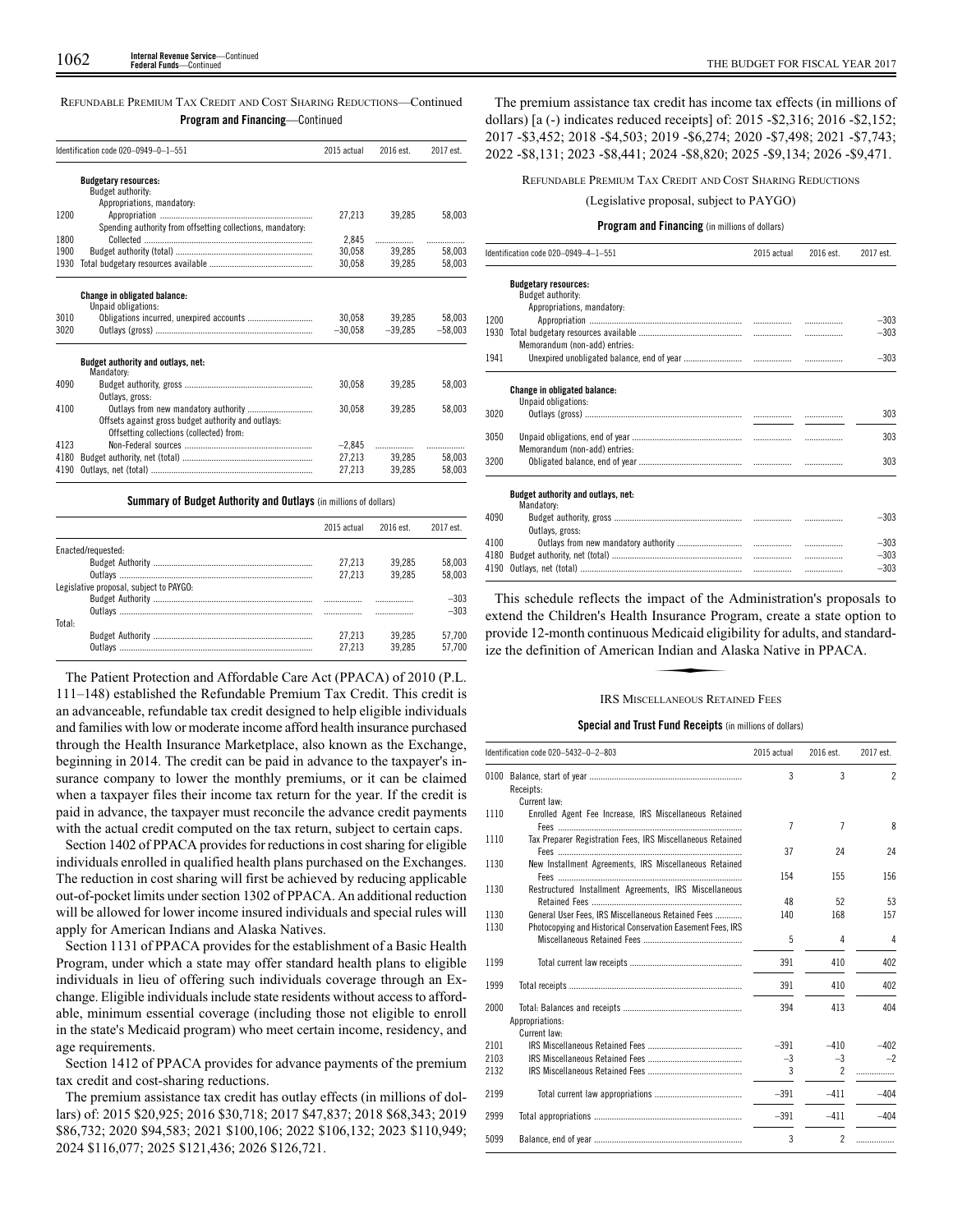| REFUNDABLE PREMIUM TAX CREDIT AND COST SHARING REDUCTIONS—Continued |                                         |  |  |
|---------------------------------------------------------------------|-----------------------------------------|--|--|
|                                                                     | <b>Program and Financing</b> —Continued |  |  |

|      | Identification code 020-0949-0-1-551                                                            | 2015 actual | 2016 est. | 2017 est. |
|------|-------------------------------------------------------------------------------------------------|-------------|-----------|-----------|
|      | <b>Budgetary resources:</b>                                                                     |             |           |           |
|      | Budget authority:                                                                               |             |           |           |
|      | Appropriations, mandatory:                                                                      |             |           |           |
| 1200 |                                                                                                 | 27.213      | 39.285    | 58.003    |
|      | Spending authority from offsetting collections, mandatory:                                      |             |           |           |
| 1800 |                                                                                                 | 2.845       |           |           |
| 1900 |                                                                                                 | 30.058      | 39.285    | 58.003    |
| 1930 |                                                                                                 | 30.058      | 39.285    | 58.003    |
|      | <b>Change in obligated balance:</b><br>Unpaid obligations:                                      |             |           |           |
| 3010 |                                                                                                 | 30.058      | 39.285    | 58.003    |
| 3020 |                                                                                                 | $-30.058$   | $-39.285$ | $-58.003$ |
|      | Budget authority and outlays, net:<br>Mandatory:                                                |             |           |           |
| 4090 | Outlays, gross:                                                                                 | 30.058      | 39.285    | 58,003    |
| 4100 |                                                                                                 | 30.058      | 39.285    | 58.003    |
|      | Offsets against gross budget authority and outlays:<br>Offsetting collections (collected) from: |             |           |           |
| 4123 |                                                                                                 | $-2.845$    | .         |           |
| 4180 |                                                                                                 | 27.213      | 39.285    | 58.003    |
| 4190 |                                                                                                 | 27,213      | 39,285    | 58.003    |

**Summary of Budget Authority and Outlays** (in millions of dollars)

|                                         | 2015 actual | $2016$ est | 2017 est. |
|-----------------------------------------|-------------|------------|-----------|
| Enacted/requested:                      |             |            |           |
|                                         | 27.213      | 39.285     | 58.003    |
|                                         | 27.213      | 39.285     | 58.003    |
| Legislative proposal, subject to PAYGO: |             |            |           |
|                                         |             |            | $-303$    |
|                                         |             |            | $-303$    |
| Total:                                  |             |            |           |
|                                         | 27.213      | 39.285     | 57.700    |
|                                         | 27 213      | 39.285     | 57.700    |

The Patient Protection and Affordable Care Act (PPACA) of 2010 (P.L. 111–148) established the Refundable Premium Tax Credit. This credit is an advanceable, refundable tax credit designed to help eligible individuals and families with low or moderate income afford health insurance purchased through the Health Insurance Marketplace, also known as the Exchange, beginning in 2014. The credit can be paid in advance to the taxpayer's insurance company to lower the monthly premiums, or it can be claimed when a taxpayer files their income tax return for the year. If the credit is paid in advance, the taxpayer must reconcile the advance credit payments with the actual credit computed on the tax return, subject to certain caps.

Section 1402 of PPACA provides for reductions in cost sharing for eligible individuals enrolled in qualified health plans purchased on the Exchanges. The reduction in cost sharing will first be achieved by reducing applicable out-of-pocket limits under section 1302 of PPACA. An additional reduction will be allowed for lower income insured individuals and special rules will apply for American Indians and Alaska Natives.

Section 1131 of PPACA provides for the establishment of a Basic Health Program, under which a state may offer standard health plans to eligible individuals in lieu of offering such individuals coverage through an Exchange. Eligible individuals include state residents without access to affordable, minimum essential coverage (including those not eligible to enroll in the state's Medicaid program) who meet certain income, residency, and age requirements.

Section 1412 of PPACA provides for advance payments of the premium tax credit and cost-sharing reductions.

The premium assistance tax credit has outlay effects (in millions of dollars) of: 2015 \$20,925; 2016 \$30,718; 2017 \$47,837; 2018 \$68,343; 2019 \$86,732; 2020 \$94,583; 2021 \$100,106; 2022 \$106,132; 2023 \$110,949; 2024 \$116,077; 2025 \$121,436; 2026 \$126,721.

The premium assistance tax credit has income tax effects (in millions of dollars) [a (-) indicates reduced receipts] of: 2015 -\$2,316; 2016 -\$2,152; 2017 -\$3,452; 2018 -\$4,503; 2019 -\$6,274; 2020 -\$7,498; 2021 -\$7,743; 2022 -\$8,131; 2023 -\$8,441; 2024 -\$8,820; 2025 -\$9,134; 2026 -\$9,471.

REFUNDABLE PREMIUM TAX CREDIT AND COST SHARING REDUCTIONS

(Legislative proposal, subject to PAYGO)

#### **Program and Financing** (in millions of dollars)

|      | Identification code 020-0949-4-1-551                       | 2015 actual | 2016 est. | 2017 est. |
|------|------------------------------------------------------------|-------------|-----------|-----------|
|      | <b>Budgetary resources:</b>                                |             |           |           |
|      | Budget authority:                                          |             |           |           |
|      | Appropriations, mandatory:                                 |             |           |           |
| 1200 |                                                            |             | .         | $-303$    |
| 1930 | Memorandum (non-add) entries:                              |             | .         | $-303$    |
| 1941 |                                                            |             |           | $-303$    |
|      | <b>Change in obligated balance:</b><br>Unpaid obligations: |             |           |           |
| 3020 |                                                            |             |           | 303       |
|      |                                                            |             |           |           |
| 3050 | Memorandum (non-add) entries:                              |             |           | 303       |
| 3200 |                                                            |             |           | 303       |
|      | Budget authority and outlays, net:<br>Mandatory:           |             |           |           |
| 4090 | Outlavs, gross:                                            |             |           | $-303$    |
| 4100 |                                                            |             | .         | $-303$    |
| 4180 |                                                            |             | .         | $-303$    |
| 4190 |                                                            |             | .         | $-303$    |

This schedule reflects the impact of the Administration's proposals to extend the Children's Health Insurance Program, create a state option to<br>provide 12-month continuous Medicaid eligibility for adults, and standard-<br>ize the definition of American Indian and Alaska Native in PPACA.<br>IRS MISC provide 12-month continuous Medicaid eligibility for adults, and standardize the definition of American Indian and Alaska Native in PPACA.

#### **IRS MISCELLANEOUS RETAINED FEES**

## **Special and Trust Fund Receipts** (in millions of dollars)

|      | Identification code 020-5432-0-2-803                        | 2015 actual    | 2016 est.      | 2017 est.      |
|------|-------------------------------------------------------------|----------------|----------------|----------------|
| 0100 | Receipts:                                                   | 3              | 3              | $\overline{2}$ |
|      | Current law:                                                |                |                |                |
| 1110 | Enrolled Agent Fee Increase, IRS Miscellaneous Retained     | $\overline{7}$ | 7              | 8              |
| 1110 | Tax Preparer Registration Fees, IRS Miscellaneous Retained  | 37             | 24             | 24             |
| 1130 | New Installment Agreements, IRS Miscellaneous Retained      | 154            | 155            | 156            |
| 1130 | Restructured Installment Agreements, IRS Miscellaneous      |                |                |                |
|      |                                                             | 48             | 52             | 53             |
| 1130 | General User Fees, IRS Miscellaneous Retained Fees          | 140            | 168            | 157            |
| 1130 | Photocopying and Historical Conservation Easement Fees, IRS |                |                |                |
|      |                                                             | 5              | 4              | 4              |
| 1199 |                                                             | 391            | 410            | 402            |
| 1999 |                                                             | 391            | 410            | 402            |
| 2000 |                                                             | 394            | 413            | 404            |
|      | Appropriations:                                             |                |                |                |
|      | Current law:                                                |                |                |                |
| 2101 |                                                             | $-391$         | $-410$         | $-402$         |
| 2103 |                                                             | $-3$           | $-3$           | $-2$           |
| 2132 |                                                             | 3              | $\overline{c}$ | .              |
| 2199 |                                                             | $-391$         | $-411$         | $-404$         |
| 2999 |                                                             | $-391$         | $-411$         | $-404$         |
| 5099 |                                                             | 3              | $\overline{2}$ |                |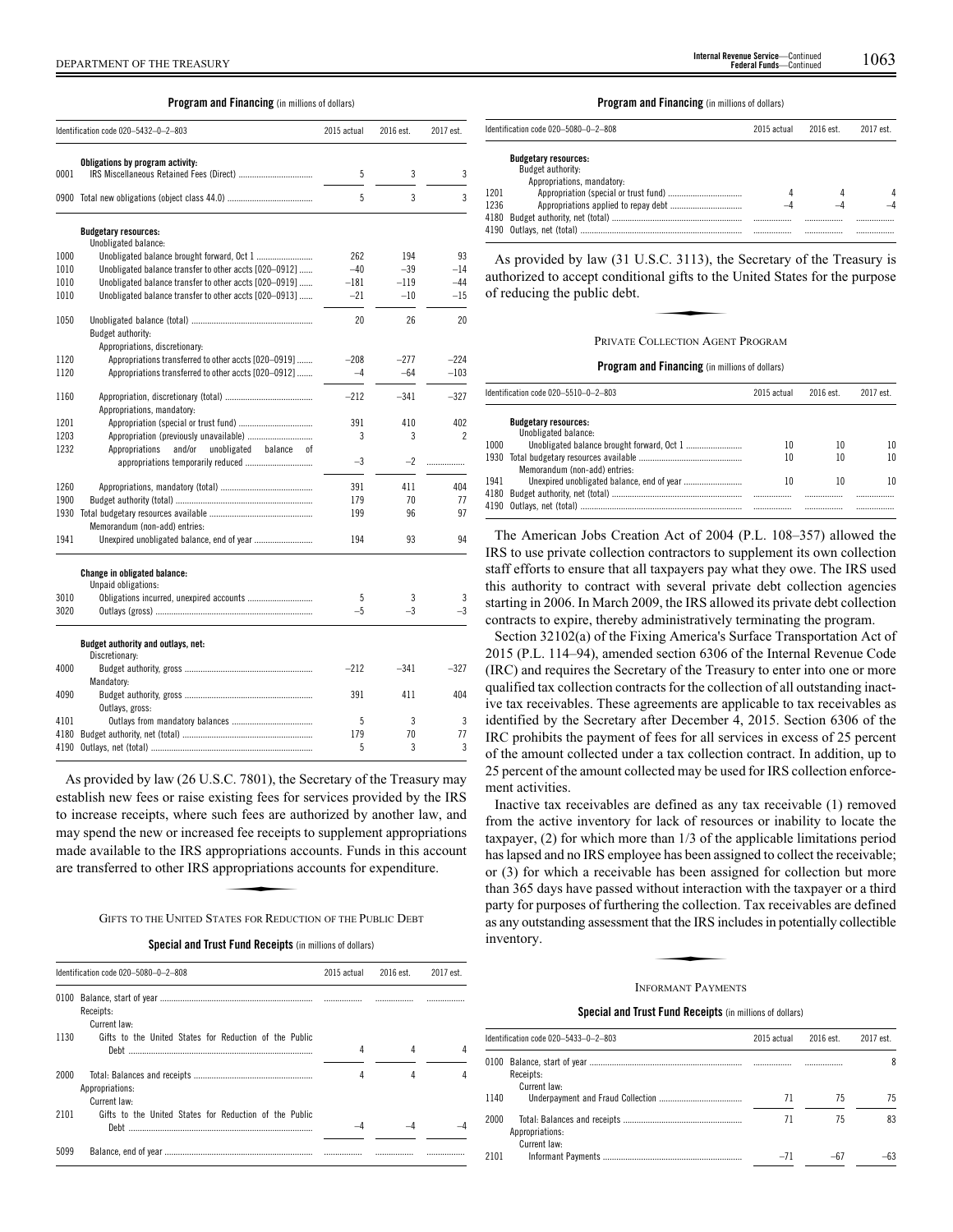## **Program and Financing** (in millions of dollars)

|      | Identification code 020-5432-0-2-803                     | 2015 actual | 2016 est. | 2017 est. |
|------|----------------------------------------------------------|-------------|-----------|-----------|
|      | Obligations by program activity:                         |             |           |           |
| 0001 |                                                          | 5           | 3         | 3         |
|      |                                                          | 5           | 3         | 3         |
|      | <b>Budgetary resources:</b><br>Unobligated balance:      |             |           |           |
| 1000 |                                                          | 262         | 194       | 93        |
| 1010 | Unobligated balance transfer to other accts [020-0912]   | $-40$       | $-39$     | $-14$     |
| 1010 | Unobligated balance transfer to other accts [020-0919]   | $-181$      | $-119$    | $-44$     |
| 1010 | Unobligated balance transfer to other accts [020-0913]   | $-21$       | $-10$     | $-15$     |
| 1050 |                                                          | 20          | 26        | 20        |
|      | Budget authority:<br>Appropriations, discretionary:      |             |           |           |
| 1120 | Appropriations transferred to other accts [020-0919]     | $-208$      | $-277$    | $-224$    |
| 1120 | Appropriations transferred to other accts [020-0912]     | $-4$        | $-64$     | $-103$    |
| 1160 |                                                          | $-212$      | $-341$    | $-327$    |
|      | Appropriations, mandatory:                               |             |           |           |
| 1201 |                                                          | 391         | 410       | 402       |
| 1203 |                                                          | 3           | 3         | 2         |
| 1232 | Appropriations<br>and/or<br>unobligated<br>balance<br>0f |             |           |           |
|      |                                                          | $-3$        | $-2$      | .         |
| 1260 |                                                          | 391         | 411       | 404       |
| 1900 |                                                          | 179         | 70        | 77        |
| 1930 |                                                          | 199         | 96        | 97        |
|      | Memorandum (non-add) entries:                            |             |           |           |
| 1941 |                                                          | 194         | 93        | 94        |
|      | Change in obligated balance:<br>Unpaid obligations:      |             |           |           |
| 3010 |                                                          | 5           | 3         | 3         |
| 3020 |                                                          | $-5$        | $-3$      | $-3$      |
|      | Budget authority and outlays, net:<br>Discretionary:     |             |           |           |
| 4000 |                                                          | $-212$      | $-341$    | $-327$    |
|      | Mandatory:                                               |             |           |           |
| 4090 |                                                          | 391         | 411       | 404       |
|      | Outlays, gross:                                          |             |           |           |
| 4101 |                                                          | 5           | 3         | 3         |
| 4180 |                                                          | 179         | 70        | 77        |
| 4190 |                                                          | 5           | 3         | 3         |

As provided by law (26 U.S.C. 7801), the Secretary of the Treasury may establish new fees or raise existing fees for services provided by the IRS to increase receipts, where such fees are authorized by another law, and may spend the new or increased fee receipts to supplement appropriations made available to the IRS appropriations accounts. Funds in this account are transferred to other IRS appropriations accounts for expenditure. ed fee receipts<br>propriations ac<br>propriations a

GIFTS TO THE UNITED STATES FOR REDUCTION OF THE PUBLIC DEBT

**Special and Trust Fund Receipts** (in millions of dollars)

|      | Identification code 020-5080-0-2-808                   | 2015 actual | 2016 est. | 2017 est. |
|------|--------------------------------------------------------|-------------|-----------|-----------|
| 0100 | Receipts:<br>Current law:                              |             |           |           |
| 1130 | Gifts to the United States for Reduction of the Public | 4           |           |           |
| 2000 | Appropriations:<br>Current law:                        | 4           | 4         |           |
| 2101 | Gifts to the United States for Reduction of the Public |             |           |           |
| 5099 |                                                        |             |           |           |

# DEPARTMENT OF THE TREASURY 1063 **Internal Revenue Service**—Continued **Federal Funds**—Continued

**Program and Financing** (in millions of dollars)

|      | Identification code 020-5080-0-2-808                                           | 2015 actual | 2016 est. | 2017 est. |
|------|--------------------------------------------------------------------------------|-------------|-----------|-----------|
|      | <b>Budgetary resources:</b><br>Budget authority:<br>Appropriations, mandatory: |             |           |           |
| 1201 |                                                                                |             |           |           |
| 1236 |                                                                                |             |           |           |
|      |                                                                                |             |           |           |

As provided by law (31 U.S.C. 3113), the Secretary of the Treasury is<br>
uthorized to accept conditional gifts to the United States for the purpose<br>
freducing the public debt.<br>
PRIVATE COLLECTION AGENT PROGRAM authorized to accept conditional gifts to the United States for the purpose of reducing the public debt.

#### PRIVATE COLLECTION AGENT PROGRAM

**Program and Financing** (in millions of dollars)

|      | Identification code 020-5510-0-2-803                | 2015 actual | 2016 est. | 2017 est. |
|------|-----------------------------------------------------|-------------|-----------|-----------|
|      | <b>Budgetary resources:</b><br>Unobligated balance: |             |           |           |
| 1000 |                                                     | 10          | 10        | 10        |
| 1930 | Memorandum (non-add) entries:                       | 10          | 10        | 10        |
| 1941 |                                                     | 10          | 10        | 10        |
|      |                                                     |             |           |           |

The American Jobs Creation Act of 2004 (P.L. 108–357) allowed the IRS to use private collection contractors to supplement its own collection staff efforts to ensure that all taxpayers pay what they owe. The IRS used this authority to contract with several private debt collection agencies starting in 2006. In March 2009, the IRS allowed its private debt collection contracts to expire, thereby administratively terminating the program.

Section 32102(a) of the Fixing America's Surface Transportation Act of 2015 (P.L. 114–94), amended section 6306 of the Internal Revenue Code (IRC) and requires the Secretary of the Treasury to enter into one or more qualified tax collection contracts for the collection of all outstanding inactive tax receivables. These agreements are applicable to tax receivables as identified by the Secretary after December 4, 2015. Section 6306 of the IRC prohibits the payment of fees for all services in excess of 25 percent of the amount collected under a tax collection contract. In addition, up to 25 percent of the amount collected may be used for IRS collection enforcement activities.

Inactive tax receivables are defined as any tax receivable (1) removed from the active inventory for lack of resources or inability to locate the taxpayer, (2) for which more than 1/3 of the applicable limitations period has lapsed and no IRS employee has been assigned to collect the receivable; or (3) for which a receivable has been assigned for collection but more than 365 days have passed without interaction with the taxpayer or a third party for purposes of furthering the collection. Tax receivables are defined<br>party for purposes of furthering the collection. Tax receivables are defined<br>as any outstanding assessment that the IRS includes in potentially c as any outstanding assessment that the IRS includes in potentially collectible inventory.

#### INFORMANT PAYMENTS

**Special and Trust Fund Receipts** (in millions of dollars)

|      | Identification code 020-5433-0-2-803 | 2015 actual | 2016 est. | 2017 est. |
|------|--------------------------------------|-------------|-----------|-----------|
|      | Receipts:<br>Current law:            |             |           | 8         |
| 1140 |                                      | 71          | 75        | 75        |
| 2000 | Appropriations:                      | 71          | 75        | 83        |
| 2101 | Current law:                         | $-71$       |           |           |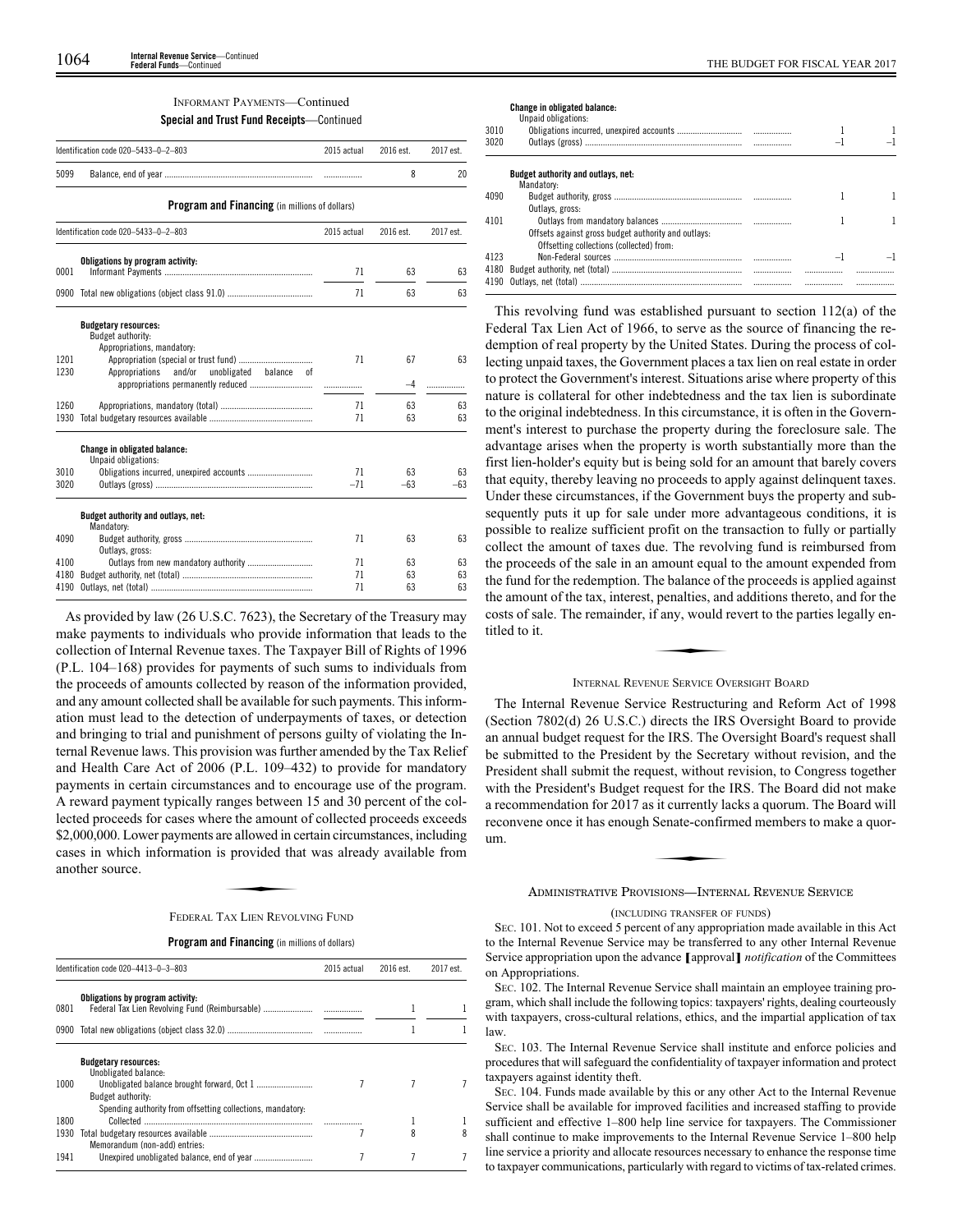## INFORMANT PAYMENTS—Continued **Special and Trust Fund Receipts**—Continued

|              | Identification code 020-5433-0-2-803                                           | 2015 actual | 2016 est. | 2017 est. |
|--------------|--------------------------------------------------------------------------------|-------------|-----------|-----------|
| 5099         |                                                                                |             | 8         | 20        |
|              | <b>Program and Financing</b> (in millions of dollars)                          |             |           |           |
|              | Identification code 020-5433-0-2-803                                           | 2015 actual | 2016 est. | 2017 est. |
| 0001         | Obligations by program activity:                                               | 71          | 63        | 63        |
|              |                                                                                | 71          | 63        | 63        |
|              | <b>Budgetary resources:</b><br>Budget authority:<br>Appropriations, mandatory: |             |           |           |
| 1201<br>1230 | Appropriations<br>and/or<br>unobligated balance<br>nt                          | 71          | 67        | 63        |
|              |                                                                                |             | $-4$      | .         |
| 1260         |                                                                                | 71          | 63        | 63        |
| 1930         |                                                                                | 71          | 63        | 63        |
|              | <b>Change in obligated balance:</b><br>Unpaid obligations:                     |             |           |           |
| 3010         |                                                                                | 71          | 63        | 63        |
| 3020         |                                                                                | $-71$       | $-63$     | $-63$     |
|              | Budget authority and outlays, net:<br>Mandatory:                               |             |           |           |
| 4090         | Outlays, gross:                                                                | 71          | 63        | 63        |
| 4100         |                                                                                | 71          | 63        | 63        |
| 4180         |                                                                                | 71          | 63        | 63        |
| 4190         |                                                                                | 71          | 63        | 63        |

As provided by law (26 U.S.C. 7623), the Secretary of the Treasury may make payments to individuals who provide information that leads to the collection of Internal Revenue taxes. The Taxpayer Bill of Rights of 1996 (P.L. 104–168) provides for payments of such sums to individuals from the proceeds of amounts collected by reason of the information provided, and any amount collected shall be available for such payments. This information must lead to the detection of underpayments of taxes, or detection and bringing to trial and punishment of persons guilty of violating the Internal Revenue laws. This provision was further amended by the Tax Relief and Health Care Act of 2006 (P.L. 109–432) to provide for mandatory payments in certain circumstances and to encourage use of the program. A reward payment typically ranges between 15 and 30 percent of the collected proceeds for cases where the amount of collected proceeds exceeds \$2,000,000. Lower payments are allowed in certain circumstances, including<br>\$2,000,000. Lower payments are allowed in certain circumstances, including<br>cases in which information is provided that was already available from<br>a cases in which information is provided that was already available from another source.

## FEDERAL TAX LIEN REVOLVING FUND

## **Program and Financing** (in millions of dollars)

|      | Identification code 020-4413-0-3-803                       | 2015 actual | 2016 est. | 2017 est. |
|------|------------------------------------------------------------|-------------|-----------|-----------|
| 0801 | Obligations by program activity:                           | .           |           |           |
|      |                                                            |             |           |           |
|      | <b>Budgetary resources:</b><br>Unobligated balance:        |             |           |           |
| 1000 | Budget authority:                                          |             |           |           |
| 1800 | Spending authority from offsetting collections, mandatory: |             |           |           |
| 1930 | Memorandum (non-add) entries:                              |             | 8         |           |
| 1941 |                                                            |             |           |           |

**Change in obligated balance:**

|      | Unpaid obligations:                                 |                          |  |
|------|-----------------------------------------------------|--------------------------|--|
| 3010 |                                                     |                          |  |
| 3020 |                                                     | $\overline{\phantom{0}}$ |  |
|      | <b>Budget authority and outlays, net:</b>           |                          |  |
|      | Mandatory:                                          |                          |  |
| 4090 |                                                     |                          |  |
|      | Outlays, gross:                                     |                          |  |
| 4101 |                                                     |                          |  |
|      | Offsets against gross budget authority and outlays: |                          |  |
|      | Offsetting collections (collected) from:            |                          |  |
| 4123 |                                                     |                          |  |
|      |                                                     |                          |  |
|      |                                                     |                          |  |
|      |                                                     |                          |  |

This revolving fund was established pursuant to section 112(a) of the Federal Tax Lien Act of 1966, to serve as the source of financing the redemption of real property by the United States. During the process of collecting unpaid taxes, the Government places a tax lien on real estate in order to protect the Government's interest. Situations arise where property of this nature is collateral for other indebtedness and the tax lien is subordinate to the original indebtedness. In this circumstance, it is often in the Government's interest to purchase the property during the foreclosure sale. The advantage arises when the property is worth substantially more than the first lien-holder's equity but is being sold for an amount that barely covers that equity, thereby leaving no proceeds to apply against delinquent taxes. Under these circumstances, if the Government buys the property and subsequently puts it up for sale under more advantageous conditions, it is possible to realize sufficient profit on the transaction to fully or partially collect the amount of taxes due. The revolving fund is reimbursed from the proceeds of the sale in an amount equal to the amount expended from the fund for the redemption. The balance of the proceeds is applied against the amount of the tax, interest, penalties, and additions thereto, and for the costs of sale. The remainder, if any, would revert to the parties legally entitled to it. costs of sale. The remainder, if any, would revert to the parties legally entitled to it.

## INTERNAL REVENUE SERVICE OVERSIGHT BOARD

The Internal Revenue Service Restructuring and Reform Act of 1998 (Section 7802(d) 26 U.S.C.) directs the IRS Oversight Board to provide an annual budget request for the IRS. The Oversight Board's request shall be submitted to the President by the Secretary without revision, and the President shall submit the request, without revision, to Congress together with the President's Budget request for the IRS. The Board did not make a recommendation for 2017 as it currently lacks a quorum. The Board will<br>reconvene once it has enough Senate-confirmed members to make a quorum.<br>the Board will<br>decompose the Board will be a sense of the Board will be a sen reconvene once it has enough Senate-confirmed members to make a quorum.

ADMINISTRATIVE PROVISIONS—INTERNAL REVENUE SERVICE

## (INCLUDING TRANSFER OF FUNDS)

SEC. 101. Not to exceed 5 percent of any appropriation made available in this Act to the Internal Revenue Service may be transferred to any other Internal Revenue Service appropriation upon the advance **[**approval**]** *notification* of the Committees on Appropriations.

SEC. 102. The Internal Revenue Service shall maintain an employee training program, which shall include the following topics: taxpayers' rights, dealing courteously with taxpayers, cross-cultural relations, ethics, and the impartial application of tax law.

SEC. 103. The Internal Revenue Service shall institute and enforce policies and procedures that will safeguard the confidentiality of taxpayer information and protect taxpayers against identity theft.

SEC. 104. Funds made available by this or any other Act to the Internal Revenue Service shall be available for improved facilities and increased staffing to provide sufficient and effective 1–800 help line service for taxpayers. The Commissioner shall continue to make improvements to the Internal Revenue Service 1–800 help line service a priority and allocate resources necessary to enhance the response time to taxpayer communications, particularly with regard to victims of tax-related crimes.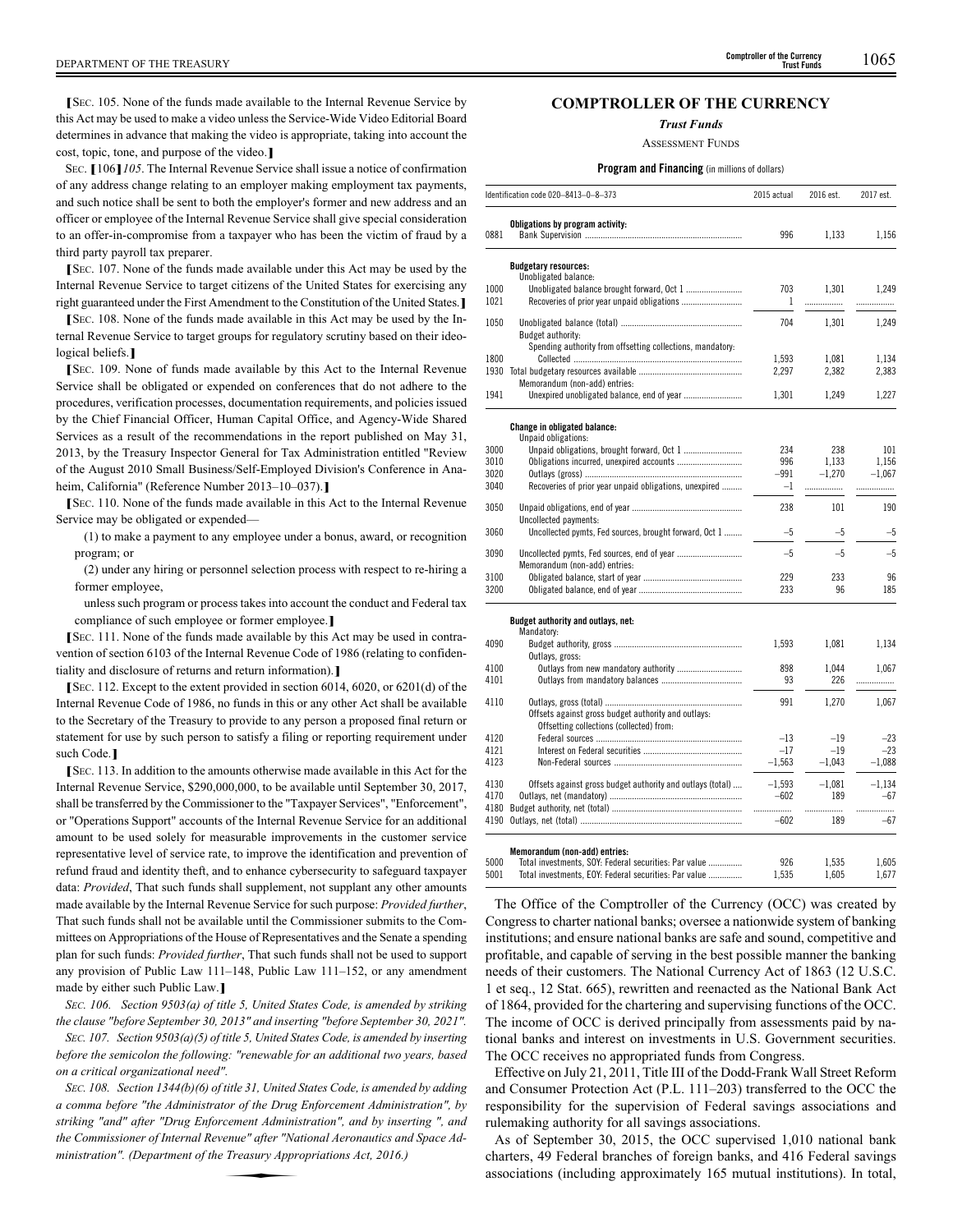**[**<sup>S</sup>EC. 105. None of the funds made available to the Internal Revenue Service by this Act may be used to make a video unless the Service-Wide Video Editorial Board determines in advance that making the video is appropriate, taking into account the cost, topic, tone, and purpose of the video.**]**

<sup>S</sup>EC. **[**106**]***105*. The Internal Revenue Service shall issue a notice of confirmation of any address change relating to an employer making employment tax payments, and such notice shall be sent to both the employer's former and new address and an officer or employee of the Internal Revenue Service shall give special consideration to an offer-in-compromise from a taxpayer who has been the victim of fraud by a third party payroll tax preparer.

**[**<sup>S</sup>EC. 107. None of the funds made available under this Act may be used by the Internal Revenue Service to target citizens of the United States for exercising any right guaranteed under the First Amendment to the Constitution of the United States.**]**

**[**<sup>S</sup>EC. 108. None of the funds made available in this Act may be used by the Internal Revenue Service to target groups for regulatory scrutiny based on their ideological beliefs.**]**

**[**<sup>S</sup>EC. 109. None of funds made available by this Act to the Internal Revenue Service shall be obligated or expended on conferences that do not adhere to the procedures, verification processes, documentation requirements, and policies issued by the Chief Financial Officer, Human Capital Office, and Agency-Wide Shared Services as a result of the recommendations in the report published on May 31, 2013, by the Treasury Inspector General for Tax Administration entitled "Review of the August 2010 Small Business/Self-Employed Division's Conference in Anaheim, California" (Reference Number 2013–10–037).**]**

**[**<sup>S</sup>EC. 110. None of the funds made available in this Act to the Internal Revenue Service may be obligated or expended—

(1) to make a payment to any employee under a bonus, award, or recognition program; or

(2) under any hiring or personnel selection process with respect to re-hiring a former employee,

unless such program or process takes into account the conduct and Federal tax compliance of such employee or former employee.**]**

**[**<sup>S</sup>EC. 111. None of the funds made available by this Act may be used in contravention of section 6103 of the Internal Revenue Code of 1986 (relating to confidentiality and disclosure of returns and return information).**]**

**[**<sup>S</sup>EC. 112. Except to the extent provided in section 6014, 6020, or 6201(d) of the Internal Revenue Code of 1986, no funds in this or any other Act shall be available to the Secretary of the Treasury to provide to any person a proposed final return or statement for use by such person to satisfy a filing or reporting requirement under such Code.**]**

**[**<sup>S</sup>EC. 113. In addition to the amounts otherwise made available in this Act for the Internal Revenue Service, \$290,000,000, to be available until September 30, 2017, shall be transferred by the Commissioner to the "Taxpayer Services", "Enforcement", or "Operations Support" accounts of the Internal Revenue Service for an additional amount to be used solely for measurable improvements in the customer service representative level of service rate, to improve the identification and prevention of refund fraud and identity theft, and to enhance cybersecurity to safeguard taxpayer data: *Provided*, That such funds shall supplement, not supplant any other amounts made available by the Internal Revenue Service for such purpose: *Provided further*, That such funds shall not be available until the Commissioner submits to the Committees on Appropriations of the House of Representatives and the Senate a spending plan for such funds: *Provided further*, That such funds shall not be used to support any provision of Public Law 111–148, Public Law 111–152, or any amendment made by either such Public Law.**]**

*SEC. 106. Section 9503(a) of title 5, United States Code, is amended by striking the clause "before September 30, 2013" and inserting "before September 30, 2021".*

*SEC. 107. Section 9503(a)(5) of title 5, United States Code, is amended by inserting before the semicolon the following: "renewable for an additional two years, based on a critical organizational need".*

*SEC. 108. Section 1344(b)(6) of title 31, United States Code, is amended by adding a comma before "the Administrator of the Drug Enforcement Administration", by striking "and" after "Drug Enforcement Administration", and by inserting ", and the Commissioner of Internal Revenue" after "National Aeronautics and Space Administration". (Department of the Treasury Appropriations Act, the Commissioner of Internal Revenue" after "National Aeronautics and Space Administration". (Department of the Treasury Appropriations Act, 2016.)*

# **COMPTROLLER OF THE CURRENCY**

*Trust Funds*

ASSESSMENT FUNDS

## **Program and Financing** (in millions of dollars)

|      | Identification code 020-8413-0-8-373                                                   | 2015 actual | 2016 est. | 2017 est. |
|------|----------------------------------------------------------------------------------------|-------------|-----------|-----------|
| 0881 | Obligations by program activity:                                                       | 996         | 1,133     | 1,156     |
|      | <b>Budgetary resources:</b>                                                            |             |           |           |
| 1000 | Unobligated balance:<br>Unobligated balance brought forward, Oct 1                     | 703         | 1,301     | 1,249     |
| 1021 |                                                                                        | 1           | .         | .         |
| 1050 |                                                                                        | 704         | 1,301     | 1,249     |
|      | Budget authority:<br>Spending authority from offsetting collections, mandatory:        |             |           |           |
| 1800 |                                                                                        | 1,593       | 1,081     | 1,134     |
|      |                                                                                        | 2,297       | 2,382     | 2,383     |
|      | Memorandum (non-add) entries:                                                          |             |           |           |
| 1941 |                                                                                        | 1.301       | 1,249     | 1,227     |
|      | <b>Change in obligated balance:</b>                                                    |             |           |           |
|      | Unpaid obligations:                                                                    |             |           |           |
| 3000 |                                                                                        | 234         | 238       | 101       |
| 3010 |                                                                                        | 996         | 1,133     | 1.156     |
| 3020 |                                                                                        | $-991$      | $-1.270$  | $-1.067$  |
| 3040 | Recoveries of prior year unpaid obligations, unexpired                                 | $-1$        | .         | .         |
| 3050 |                                                                                        | 238         | 101       | 190       |
| 3060 | Uncollected payments:<br>Uncollected pymts, Fed sources, brought forward, Oct 1        | $-5$        | $-5$      | $-5$      |
| 3090 |                                                                                        | $-5$        | $-5$      | $-5$      |
|      | Memorandum (non-add) entries:                                                          |             |           |           |
| 3100 |                                                                                        | 229         | 233       | 96        |
| 3200 |                                                                                        | 233         | 96        | 185       |
|      | Budget authority and outlays, net:                                                     |             |           |           |
|      | Mandatory:                                                                             |             |           |           |
| 4090 |                                                                                        | 1,593       | 1,081     | 1,134     |
|      | Outlays, gross:                                                                        |             |           |           |
| 4100 | Outlays from new mandatory authority                                                   | 898         | 1,044     | 1,067     |
| 4101 |                                                                                        | 93          | 226       | .         |
| 4110 |                                                                                        | 991         | 1,270     | 1,067     |
|      | Offsets against gross budget authority and outlays:                                    |             |           |           |
|      | Offsetting collections (collected) from:                                               |             |           |           |
| 4120 |                                                                                        | $-13$       | $-19$     | $-23$     |
| 4121 |                                                                                        | $-17$       | $-19$     | $-23$     |
| 4123 |                                                                                        | $-1,563$    | $-1,043$  | $-1,088$  |
| 4130 | Offsets against gross budget authority and outlays (total)                             | $-1,593$    | $-1,081$  | $-1.134$  |
| 4170 |                                                                                        | $-602$      | 189       | $-67$     |
|      |                                                                                        |             | .         | .         |
|      |                                                                                        | $-602$      | 189       | $-67$     |
|      |                                                                                        |             |           |           |
|      |                                                                                        |             |           |           |
| 5000 | Memorandum (non-add) entries:<br>Total investments, SOY: Federal securities: Par value | 926         | 1,535     | 1,605     |

The Office of the Comptroller of the Currency (OCC) was created by Congress to charter national banks; oversee a nationwide system of banking institutions; and ensure national banks are safe and sound, competitive and profitable, and capable of serving in the best possible manner the banking needs of their customers. The National Currency Act of 1863 (12 U.S.C. 1 et seq., 12 Stat. 665), rewritten and reenacted as the National Bank Act of 1864, provided for the chartering and supervising functions of the OCC. The income of OCC is derived principally from assessments paid by national banks and interest on investments in U.S. Government securities. The OCC receives no appropriated funds from Congress.

Effective on July 21, 2011, Title III of the Dodd-Frank Wall Street Reform and Consumer Protection Act (P.L. 111–203) transferred to the OCC the responsibility for the supervision of Federal savings associations and rulemaking authority for all savings associations.

As of September 30, 2015, the OCC supervised 1,010 national bank charters, 49 Federal branches of foreign banks, and 416 Federal savings associations (including approximately 165 mutual institutions). In total,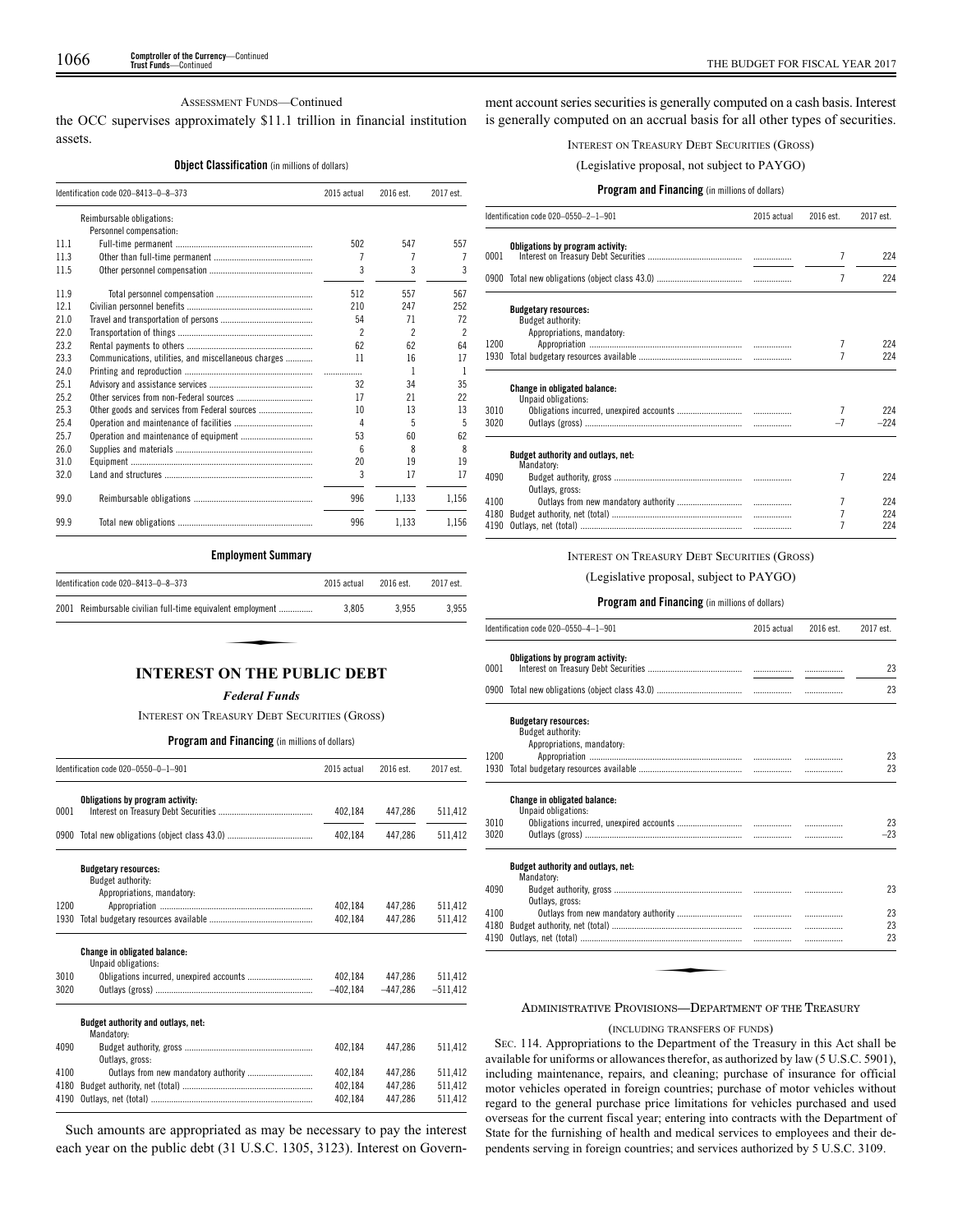## ASSESSMENT FUNDS—Continued

the OCC supervises approximately \$11.1 trillion in financial institution assets.

## **Object Classification** (in millions of dollars)

|      | Identification code 020-8413-0-8-373                 | 2015 actual | 2016 est.      | 2017 est.                |
|------|------------------------------------------------------|-------------|----------------|--------------------------|
|      | Reimbursable obligations:                            |             |                |                          |
|      | Personnel compensation:                              |             |                |                          |
| 11.1 |                                                      | 502         | 547            | 557                      |
| 113  |                                                      | 7           | 7              |                          |
| 11.5 |                                                      | 3           | 3              | 3                        |
| 11.9 |                                                      | 512         | 557            | 567                      |
| 12.1 |                                                      | 210         | 247            | 252                      |
| 21.0 |                                                      | 54          | 71             | 72                       |
| 22.0 |                                                      | 2           | $\mathfrak{p}$ | $\overline{\phantom{a}}$ |
| 23.2 |                                                      | 62          | 62             | 64                       |
| 23.3 | Communications, utilities, and miscellaneous charges | 11          | 16             | 17                       |
| 24.0 |                                                      | .           | 1              | 1                        |
| 25.1 |                                                      | 32          | 34             | 35                       |
| 25.2 |                                                      | 17          | 21             | 22                       |
| 25.3 |                                                      | 10          | 13             | 13                       |
| 25.4 |                                                      | 4           | 5              | 5                        |
| 25.7 |                                                      | 53          | 60             | 62                       |
| 26.0 |                                                      | ĥ           | 8              | 8                        |
| 31.0 |                                                      | 20          | 19             | 19                       |
| 32.0 |                                                      | 3           | 17             | 17                       |
| 99.0 |                                                      | 996         | 1.133          | 1.156                    |
| 99.9 |                                                      | 996         | 1.133          | 1,156                    |

## **Employment Summary**

| Identification code 020-8413-0-8-373                       | 2015 actual | 2016 est. | 2017 est. |
|------------------------------------------------------------|-------------|-----------|-----------|
| 2001 Reimbursable civilian full-time equivalent employment | 3.805       | 3.955     | 3.955     |
|                                                            |             |           |           |
| INTEDEST ON THE DHEI IC DERT                               |             |           |           |

## **INTEREST ON THE PUBLIC DEBT**

#### *Federal Funds*

INTEREST ON TREASURY DEBT SECURITIES (GROSS)

## **Program and Financing** (in millions of dollars)

|      | Identification code 020-0550-0-1-901                       |            | 2016 est.  | 2017 est.  |
|------|------------------------------------------------------------|------------|------------|------------|
|      | Obligations by program activity:                           |            |            |            |
| 0001 |                                                            | 402,184    | 447.286    | 511,412    |
| 0900 |                                                            | 402.184    | 447.286    | 511,412    |
|      | <b>Budgetary resources:</b>                                |            |            |            |
|      | Budget authority:<br>Appropriations, mandatory:            |            |            |            |
| 1200 |                                                            | 402.184    | 447.286    | 511.412    |
| 1930 |                                                            | 402.184    | 447.286    | 511.412    |
|      | <b>Change in obligated balance:</b><br>Unpaid obligations: |            |            |            |
| 3010 |                                                            | 402.184    | 447.286    | 511,412    |
| 3020 |                                                            | $-402.184$ | $-447.286$ | $-511.412$ |
|      | Budget authority and outlays, net:<br>Mandatory:           |            |            |            |
| 4090 | Outlays, gross:                                            | 402.184    | 447.286    | 511.412    |
| 4100 | Outlays from new mandatory authority                       | 402.184    | 447.286    | 511.412    |
| 4180 |                                                            | 402.184    | 447.286    | 511,412    |
| 4190 |                                                            | 402.184    | 447.286    | 511.412    |

Such amounts are appropriated as may be necessary to pay the interest each year on the public debt (31 U.S.C. 1305, 3123). Interest on Govern-

ment account series securities is generally computed on a cash basis. Interest is generally computed on an accrual basis for all other types of securities.

INTEREST ON TREASURY DEBT SECURITIES (GROSS)

(Legislative proposal, not subject to PAYGO)

## **Program and Financing** (in millions of dollars)

|      | Identification code 020-0550-2-1-901                                           | 2015 actual | 2016 est. | 2017 est. |
|------|--------------------------------------------------------------------------------|-------------|-----------|-----------|
| 0001 | Obligations by program activity:                                               |             | 7         | 224       |
|      |                                                                                |             |           |           |
|      |                                                                                |             | 7         | 224       |
|      | <b>Budgetary resources:</b><br>Budget authority:<br>Appropriations, mandatory: |             |           |           |
| 1200 |                                                                                |             | 7         | 224       |
| 1930 |                                                                                |             | 7         | 224       |
|      | <b>Change in obligated balance:</b><br>Unpaid obligations:                     |             |           |           |
| 3010 |                                                                                |             |           | 224       |
| 3020 |                                                                                |             | $-7$      | $-224$    |
|      | Budget authority and outlays, net:<br>Mandatory:                               |             |           |           |
| 4090 | Outlays, gross:                                                                |             | 7         | 224       |
| 4100 |                                                                                |             | 7         | 224       |
| 4180 |                                                                                |             | 7         | 224       |
| 4190 |                                                                                |             |           | 224       |

## INTEREST ON TREASURY DEBT SECURITIES (GROSS)

(Legislative proposal, subject to PAYGO)

#### **Program and Financing** (in millions of dollars)

|              | Identification code 020-0550-4-1-901                                           | 2015 actual | 2016 est. | 2017 est.   |
|--------------|--------------------------------------------------------------------------------|-------------|-----------|-------------|
| 0001         | Obligations by program activity:                                               |             |           | 23          |
|              |                                                                                |             |           | 23          |
|              | <b>Budgetary resources:</b><br>Budget authority:<br>Appropriations, mandatory: |             |           |             |
| 1200         |                                                                                |             | .         | 23          |
| 1930         |                                                                                |             | .         | 23          |
| 3010<br>3020 | <b>Change in obligated balance:</b><br>Unpaid obligations:                     |             | .         | 23<br>$-23$ |
|              | Budget authority and outlays, net:<br>Mandatory:                               |             |           |             |
| 4090         | Outlays, gross:                                                                |             |           | 23          |
| 4100         |                                                                                |             | .         | 23          |
| 4180         |                                                                                |             | .         | 23          |
| 4190         |                                                                                |             | .         | 23          |

#### ADMINISTRATIVE PROVISIONS—DEPARTMENT OF THE TREASURY

#### (INCLUDING TRANSFERS OF FUNDS)

SEC. 114. Appropriations to the Department of the Treasury in this Act shall be available for uniforms or allowances therefor, as authorized by law (5 U.S.C. 5901), including maintenance, repairs, and cleaning; purchase of insurance for official motor vehicles operated in foreign countries; purchase of motor vehicles without regard to the general purchase price limitations for vehicles purchased and used overseas for the current fiscal year; entering into contracts with the Department of State for the furnishing of health and medical services to employees and their dependents serving in foreign countries; and services authorized by 5 U.S.C. 3109.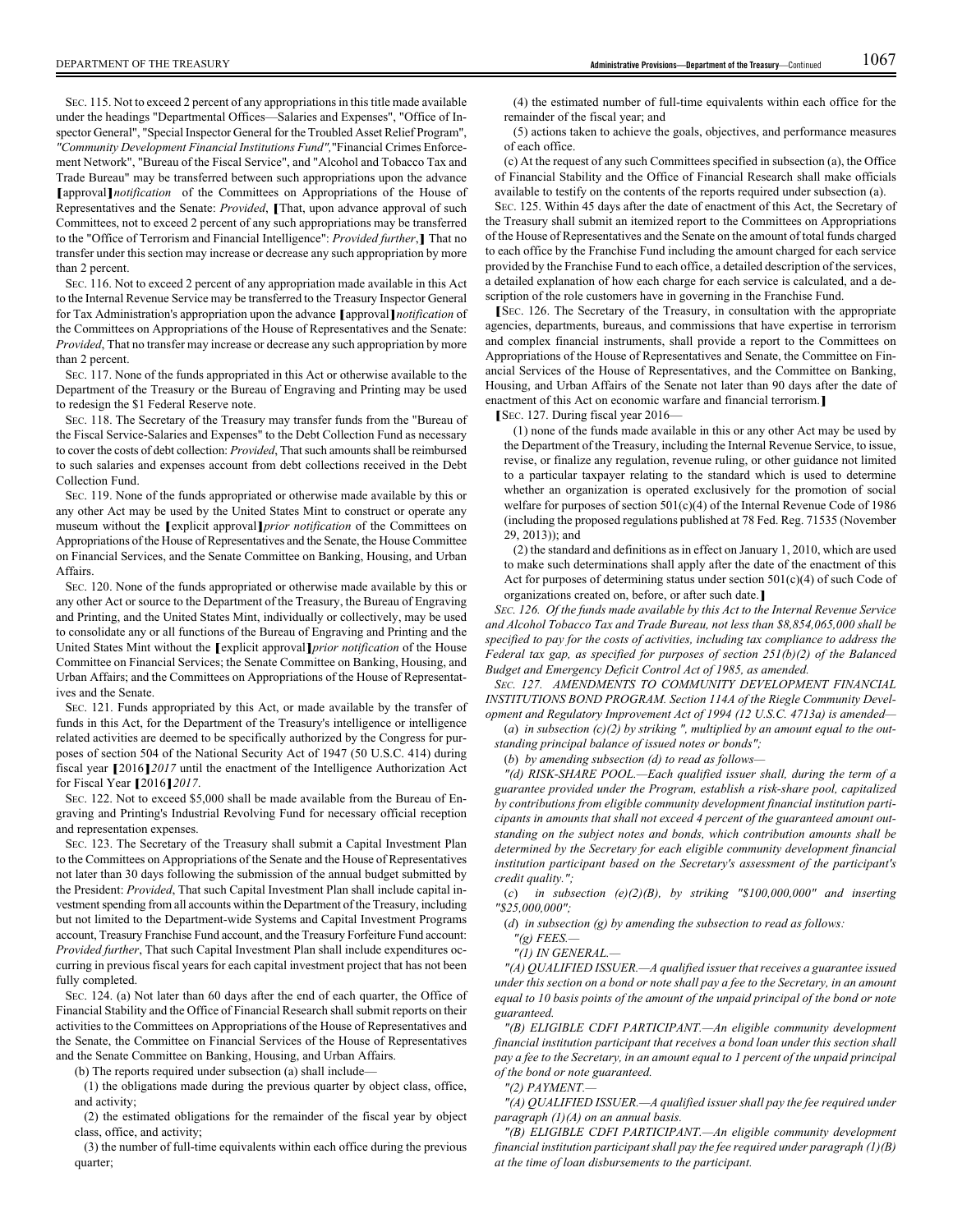SEC. 115. Not to exceed 2 percent of any appropriations in this title made available under the headings "Departmental Offices—Salaries and Expenses", "Office of Inspector General", "Special Inspector General for the Troubled Asset Relief Program", *"Community Development Financial Institutions Fund",*"Financial Crimes Enforcement Network", "Bureau of the Fiscal Service", and "Alcohol and Tobacco Tax and Trade Bureau" may be transferred between such appropriations upon the advance **[**approval**]***notification* of the Committees on Appropriations of the House of Representatives and the Senate: *Provided*, **[**That, upon advance approval of such Committees, not to exceed 2 percent of any such appropriations may be transferred to the "Office of Terrorism and Financial Intelligence": *Provided further*,**]** That no transfer under this section may increase or decrease any such appropriation by more than 2 percent.

SEC. 116. Not to exceed 2 percent of any appropriation made available in this Act to the Internal Revenue Service may be transferred to the Treasury Inspector General for Tax Administration's appropriation upon the advance **[**approval**]***notification* of the Committees on Appropriations of the House of Representatives and the Senate: *Provided*, That no transfer may increase or decrease any such appropriation by more than 2 percent.

SEC. 117. None of the funds appropriated in this Act or otherwise available to the Department of the Treasury or the Bureau of Engraving and Printing may be used to redesign the \$1 Federal Reserve note.

SEC. 118. The Secretary of the Treasury may transfer funds from the "Bureau of the Fiscal Service-Salaries and Expenses" to the Debt Collection Fund as necessary to cover the costs of debt collection: *Provided*, That such amounts shall be reimbursed to such salaries and expenses account from debt collections received in the Debt Collection Fund.

SEC. 119. None of the funds appropriated or otherwise made available by this or any other Act may be used by the United States Mint to construct or operate any museum without the **[**explicit approval**]***prior notification* of the Committees on Appropriations of the House of Representatives and the Senate, the House Committee on Financial Services, and the Senate Committee on Banking, Housing, and Urban Affairs.

SEC. 120. None of the funds appropriated or otherwise made available by this or any other Act or source to the Department of the Treasury, the Bureau of Engraving and Printing, and the United States Mint, individually or collectively, may be used to consolidate any or all functions of the Bureau of Engraving and Printing and the United States Mint without the **[**explicit approval**]***prior notification* of the House Committee on Financial Services; the Senate Committee on Banking, Housing, and Urban Affairs; and the Committees on Appropriations of the House of Representatives and the Senate.

SEC. 121. Funds appropriated by this Act, or made available by the transfer of funds in this Act, for the Department of the Treasury's intelligence or intelligence related activities are deemed to be specifically authorized by the Congress for purposes of section 504 of the National Security Act of 1947 (50 U.S.C. 414) during fiscal year **[**2016**]***2017* until the enactment of the Intelligence Authorization Act for Fiscal Year **[**2016**]***2017*.

SEC. 122. Not to exceed \$5,000 shall be made available from the Bureau of Engraving and Printing's Industrial Revolving Fund for necessary official reception and representation expenses.

SEC. 123. The Secretary of the Treasury shall submit a Capital Investment Plan to the Committees on Appropriations of the Senate and the House of Representatives not later than 30 days following the submission of the annual budget submitted by the President: *Provided*, That such Capital Investment Plan shall include capital investment spending from all accounts within the Department of the Treasury, including but not limited to the Department-wide Systems and Capital Investment Programs account, Treasury Franchise Fund account, and the Treasury Forfeiture Fund account: *Provided further*, That such Capital Investment Plan shall include expenditures occurring in previous fiscal years for each capital investment project that has not been fully completed.

SEC. 124. (a) Not later than 60 days after the end of each quarter, the Office of Financial Stability and the Office of Financial Research shall submit reports on their activities to the Committees on Appropriations of the House of Representatives and the Senate, the Committee on Financial Services of the House of Representatives and the Senate Committee on Banking, Housing, and Urban Affairs.

(b) The reports required under subsection (a) shall include—

(1) the obligations made during the previous quarter by object class, office, and activity;

(2) the estimated obligations for the remainder of the fiscal year by object class, office, and activity;

(3) the number of full-time equivalents within each office during the previous quarter;

(4) the estimated number of full-time equivalents within each office for the remainder of the fiscal year; and

(5) actions taken to achieve the goals, objectives, and performance measures of each office.

(c) At the request of any such Committees specified in subsection (a), the Office of Financial Stability and the Office of Financial Research shall make officials available to testify on the contents of the reports required under subsection (a).

SEC. 125. Within 45 days after the date of enactment of this Act, the Secretary of the Treasury shall submit an itemized report to the Committees on Appropriations of the House of Representatives and the Senate on the amount of total funds charged to each office by the Franchise Fund including the amount charged for each service provided by the Franchise Fund to each office, a detailed description of the services, a detailed explanation of how each charge for each service is calculated, and a description of the role customers have in governing in the Franchise Fund.

**[**<sup>S</sup>EC. 126. The Secretary of the Treasury, in consultation with the appropriate agencies, departments, bureaus, and commissions that have expertise in terrorism and complex financial instruments, shall provide a report to the Committees on Appropriations of the House of Representatives and Senate, the Committee on Financial Services of the House of Representatives, and the Committee on Banking, Housing, and Urban Affairs of the Senate not later than 90 days after the date of enactment of this Act on economic warfare and financial terrorism.**]**

**[**SEC. 127. During fiscal year 2016—

(1) none of the funds made available in this or any other Act may be used by the Department of the Treasury, including the Internal Revenue Service, to issue, revise, or finalize any regulation, revenue ruling, or other guidance not limited to a particular taxpayer relating to the standard which is used to determine whether an organization is operated exclusively for the promotion of social welfare for purposes of section 501(c)(4) of the Internal Revenue Code of 1986 (including the proposed regulations published at 78 Fed. Reg. 71535 (November 29, 2013)); and

(2) the standard and definitions as in effect on January 1, 2010, which are used to make such determinations shall apply after the date of the enactment of this Act for purposes of determining status under section  $501(c)(4)$  of such Code of organizations created on, before, or after such date.**]**

*SEC. 126. Of the funds made available by this Act to the Internal Revenue Service and Alcohol Tobacco Tax and Trade Bureau, not less than \$8,854,065,000 shall be specified to pay for the costs of activities, including tax compliance to address the Federal tax gap, as specified for purposes of section 251(b)(2) of the Balanced Budget and Emergency Deficit Control Act of 1985, as amended.*

*SEC. 127. AMENDMENTS TO COMMUNITY DEVELOPMENT FINANCIAL INSTITUTIONS BOND PROGRAM. Section 114A of the Riegle Community Development and Regulatory Improvement Act of 1994 (12 U.S.C. 4713a) is amended—*

(*a*) *in subsection (c)(2) by striking ", multiplied by an amount equal to the outstanding principal balance of issued notes or bonds";*

(*b*) *by amending subsection (d) to read as follows—*

*"(d) RISK-SHARE POOL.—Each qualified issuer shall, during the term of a guarantee provided under the Program, establish a risk-share pool, capitalized by contributions from eligible community development financial institution participants in amounts that shall not exceed 4 percent of the guaranteed amount outstanding on the subject notes and bonds, which contribution amounts shall be determined by the Secretary for each eligible community development financial institution participant based on the Secretary's assessment of the participant's credit quality.";*

(*c*) *in subsection (e)(2)(B), by striking "\$100,000,000" and inserting "\$25,000,000";*

(*d*) *in subsection (g) by amending the subsection to read as follows:*

*"(g) FEES.—*

*"(1) IN GENERAL.—*

*"(A) QUALIFIED ISSUER.—A qualified issuer that receives a guarantee issued under this section on a bond or note shall pay a fee to the Secretary, in an amount equal to 10 basis points of the amount of the unpaid principal of the bond or note guaranteed.*

*"(B) ELIGIBLE CDFI PARTICIPANT.—An eligible community development financial institution participant that receives a bond loan under this section shall pay a fee to the Secretary, in an amount equal to 1 percent of the unpaid principal of the bond or note guaranteed.*

*"(2) PAYMENT.—*

*"(A) QUALIFIED ISSUER.—A qualified issuer shall pay the fee required under paragraph (1)(A) on an annual basis.*

*"(B) ELIGIBLE CDFI PARTICIPANT.—An eligible community development financial institution participant shall pay the fee required under paragraph (1)(B) at the time of loan disbursements to the participant.*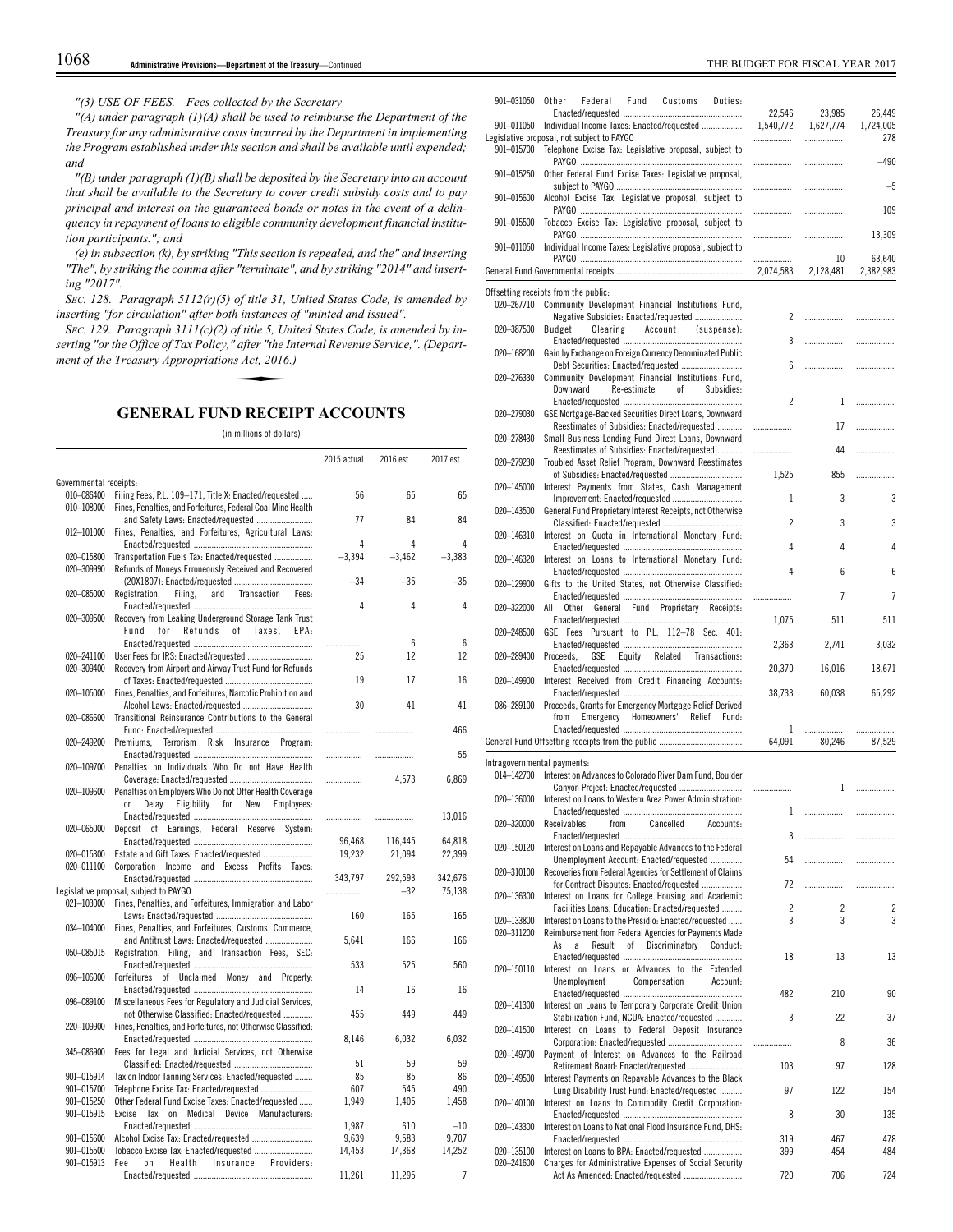*"(3) USE OF FEES.—Fees collected by the Secretary—*

*"(A) under paragraph (1)(A) shall be used to reimburse the Department of the Treasury for any administrative costs incurred by the Department in implementing the Program established under this section and shall be available until expended; and*

*"(B) under paragraph (1)(B) shall be deposited by the Secretary into an account that shall be available to the Secretary to cover credit subsidy costs and to pay principal and interest on the guaranteed bonds or notes in the event of a delinquency in repayment of loans to eligible community development financial institution participants."; and*

*(e) in subsection (k), by striking "This section is repealed, and the" and inserting "The", by striking the comma after "terminate", and by striking "2014" and inserting "2017".*

*SEC. 128. Paragraph 5112(r)(5) of title 31, United States Code, is amended by inserting "for circulation" after both instances of "minted and issued".*

*SEC. 129. Paragraph 3111(c)(2) of title 5, United States Code, is amended by inserting "or the Office of Tax Policy," after "the Internal Revenue Service,". (Department of the Treasury Appropriations Act, 2016.)* oth instances of<br>
) of title 5, Unit<br>
y," after "the Int<br>
ons Act, 2016.)<br> **CRACCI** 

# **GENERAL FUND RECEIPT ACCOUNTS**

(in millions of dollars)

|                          |                                                              | 2015 actual | 2016 est. | 2017 est. |
|--------------------------|--------------------------------------------------------------|-------------|-----------|-----------|
| Governmental receipts:   |                                                              |             |           |           |
| 010-086400               | Filing Fees, P.L. 109-171, Title X: Enacted/requested        | 56          | 65        | 65        |
| 010-108000               | Fines, Penalties, and Forfeitures, Federal Coal Mine Health  |             |           |           |
|                          | and Safety Laws: Enacted/requested                           | 77          | 84        | 84        |
| 012-101000               | Fines, Penalties, and Forfeitures, Agricultural Laws:        |             |           |           |
|                          |                                                              | 4           | 4         | 4         |
| 020-015800               | Transportation Fuels Tax: Enacted/requested                  | $-3,394$    | $-3,462$  | $-3,383$  |
| 020-309990               | Refunds of Moneys Erroneously Received and Recovered         |             |           |           |
|                          |                                                              | -34         | $-35$     | $-35$     |
| 020-085000               | Registration,<br>and<br>Filing,<br>Transaction<br>Fees:      |             |           |           |
|                          |                                                              | 4           | 4         | 4         |
| 020-309500               | Recovery from Leaking Underground Storage Tank Trust         |             |           |           |
|                          | Fund<br>for<br>Refunds<br>of Taxes,<br>EPA:                  |             |           |           |
|                          |                                                              | .           | 6         | 6         |
| 020-241100               | User Fees for IRS: Enacted/requested                         | 25          | 12        | 12        |
| 020-309400               | Recovery from Airport and Airway Trust Fund for Refunds      |             |           |           |
|                          |                                                              | 19          | 17        | 16        |
| 020-105000               | Fines, Penalties, and Forfeitures, Narcotic Prohibition and  |             |           |           |
|                          | Alcohol Laws: Enacted/requested                              | 30          | 41        | 41        |
| 020-086600               | Transitional Reinsurance Contributions to the General        |             |           |           |
|                          |                                                              | .           | .         | 466       |
| 020-249200               | Premiums,<br>Terrorism<br>Risk Insurance Program:            |             |           |           |
|                          |                                                              | .           | .         | 55        |
| 020-109700               | Penalties on Individuals Who Do not Have Health              |             |           |           |
|                          |                                                              |             | 4,573     | 6,869     |
| 020-109600               | Penalties on Employers Who Do not Offer Health Coverage      |             |           |           |
|                          | 0r<br>Delay<br>Eligibility<br>for<br>New<br>Employees:       |             |           |           |
|                          |                                                              | .           | .         | 13,016    |
| 020-065000               | of Earnings, Federal Reserve System:<br>Deposit              |             |           |           |
|                          |                                                              | 96.468      | 116,445   | 64,818    |
| 020-015300               | Estate and Gift Taxes: Enacted/requested                     | 19,232      | 21,094    | 22,399    |
| 020-011100               | Corporation Income and Excess Profits Taxes:                 |             |           |           |
|                          |                                                              | 343,797     | 292,593   | 342,676   |
|                          | Legislative proposal, subject to PAYGO                       |             | $-32$     | 75,138    |
| 021-103000               | Fines, Penalties, and Forfeitures, Immigration and Labor     |             |           |           |
|                          |                                                              | 160         | 165       | 165       |
| 034-104000               | Fines, Penalties, and Forfeitures, Customs, Commerce,        |             |           |           |
|                          | and Antitrust Laws: Enacted/requested                        | 5,641       | 166       | 166       |
| 050-085015               | Registration, Filing, and Transaction Fees, SEC:             |             | 525       |           |
|                          |                                                              | 533         |           | 560       |
| 096-106000               | Forfeitures of Unclaimed Money and Property:                 |             |           |           |
|                          |                                                              | 14          | 16        | 16        |
| 096-089100               | Miscellaneous Fees for Regulatory and Judicial Services,     |             |           |           |
|                          | not Otherwise Classified: Enacted/requested                  | 455         | 449       | 449       |
| 220-109900               | Fines, Penalties, and Forfeitures, not Otherwise Classified: |             |           |           |
| 345-086900               |                                                              | 8,146       | 6,032     | 6,032     |
|                          | Fees for Legal and Judicial Services, not Otherwise          |             |           |           |
|                          |                                                              | 51          | 59        | 59        |
| 901-015914               | Tax on Indoor Tanning Services: Enacted/requested            | 85          | 85        | 86        |
| 901-015700               | Telephone Excise Tax: Enacted/requested                      | 607         | 545       | 490       |
| 901-015250               | Other Federal Fund Excise Taxes: Enacted/requested           | 1,949       | 1,405     | 1,458     |
| 901-015915               | Medical Device Manufacturers:<br>Excise<br>Tax<br>on         |             |           |           |
|                          |                                                              | 1,987       | 610       | $-10$     |
| 901-015600               | Alcohol Excise Tax: Enacted/requested                        | 9,639       | 9,583     | 9,707     |
| 901-015500<br>901-015913 | Tobacco Excise Tax: Enacted/requested<br>Fee<br>0n           | 14,453      | 14,368    | 14,252    |
|                          | Health<br>Insurance Providers:                               |             |           | 7         |
|                          |                                                              | 11,261      | 11,295    |           |

| 901-031050                  | Fund<br>Other<br>Federal<br>Customs<br>Duties:                                                                 | 22,546    | 23,985    | 26,449       |
|-----------------------------|----------------------------------------------------------------------------------------------------------------|-----------|-----------|--------------|
| 901-011050                  | Individual Income Taxes: Enacted/requested                                                                     | 1,540,772 | 1,627,774 | 1,724,005    |
| 901-015700                  | Legislative proposal, not subject to PAYGO<br>Telephone Excise Tax: Legislative proposal, subject to           | .         | .         | 278          |
| 901-015250                  | Other Federal Fund Excise Taxes: Legislative proposal,                                                         | .<br>.    | .         | $-490$<br>-5 |
| 901-015600                  | Alcohol Excise Tax: Legislative proposal, subject to                                                           | .         | <br>.     | 109          |
| 901-015500                  | Tobacco Excise Tax: Legislative proposal, subject to                                                           |           | .         | 13,309       |
| 901-011050                  | Individual Income Taxes: Legislative proposal, subject to                                                      | .<br>.    | 10        | 63,640       |
|                             |                                                                                                                | 2,074,583 | 2,128,481 | 2,382,983    |
|                             | Offsetting receipts from the public:                                                                           |           |           |              |
| 020-267710                  | Community Development Financial Institutions Fund,<br>Negative Subsidies: Enacted/requested                    | 2         |           |              |
| 020-387500                  | Budget<br>Clearing<br>Account<br>(suspense):                                                                   | 3         |           | .            |
| 020-168200                  | Gain by Exchange on Foreign Currency Denominated Public<br>Debt Securities: Enacted/requested                  | 6         | .         | .            |
| 020-276330                  | Community Development Financial Institutions Fund,<br>Downward<br>Re-estimate<br>of<br>Subsidies:              |           |           |              |
| 020-279030                  | GSE Mortgage-Backed Securities Direct Loans, Downward                                                          | 2         | 1         | .            |
| 020-278430                  | Reestimates of Subsidies: Enacted/requested<br>Small Business Lending Fund Direct Loans, Downward              | .         | 17        | .            |
| 020-279230                  | Reestimates of Subsidies: Enacted/requested<br>Troubled Asset Relief Program, Downward Reestimates             | .         | 44        | .            |
| 020-145000                  | Interest Payments from States, Cash Management                                                                 | 1,525     | 855       | .            |
| 020-143500                  | General Fund Proprietary Interest Receipts, not Otherwise                                                      | 1         | 3         | 3            |
| 020-146310                  | Interest on Quota in International Monetary Fund:                                                              | 2         | 3         | 3            |
| 020-146320                  | Interest on Loans to International Monetary Fund:                                                              | 4         | 4         | 4            |
| 020-129900                  | Gifts to the United States, not Otherwise Classified:                                                          | 4         | 6         | 6            |
| 020-322000                  | All<br><b>Other</b><br>General Fund Proprietary<br>Receipts:                                                   | .         | 7         | 7            |
| 020-248500                  | GSE Fees Pursuant to P.L. 112-78 Sec. 401:                                                                     | 1,075     | 511       | 511          |
| 020-289400                  | Proceeds,<br>GSE<br>Equity Related Transactions:                                                               | 2,363     | 2,741     | 3,032        |
| 020-149900                  | Interest Received from Credit Financing Accounts:                                                              | 20,370    | 16,016    | 18,671       |
| 086-289100                  | Proceeds, Grants for Emergency Mortgage Relief Derived                                                         | 38,733    | 60,038    | 65,292       |
|                             | from<br>Emergency<br>Homeowners'<br>Relief<br>Fund:                                                            | 1         | .         | .            |
|                             |                                                                                                                | 64,091    | 80.246    | 87,529       |
| Intragovernmental payments: | 014-142700 Interest on Advances to Colorado River Dam Fund, Boulder                                            |           | 1         |              |
| 020-136000                  | Canyon Project: Enacted/requested<br>Interest on Loans to Western Area Power Administration:                   | .         |           | .            |
| 020-320000                  | Receivables<br>from<br>Cancelled<br>Accounts:                                                                  | 1         |           | .            |
| 020-150120                  | Interest on Loans and Repayable Advances to the Federal                                                        | 3         |           | .            |
| 020-310100                  | Unemployment Account: Enacted/requested<br>Recoveries from Federal Agencies for Settlement of Claims           | 54        |           | .            |
| 020-136300                  | for Contract Disputes: Enacted/requested<br>Interest on Loans for College Housing and Academic                 | 72        |           | .            |
| 020-133800                  | Facilities Loans, Education: Enacted/requested<br>Interest on Loans to the Presidio: Enacted/requested         | 2<br>3    | 2<br>3    | 2<br>3       |
| 020-311200                  | Reimbursement from Federal Agencies for Payments Made<br>Result<br>Discriminatory<br>As<br>of<br>Conduct:<br>a |           |           |              |
| 020-150110                  | Interest on Loans or Advances to the Extended<br>Unemployment<br>Compensation<br>Account:                      | 18        | 13        | 13           |
| 020-141300                  | Interest on Loans to Temporary Corporate Credit Union                                                          | 482       | 210       | 90           |
| 020-141500                  | Stabilization Fund, NCUA: Enacted/requested<br>Interest on Loans to Federal Deposit Insurance                  | 3         | 22        | 37           |
|                             | Corporation: Enacted/requested<br>Payment of Interest on Advances to the Railroad                              | .         | 8         | 36           |
| 020-149700                  | Retirement Board: Enacted/requested                                                                            | 103       | 97        | 128          |
| 020-149500                  | Interest Payments on Repayable Advances to the Black<br>Lung Disability Trust Fund: Enacted/requested          | 97        | 122       | 154          |
| 020-140100                  | Interest on Loans to Commodity Credit Corporation:                                                             | 8         | 30        | 135          |
| 020-143300                  | Interest on Loans to National Flood Insurance Fund, DHS:                                                       | 319       | 467       | 478          |
| 020-135100<br>020-241600    | Interest on Loans to BPA: Enacted/requested<br>Charges for Administrative Expenses of Social Security          | 399       | 454       | 484          |
|                             | Act As Amended: Enacted/requested                                                                              | 720       | 706       | 724          |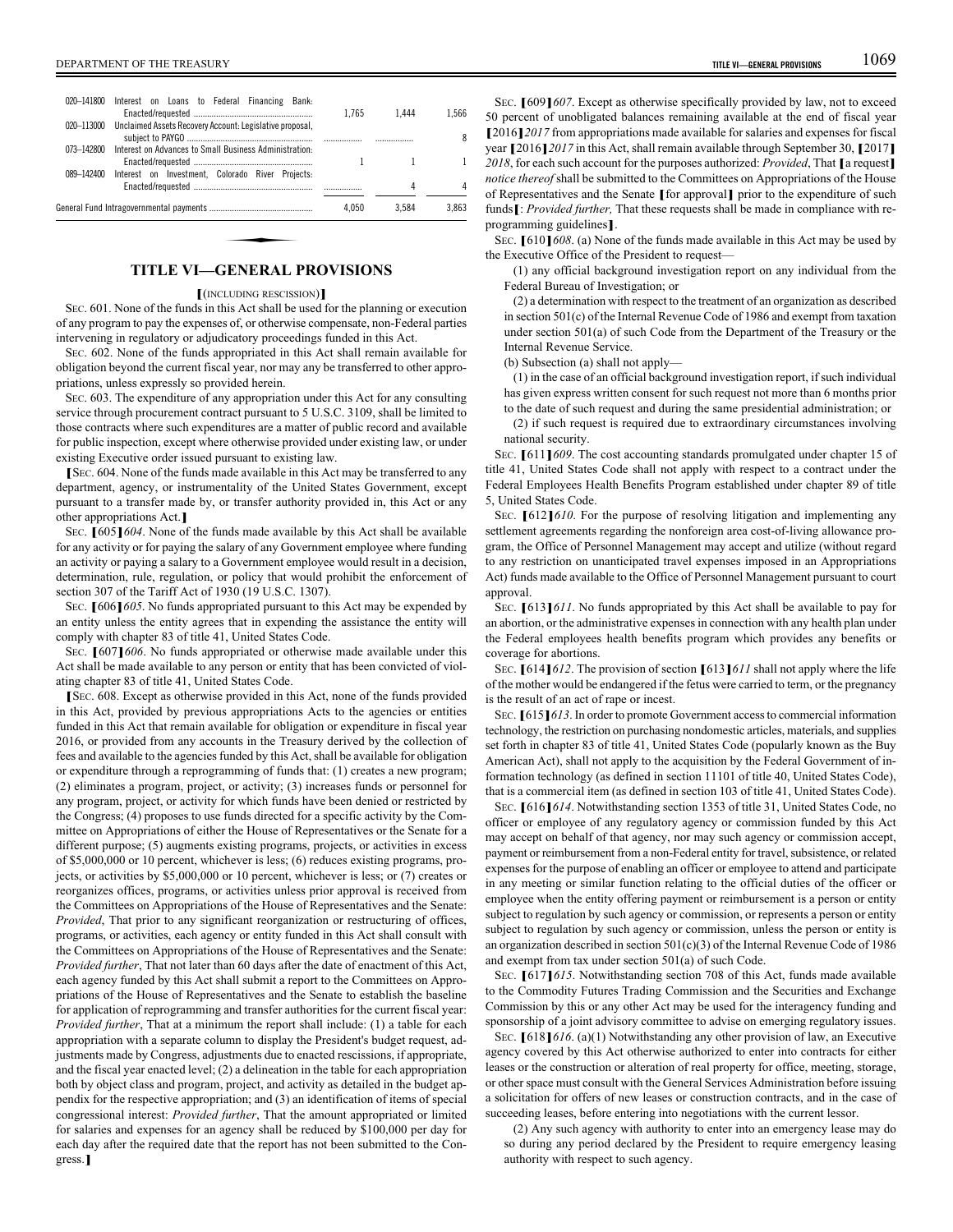| 020-141800 | Interest on Loans to Federal Financing Bank:             | 1.765 | 1.444 | 1.566 |
|------------|----------------------------------------------------------|-------|-------|-------|
| 020-113000 | Unclaimed Assets Recovery Account: Legislative proposal. |       |       | 8     |
| 073-142800 | Interest on Advances to Small Business Administration.   |       |       |       |
| 089-142400 | Interest on Investment. Colorado River Projects:         |       | 4     | 4     |
|            |                                                          | 4.050 | 3.584 | 3.863 |

## **TITLE VI—GENERAL PROVISIONS**

#### **[**(INCLUDING RESCISSION)**]**

SEC. 601. None of the funds in this Act shall be used for the planning or execution of any program to pay the expenses of, or otherwise compensate, non-Federal parties intervening in regulatory or adjudicatory proceedings funded in this Act.

SEC. 602. None of the funds appropriated in this Act shall remain available for obligation beyond the current fiscal year, nor may any be transferred to other appropriations, unless expressly so provided herein.

SEC. 603. The expenditure of any appropriation under this Act for any consulting service through procurement contract pursuant to 5 U.S.C. 3109, shall be limited to those contracts where such expenditures are a matter of public record and available for public inspection, except where otherwise provided under existing law, or under existing Executive order issued pursuant to existing law.

**[**<sup>S</sup>EC. 604. None of the funds made available in this Act may be transferred to any department, agency, or instrumentality of the United States Government, except pursuant to a transfer made by, or transfer authority provided in, this Act or any other appropriations Act.**]**

<sup>S</sup>EC. **[**605**]***604*. None of the funds made available by this Act shall be available for any activity or for paying the salary of any Government employee where funding an activity or paying a salary to a Government employee would result in a decision, determination, rule, regulation, or policy that would prohibit the enforcement of section 307 of the Tariff Act of 1930 (19 U.S.C. 1307).

<sup>S</sup>EC. **[**606**]***605*. No funds appropriated pursuant to this Act may be expended by an entity unless the entity agrees that in expending the assistance the entity will comply with chapter 83 of title 41, United States Code.

<sup>S</sup>EC. **[**607**]***606*. No funds appropriated or otherwise made available under this Act shall be made available to any person or entity that has been convicted of violating chapter 83 of title 41, United States Code.

**[**<sup>S</sup>EC. 608. Except as otherwise provided in this Act, none of the funds provided in this Act, provided by previous appropriations Acts to the agencies or entities funded in this Act that remain available for obligation or expenditure in fiscal year 2016, or provided from any accounts in the Treasury derived by the collection of fees and available to the agencies funded by this Act, shall be available for obligation or expenditure through a reprogramming of funds that: (1) creates a new program; (2) eliminates a program, project, or activity; (3) increases funds or personnel for any program, project, or activity for which funds have been denied or restricted by the Congress; (4) proposes to use funds directed for a specific activity by the Committee on Appropriations of either the House of Representatives or the Senate for a different purpose; (5) augments existing programs, projects, or activities in excess of \$5,000,000 or 10 percent, whichever is less; (6) reduces existing programs, projects, or activities by \$5,000,000 or 10 percent, whichever is less; or (7) creates or reorganizes offices, programs, or activities unless prior approval is received from the Committees on Appropriations of the House of Representatives and the Senate: *Provided*, That prior to any significant reorganization or restructuring of offices, programs, or activities, each agency or entity funded in this Act shall consult with the Committees on Appropriations of the House of Representatives and the Senate: *Provided further*, That not later than 60 days after the date of enactment of this Act, each agency funded by this Act shall submit a report to the Committees on Appropriations of the House of Representatives and the Senate to establish the baseline for application of reprogramming and transfer authorities for the current fiscal year: *Provided further*, That at a minimum the report shall include: (1) a table for each appropriation with a separate column to display the President's budget request, adjustments made by Congress, adjustments due to enacted rescissions, if appropriate, and the fiscal year enacted level; (2) a delineation in the table for each appropriation both by object class and program, project, and activity as detailed in the budget appendix for the respective appropriation; and (3) an identification of items of special congressional interest: *Provided further*, That the amount appropriated or limited for salaries and expenses for an agency shall be reduced by \$100,000 per day for each day after the required date that the report has not been submitted to the Congress.**]**

<sup>S</sup>EC. **[**609**]***607*. Except as otherwise specifically provided by law, not to exceed 50 percent of unobligated balances remaining available at the end of fiscal year **[**2016**]***2017* from appropriations made available for salaries and expenses for fiscal year **[**2016**]***2017* in this Act, shall remain available through September 30, **[**2017**]** *<sup>2018</sup>*, for each such account for the purposes authorized: *Provided*, That **[**a request**]** *notice thereof* shall be submitted to the Committees on Appropriations of the House of Representatives and the Senate **[**for approval**]** prior to the expenditure of such funds**[**: *Provided further,* That these requests shall be made in compliance with reprogramming guidelines**]**.

<sup>S</sup>EC. **[**610**]***608*. (a) None of the funds made available in this Act may be used by the Executive Office of the President to request—

(1) any official background investigation report on any individual from the Federal Bureau of Investigation; or

(2) a determination with respect to the treatment of an organization as described in section 501(c) of the Internal Revenue Code of 1986 and exempt from taxation under section 501(a) of such Code from the Department of the Treasury or the Internal Revenue Service.

(b) Subsection (a) shall not apply—

(1) in the case of an official background investigation report, if such individual has given express written consent for such request not more than 6 months prior to the date of such request and during the same presidential administration; or

(2) if such request is required due to extraordinary circumstances involving national security.

<sup>S</sup>EC. **[**611**]***609*. The cost accounting standards promulgated under chapter 15 of title 41, United States Code shall not apply with respect to a contract under the Federal Employees Health Benefits Program established under chapter 89 of title 5, United States Code.

<sup>S</sup>EC. **[**612**]***610*. For the purpose of resolving litigation and implementing any settlement agreements regarding the nonforeign area cost-of-living allowance program, the Office of Personnel Management may accept and utilize (without regard to any restriction on unanticipated travel expenses imposed in an Appropriations Act) funds made available to the Office of Personnel Management pursuant to court approval.

<sup>S</sup>EC. **[**613**]***611*. No funds appropriated by this Act shall be available to pay for an abortion, or the administrative expenses in connection with any health plan under the Federal employees health benefits program which provides any benefits or coverage for abortions.

<sup>S</sup>EC. **[**614**]***612*. The provision of section **[**613**]***611* shall not apply where the life of the mother would be endangered if the fetus were carried to term, or the pregnancy is the result of an act of rape or incest.

<sup>S</sup>EC. **[**615**]***613*. In order to promote Government access to commercial information technology, the restriction on purchasing nondomestic articles, materials, and supplies set forth in chapter 83 of title 41, United States Code (popularly known as the Buy American Act), shall not apply to the acquisition by the Federal Government of information technology (as defined in section 11101 of title 40, United States Code), that is a commercial item (as defined in section 103 of title 41, United States Code).

<sup>S</sup>EC. **[**616**]***614*. Notwithstanding section 1353 of title 31, United States Code, no officer or employee of any regulatory agency or commission funded by this Act may accept on behalf of that agency, nor may such agency or commission accept, payment or reimbursement from a non-Federal entity for travel, subsistence, or related expenses for the purpose of enabling an officer or employee to attend and participate in any meeting or similar function relating to the official duties of the officer or employee when the entity offering payment or reimbursement is a person or entity subject to regulation by such agency or commission, or represents a person or entity subject to regulation by such agency or commission, unless the person or entity is an organization described in section  $501(c)(3)$  of the Internal Revenue Code of 1986 and exempt from tax under section 501(a) of such Code.

<sup>S</sup>EC. **[**617**]***615*. Notwithstanding section 708 of this Act, funds made available to the Commodity Futures Trading Commission and the Securities and Exchange Commission by this or any other Act may be used for the interagency funding and sponsorship of a joint advisory committee to advise on emerging regulatory issues.

<sup>S</sup>EC. **[**618**]***616*. (a)(1) Notwithstanding any other provision of law, an Executive agency covered by this Act otherwise authorized to enter into contracts for either leases or the construction or alteration of real property for office, meeting, storage, or other space must consult with the General Services Administration before issuing a solicitation for offers of new leases or construction contracts, and in the case of succeeding leases, before entering into negotiations with the current lessor.

(2) Any such agency with authority to enter into an emergency lease may do so during any period declared by the President to require emergency leasing authority with respect to such agency.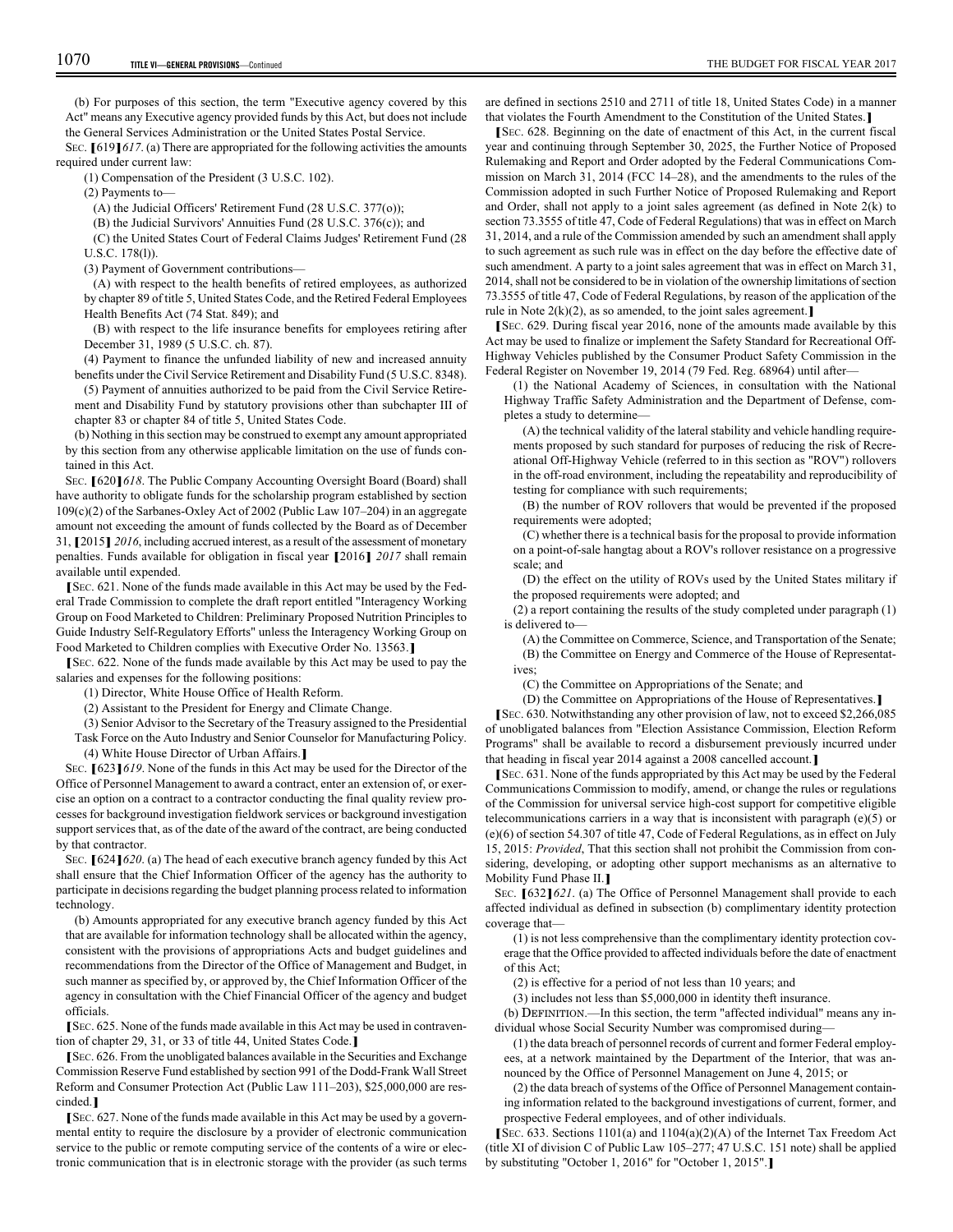(b) For purposes of this section, the term "Executive agency covered by this Act" means any Executive agency provided funds by this Act, but does not include the General Services Administration or the United States Postal Service.

<sup>S</sup>EC. **[**619**]***617*. (a) There are appropriated for the following activities the amounts required under current law:

(1) Compensation of the President (3 U.S.C. 102).

(2) Payments to—

(A) the Judicial Officers' Retirement Fund (28 U.S.C. 377(o));

(B) the Judicial Survivors' Annuities Fund (28 U.S.C. 376(c)); and

(C) the United States Court of Federal Claims Judges' Retirement Fund (28 U.S.C. 178(l)).

(3) Payment of Government contributions—

(A) with respect to the health benefits of retired employees, as authorized by chapter 89 of title 5, United States Code, and the Retired Federal Employees Health Benefits Act (74 Stat. 849); and

(B) with respect to the life insurance benefits for employees retiring after December 31, 1989 (5 U.S.C. ch. 87).

(4) Payment to finance the unfunded liability of new and increased annuity benefits under the Civil Service Retirement and Disability Fund (5 U.S.C. 8348).

(5) Payment of annuities authorized to be paid from the Civil Service Retirement and Disability Fund by statutory provisions other than subchapter III of chapter 83 or chapter 84 of title 5, United States Code.

(b) Nothing in this section may be construed to exempt any amount appropriated by this section from any otherwise applicable limitation on the use of funds contained in this Act.

<sup>S</sup>EC. **[**620**]***618*. The Public Company Accounting Oversight Board (Board) shall have authority to obligate funds for the scholarship program established by section 109(c)(2) of the Sarbanes-Oxley Act of 2002 (Public Law 107–204) in an aggregate amount not exceeding the amount of funds collected by the Board as of December 31, **[**2015**]** *2016*, including accrued interest, as a result of the assessment of monetary penalties. Funds available for obligation in fiscal year **[**2016**]** *2017* shall remain available until expended.

**[**<sup>S</sup>EC. 621. None of the funds made available in this Act may be used by the Federal Trade Commission to complete the draft report entitled "Interagency Working Group on Food Marketed to Children: Preliminary Proposed Nutrition Principles to Guide Industry Self-Regulatory Efforts" unless the Interagency Working Group on Food Marketed to Children complies with Executive Order No. 13563.**]**

**[**<sup>S</sup>EC. 622. None of the funds made available by this Act may be used to pay the salaries and expenses for the following positions:

(1) Director, White House Office of Health Reform.

(2) Assistant to the President for Energy and Climate Change.

(3) Senior Advisor to the Secretary of the Treasury assigned to the Presidential

Task Force on the Auto Industry and Senior Counselor for Manufacturing Policy. (4) White House Director of Urban Affairs.**]**

<sup>S</sup>EC. **[**623**]***619*. None of the funds in this Act may be used for the Director of the Office of Personnel Management to award a contract, enter an extension of, or exercise an option on a contract to a contractor conducting the final quality review processes for background investigation fieldwork services or background investigation support services that, as of the date of the award of the contract, are being conducted by that contractor.

<sup>S</sup>EC. **[**624**]***620*. (a) The head of each executive branch agency funded by this Act shall ensure that the Chief Information Officer of the agency has the authority to participate in decisions regarding the budget planning process related to information technology.

(b) Amounts appropriated for any executive branch agency funded by this Act that are available for information technology shall be allocated within the agency, consistent with the provisions of appropriations Acts and budget guidelines and recommendations from the Director of the Office of Management and Budget, in such manner as specified by, or approved by, the Chief Information Officer of the agency in consultation with the Chief Financial Officer of the agency and budget officials.

**[**<sup>S</sup>EC. 625. None of the funds made available in this Act may be used in contravention of chapter 29, 31, or 33 of title 44, United States Code.**]**

**[**<sup>S</sup>EC. 626. From the unobligated balances available in the Securities and Exchange Commission Reserve Fund established by section 991 of the Dodd-Frank Wall Street Reform and Consumer Protection Act (Public Law 111–203), \$25,000,000 are rescinded.**]**

**[**<sup>S</sup>EC. 627. None of the funds made available in this Act may be used by a governmental entity to require the disclosure by a provider of electronic communication service to the public or remote computing service of the contents of a wire or electronic communication that is in electronic storage with the provider (as such terms are defined in sections 2510 and 2711 of title 18, United States Code) in a manner that violates the Fourth Amendment to the Constitution of the United States.**]**

**[**<sup>S</sup>EC. 628. Beginning on the date of enactment of this Act, in the current fiscal year and continuing through September 30, 2025, the Further Notice of Proposed Rulemaking and Report and Order adopted by the Federal Communications Commission on March 31, 2014 (FCC 14–28), and the amendments to the rules of the Commission adopted in such Further Notice of Proposed Rulemaking and Report and Order, shall not apply to a joint sales agreement (as defined in Note 2(k) to section 73.3555 of title 47, Code of Federal Regulations) that was in effect on March 31, 2014, and a rule of the Commission amended by such an amendment shall apply to such agreement as such rule was in effect on the day before the effective date of such amendment. A party to a joint sales agreement that was in effect on March 31, 2014, shall not be considered to be in violation of the ownership limitations of section 73.3555 of title 47, Code of Federal Regulations, by reason of the application of the rule in Note 2(k)(2), as so amended, to the joint sales agreement.**]**

**[**<sup>S</sup>EC. 629. During fiscal year 2016, none of the amounts made available by this Act may be used to finalize or implement the Safety Standard for Recreational Off-Highway Vehicles published by the Consumer Product Safety Commission in the Federal Register on November 19, 2014 (79 Fed. Reg. 68964) until after—

(1) the National Academy of Sciences, in consultation with the National Highway Traffic Safety Administration and the Department of Defense, completes a study to determine—

(A) the technical validity of the lateral stability and vehicle handling requirements proposed by such standard for purposes of reducing the risk of Recreational Off-Highway Vehicle (referred to in this section as "ROV") rollovers in the off-road environment, including the repeatability and reproducibility of testing for compliance with such requirements;

(B) the number of ROV rollovers that would be prevented if the proposed requirements were adopted;

(C) whether there is a technical basis for the proposal to provide information on a point-of-sale hangtag about a ROV's rollover resistance on a progressive scale; and

(D) the effect on the utility of ROVs used by the United States military if the proposed requirements were adopted; and

(2) a report containing the results of the study completed under paragraph (1) is delivered to—

(A) the Committee on Commerce, Science, and Transportation of the Senate; (B) the Committee on Energy and Commerce of the House of Representatives;

(C) the Committee on Appropriations of the Senate; and

(D) the Committee on Appropriations of the House of Representatives.**]**

**[**<sup>S</sup>EC. 630. Notwithstanding any other provision of law, not to exceed \$2,266,085 of unobligated balances from "Election Assistance Commission, Election Reform Programs" shall be available to record a disbursement previously incurred under that heading in fiscal year 2014 against a 2008 cancelled account.**]**

**[**<sup>S</sup>EC. 631. None of the funds appropriated by this Act may be used by the Federal Communications Commission to modify, amend, or change the rules or regulations of the Commission for universal service high-cost support for competitive eligible telecommunications carriers in a way that is inconsistent with paragraph  $(e)(5)$  or (e)(6) of section 54.307 of title 47, Code of Federal Regulations, as in effect on July 15, 2015: *Provided*, That this section shall not prohibit the Commission from considering, developing, or adopting other support mechanisms as an alternative to Mobility Fund Phase II.**]**

<sup>S</sup>EC. **[**632**]***621*. (a) The Office of Personnel Management shall provide to each affected individual as defined in subsection (b) complimentary identity protection coverage that—

(1) is not less comprehensive than the complimentary identity protection coverage that the Office provided to affected individuals before the date of enactment of this Act;

(2) is effective for a period of not less than 10 years; and

(3) includes not less than \$5,000,000 in identity theft insurance.

(b) DEFINITION.—In this section, the term "affected individual" means any individual whose Social Security Number was compromised during—

(1) the data breach of personnel records of current and former Federal employees, at a network maintained by the Department of the Interior, that was announced by the Office of Personnel Management on June 4, 2015; or

(2) the data breach of systems of the Office of Personnel Management containing information related to the background investigations of current, former, and prospective Federal employees, and of other individuals.

**[**<sup>S</sup>EC. 633. Sections 1101(a) and 1104(a)(2)(A) of the Internet Tax Freedom Act (title XI of division C of Public Law 105–277; 47 U.S.C. 151 note) shall be applied by substituting "October 1, 2016" for "October 1, 2015".**]**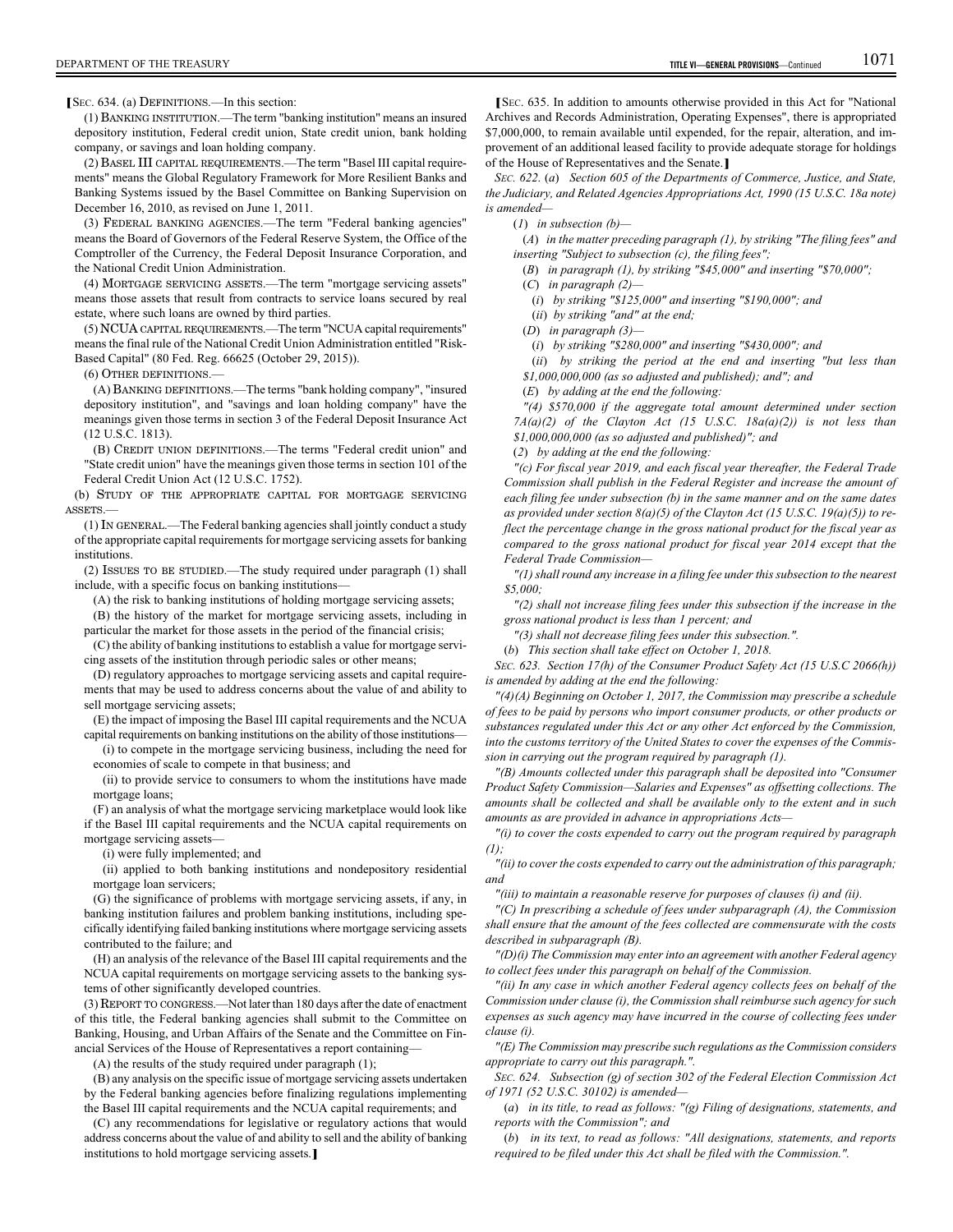**[**<sup>S</sup>EC. 634. (a) DEFINITIONS.—In this section:

(1) BANKING INSTITUTION.—The term "banking institution" means an insured depository institution, Federal credit union, State credit union, bank holding company, or savings and loan holding company.

(2) BASEL III CAPITAL REQUIREMENTS.—The term "Basel III capital requirements" means the Global Regulatory Framework for More Resilient Banks and Banking Systems issued by the Basel Committee on Banking Supervision on December 16, 2010, as revised on June 1, 2011.

(3) FEDERAL BANKING AGENCIES.—The term "Federal banking agencies" means the Board of Governors of the Federal Reserve System, the Office of the Comptroller of the Currency, the Federal Deposit Insurance Corporation, and the National Credit Union Administration.

(4) MORTGAGE SERVICING ASSETS.—The term "mortgage servicing assets" means those assets that result from contracts to service loans secured by real estate, where such loans are owned by third parties.

(5) NCUA CAPITAL REQUIREMENTS.—The term "NCUA capital requirements" means the final rule of the National Credit Union Administration entitled "Risk-Based Capital" (80 Fed. Reg. 66625 (October 29, 2015)).

(6) OTHER DEFINITIONS.—

(A) BANKING DEFINITIONS.—The terms "bank holding company", "insured depository institution", and "savings and loan holding company" have the meanings given those terms in section 3 of the Federal Deposit Insurance Act (12 U.S.C. 1813).

(B) CREDIT UNION DEFINITIONS.—The terms "Federal credit union" and "State credit union" have the meanings given those terms in section 101 of the Federal Credit Union Act (12 U.S.C. 1752).

(b) STUDY OF THE APPROPRIATE CAPITAL FOR MORTGAGE SERVICING ASSETS.—

(1) IN GENERAL.—The Federal banking agencies shall jointly conduct a study of the appropriate capital requirements for mortgage servicing assets for banking institutions.

(2) ISSUES TO BE STUDIED.—The study required under paragraph (1) shall include, with a specific focus on banking institutions—

(A) the risk to banking institutions of holding mortgage servicing assets;

(B) the history of the market for mortgage servicing assets, including in particular the market for those assets in the period of the financial crisis;

(C) the ability of banking institutions to establish a value for mortgage servicing assets of the institution through periodic sales or other means;

(D) regulatory approaches to mortgage servicing assets and capital requirements that may be used to address concerns about the value of and ability to sell mortgage servicing assets;

(E) the impact of imposing the Basel III capital requirements and the NCUA capital requirements on banking institutions on the ability of those institutions—

(i) to compete in the mortgage servicing business, including the need for economies of scale to compete in that business; and

(ii) to provide service to consumers to whom the institutions have made mortgage loans;

(F) an analysis of what the mortgage servicing marketplace would look like if the Basel III capital requirements and the NCUA capital requirements on mortgage servicing assets—

(i) were fully implemented; and

(ii) applied to both banking institutions and nondepository residential mortgage loan servicers;

(G) the significance of problems with mortgage servicing assets, if any, in banking institution failures and problem banking institutions, including specifically identifying failed banking institutions where mortgage servicing assets contributed to the failure; and

(H) an analysis of the relevance of the Basel III capital requirements and the NCUA capital requirements on mortgage servicing assets to the banking systems of other significantly developed countries.

(3) REPORT TO CONGRESS.—Not later than 180 days after the date of enactment of this title, the Federal banking agencies shall submit to the Committee on Banking, Housing, and Urban Affairs of the Senate and the Committee on Financial Services of the House of Representatives a report containing—

(A) the results of the study required under paragraph (1);

(B) any analysis on the specific issue of mortgage servicing assets undertaken by the Federal banking agencies before finalizing regulations implementing the Basel III capital requirements and the NCUA capital requirements; and

(C) any recommendations for legislative or regulatory actions that would address concerns about the value of and ability to sell and the ability of banking institutions to hold mortgage servicing assets.**]**

**[**<sup>S</sup>EC. 635. In addition to amounts otherwise provided in this Act for "National Archives and Records Administration, Operating Expenses", there is appropriated \$7,000,000, to remain available until expended, for the repair, alteration, and improvement of an additional leased facility to provide adequate storage for holdings of the House of Representatives and the Senate.**]**

*SEC. 622.* (*a*) *Section 605 of the Departments of Commerce, Justice, and State, the Judiciary, and Related Agencies Appropriations Act, 1990 (15 U.S.C. 18a note) is amended—*

(*1*) *in subsection (b)—*

(*A*) *in the matter preceding paragraph (1), by striking "The filing fees" and inserting "Subject to subsection (c), the filing fees";*

(*B*) *in paragraph (1), by striking "\$45,000" and inserting "\$70,000";*

(*C*) *in paragraph (2)—*

(*i*) *by striking "\$125,000" and inserting "\$190,000"; and*

(*ii*) *by striking "and" at the end;* (*D*) *in paragraph (3)—*

(*i*) *by striking "\$280,000" and inserting "\$430,000"; and*

(*ii*) *by striking the period at the end and inserting "but less than \$1,000,000,000 (as so adjusted and published); and"; and*

(*E*) *by adding at the end the following:*

*"(4) \$570,000 if the aggregate total amount determined under section 7A(a)(2) of the Clayton Act (15 U.S.C. 18a(a)(2)) is not less than \$1,000,000,000 (as so adjusted and published)"; and*

(*2*) *by adding at the end the following:*

*"(c) For fiscal year 2019, and each fiscal year thereafter, the Federal Trade Commission shall publish in the Federal Register and increase the amount of each filing fee under subsection (b) in the same manner and on the same dates as provided under section 8(a)(5) of the Clayton Act (15 U.S.C. 19(a)(5)) to reflect the percentage change in the gross national product for the fiscal year as compared to the gross national product for fiscal year 2014 except that the Federal Trade Commission—*

*"(1) shall round any increase in a filing fee under this subsection to the nearest \$5,000;*

*"(2) shall not increase filing fees under this subsection if the increase in the gross national product is less than 1 percent; and*

*"(3) shall not decrease filing fees under this subsection.".*

(*b*) *This section shall take effect on October 1, 2018.*

*SEC. 623. Section 17(h) of the Consumer Product Safety Act (15 U.S.C 2066(h)) is amended by adding at the end the following:*

*"(4)(A) Beginning on October 1, 2017, the Commission may prescribe a schedule of fees to be paid by persons who import consumer products, or other products or substances regulated under this Act or any other Act enforced by the Commission, into the customs territory of the United States to cover the expenses of the Commission in carrying out the program required by paragraph (1).*

*"(B) Amounts collected under this paragraph shall be deposited into "Consumer Product Safety Commission—Salaries and Expenses" as offsetting collections. The amounts shall be collected and shall be available only to the extent and in such amounts as are provided in advance in appropriations Acts—*

*"(i) to cover the costs expended to carry out the program required by paragraph (1);*

*"(ii) to cover the costs expended to carry out the administration of this paragraph; and*

*"(iii) to maintain a reasonable reserve for purposes of clauses (i) and (ii).*

*"(C) In prescribing a schedule of fees under subparagraph (A), the Commission shall ensure that the amount of the fees collected are commensurate with the costs described in subparagraph (B).*

*"(D)(i) The Commission may enter into an agreement with another Federal agency to collect fees under this paragraph on behalf of the Commission.*

*"(ii) In any case in which another Federal agency collects fees on behalf of the Commission under clause (i), the Commission shall reimburse such agency for such expenses as such agency may have incurred in the course of collecting fees under clause (i).*

*"(E) The Commission may prescribe such regulations as the Commission considers appropriate to carry out this paragraph.".*

*SEC. 624. Subsection (g) of section 302 of the Federal Election Commission Act of 1971 (52 U.S.C. 30102) is amended—*

(*a*) *in its title, to read as follows: "(g) Filing of designations, statements, and reports with the Commission"; and*

(*b*) *in its text, to read as follows: "All designations, statements, and reports required to be filed under this Act shall be filed with the Commission.".*